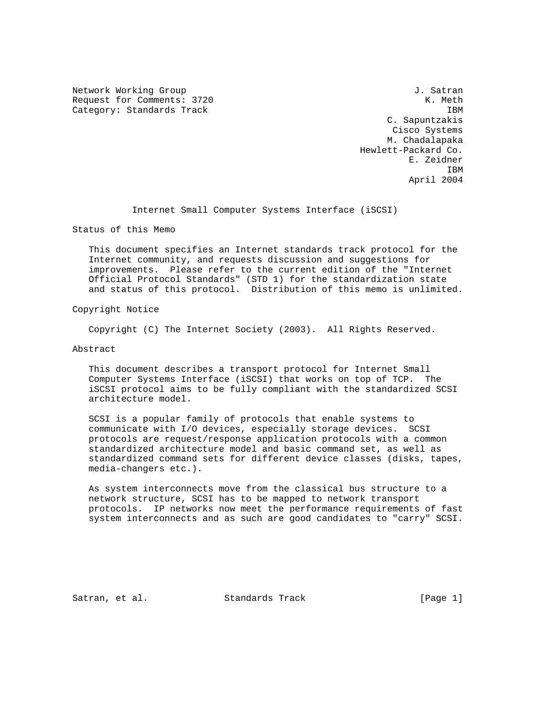Network Working Group 30 and 1. Satran J. Satran Request for Comments: 3720 K. Meth Category: Standards Track IBM

 C. Sapuntzakis Cisco Systems M. Chadalapaka Hewlett-Packard Co. E. Zeidner **IBM IBM** April 2004

Internet Small Computer Systems Interface (iSCSI)

Status of this Memo

 This document specifies an Internet standards track protocol for the Internet community, and requests discussion and suggestions for improvements. Please refer to the current edition of the "Internet Official Protocol Standards" (STD 1) for the standardization state and status of this protocol. Distribution of this memo is unlimited.

Copyright Notice

Copyright (C) The Internet Society (2003). All Rights Reserved.

Abstract

 This document describes a transport protocol for Internet Small Computer Systems Interface (iSCSI) that works on top of TCP. The iSCSI protocol aims to be fully compliant with the standardized SCSI architecture model.

 SCSI is a popular family of protocols that enable systems to communicate with I/O devices, especially storage devices. SCSI protocols are request/response application protocols with a common standardized architecture model and basic command set, as well as standardized command sets for different device classes (disks, tapes, media-changers etc.).

 As system interconnects move from the classical bus structure to a network structure, SCSI has to be mapped to network transport protocols. IP networks now meet the performance requirements of fast system interconnects and as such are good candidates to "carry" SCSI.

Satran, et al. Standards Track (Page 1)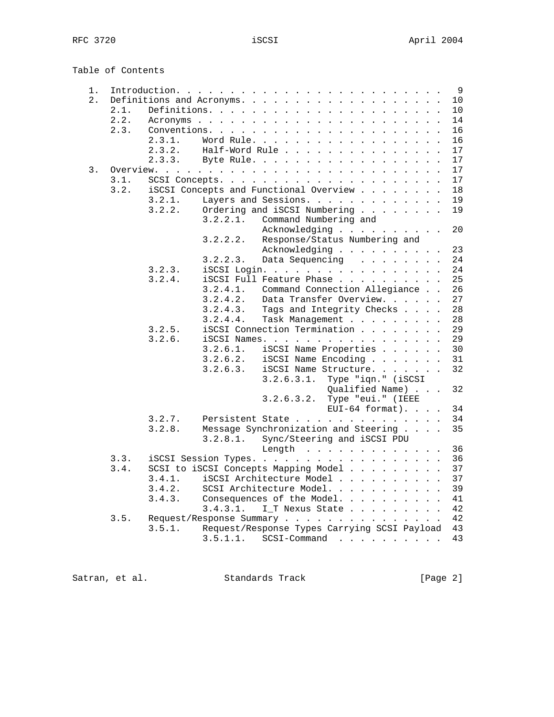Table of Contents

| $1$ . |      |                           |                      | Introduction.                                                                                                    | 9  |
|-------|------|---------------------------|----------------------|------------------------------------------------------------------------------------------------------------------|----|
| 2.    |      | Definitions and Acronyms. | $\ddot{\phantom{a}}$ | $\ddot{\phantom{a}}$<br>$\sim$<br>$\mathbf{r}$ . The set of $\mathbf{r}$                                         | 10 |
|       | 2.1. |                           |                      |                                                                                                                  | 10 |
|       | 2.2. |                           |                      |                                                                                                                  | 14 |
|       | 2.3. |                           | Conventions.         | $\mathbf{r}$<br>$\mathbf{r}$ , $\mathbf{r}$ , $\mathbf{r}$ , $\mathbf{r}$ , $\mathbf{r}$<br>$\ddot{\phantom{a}}$ | 16 |
|       |      | 2.3.1.                    | Word Rule.           |                                                                                                                  | 16 |
|       |      | 2.3.2.                    | Half-Word Rule       | $\mathbf{r}$                                                                                                     | 17 |
|       |      | 2.3.3.                    |                      | Byte Rule.                                                                                                       | 17 |
| 3.    |      | Overview.                 |                      |                                                                                                                  | 17 |
|       | 3.1. |                           |                      | SCSI Concepts.<br>$\mathbf{r}$ , $\mathbf{r}$ , $\mathbf{r}$ , $\mathbf{r}$ , $\mathbf{r}$ , $\mathbf{r}$        | 17 |
|       | 3.2. |                           |                      | iSCSI Concepts and Functional Overview                                                                           | 18 |
|       |      | 3.2.1.                    |                      | Layers and Sessions.                                                                                             | 19 |
|       |      | 3.2.2.                    |                      | Ordering and iSCSI Numbering                                                                                     | 19 |
|       |      |                           | 3.2.2.1.             | Command Numbering and                                                                                            |    |
|       |      |                           |                      | Acknowledging                                                                                                    | 20 |
|       |      |                           | 3.2.2.2.             | Response/Status Numbering and                                                                                    |    |
|       |      |                           |                      | Acknowledging                                                                                                    | 23 |
|       |      |                           | 3.2.2.3.             | Data Sequencing                                                                                                  | 24 |
|       |      | 3.2.3.                    |                      | iSCSI Login.                                                                                                     | 24 |
|       |      | 3.2.4.                    |                      | iSCSI Full Feature Phase                                                                                         | 25 |
|       |      |                           | 3.2.4.1.             | Command Connection Allegiance                                                                                    | 26 |
|       |      |                           | 3.2.4.2.             | Data Transfer Overview.                                                                                          | 27 |
|       |      |                           | 3.2.4.3.             | Tags and Integrity Checks                                                                                        | 28 |
|       |      |                           | 3.2.4.4.             | Task Management                                                                                                  | 28 |
|       |      | 3.2.5.                    |                      | iSCSI Connection Termination                                                                                     | 29 |
|       |      | 3.2.6.                    |                      | iSCSI Names.                                                                                                     | 29 |
|       |      |                           | 3.2.6.1.             | iSCSI Name Properties                                                                                            | 30 |
|       |      |                           | 3.2.6.2.             | iSCSI Name Encoding                                                                                              | 31 |
|       |      |                           | 3.2.6.3.             | iSCSI Name Structure.                                                                                            | 32 |
|       |      |                           |                      | 3.2.6.3.1. Type "iqn." (iSCSI                                                                                    |    |
|       |      |                           |                      | Qualified Name)                                                                                                  | 32 |
|       |      |                           |                      | 3.2.6.3.2.<br>Type "eui." (IEEE                                                                                  |    |
|       |      |                           |                      | $EUI-64$ format).                                                                                                | 34 |
|       |      | 3.2.7.                    |                      | Persistent State                                                                                                 | 34 |
|       |      | 3.2.8.                    |                      | Message Synchronization and Steering                                                                             | 35 |
|       |      |                           | 3.2.8.1.             | Sync/Steering and iSCSI PDU                                                                                      |    |
|       |      |                           |                      | Length $\ldots$ , $\ldots$ , $\ldots$                                                                            | 36 |
|       | 3.3. |                           |                      | iSCSI Session Types.                                                                                             | 36 |
|       | 3.4. |                           |                      | SCSI to iSCSI Concepts Mapping Model                                                                             | 37 |
|       |      | 3.4.1.                    |                      | iSCSI Architecture Model                                                                                         | 37 |
|       |      | 3.4.2.                    |                      | SCSI Architecture Model.                                                                                         | 39 |
|       |      | 3.4.3.                    |                      | Consequences of the Model.                                                                                       | 41 |
|       |      |                           | 3.4.3.1.             | I_T Nexus State                                                                                                  | 42 |
|       | 3.5. |                           |                      | Request/Response Summary                                                                                         | 42 |
|       |      | 3.5.1.                    |                      | Request/Response Types Carrying SCSI Payload                                                                     | 43 |
|       |      |                           | 3.5.1.1.             | $SCSI$ -Command                                                                                                  | 43 |
|       |      |                           |                      |                                                                                                                  |    |

Satran, et al. Standards Track [Page 2]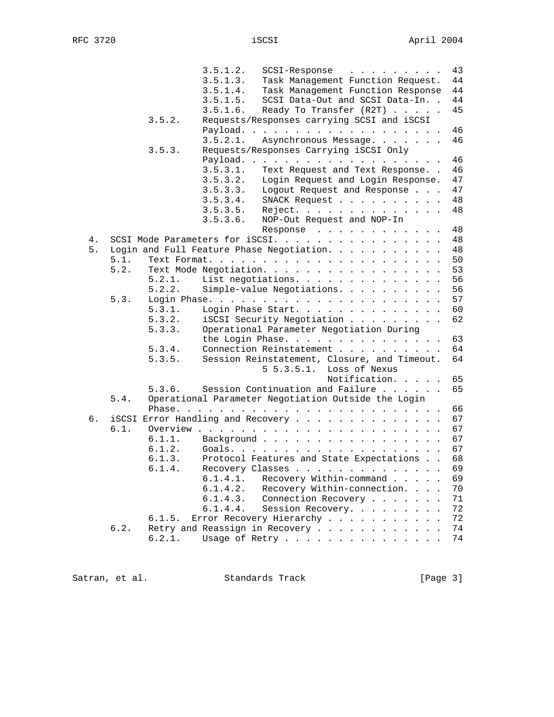|          |        | 3.5.1.2. | 43<br>SCSI-Response                                                                |
|----------|--------|----------|------------------------------------------------------------------------------------|
|          |        | 3.5.1.3. | 44<br>Task Management Function Request.                                            |
|          |        | 3.5.1.4. | 44<br>Task Management Function Response                                            |
|          |        | 3.5.1.5. | SCSI Data-Out and SCSI Data-In. .<br>44                                            |
|          |        | 3.5.1.6. | 45<br>Ready To Transfer (R2T)                                                      |
|          | 3.5.2. |          | Requests/Responses carrying SCSI and iSCSI                                         |
|          |        |          | Payload.<br>46                                                                     |
|          |        | 3.5.2.1. | 46<br>Asynchronous Message.                                                        |
|          | 3.5.3. |          | Requests/Responses Carrying iSCSI Only                                             |
|          |        |          | 46<br>Payload.                                                                     |
|          |        | 3.5.3.1. | 46<br>Text Request and Text Response                                               |
|          |        | 3.5.3.2. | Login Request and Login Response.<br>47                                            |
|          |        | 3.5.3.3. | 47<br>Logout Request and Response                                                  |
|          |        | 3.5.3.4. | 48<br>SNACK Request                                                                |
|          |        | 3.5.3.5. | 48<br>Reject.                                                                      |
|          |        | 3.5.3.6. | NOP-Out Request and NOP-In                                                         |
|          |        |          | 48                                                                                 |
|          |        |          | Response<br>48                                                                     |
| 4.<br>5. |        |          | SCSI Mode Parameters for iSCSI.<br>Login and Full Feature Phase Negotiation.<br>48 |
| 5.1.     |        |          | 50                                                                                 |
| 5.2.     |        |          | 53                                                                                 |
|          |        |          | Text Mode Negotiation.                                                             |
|          | 5.2.1. |          | 56<br>List negotiations.                                                           |
|          | 5.2.2. |          | 56<br>Simple-value Negotiations.                                                   |
| 5.3.     |        |          | 57                                                                                 |
|          | 5.3.1. |          | 60<br>Login Phase Start.                                                           |
|          | 5.3.2. |          | 62<br>iSCSI Security Negotiation                                                   |
|          | 5.3.3. |          | Operational Parameter Negotiation During                                           |
|          |        |          | 63<br>the Login Phase.                                                             |
|          | 5.3.4. |          | Connection Reinstatement<br>64                                                     |
|          | 5.3.5. |          | Session Reinstatement, Closure, and Timeout.<br>64                                 |
|          |        |          | $5\,5.3.5.1.$<br>Loss of Nexus                                                     |
|          |        |          | Notification.<br>65                                                                |
|          | 5.3.6. |          | 65<br>Session Continuation and Failure                                             |
| 5.4.     |        |          | Operational Parameter Negotiation Outside the Login                                |
|          |        |          | 66                                                                                 |
| б.       |        |          | iSCSI Error Handling and Recovery<br>67                                            |
| 6.1.     |        |          | 67                                                                                 |
|          | 6.1.1. |          | Background<br>67                                                                   |
|          | 6.1.2. |          | 67                                                                                 |
|          | 6.1.3. |          | Protocol Features and State Expectations<br>68                                     |
|          | 6.1.4. |          | 69<br>Recovery Classes                                                             |
|          |        | 6.1.4.1. | Recovery Within-command<br>69                                                      |
|          |        | 6.1.4.2. | Recovery Within-connection.<br>70                                                  |
|          |        | 6.1.4.3. | Connection Recovery<br>71                                                          |
|          |        | 6.1.4.4. | 72<br>Session Recovery.                                                            |
|          | 6.1.5. |          | Error Recovery Hierarchy<br>72                                                     |
| 6.2.     |        |          | Retry and Reassign in Recovery<br>74                                               |
|          | 6.2.1. |          | Usage of Retry<br>74                                                               |
|          |        |          |                                                                                    |

Satran, et al. Standards Track [Page 3]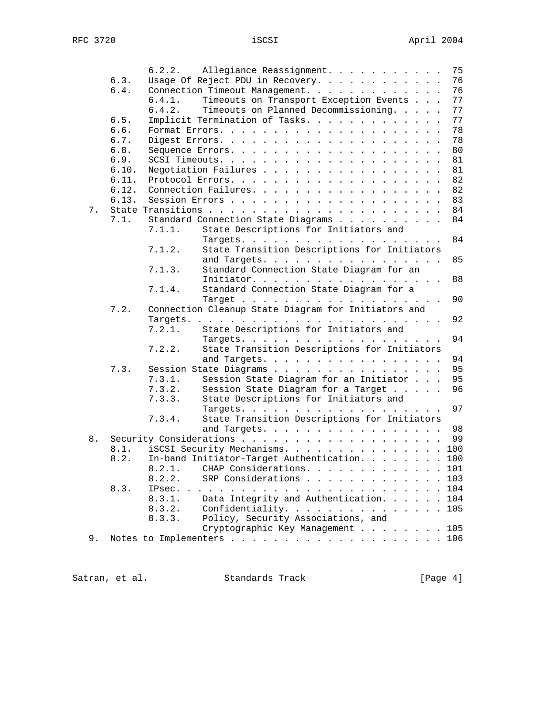|       |       | 6.2.2. Allegiance Reassignment.                        | 75  |
|-------|-------|--------------------------------------------------------|-----|
|       | 6.3.  | Usage Of Reject PDU in Recovery.                       | 76  |
|       | 6.4.  | Connection Timeout Management.                         | 76  |
|       |       | Timeouts on Transport Exception Events<br>6.4.1.       | 77  |
|       |       | Timeouts on Planned Decommissioning.<br>6.4.2.         | 77  |
|       | 6.5.  | Implicit Termination of Tasks.                         | 77  |
|       | 6.6.  |                                                        | 78  |
|       | 6.7.  |                                                        | 78  |
|       | 6.8.  |                                                        | 80  |
|       | 6.9.  |                                                        | 81  |
|       | 6.10. | Negotiation Failures                                   | 81  |
|       | 6.11. |                                                        | 82  |
|       | 6.12. |                                                        | 82  |
|       | 6.13. | Connection Failures.                                   |     |
|       |       |                                                        | 83  |
| 7.    |       |                                                        | 84  |
|       | 7.1.  | Standard Connection State Diagrams                     | 84  |
|       |       | State Descriptions for Initiators and<br>7.1.1.        |     |
|       |       |                                                        | 84  |
|       |       | State Transition Descriptions for Initiators<br>7.1.2. |     |
|       |       | and Targets.                                           | 85  |
|       |       | Standard Connection State Diagram for an<br>7.1.3.     |     |
|       |       | Initiator.                                             | 88  |
|       |       | Standard Connection State Diagram for a<br>7.1.4.      |     |
|       |       |                                                        | 90  |
|       | 7.2.  | Connection Cleanup State Diagram for Initiators and    |     |
|       |       |                                                        | 92  |
|       |       | 7.2.1.<br>State Descriptions for Initiators and        |     |
|       |       | Targets.                                               | 94  |
|       |       | State Transition Descriptions for Initiators<br>7.2.2. |     |
|       |       | and Targets.                                           | 94  |
|       | 7.3.  | Session State Diagrams                                 | 95  |
|       |       | 7.3.1.<br>Session State Diagram for an Initiator       | 95  |
|       |       | 7.3.2.<br>Session State Diagram for a Target           | 96  |
|       |       | State Descriptions for Initiators and<br>7.3.3.        |     |
|       |       | Targets.                                               | 97  |
|       |       | State Transition Descriptions for Initiators<br>7.3.4. |     |
|       |       | and Targets.                                           | 98  |
| $8$ . |       |                                                        | 99  |
|       | 8.1.  | iSCSI Security Mechanisms. 100                         |     |
|       | 8.2.  | In-band Initiator-Target Authentication.               | 100 |
|       |       | 8.2.1. CHAP Considerations.                            | 101 |
|       |       | 8.2.2.<br>SRP Considerations                           | 103 |
|       | 8.3.  |                                                        | 104 |
|       |       | Data Integrity and Authentication.<br>8.3.1.           | 104 |
|       |       | 8.3.2.<br>Confidentiality.                             | 105 |
|       |       | Policy, Security Associations, and<br>8.3.3.           |     |
|       |       | Cryptographic Key Management 105                       |     |
| 9.    |       |                                                        |     |
|       |       |                                                        |     |

Satran, et al. Standards Track (Page 4)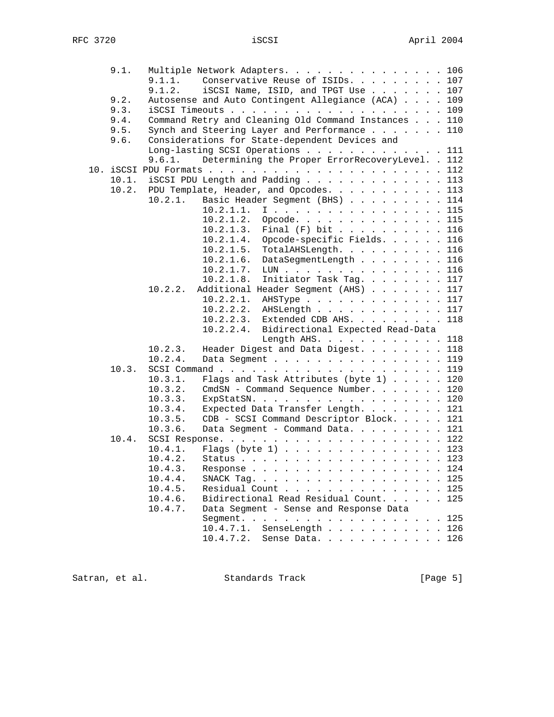|  | 9.1.  | Multiple Network Adapters. 106                                      |     |
|--|-------|---------------------------------------------------------------------|-----|
|  |       | 9.1.1.<br>Conservative Reuse of ISIDs. 107                          |     |
|  |       | 9.1.2.<br>iSCSI Name, ISID, and TPGT Use                            | 107 |
|  | 9.2.  | Autosense and Auto Contingent Allegiance (ACA)                      | 109 |
|  | 9.3.  | $i$ SCSI Timeouts 109                                               |     |
|  | 9.4.  | Command Retry and Cleaning Old Command Instances 110                |     |
|  | 9.5.  | Synch and Steering Layer and Performance 110                        |     |
|  | 9.6.  | Considerations for State-dependent Devices and                      |     |
|  |       | Long-lasting SCSI Operations 111                                    |     |
|  |       | Determining the Proper ErrorRecoveryLevel. . 112<br>9.6.1.          |     |
|  |       |                                                                     |     |
|  | 10.1. | iSCSI PDU Length and Padding 113                                    |     |
|  | 10.2. | PDU Template, Header, and Opcodes. 113                              |     |
|  |       | 10.2.1.<br>Basic Header Segment (BHS) 114                           |     |
|  |       | I 115<br>10.2.1.1.                                                  |     |
|  |       | 10.2.1.2.<br>Opcode.                                                | 115 |
|  |       | 10.2.1.3.<br>Final $(F)$ bit 116                                    |     |
|  |       | Opcode-specific Fields. 116<br>10.2.1.4.                            |     |
|  |       | 10.2.1.5.<br>TotalAHSLength. 116                                    |     |
|  |       | 10.2.1.6.<br>DataSegmentLength 116                                  |     |
|  |       | 10.2.1.7.<br>LUN                                                    |     |
|  |       |                                                                     | 116 |
|  |       | 10.2.1.8.<br>Initiator Task Tag.<br>10.2.2.                         | 117 |
|  |       | Additional Header Segment (AHS) 117                                 |     |
|  |       | 10.2.2.1.<br>AHSType 117                                            |     |
|  |       | 10.2.2.2.<br>AHSLength 117                                          |     |
|  |       | Extended CDB AHS. 118<br>10.2.2.3.                                  |     |
|  |       | 10.2.2.4.<br>Bidirectional Expected Read-Data                       |     |
|  |       | Length AHS. $\ldots$ $\ldots$ $\ldots$ $\ldots$ $\ldots$ 118        |     |
|  |       | Header Digest and Data Digest. 118<br>10.2.3.                       |     |
|  |       | 10.2.4.<br>Data Segment 119                                         |     |
|  | 10.3. | SCSI Command $\ldots$ , 119                                         |     |
|  |       | 10.3.1.<br>Flags and Task Attributes (byte 1) 120                   |     |
|  |       | 10.3.2.<br>CmdSN - Command Sequence Number. 120                     |     |
|  |       | 10.3.3.<br>ExpStatSN. 120                                           |     |
|  |       | 10.3.4.<br>Expected Data Transfer Length. 121                       |     |
|  |       | 10.3.5.<br>CDB - SCSI Command Descriptor Block. 121                 |     |
|  |       | 10.3.6.<br>Data Segment - Command Data. 121                         |     |
|  | 10.4. |                                                                     |     |
|  |       | 10.4.1.<br>Flags (byte $1)$ 123                                     |     |
|  |       | Status 123<br>10.4.2.                                               |     |
|  |       | 10.4.3.                                                             | 124 |
|  |       | 10.4.4.<br>SNACK Tag.                                               | 125 |
|  |       | 10.4.5.<br>Residual Count<br>$\mathbf{r}$ . The set of $\mathbf{r}$ | 125 |
|  |       | Bidirectional Read Residual Count.<br>10.4.6.                       | 125 |
|  |       | Data Segment - Sense and Response Data<br>10.4.7.                   |     |
|  |       |                                                                     | 125 |
|  |       | 10.4.7.1.<br>SenseLength 126                                        |     |
|  |       | 10.4.7.2.<br>Sense Data.                                            | 126 |
|  |       |                                                                     |     |

Satran, et al. Standards Track [Page 5]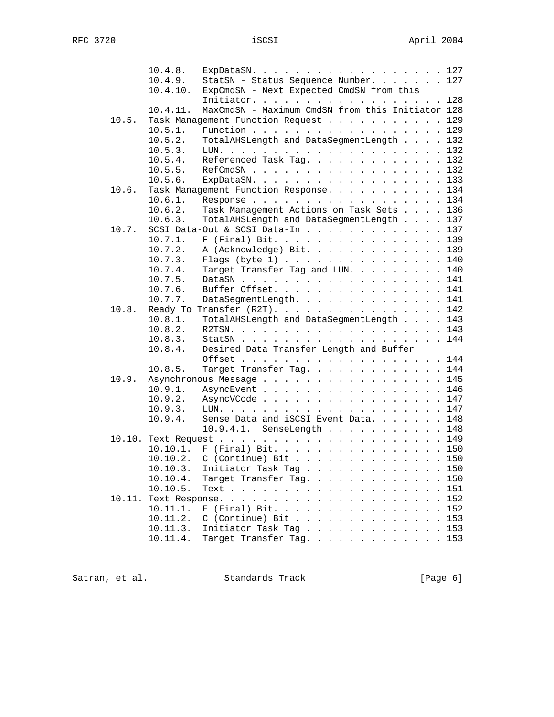|       | 10.4.8.  | ExpDataSN. 127                                   |
|-------|----------|--------------------------------------------------|
|       | 10.4.9.  | StatSN - Status Sequence Number. 127             |
|       | 10.4.10. | ExpCmdSN - Next Expected CmdSN from this         |
|       |          | Initiator. 128                                   |
|       | 10.4.11. | MaxCmdSN - Maximum CmdSN from this Initiator 128 |
| 10.5. |          | Task Management Function Request 129             |
|       | 10.5.1.  | Function 129                                     |
|       | 10.5.2.  | TotalAHSLength and DataSegmentLength 132         |
|       | 10.5.3.  |                                                  |
|       | 10.5.4.  | Referenced Task Tag. 132                         |
|       | 10.5.5.  | RefCmdSN 132                                     |
|       | 10.5.6.  | ExpDataSN. 133                                   |
| 10.6. |          | Task Management Function Response. 134           |
|       | 10.6.1.  | Response 134                                     |
|       | 10.6.2.  | Task Management Actions on Task Sets 136         |
|       | 10.6.3.  | TotalAHSLength and DataSegmentLength 137         |
| 10.7. |          | SCSI Data-Out & SCSI Data-In 137                 |
|       | 10.7.1.  | F (Final) Bit. 139                               |
|       | 10.7.2.  | A (Acknowledge) Bit. 139                         |
|       | 10.7.3.  | Flags (byte $1)$ 140                             |
|       | 10.7.4.  | Target Transfer Tag and LUN. 140                 |
|       | 10.7.5.  | DataSN 141                                       |
|       | 10.7.6.  | Buffer Offset. 141                               |
|       | 10.7.7.  | DataSegmentLength. 141                           |
| 10.8. |          | Ready To Transfer $(R2T)$ . 142                  |
|       | 10.8.1.  | TotalAHSLength and DataSegmentLength 143         |
|       | 10.8.2.  |                                                  |
|       | 10.8.3.  | StatSN 144                                       |
|       | 10.8.4.  | Desired Data Transfer Length and Buffer          |
|       |          | Offset 144                                       |
|       | 10.8.5.  | Target Transfer Tag. 144                         |
| 10.9. |          | Asynchronous Message 145                         |
|       | 10.9.1.  | AsyncEvent 146                                   |
|       | 10.9.2.  | AsyncVCode 147                                   |
|       | 10.9.3.  |                                                  |
|       | 10.9.4.  | Sense Data and iSCSI Event Data. 148             |
|       |          | 10.9.4.1. SenseLength 148                        |
|       |          |                                                  |
|       |          | 10.10.1. F (Final) Bit. 150                      |
|       |          | 10.10.2. C (Continue) Bit 150                    |
|       |          | 10.10.3. Initiator Task Tag 150                  |
|       | 10.10.4. | Target Transfer Tag. 150                         |
|       | 10.10.5. | 151                                              |
|       |          | 152                                              |
|       | 10.11.1. | F (Final) Bit. 152                               |
|       | 10.11.2. | $C$ (Continue) Bit<br>153                        |
|       | 10.11.3. | Initiator Task Tag 153                           |
|       | 10.11.4. | Target Transfer Tag. 153                         |
|       |          |                                                  |

Satran, et al. Standards Track (Page 6)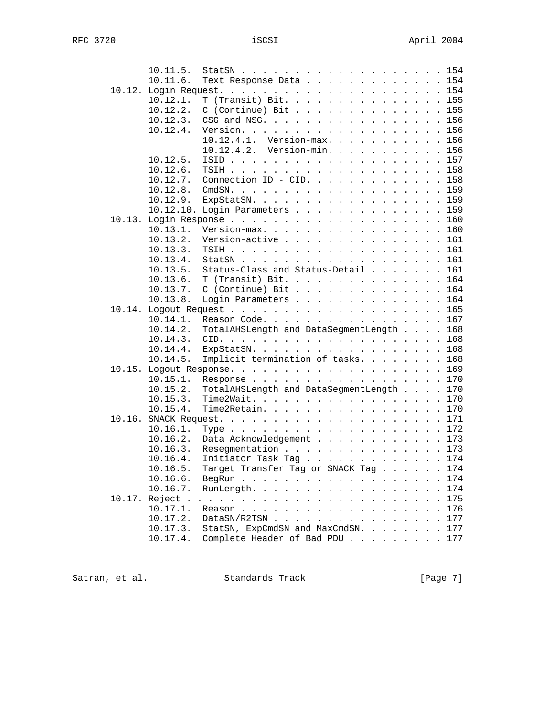| 10.11.5.      | StatSN 154                                                                                                                                                 |  |
|---------------|------------------------------------------------------------------------------------------------------------------------------------------------------------|--|
| 10.11.6.      | Text Response Data 154                                                                                                                                     |  |
|               |                                                                                                                                                            |  |
| 10.12.1.      | T (Transit) Bit. 155                                                                                                                                       |  |
| 10.12.2.      | $C$ (Continue) Bit 155                                                                                                                                     |  |
| 10.12.3.      | CSG and NSG. 156                                                                                                                                           |  |
| 10.12.4.      | Version. 156                                                                                                                                               |  |
|               | 10.12.4.1. Version-max. 156                                                                                                                                |  |
|               | 10.12.4.2. Version-min. 156                                                                                                                                |  |
| 10.12.5.      |                                                                                                                                                            |  |
| $10.12.6$ .   |                                                                                                                                                            |  |
| 10.12.7.      | Connection ID - CID. 158                                                                                                                                   |  |
| 10.12.8.      |                                                                                                                                                            |  |
| 10.12.9.      | ExpStatSN. 159                                                                                                                                             |  |
| 10.12.10.     | Login Parameters 159                                                                                                                                       |  |
|               |                                                                                                                                                            |  |
| 10.13.1.      | Version-max. 160                                                                                                                                           |  |
| 10.13.2.      | Version-active<br>161                                                                                                                                      |  |
| 10.13.3.      | 161                                                                                                                                                        |  |
| 10.13.4.      | StatSN $\ldots$ $\ldots$ $\ldots$ $\ldots$ $\ldots$ $\ldots$ $\ldots$ $\ldots$<br>161                                                                      |  |
| 10.13.5.      | Status-Class and Status-Detail 161                                                                                                                         |  |
| 10.13.6.      | T (Transit) Bit. 164                                                                                                                                       |  |
| 10.13.7.      | $C$ (Continue) Bit 164                                                                                                                                     |  |
| 10.13.8.      | Login Parameters 164                                                                                                                                       |  |
|               |                                                                                                                                                            |  |
| $10.14.1$ .   | Reason Code. 167                                                                                                                                           |  |
| 10.14.2.      | TotalAHSLength and DataSegmentLength 168                                                                                                                   |  |
| 10.14.3.      |                                                                                                                                                            |  |
| 10.14.4.      | ExpStatSN. 168                                                                                                                                             |  |
|               |                                                                                                                                                            |  |
| 10.14.5.      | Implicit termination of tasks.<br>168                                                                                                                      |  |
|               | 169                                                                                                                                                        |  |
| 10.15.1.      | Response 170                                                                                                                                               |  |
| 10.15.2.      | TotalAHSLength and DataSegmentLength 170                                                                                                                   |  |
| 10.15.3.      | Time2Wait. 170                                                                                                                                             |  |
| 10.15.4.      | Time2Retain. 170                                                                                                                                           |  |
|               |                                                                                                                                                            |  |
| 10.16.1.      |                                                                                                                                                            |  |
| 10.16.2.      | Data Acknowledgement 173                                                                                                                                   |  |
| 10.16.3.      | Resegmentation 173                                                                                                                                         |  |
| 10.16.4.      | Initiator Task Tag 174                                                                                                                                     |  |
| 10.16.5.      | Target Transfer Tag or SNACK Tag 174                                                                                                                       |  |
| 10.16.6.      | BegRun<br>174                                                                                                                                              |  |
| 10.16.7.      | RunLength.<br>174<br><b><i>Contract Contract Artist</i></b>                                                                                                |  |
| 10.17. Reject | 175<br>$\mathbf{r}$ , $\mathbf{r}$ , $\mathbf{r}$ , $\mathbf{r}$ , $\mathbf{r}$ , $\mathbf{r}$ , $\mathbf{r}$ , $\mathbf{r}$ , $\mathbf{r}$ , $\mathbf{r}$ |  |
| 10.17.1.      | 176                                                                                                                                                        |  |
| 10.17.2.      | $\text{DataSN}/\text{R2TSN}$<br>177                                                                                                                        |  |
| 10.17.3.      | StatSN, ExpCmdSN and MaxCmdSN.<br>177                                                                                                                      |  |
| 10.17.4.      | Complete Header of Bad PDU<br>177                                                                                                                          |  |

Satran, et al. Standards Track [Page 7]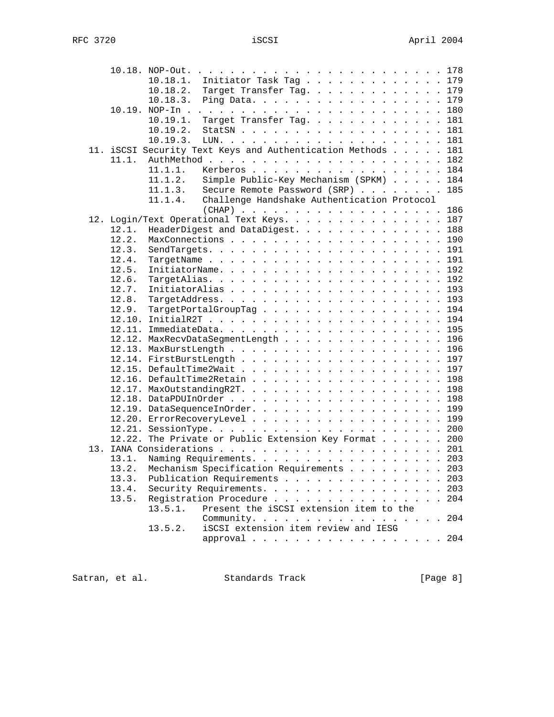|                                      |                                         | .203                                                                                                                                                                                                                                                                                                                                                                                                                                                                                                                                                                                                                                                                                                                                                                                                                                                                                                                        |
|--------------------------------------|-----------------------------------------|-----------------------------------------------------------------------------------------------------------------------------------------------------------------------------------------------------------------------------------------------------------------------------------------------------------------------------------------------------------------------------------------------------------------------------------------------------------------------------------------------------------------------------------------------------------------------------------------------------------------------------------------------------------------------------------------------------------------------------------------------------------------------------------------------------------------------------------------------------------------------------------------------------------------------------|
|                                      |                                         | 203                                                                                                                                                                                                                                                                                                                                                                                                                                                                                                                                                                                                                                                                                                                                                                                                                                                                                                                         |
|                                      |                                         | 204                                                                                                                                                                                                                                                                                                                                                                                                                                                                                                                                                                                                                                                                                                                                                                                                                                                                                                                         |
|                                      |                                         |                                                                                                                                                                                                                                                                                                                                                                                                                                                                                                                                                                                                                                                                                                                                                                                                                                                                                                                             |
|                                      |                                         |                                                                                                                                                                                                                                                                                                                                                                                                                                                                                                                                                                                                                                                                                                                                                                                                                                                                                                                             |
|                                      |                                         |                                                                                                                                                                                                                                                                                                                                                                                                                                                                                                                                                                                                                                                                                                                                                                                                                                                                                                                             |
|                                      |                                         |                                                                                                                                                                                                                                                                                                                                                                                                                                                                                                                                                                                                                                                                                                                                                                                                                                                                                                                             |
|                                      |                                         |                                                                                                                                                                                                                                                                                                                                                                                                                                                                                                                                                                                                                                                                                                                                                                                                                                                                                                                             |
| iSCSI extension item review and IESG | Present the iSCSI extension item to the | 10.18.1. Initiator Task Tag 179<br>10.18.2. Target Transfer Tag. 179<br>Ping Data. 179<br>Target Transfer Tag. 181<br>StatSN 181<br>11. iSCSI Security Text Keys and Authentication Methods 181<br>Kerberos 184<br>Simple Public-Key Mechanism (SPKM) 184<br>Secure Remote Password (SRP) 185<br>Challenge Handshake Authentication Protocol<br>(CHAP) 186<br>12. Login/Text Operational Text Keys. 187<br>HeaderDigest and DataDigest. 188<br>MaxConnections 190<br>TargetPortalGroupTag 194<br>12.12. MaxRecvDataSegmentLength 196<br>12.14. FirstBurstLength 197<br>12.16. DefaultTime2Retain 198<br>12.19. DataSequenceInOrder. 199<br>12.20. ErrorRecoveryLevel 199<br>12.22. The Private or Public Extension Key Format 200<br>Naming Requirements. 203<br>Mechanism Specification Requirements 203<br>Publication Requirements<br>Security Requirements.<br>Registration Procedure<br>Community. 204<br>approval 204 |

Satran, et al. Standards Track (Page 8)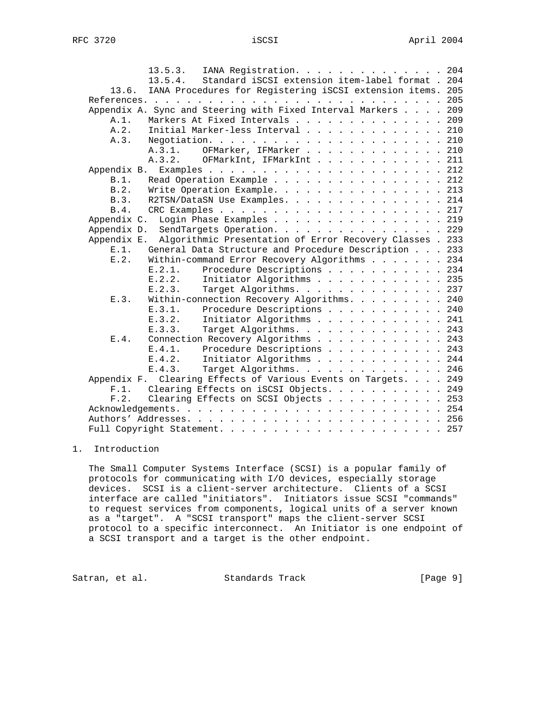|             | 13.5.3. IANA Registration. 204                                       |  |
|-------------|----------------------------------------------------------------------|--|
|             | 13.5.4. Standard iSCSI extension item-label format . 204             |  |
|             | 13.6. IANA Procedures for Registering iSCSI extension items. 205     |  |
|             |                                                                      |  |
|             | Appendix A. Sync and Steering with Fixed Interval Markers 209        |  |
| A.1.        | Markers At Fixed Intervals 209                                       |  |
| A.2.        | Initial Marker-less Interval 210                                     |  |
| A.3.        |                                                                      |  |
|             | OFMarker, IFMarker 210<br>A.3.1.                                     |  |
|             | A.3.2. OFMarkInt, IFMarkInt 211                                      |  |
| Appendix B. |                                                                      |  |
| B.1.        | Read Operation Example 212                                           |  |
| B.2.        | Write Operation Example. 213                                         |  |
| R.3.        | R2TSN/DataSN Use Examples. 214                                       |  |
| B.4.        |                                                                      |  |
| Appendix C. | Login Phase Examples 219                                             |  |
|             | Appendix D. SendTargets Operation. 229                               |  |
|             | Appendix E. Algorithmic Presentation of Error Recovery Classes . 233 |  |
|             | E.1. General Data Structure and Procedure Description 233            |  |
| E.2.        | Within-command Error Recovery Algorithms 234                         |  |
|             | Procedure Descriptions 234<br>E.2.1.                                 |  |
|             | E.2.2. Initiator Algorithms 235                                      |  |
|             | E.2.3.<br>Target Algorithms. 237                                     |  |
| E.3.        | Within-connection Recovery Algorithms. 240                           |  |
|             | E.3.1. Procedure Descriptions 240                                    |  |
|             | E.3.2. Initiator Algorithms 241                                      |  |
|             | E.3.3.<br>Target Algorithms. 243                                     |  |
| E.4.        | Connection Recovery Algorithms 243                                   |  |
|             | E.4.1. Procedure Descriptions 243                                    |  |
|             | E.4.2. Initiator Algorithms 244                                      |  |
|             | Target Algorithms. 246<br>E.4.3.                                     |  |
|             | Appendix F. Clearing Effects of Various Events on Targets. 249       |  |
|             | F.1. Clearing Effects on iSCSI Objects. 249                          |  |
| F.2.        | Clearing Effects on SCSI Objects 253                                 |  |
|             |                                                                      |  |
|             |                                                                      |  |
|             |                                                                      |  |
|             |                                                                      |  |

# 1. Introduction

 The Small Computer Systems Interface (SCSI) is a popular family of protocols for communicating with I/O devices, especially storage devices. SCSI is a client-server architecture. Clients of a SCSI interface are called "initiators". Initiators issue SCSI "commands" to request services from components, logical units of a server known as a "target". A "SCSI transport" maps the client-server SCSI protocol to a specific interconnect. An Initiator is one endpoint of a SCSI transport and a target is the other endpoint.

Satran, et al. Standards Track [Page 9]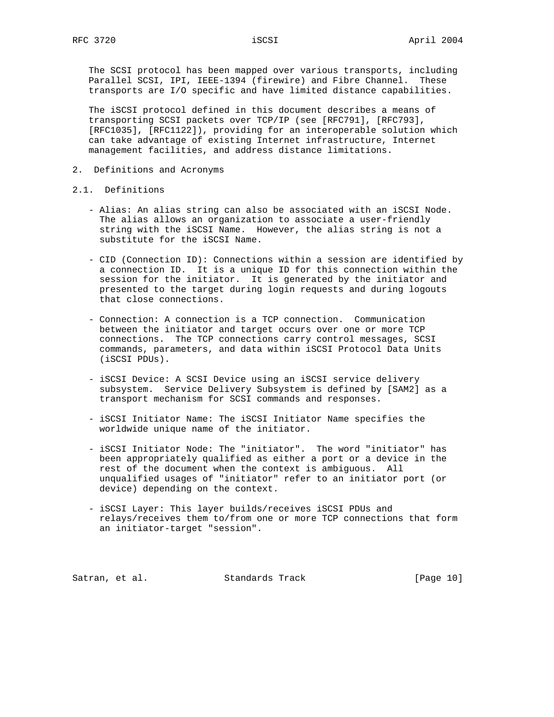The SCSI protocol has been mapped over various transports, including Parallel SCSI, IPI, IEEE-1394 (firewire) and Fibre Channel. These transports are I/O specific and have limited distance capabilities.

The iSCSI protocol defined in this document describes a means of transporting SCSI packets over TCP/IP (see [RFC791], [RFC793], [RFC1035], [RFC1122]), providing for an interoperable solution which can take advantage of existing Internet infrastructure, Internet management facilities, and address distance limitations.

- 2. Definitions and Acronyms
- 2.1. Definitions
	- Alias: An alias string can also be associated with an iSCSI Node. The alias allows an organization to associate a user-friendly string with the iSCSI Name. However, the alias string is not a substitute for the iSCSI Name.
	- CID (Connection ID): Connections within a session are identified by a connection ID. It is a unique ID for this connection within the session for the initiator. It is generated by the initiator and presented to the target during login requests and during logouts that close connections.
	- Connection: A connection is a TCP connection. Communication between the initiator and target occurs over one or more TCP connections. The TCP connections carry control messages, SCSI commands, parameters, and data within iSCSI Protocol Data Units (iSCSI PDUs).
	- iSCSI Device: A SCSI Device using an iSCSI service delivery subsystem. Service Delivery Subsystem is defined by [SAM2] as a transport mechanism for SCSI commands and responses.
	- iSCSI Initiator Name: The iSCSI Initiator Name specifies the worldwide unique name of the initiator.
	- iSCSI Initiator Node: The "initiator". The word "initiator" has been appropriately qualified as either a port or a device in the rest of the document when the context is ambiguous. All unqualified usages of "initiator" refer to an initiator port (or device) depending on the context.
	- iSCSI Layer: This layer builds/receives iSCSI PDUs and relays/receives them to/from one or more TCP connections that form an initiator-target "session".

Satran, et al. Standards Track [Page 10]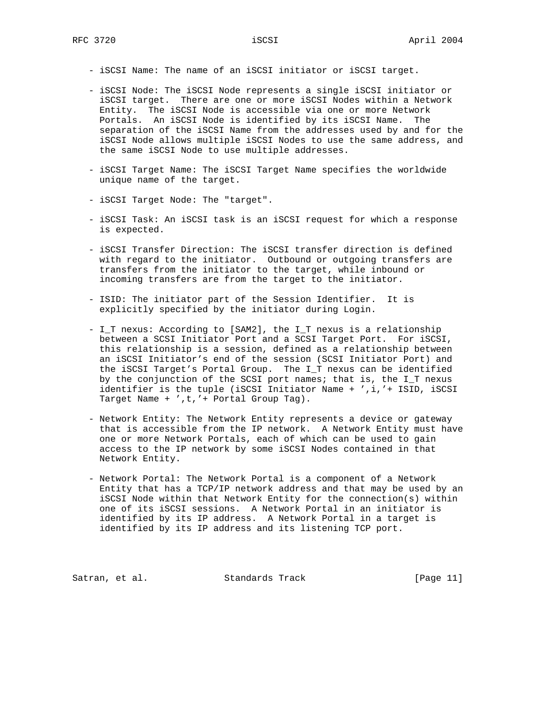- iSCSI Name: The name of an iSCSI initiator or iSCSI target.
- iSCSI Node: The iSCSI Node represents a single iSCSI initiator or iSCSI target. There are one or more iSCSI Nodes within a Network Entity. The iSCSI Node is accessible via one or more Network Portals. An iSCSI Node is identified by its iSCSI Name. The separation of the iSCSI Name from the addresses used by and for the iSCSI Node allows multiple iSCSI Nodes to use the same address, and the same iSCSI Node to use multiple addresses.
- iSCSI Target Name: The iSCSI Target Name specifies the worldwide unique name of the target.
- iSCSI Target Node: The "target".
- iSCSI Task: An iSCSI task is an iSCSI request for which a response is expected.
- iSCSI Transfer Direction: The iSCSI transfer direction is defined with regard to the initiator. Outbound or outgoing transfers are transfers from the initiator to the target, while inbound or incoming transfers are from the target to the initiator.
- ISID: The initiator part of the Session Identifier. It is explicitly specified by the initiator during Login.
- I\_T nexus: According to [SAM2], the I\_T nexus is a relationship between a SCSI Initiator Port and a SCSI Target Port. For iSCSI, this relationship is a session, defined as a relationship between an iSCSI Initiator's end of the session (SCSI Initiator Port) and the iSCSI Target's Portal Group. The I\_T nexus can be identified by the conjunction of the SCSI port names; that is, the I\_T nexus identifier is the tuple (iSCSI Initiator Name + ',i,'+ ISID, iSCSI Target Name + ',t,'+ Portal Group Tag).
- Network Entity: The Network Entity represents a device or gateway that is accessible from the IP network. A Network Entity must have one or more Network Portals, each of which can be used to gain access to the IP network by some iSCSI Nodes contained in that Network Entity.
- Network Portal: The Network Portal is a component of a Network Entity that has a TCP/IP network address and that may be used by an iSCSI Node within that Network Entity for the connection(s) within one of its iSCSI sessions. A Network Portal in an initiator is identified by its IP address. A Network Portal in a target is identified by its IP address and its listening TCP port.

Satran, et al. Standards Track [Page 11]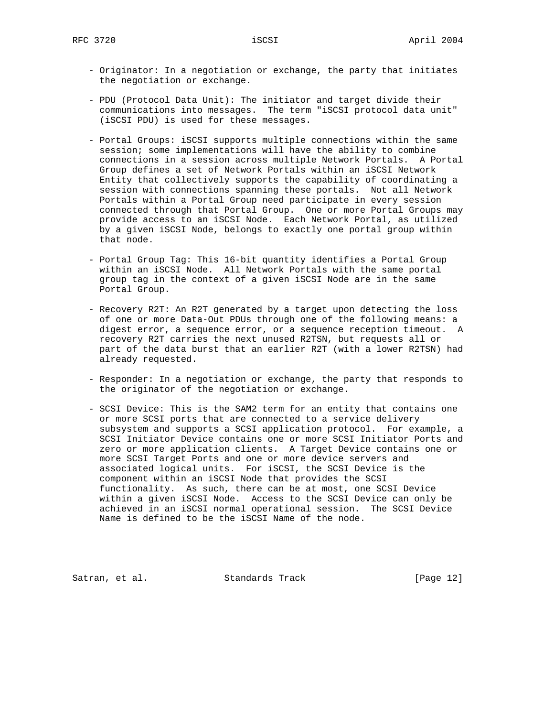- Originator: In a negotiation or exchange, the party that initiates the negotiation or exchange.
- PDU (Protocol Data Unit): The initiator and target divide their communications into messages. The term "iSCSI protocol data unit" (iSCSI PDU) is used for these messages.
- Portal Groups: iSCSI supports multiple connections within the same session; some implementations will have the ability to combine connections in a session across multiple Network Portals. A Portal Group defines a set of Network Portals within an iSCSI Network Entity that collectively supports the capability of coordinating a session with connections spanning these portals. Not all Network Portals within a Portal Group need participate in every session connected through that Portal Group. One or more Portal Groups may provide access to an iSCSI Node. Each Network Portal, as utilized by a given iSCSI Node, belongs to exactly one portal group within that node.
- Portal Group Tag: This 16-bit quantity identifies a Portal Group within an iSCSI Node. All Network Portals with the same portal group tag in the context of a given iSCSI Node are in the same Portal Group.
- Recovery R2T: An R2T generated by a target upon detecting the loss of one or more Data-Out PDUs through one of the following means: a digest error, a sequence error, or a sequence reception timeout. A recovery R2T carries the next unused R2TSN, but requests all or part of the data burst that an earlier R2T (with a lower R2TSN) had already requested.
- Responder: In a negotiation or exchange, the party that responds to the originator of the negotiation or exchange.
- SCSI Device: This is the SAM2 term for an entity that contains one or more SCSI ports that are connected to a service delivery subsystem and supports a SCSI application protocol. For example, a SCSI Initiator Device contains one or more SCSI Initiator Ports and zero or more application clients. A Target Device contains one or more SCSI Target Ports and one or more device servers and associated logical units. For iSCSI, the SCSI Device is the component within an iSCSI Node that provides the SCSI functionality. As such, there can be at most, one SCSI Device within a given iSCSI Node. Access to the SCSI Device can only be achieved in an iSCSI normal operational session. The SCSI Device Name is defined to be the iSCSI Name of the node.

Satran, et al. Standards Track [Page 12]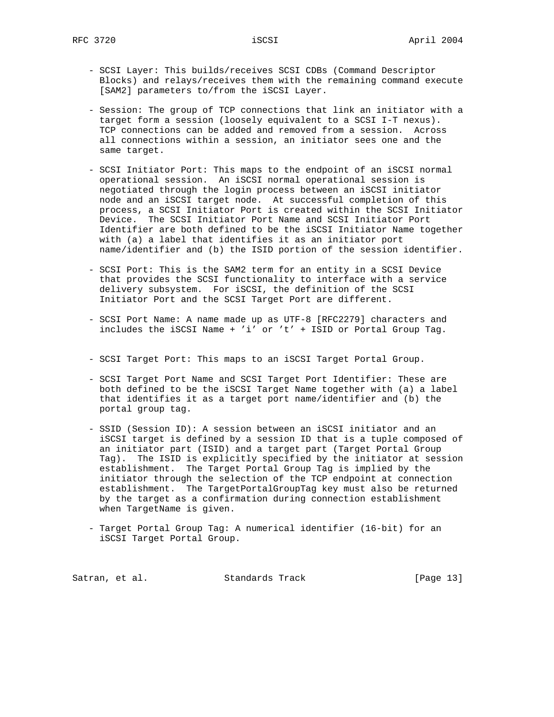- SCSI Layer: This builds/receives SCSI CDBs (Command Descriptor Blocks) and relays/receives them with the remaining command execute [SAM2] parameters to/from the iSCSI Layer.
- Session: The group of TCP connections that link an initiator with a target form a session (loosely equivalent to a SCSI I-T nexus). TCP connections can be added and removed from a session. Across all connections within a session, an initiator sees one and the same target.
- SCSI Initiator Port: This maps to the endpoint of an iSCSI normal operational session. An iSCSI normal operational session is negotiated through the login process between an iSCSI initiator node and an iSCSI target node. At successful completion of this process, a SCSI Initiator Port is created within the SCSI Initiator Device. The SCSI Initiator Port Name and SCSI Initiator Port Identifier are both defined to be the iSCSI Initiator Name together with (a) a label that identifies it as an initiator port name/identifier and (b) the ISID portion of the session identifier.
- SCSI Port: This is the SAM2 term for an entity in a SCSI Device that provides the SCSI functionality to interface with a service delivery subsystem. For iSCSI, the definition of the SCSI Initiator Port and the SCSI Target Port are different.
- SCSI Port Name: A name made up as UTF-8 [RFC2279] characters and includes the iSCSI Name + 'i' or 't' + ISID or Portal Group Tag.
- SCSI Target Port: This maps to an iSCSI Target Portal Group.
- SCSI Target Port Name and SCSI Target Port Identifier: These are both defined to be the iSCSI Target Name together with (a) a label that identifies it as a target port name/identifier and (b) the portal group tag.
- SSID (Session ID): A session between an iSCSI initiator and an iSCSI target is defined by a session ID that is a tuple composed of an initiator part (ISID) and a target part (Target Portal Group Tag). The ISID is explicitly specified by the initiator at session establishment. The Target Portal Group Tag is implied by the initiator through the selection of the TCP endpoint at connection establishment. The TargetPortalGroupTag key must also be returned by the target as a confirmation during connection establishment when TargetName is given.
- Target Portal Group Tag: A numerical identifier (16-bit) for an iSCSI Target Portal Group.

Satran, et al. Standards Track [Page 13]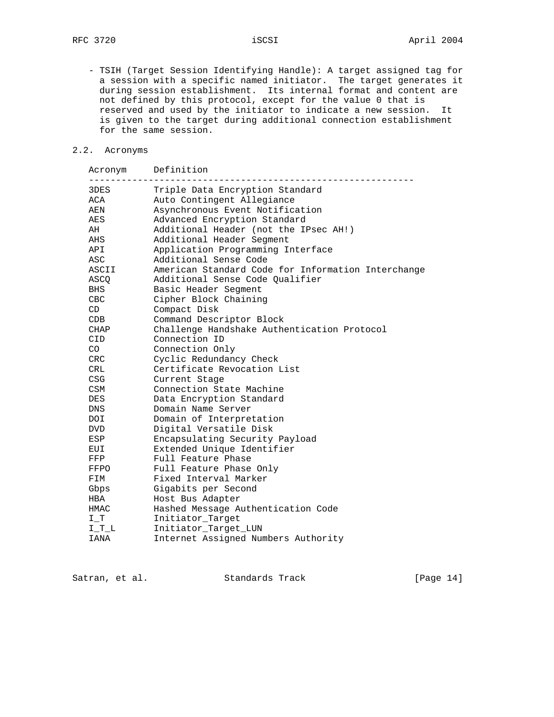- TSIH (Target Session Identifying Handle): A target assigned tag for a session with a specific named initiator. The target generates it during session establishment. Its internal format and content are not defined by this protocol, except for the value 0 that is reserved and used by the initiator to indicate a new session. It is given to the target during additional connection establishment for the same session.

# 2.2. Acronyms

|            | Acronym Definition                                 |
|------------|----------------------------------------------------|
| 3DES       | Triple Data Encryption Standard                    |
| ACA        | Auto Contingent Allegiance                         |
| AEN        | Asynchronous Event Notification                    |
| AES        | Advanced Encryption Standard                       |
| AH         | Additional Header (not the IPsec AH!)              |
| AHS        | Additional Header Segment                          |
| API        | Application Programming Interface                  |
| ASC        | Additional Sense Code                              |
| ASCII      | American Standard Code for Information Interchange |
| ASCQ       | Additional Sense Code Qualifier                    |
| BHS        | Basic Header Segment                               |
| CBC        | Cipher Block Chaining                              |
| CD         | Compact Disk                                       |
| CDB        | Command Descriptor Block                           |
| CHAP       | Challenge Handshake Authentication Protocol        |
| <b>CID</b> | Connection ID                                      |
| CO         | Connection Only                                    |
| CRC        | Cyclic Redundancy Check                            |
| <b>CRL</b> | Certificate Revocation List                        |
| <b>CSG</b> | Current Stage                                      |
| <b>CSM</b> | Connection State Machine                           |
| <b>DES</b> | Data Encryption Standard                           |
| <b>DNS</b> | Domain Name Server                                 |
| DOI.       | Domain of Interpretation                           |
| <b>DVD</b> | Digital Versatile Disk                             |
| ESP        | Encapsulating Security Payload                     |
| EUI        | Extended Unique Identifier                         |
| FFP        | Full Feature Phase                                 |
| FFPO       | Full Feature Phase Only                            |
| FIM        | Fixed Interval Marker                              |
| Gbps       | Gigabits per Second                                |
| HBA        | Host Bus Adapter                                   |
| HMAC       | Hashed Message Authentication Code                 |
| $I_T$      | Initiator_Target                                   |
| $I_T_L$    | Initiator_Target_LUN                               |
| IANA       | Internet Assigned Numbers Authority                |

|  | Satran, et al. |  | Standards Track | [Page 14] |  |
|--|----------------|--|-----------------|-----------|--|
|--|----------------|--|-----------------|-----------|--|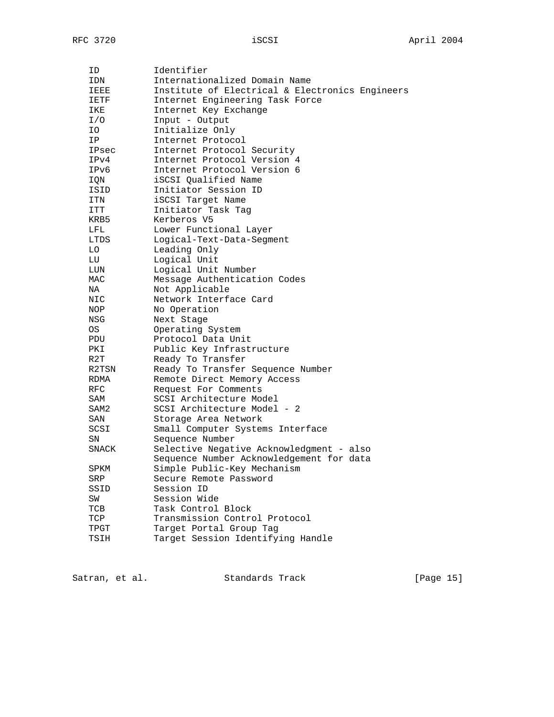| ID    | Identifier                                      |
|-------|-------------------------------------------------|
| IDN   | Internationalized Domain Name                   |
| IEEE  | Institute of Electrical & Electronics Engineers |
| IETF  | Internet Engineering Task Force                 |
| IKE   | Internet Key Exchange                           |
| I/O   | Input - Output                                  |
| IO.   | Initialize Only                                 |
| IP.   | Internet Protocol                               |
| IPsec | Internet Protocol Security                      |
| IPv4  | Internet Protocol Version 4                     |
| IPv6  | Internet Protocol Version 6                     |
| IQN   | iSCSI Oualified Name                            |
| ISID  | Initiator Session ID                            |
| ITN   | iSCSI Target Name                               |
| ITT   | Initiator Task Tag                              |
| KRB5  | Kerberos V5                                     |
| LFL   | Lower Functional Layer                          |
| LTDS  | Logical-Text-Data-Segment                       |
| LO    | Leading Only                                    |
| LU    | Logical Unit                                    |
| LUN   | Logical Unit Number                             |
| MAC   | Message Authentication Codes                    |
| NA    | Not Applicable                                  |
| NIC   | Network Interface Card                          |
| NOP   | No Operation                                    |
| NSG   | Next Stage                                      |
| OS    | Operating System                                |
| PDU   | Protocol Data Unit                              |
| PKI   | Public Key Infrastructure                       |
| R2T   | Ready To Transfer                               |
| R2TSN | Ready To Transfer Sequence Number               |
| RDMA  | Remote Direct Memory Access                     |
| RFC   | Request For Comments                            |
| SAM   | SCSI Architecture Model                         |
| SAM2  | SCSI Architecture Model - 2                     |
| SAN   | Storage Area Network                            |
| SCSI  | Small Computer Systems Interface                |
| SΝ    | Sequence Number                                 |
| SNACK | Selective Negative Acknowledgment - also        |
|       | Sequence Number Acknowledgement for data        |
| SPKM  | Simple Public-Key Mechanism                     |
| SRP   | Secure Remote Password                          |
| SSID  | Session ID                                      |
| SW    | Session Wide                                    |
| TCB   | Task Control Block                              |
| TCP   | Transmission Control Protocol                   |
| TPGT  | Target Portal Group Tag                         |
| TSIH  | Target Session Identifying Handle               |
|       |                                                 |

Satran, et al. Standards Track [Page 15]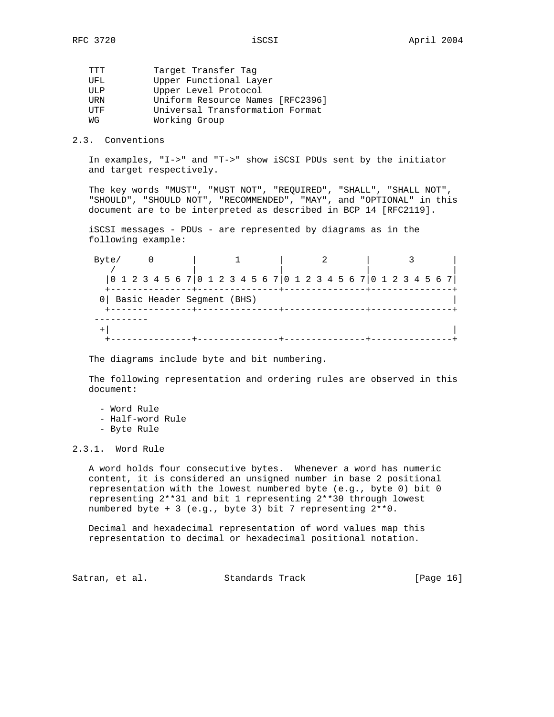| ጥጥጥ   | Target Transfer Tag              |
|-------|----------------------------------|
| UFL.  | Upper Functional Layer           |
| TJT.P | Upper Level Protocol             |
| URN   | Uniform Resource Names [RFC2396] |
| UTF   | Universal Transformation Format  |
| МG    | Working Group                    |
|       |                                  |

2.3. Conventions

 In examples, "I->" and "T->" show iSCSI PDUs sent by the initiator and target respectively.

 The key words "MUST", "MUST NOT", "REQUIRED", "SHALL", "SHALL NOT", "SHOULD", "SHOULD NOT", "RECOMMENDED", "MAY", and "OPTIONAL" in this document are to be interpreted as described in BCP 14 [RFC2119].

 iSCSI messages - PDUs - are represented by diagrams as in the following example:

Byte/ 0 | 1 | 2 | 3 / | | | | |0 1 2 3 4 5 6 7|0 1 2 3 4 5 6 7|0 1 2 3 4 5 6 7|0 1 2 3 4 5 6 7| +---------------+---------------+---------------+---------------+ 0| Basic Header Segment (BHS) | +---------------+---------------+---------------+---------------+ ----------  $+|$   $+|$ +---------------+---------------+---------------+---------------+

The diagrams include byte and bit numbering.

 The following representation and ordering rules are observed in this document:

 - Word Rule - Half-word Rule - Byte Rule

2.3.1. Word Rule

 A word holds four consecutive bytes. Whenever a word has numeric content, it is considered an unsigned number in base 2 positional representation with the lowest numbered byte (e.g., byte 0) bit 0 representing 2\*\*31 and bit 1 representing 2\*\*30 through lowest numbered byte + 3 (e.g., byte 3) bit 7 representing 2\*\*0.

 Decimal and hexadecimal representation of word values map this representation to decimal or hexadecimal positional notation.

Satran, et al. Standards Track [Page 16]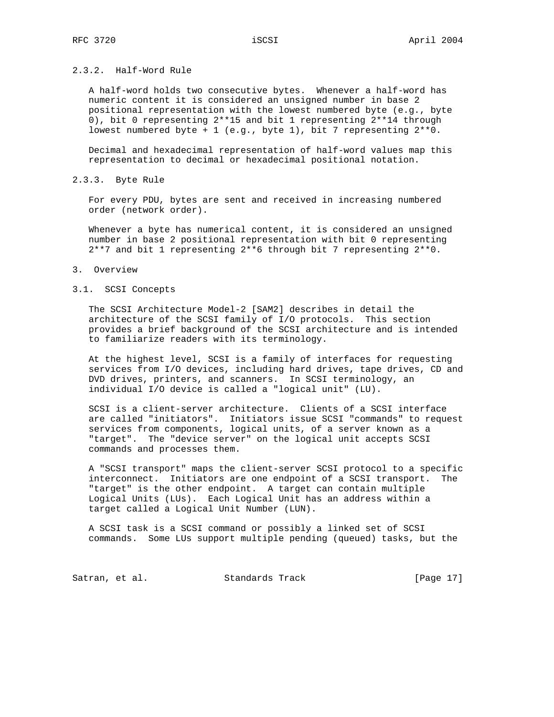# 2.3.2. Half-Word Rule

 A half-word holds two consecutive bytes. Whenever a half-word has numeric content it is considered an unsigned number in base 2 positional representation with the lowest numbered byte (e.g., byte 0), bit 0 representing 2\*\*15 and bit 1 representing 2\*\*14 through lowest numbered byte + 1 (e.g., byte 1), bit 7 representing 2\*\*0.

 Decimal and hexadecimal representation of half-word values map this representation to decimal or hexadecimal positional notation.

#### 2.3.3. Byte Rule

 For every PDU, bytes are sent and received in increasing numbered order (network order).

 Whenever a byte has numerical content, it is considered an unsigned number in base 2 positional representation with bit 0 representing 2\*\*7 and bit 1 representing 2\*\*6 through bit 7 representing 2\*\*0.

#### 3. Overview

#### 3.1. SCSI Concepts

 The SCSI Architecture Model-2 [SAM2] describes in detail the architecture of the SCSI family of I/O protocols. This section provides a brief background of the SCSI architecture and is intended to familiarize readers with its terminology.

 At the highest level, SCSI is a family of interfaces for requesting services from I/O devices, including hard drives, tape drives, CD and DVD drives, printers, and scanners. In SCSI terminology, an individual I/O device is called a "logical unit" (LU).

 SCSI is a client-server architecture. Clients of a SCSI interface are called "initiators". Initiators issue SCSI "commands" to request services from components, logical units, of a server known as a "target". The "device server" on the logical unit accepts SCSI commands and processes them.

 A "SCSI transport" maps the client-server SCSI protocol to a specific interconnect. Initiators are one endpoint of a SCSI transport. The "target" is the other endpoint. A target can contain multiple Logical Units (LUs). Each Logical Unit has an address within a target called a Logical Unit Number (LUN).

 A SCSI task is a SCSI command or possibly a linked set of SCSI commands. Some LUs support multiple pending (queued) tasks, but the

Satran, et al. Standards Track [Page 17]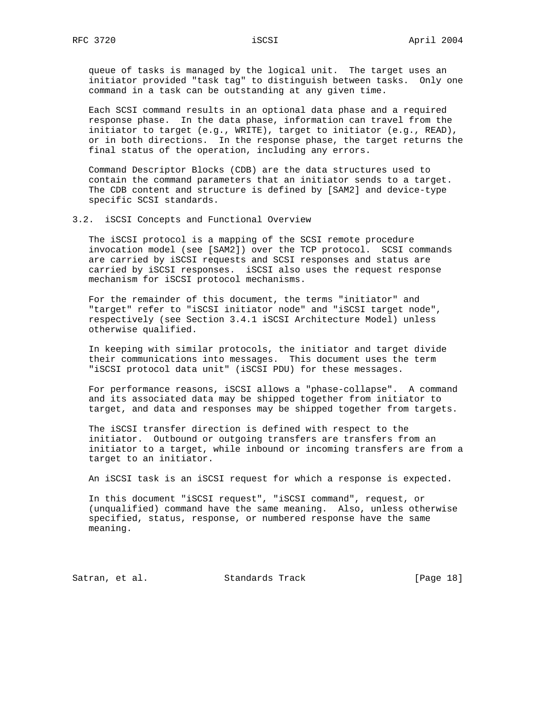queue of tasks is managed by the logical unit. The target uses an initiator provided "task tag" to distinguish between tasks. Only one command in a task can be outstanding at any given time.

 Each SCSI command results in an optional data phase and a required response phase. In the data phase, information can travel from the initiator to target (e.g., WRITE), target to initiator (e.g., READ), or in both directions. In the response phase, the target returns the final status of the operation, including any errors.

 Command Descriptor Blocks (CDB) are the data structures used to contain the command parameters that an initiator sends to a target. The CDB content and structure is defined by [SAM2] and device-type specific SCSI standards.

3.2. iSCSI Concepts and Functional Overview

 The iSCSI protocol is a mapping of the SCSI remote procedure invocation model (see [SAM2]) over the TCP protocol. SCSI commands are carried by iSCSI requests and SCSI responses and status are carried by iSCSI responses. iSCSI also uses the request response mechanism for iSCSI protocol mechanisms.

 For the remainder of this document, the terms "initiator" and "target" refer to "iSCSI initiator node" and "iSCSI target node", respectively (see Section 3.4.1 iSCSI Architecture Model) unless otherwise qualified.

 In keeping with similar protocols, the initiator and target divide their communications into messages. This document uses the term "iSCSI protocol data unit" (iSCSI PDU) for these messages.

 For performance reasons, iSCSI allows a "phase-collapse". A command and its associated data may be shipped together from initiator to target, and data and responses may be shipped together from targets.

 The iSCSI transfer direction is defined with respect to the initiator. Outbound or outgoing transfers are transfers from an initiator to a target, while inbound or incoming transfers are from a target to an initiator.

An iSCSI task is an iSCSI request for which a response is expected.

 In this document "iSCSI request", "iSCSI command", request, or (unqualified) command have the same meaning. Also, unless otherwise specified, status, response, or numbered response have the same meaning.

Satran, et al. Standards Track [Page 18]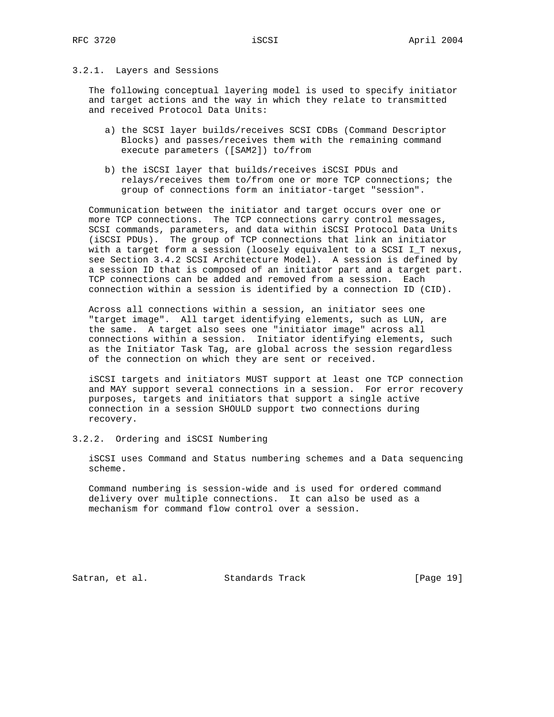# 3.2.1. Layers and Sessions

 The following conceptual layering model is used to specify initiator and target actions and the way in which they relate to transmitted and received Protocol Data Units:

- a) the SCSI layer builds/receives SCSI CDBs (Command Descriptor Blocks) and passes/receives them with the remaining command execute parameters ([SAM2]) to/from
- b) the iSCSI layer that builds/receives iSCSI PDUs and relays/receives them to/from one or more TCP connections; the group of connections form an initiator-target "session".

 Communication between the initiator and target occurs over one or more TCP connections. The TCP connections carry control messages, SCSI commands, parameters, and data within iSCSI Protocol Data Units (iSCSI PDUs). The group of TCP connections that link an initiator with a target form a session (loosely equivalent to a SCSI I\_T nexus, see Section 3.4.2 SCSI Architecture Model). A session is defined by a session ID that is composed of an initiator part and a target part. TCP connections can be added and removed from a session. Each connection within a session is identified by a connection ID (CID).

 Across all connections within a session, an initiator sees one "target image". All target identifying elements, such as LUN, are the same. A target also sees one "initiator image" across all connections within a session. Initiator identifying elements, such as the Initiator Task Tag, are global across the session regardless of the connection on which they are sent or received.

 iSCSI targets and initiators MUST support at least one TCP connection and MAY support several connections in a session. For error recovery purposes, targets and initiators that support a single active connection in a session SHOULD support two connections during recovery.

#### 3.2.2. Ordering and iSCSI Numbering

 iSCSI uses Command and Status numbering schemes and a Data sequencing scheme.

 Command numbering is session-wide and is used for ordered command delivery over multiple connections. It can also be used as a mechanism for command flow control over a session.

Satran, et al. Standards Track [Page 19]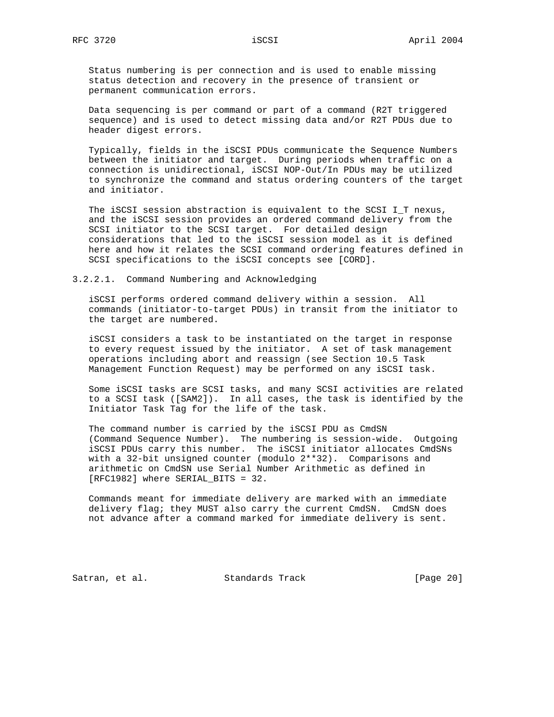Status numbering is per connection and is used to enable missing status detection and recovery in the presence of transient or permanent communication errors.

 Data sequencing is per command or part of a command (R2T triggered sequence) and is used to detect missing data and/or R2T PDUs due to header digest errors.

 Typically, fields in the iSCSI PDUs communicate the Sequence Numbers between the initiator and target. During periods when traffic on a connection is unidirectional, iSCSI NOP-Out/In PDUs may be utilized to synchronize the command and status ordering counters of the target and initiator.

 The iSCSI session abstraction is equivalent to the SCSI I\_T nexus, and the iSCSI session provides an ordered command delivery from the SCSI initiator to the SCSI target. For detailed design considerations that led to the iSCSI session model as it is defined here and how it relates the SCSI command ordering features defined in SCSI specifications to the iSCSI concepts see [CORD].

3.2.2.1. Command Numbering and Acknowledging

 iSCSI performs ordered command delivery within a session. All commands (initiator-to-target PDUs) in transit from the initiator to the target are numbered.

 iSCSI considers a task to be instantiated on the target in response to every request issued by the initiator. A set of task management operations including abort and reassign (see Section 10.5 Task Management Function Request) may be performed on any iSCSI task.

 Some iSCSI tasks are SCSI tasks, and many SCSI activities are related to a SCSI task ([SAM2]). In all cases, the task is identified by the Initiator Task Tag for the life of the task.

 The command number is carried by the iSCSI PDU as CmdSN (Command Sequence Number). The numbering is session-wide. Outgoing iSCSI PDUs carry this number. The iSCSI initiator allocates CmdSNs with a 32-bit unsigned counter (modulo 2\*\*32). Comparisons and arithmetic on CmdSN use Serial Number Arithmetic as defined in [RFC1982] where SERIAL\_BITS = 32.

 Commands meant for immediate delivery are marked with an immediate delivery flag; they MUST also carry the current CmdSN. CmdSN does not advance after a command marked for immediate delivery is sent.

Satran, et al. Standards Track [Page 20]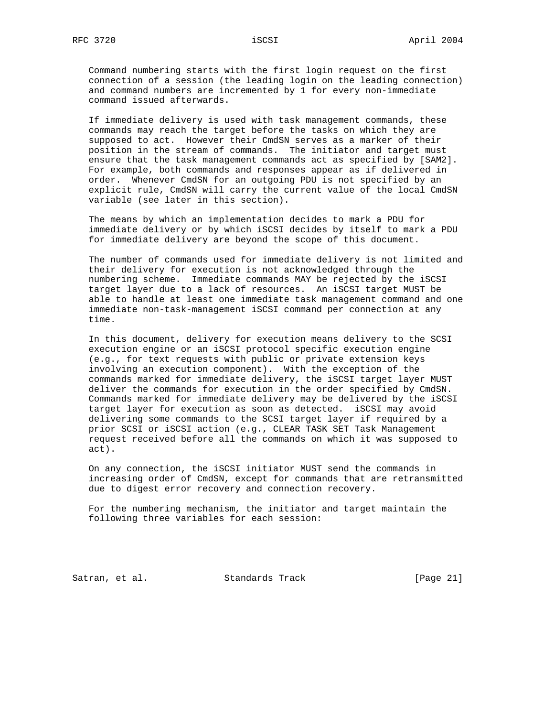Command numbering starts with the first login request on the first connection of a session (the leading login on the leading connection) and command numbers are incremented by 1 for every non-immediate command issued afterwards.

 If immediate delivery is used with task management commands, these commands may reach the target before the tasks on which they are supposed to act. However their CmdSN serves as a marker of their position in the stream of commands. The initiator and target must ensure that the task management commands act as specified by [SAM2]. For example, both commands and responses appear as if delivered in order. Whenever CmdSN for an outgoing PDU is not specified by an explicit rule, CmdSN will carry the current value of the local CmdSN variable (see later in this section).

 The means by which an implementation decides to mark a PDU for immediate delivery or by which iSCSI decides by itself to mark a PDU for immediate delivery are beyond the scope of this document.

 The number of commands used for immediate delivery is not limited and their delivery for execution is not acknowledged through the numbering scheme. Immediate commands MAY be rejected by the iSCSI target layer due to a lack of resources. An iSCSI target MUST be able to handle at least one immediate task management command and one immediate non-task-management iSCSI command per connection at any time.

 In this document, delivery for execution means delivery to the SCSI execution engine or an iSCSI protocol specific execution engine (e.g., for text requests with public or private extension keys involving an execution component). With the exception of the commands marked for immediate delivery, the iSCSI target layer MUST deliver the commands for execution in the order specified by CmdSN. Commands marked for immediate delivery may be delivered by the iSCSI target layer for execution as soon as detected. iSCSI may avoid delivering some commands to the SCSI target layer if required by a prior SCSI or iSCSI action (e.g., CLEAR TASK SET Task Management request received before all the commands on which it was supposed to act).

 On any connection, the iSCSI initiator MUST send the commands in increasing order of CmdSN, except for commands that are retransmitted due to digest error recovery and connection recovery.

 For the numbering mechanism, the initiator and target maintain the following three variables for each session:

Satran, et al. Standards Track [Page 21]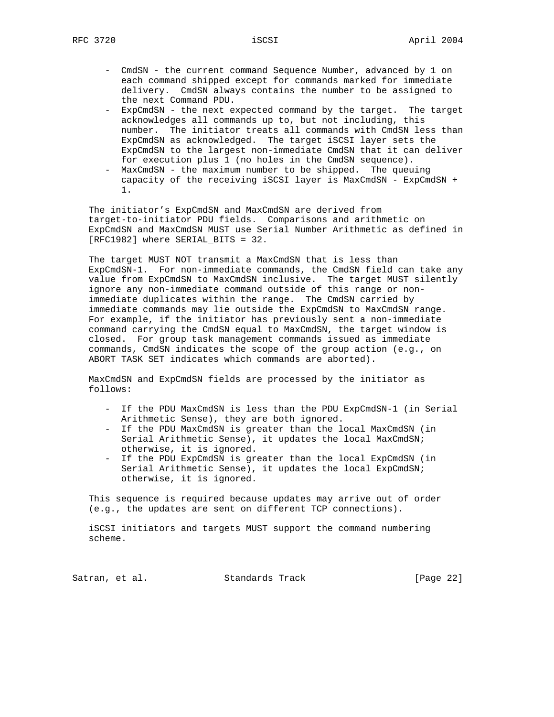- CmdSN the current command Sequence Number, advanced by 1 on each command shipped except for commands marked for immediate delivery. CmdSN always contains the number to be assigned to the next Command PDU.
- ExpCmdSN the next expected command by the target. The target acknowledges all commands up to, but not including, this number. The initiator treats all commands with CmdSN less than ExpCmdSN as acknowledged. The target iSCSI layer sets the ExpCmdSN to the largest non-immediate CmdSN that it can deliver for execution plus 1 (no holes in the CmdSN sequence).
- MaxCmdSN the maximum number to be shipped. The queuing capacity of the receiving iSCSI layer is MaxCmdSN - ExpCmdSN + 1.

 The initiator's ExpCmdSN and MaxCmdSN are derived from target-to-initiator PDU fields. Comparisons and arithmetic on ExpCmdSN and MaxCmdSN MUST use Serial Number Arithmetic as defined in [RFC1982] where SERIAL\_BITS = 32.

 The target MUST NOT transmit a MaxCmdSN that is less than ExpCmdSN-1. For non-immediate commands, the CmdSN field can take any value from ExpCmdSN to MaxCmdSN inclusive. The target MUST silently ignore any non-immediate command outside of this range or non immediate duplicates within the range. The CmdSN carried by immediate commands may lie outside the ExpCmdSN to MaxCmdSN range. For example, if the initiator has previously sent a non-immediate command carrying the CmdSN equal to MaxCmdSN, the target window is closed. For group task management commands issued as immediate commands, CmdSN indicates the scope of the group action (e.g., on ABORT TASK SET indicates which commands are aborted).

 MaxCmdSN and ExpCmdSN fields are processed by the initiator as follows:

- If the PDU MaxCmdSN is less than the PDU ExpCmdSN-1 (in Serial Arithmetic Sense), they are both ignored.
- If the PDU MaxCmdSN is greater than the local MaxCmdSN (in Serial Arithmetic Sense), it updates the local MaxCmdSN; otherwise, it is ignored.
- If the PDU ExpCmdSN is greater than the local ExpCmdSN (in Serial Arithmetic Sense), it updates the local ExpCmdSN; otherwise, it is ignored.

 This sequence is required because updates may arrive out of order (e.g., the updates are sent on different TCP connections).

 iSCSI initiators and targets MUST support the command numbering scheme.

Satran, et al. Standards Track [Page 22]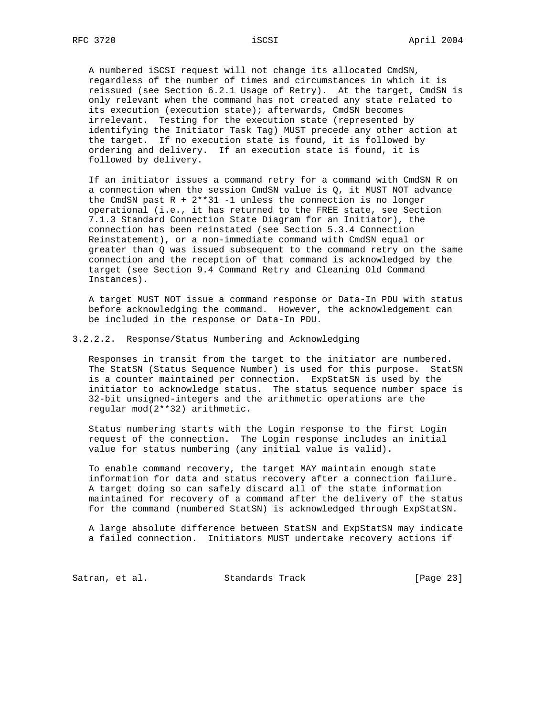A numbered iSCSI request will not change its allocated CmdSN, regardless of the number of times and circumstances in which it is reissued (see Section 6.2.1 Usage of Retry). At the target, CmdSN is only relevant when the command has not created any state related to its execution (execution state); afterwards, CmdSN becomes irrelevant. Testing for the execution state (represented by identifying the Initiator Task Tag) MUST precede any other action at the target. If no execution state is found, it is followed by ordering and delivery. If an execution state is found, it is followed by delivery.

 If an initiator issues a command retry for a command with CmdSN R on a connection when the session CmdSN value is Q, it MUST NOT advance the CmdSN past  $R + 2**31 - 1$  unless the connection is no longer operational (i.e., it has returned to the FREE state, see Section 7.1.3 Standard Connection State Diagram for an Initiator), the connection has been reinstated (see Section 5.3.4 Connection Reinstatement), or a non-immediate command with CmdSN equal or greater than Q was issued subsequent to the command retry on the same connection and the reception of that command is acknowledged by the target (see Section 9.4 Command Retry and Cleaning Old Command Instances).

 A target MUST NOT issue a command response or Data-In PDU with status before acknowledging the command. However, the acknowledgement can be included in the response or Data-In PDU.

3.2.2.2. Response/Status Numbering and Acknowledging

 Responses in transit from the target to the initiator are numbered. The StatSN (Status Sequence Number) is used for this purpose. StatSN is a counter maintained per connection. ExpStatSN is used by the initiator to acknowledge status. The status sequence number space is 32-bit unsigned-integers and the arithmetic operations are the regular mod(2\*\*32) arithmetic.

 Status numbering starts with the Login response to the first Login request of the connection. The Login response includes an initial value for status numbering (any initial value is valid).

 To enable command recovery, the target MAY maintain enough state information for data and status recovery after a connection failure. A target doing so can safely discard all of the state information maintained for recovery of a command after the delivery of the status for the command (numbered StatSN) is acknowledged through ExpStatSN.

 A large absolute difference between StatSN and ExpStatSN may indicate a failed connection. Initiators MUST undertake recovery actions if

Satran, et al. Standards Track [Page 23]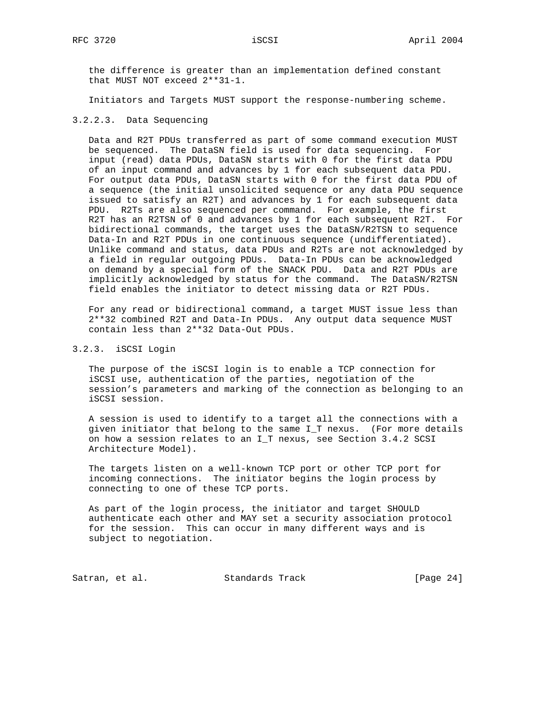the difference is greater than an implementation defined constant that MUST NOT exceed 2\*\*31-1.

Initiators and Targets MUST support the response-numbering scheme.

# 3.2.2.3. Data Sequencing

 Data and R2T PDUs transferred as part of some command execution MUST be sequenced. The DataSN field is used for data sequencing. For input (read) data PDUs, DataSN starts with 0 for the first data PDU of an input command and advances by 1 for each subsequent data PDU. For output data PDUs, DataSN starts with 0 for the first data PDU of a sequence (the initial unsolicited sequence or any data PDU sequence issued to satisfy an R2T) and advances by 1 for each subsequent data PDU. R2Ts are also sequenced per command. For example, the first R2T has an R2TSN of 0 and advances by 1 for each subsequent R2T. For bidirectional commands, the target uses the DataSN/R2TSN to sequence Data-In and R2T PDUs in one continuous sequence (undifferentiated). Unlike command and status, data PDUs and R2Ts are not acknowledged by a field in regular outgoing PDUs. Data-In PDUs can be acknowledged on demand by a special form of the SNACK PDU. Data and R2T PDUs are implicitly acknowledged by status for the command. The DataSN/R2TSN field enables the initiator to detect missing data or R2T PDUs.

 For any read or bidirectional command, a target MUST issue less than 2\*\*32 combined R2T and Data-In PDUs. Any output data sequence MUST contain less than 2\*\*32 Data-Out PDUs.

### 3.2.3. iSCSI Login

 The purpose of the iSCSI login is to enable a TCP connection for iSCSI use, authentication of the parties, negotiation of the session's parameters and marking of the connection as belonging to an iSCSI session.

 A session is used to identify to a target all the connections with a given initiator that belong to the same I\_T nexus. (For more details on how a session relates to an I\_T nexus, see Section 3.4.2 SCSI Architecture Model).

 The targets listen on a well-known TCP port or other TCP port for incoming connections. The initiator begins the login process by connecting to one of these TCP ports.

 As part of the login process, the initiator and target SHOULD authenticate each other and MAY set a security association protocol for the session. This can occur in many different ways and is subject to negotiation.

Satran, et al. Standards Track [Page 24]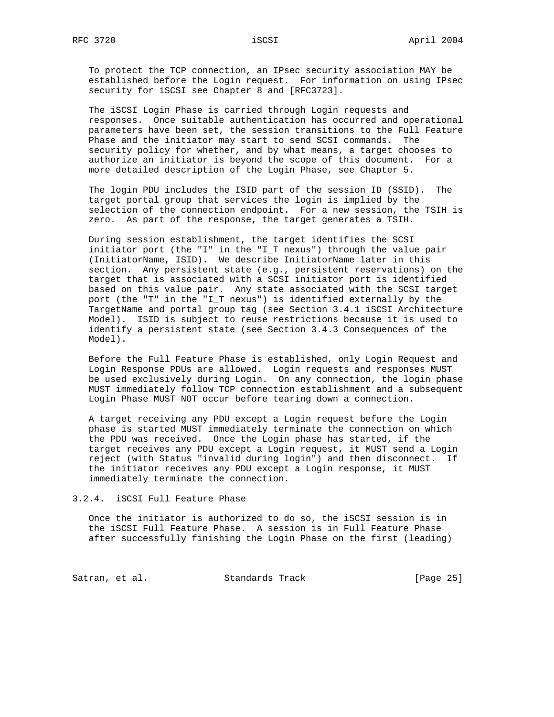To protect the TCP connection, an IPsec security association MAY be established before the Login request. For information on using IPsec security for iSCSI see Chapter 8 and [RFC3723].

 The iSCSI Login Phase is carried through Login requests and responses. Once suitable authentication has occurred and operational parameters have been set, the session transitions to the Full Feature Phase and the initiator may start to send SCSI commands. The security policy for whether, and by what means, a target chooses to authorize an initiator is beyond the scope of this document. For a more detailed description of the Login Phase, see Chapter 5.

 The login PDU includes the ISID part of the session ID (SSID). The target portal group that services the login is implied by the selection of the connection endpoint. For a new session, the TSIH is zero. As part of the response, the target generates a TSIH.

 During session establishment, the target identifies the SCSI initiator port (the "I" in the "I\_T nexus") through the value pair (InitiatorName, ISID). We describe InitiatorName later in this section. Any persistent state (e.g., persistent reservations) on the target that is associated with a SCSI initiator port is identified based on this value pair. Any state associated with the SCSI target port (the "T" in the "I\_T nexus") is identified externally by the TargetName and portal group tag (see Section 3.4.1 iSCSI Architecture Model). ISID is subject to reuse restrictions because it is used to identify a persistent state (see Section 3.4.3 Consequences of the Model).

 Before the Full Feature Phase is established, only Login Request and Login Response PDUs are allowed. Login requests and responses MUST be used exclusively during Login. On any connection, the login phase MUST immediately follow TCP connection establishment and a subsequent Login Phase MUST NOT occur before tearing down a connection.

 A target receiving any PDU except a Login request before the Login phase is started MUST immediately terminate the connection on which the PDU was received. Once the Login phase has started, if the target receives any PDU except a Login request, it MUST send a Login reject (with Status "invalid during login") and then disconnect. If the initiator receives any PDU except a Login response, it MUST immediately terminate the connection.

```
3.2.4. iSCSI Full Feature Phase
```
 Once the initiator is authorized to do so, the iSCSI session is in the iSCSI Full Feature Phase. A session is in Full Feature Phase after successfully finishing the Login Phase on the first (leading)

Satran, et al. Standards Track [Page 25]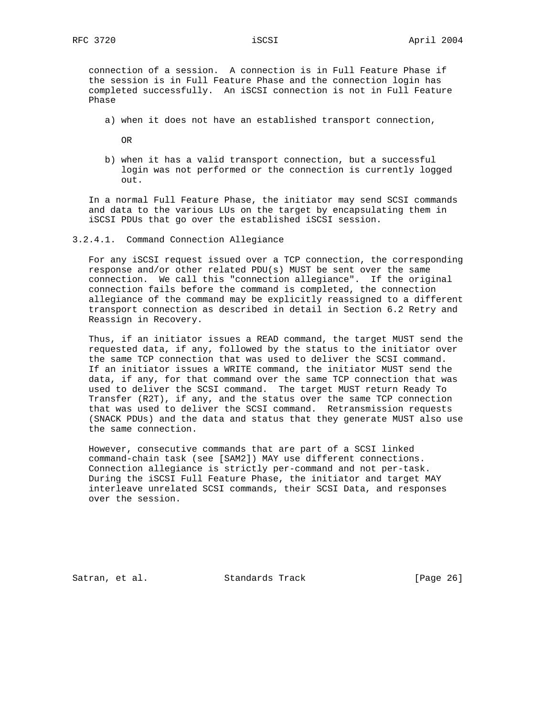connection of a session. A connection is in Full Feature Phase if the session is in Full Feature Phase and the connection login has completed successfully. An iSCSI connection is not in Full Feature Phase

a) when it does not have an established transport connection,

OR

 b) when it has a valid transport connection, but a successful login was not performed or the connection is currently logged  $O<sub>011</sub>$ 

 In a normal Full Feature Phase, the initiator may send SCSI commands and data to the various LUs on the target by encapsulating them in iSCSI PDUs that go over the established iSCSI session.

3.2.4.1. Command Connection Allegiance

 For any iSCSI request issued over a TCP connection, the corresponding response and/or other related PDU(s) MUST be sent over the same connection. We call this "connection allegiance". If the original connection fails before the command is completed, the connection allegiance of the command may be explicitly reassigned to a different transport connection as described in detail in Section 6.2 Retry and Reassign in Recovery.

 Thus, if an initiator issues a READ command, the target MUST send the requested data, if any, followed by the status to the initiator over the same TCP connection that was used to deliver the SCSI command. If an initiator issues a WRITE command, the initiator MUST send the data, if any, for that command over the same TCP connection that was used to deliver the SCSI command. The target MUST return Ready To Transfer (R2T), if any, and the status over the same TCP connection that was used to deliver the SCSI command. Retransmission requests (SNACK PDUs) and the data and status that they generate MUST also use the same connection.

 However, consecutive commands that are part of a SCSI linked command-chain task (see [SAM2]) MAY use different connections. Connection allegiance is strictly per-command and not per-task. During the iSCSI Full Feature Phase, the initiator and target MAY interleave unrelated SCSI commands, their SCSI Data, and responses over the session.

Satran, et al. Standards Track [Page 26]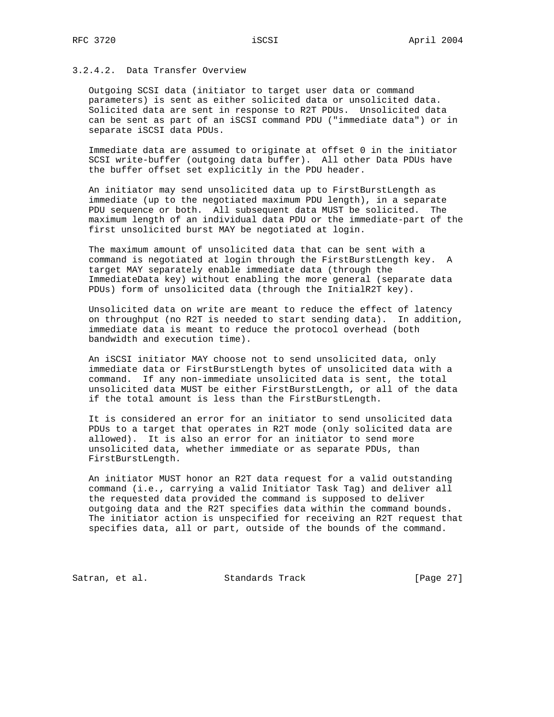# 3.2.4.2. Data Transfer Overview

 Outgoing SCSI data (initiator to target user data or command parameters) is sent as either solicited data or unsolicited data. Solicited data are sent in response to R2T PDUs. Unsolicited data can be sent as part of an iSCSI command PDU ("immediate data") or in separate iSCSI data PDUs.

 Immediate data are assumed to originate at offset 0 in the initiator SCSI write-buffer (outgoing data buffer). All other Data PDUs have the buffer offset set explicitly in the PDU header.

 An initiator may send unsolicited data up to FirstBurstLength as immediate (up to the negotiated maximum PDU length), in a separate PDU sequence or both. All subsequent data MUST be solicited. The maximum length of an individual data PDU or the immediate-part of the first unsolicited burst MAY be negotiated at login.

 The maximum amount of unsolicited data that can be sent with a command is negotiated at login through the FirstBurstLength key. A target MAY separately enable immediate data (through the ImmediateData key) without enabling the more general (separate data PDUs) form of unsolicited data (through the InitialR2T key).

 Unsolicited data on write are meant to reduce the effect of latency on throughput (no R2T is needed to start sending data). In addition, immediate data is meant to reduce the protocol overhead (both bandwidth and execution time).

 An iSCSI initiator MAY choose not to send unsolicited data, only immediate data or FirstBurstLength bytes of unsolicited data with a command. If any non-immediate unsolicited data is sent, the total unsolicited data MUST be either FirstBurstLength, or all of the data if the total amount is less than the FirstBurstLength.

 It is considered an error for an initiator to send unsolicited data PDUs to a target that operates in R2T mode (only solicited data are allowed). It is also an error for an initiator to send more unsolicited data, whether immediate or as separate PDUs, than FirstBurstLength.

 An initiator MUST honor an R2T data request for a valid outstanding command (i.e., carrying a valid Initiator Task Tag) and deliver all the requested data provided the command is supposed to deliver outgoing data and the R2T specifies data within the command bounds. The initiator action is unspecified for receiving an R2T request that specifies data, all or part, outside of the bounds of the command.

Satran, et al. Standards Track [Page 27]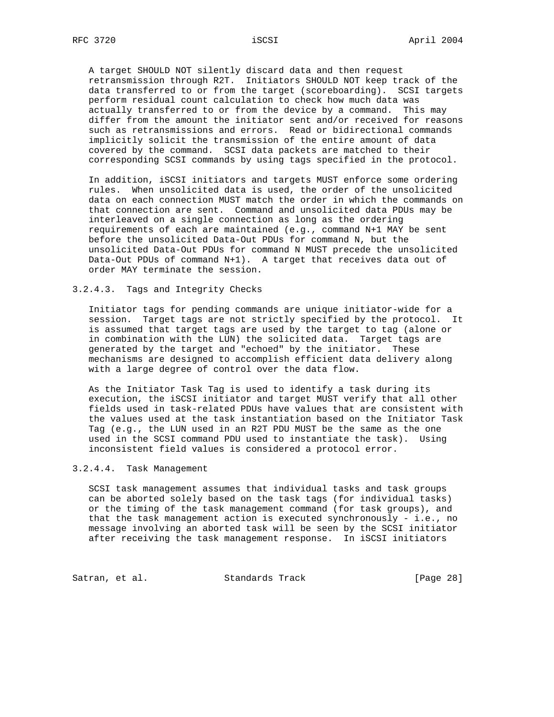A target SHOULD NOT silently discard data and then request retransmission through R2T. Initiators SHOULD NOT keep track of the data transferred to or from the target (scoreboarding). SCSI targets perform residual count calculation to check how much data was actually transferred to or from the device by a command. This may differ from the amount the initiator sent and/or received for reasons such as retransmissions and errors. Read or bidirectional commands implicitly solicit the transmission of the entire amount of data covered by the command. SCSI data packets are matched to their corresponding SCSI commands by using tags specified in the protocol.

 In addition, iSCSI initiators and targets MUST enforce some ordering rules. When unsolicited data is used, the order of the unsolicited data on each connection MUST match the order in which the commands on that connection are sent. Command and unsolicited data PDUs may be interleaved on a single connection as long as the ordering requirements of each are maintained (e.g., command N+1 MAY be sent before the unsolicited Data-Out PDUs for command N, but the unsolicited Data-Out PDUs for command N MUST precede the unsolicited Data-Out PDUs of command N+1). A target that receives data out of order MAY terminate the session.

#### 3.2.4.3. Tags and Integrity Checks

 Initiator tags for pending commands are unique initiator-wide for a session. Target tags are not strictly specified by the protocol. It is assumed that target tags are used by the target to tag (alone or in combination with the LUN) the solicited data. Target tags are generated by the target and "echoed" by the initiator. These mechanisms are designed to accomplish efficient data delivery along with a large degree of control over the data flow.

 As the Initiator Task Tag is used to identify a task during its execution, the iSCSI initiator and target MUST verify that all other fields used in task-related PDUs have values that are consistent with the values used at the task instantiation based on the Initiator Task Tag (e.g., the LUN used in an R2T PDU MUST be the same as the one used in the SCSI command PDU used to instantiate the task). Using inconsistent field values is considered a protocol error.

### 3.2.4.4. Task Management

 SCSI task management assumes that individual tasks and task groups can be aborted solely based on the task tags (for individual tasks) or the timing of the task management command (for task groups), and that the task management action is executed synchronously - i.e., no message involving an aborted task will be seen by the SCSI initiator after receiving the task management response. In iSCSI initiators

Satran, et al. Standards Track [Page 28]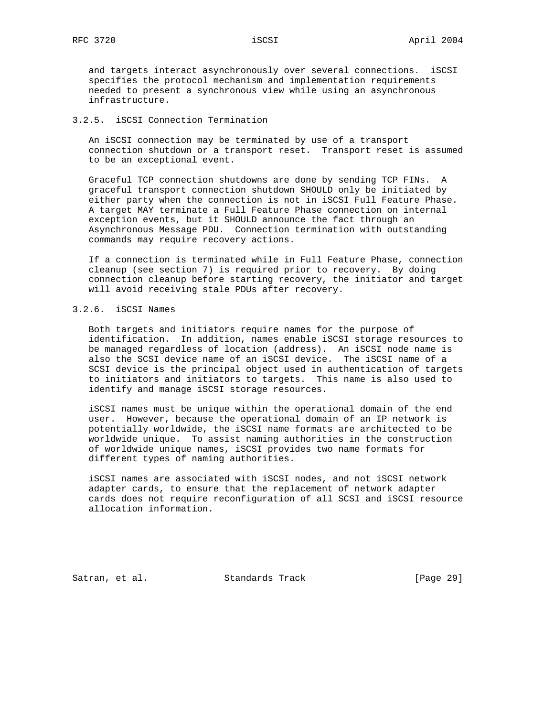and targets interact asynchronously over several connections. iSCSI specifies the protocol mechanism and implementation requirements needed to present a synchronous view while using an asynchronous infrastructure.

# 3.2.5. iSCSI Connection Termination

 An iSCSI connection may be terminated by use of a transport connection shutdown or a transport reset. Transport reset is assumed to be an exceptional event.

 Graceful TCP connection shutdowns are done by sending TCP FINs. A graceful transport connection shutdown SHOULD only be initiated by either party when the connection is not in iSCSI Full Feature Phase. A target MAY terminate a Full Feature Phase connection on internal exception events, but it SHOULD announce the fact through an Asynchronous Message PDU. Connection termination with outstanding commands may require recovery actions.

 If a connection is terminated while in Full Feature Phase, connection cleanup (see section 7) is required prior to recovery. By doing connection cleanup before starting recovery, the initiator and target will avoid receiving stale PDUs after recovery.

# 3.2.6. iSCSI Names

 Both targets and initiators require names for the purpose of identification. In addition, names enable iSCSI storage resources to be managed regardless of location (address). An iSCSI node name is also the SCSI device name of an iSCSI device. The iSCSI name of a SCSI device is the principal object used in authentication of targets to initiators and initiators to targets. This name is also used to identify and manage iSCSI storage resources.

 iSCSI names must be unique within the operational domain of the end user. However, because the operational domain of an IP network is potentially worldwide, the iSCSI name formats are architected to be worldwide unique. To assist naming authorities in the construction of worldwide unique names, iSCSI provides two name formats for different types of naming authorities.

 iSCSI names are associated with iSCSI nodes, and not iSCSI network adapter cards, to ensure that the replacement of network adapter cards does not require reconfiguration of all SCSI and iSCSI resource allocation information.

Satran, et al. Standards Track [Page 29]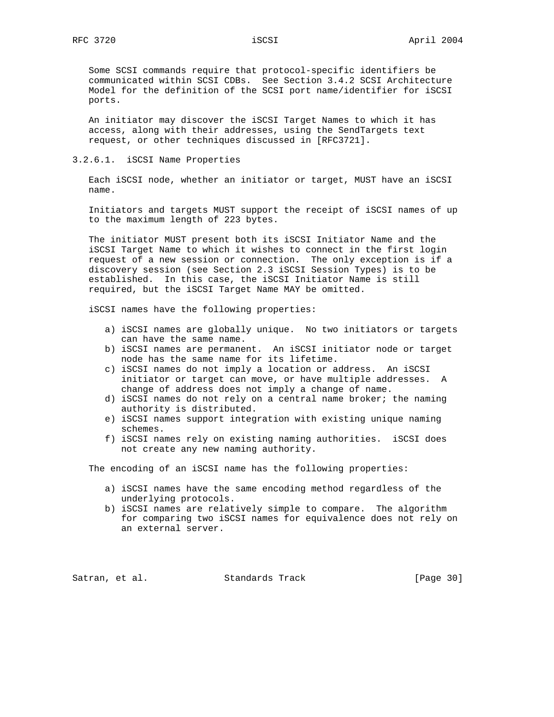Some SCSI commands require that protocol-specific identifiers be communicated within SCSI CDBs. See Section 3.4.2 SCSI Architecture Model for the definition of the SCSI port name/identifier for iSCSI ports.

 An initiator may discover the iSCSI Target Names to which it has access, along with their addresses, using the SendTargets text request, or other techniques discussed in [RFC3721].

3.2.6.1. iSCSI Name Properties

 Each iSCSI node, whether an initiator or target, MUST have an iSCSI name.

 Initiators and targets MUST support the receipt of iSCSI names of up to the maximum length of 223 bytes.

 The initiator MUST present both its iSCSI Initiator Name and the iSCSI Target Name to which it wishes to connect in the first login request of a new session or connection. The only exception is if a discovery session (see Section 2.3 iSCSI Session Types) is to be established. In this case, the iSCSI Initiator Name is still required, but the iSCSI Target Name MAY be omitted.

iSCSI names have the following properties:

- a) iSCSI names are globally unique. No two initiators or targets can have the same name.
- b) iSCSI names are permanent. An iSCSI initiator node or target node has the same name for its lifetime.
- c) iSCSI names do not imply a location or address. An iSCSI initiator or target can move, or have multiple addresses. A change of address does not imply a change of name.
- d) iSCSI names do not rely on a central name broker; the naming authority is distributed.
- e) iSCSI names support integration with existing unique naming schemes.
- f) iSCSI names rely on existing naming authorities. iSCSI does not create any new naming authority.

The encoding of an iSCSI name has the following properties:

- a) iSCSI names have the same encoding method regardless of the underlying protocols.
- b) iSCSI names are relatively simple to compare. The algorithm for comparing two iSCSI names for equivalence does not rely on an external server.

Satran, et al. Standards Track [Page 30]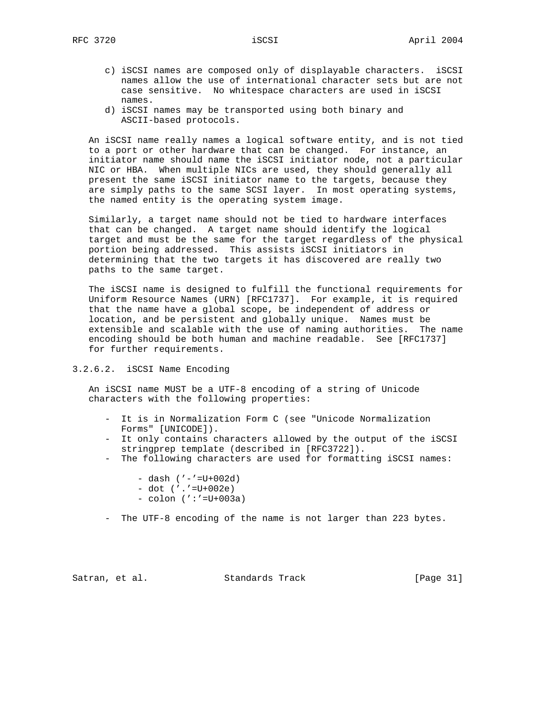- c) iSCSI names are composed only of displayable characters. iSCSI names allow the use of international character sets but are not case sensitive. No whitespace characters are used in iSCSI names.
- d) iSCSI names may be transported using both binary and ASCII-based protocols.

 An iSCSI name really names a logical software entity, and is not tied to a port or other hardware that can be changed. For instance, an initiator name should name the iSCSI initiator node, not a particular NIC or HBA. When multiple NICs are used, they should generally all present the same iSCSI initiator name to the targets, because they are simply paths to the same SCSI layer. In most operating systems, the named entity is the operating system image.

 Similarly, a target name should not be tied to hardware interfaces that can be changed. A target name should identify the logical target and must be the same for the target regardless of the physical portion being addressed. This assists iSCSI initiators in determining that the two targets it has discovered are really two paths to the same target.

 The iSCSI name is designed to fulfill the functional requirements for Uniform Resource Names (URN) [RFC1737]. For example, it is required that the name have a global scope, be independent of address or location, and be persistent and globally unique. Names must be extensible and scalable with the use of naming authorities. The name encoding should be both human and machine readable. See [RFC1737] for further requirements.

# 3.2.6.2. iSCSI Name Encoding

 An iSCSI name MUST be a UTF-8 encoding of a string of Unicode characters with the following properties:

- It is in Normalization Form C (see "Unicode Normalization Forms" [UNICODE]).
- It only contains characters allowed by the output of the iSCSI stringprep template (described in [RFC3722]).
- The following characters are used for formatting iSCSI names:
	- dash ('-'=U+002d)
	- dot ('.'=U+002e)
	- colon (':'=U+003a)
- The UTF-8 encoding of the name is not larger than 223 bytes.

Satran, et al. Standards Track [Page 31]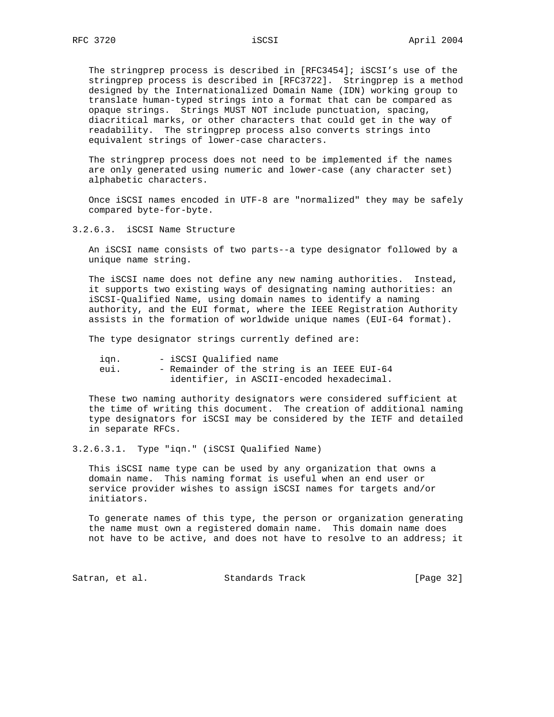The stringprep process is described in [RFC3454]; iSCSI's use of the stringprep process is described in [RFC3722]. Stringprep is a method designed by the Internationalized Domain Name (IDN) working group to translate human-typed strings into a format that can be compared as opaque strings. Strings MUST NOT include punctuation, spacing, diacritical marks, or other characters that could get in the way of readability. The stringprep process also converts strings into equivalent strings of lower-case characters.

 The stringprep process does not need to be implemented if the names are only generated using numeric and lower-case (any character set) alphabetic characters.

 Once iSCSI names encoded in UTF-8 are "normalized" they may be safely compared byte-for-byte.

3.2.6.3. iSCSI Name Structure

 An iSCSI name consists of two parts--a type designator followed by a unique name string.

 The iSCSI name does not define any new naming authorities. Instead, it supports two existing ways of designating naming authorities: an iSCSI-Qualified Name, using domain names to identify a naming authority, and the EUI format, where the IEEE Registration Authority assists in the formation of worldwide unique names (EUI-64 format).

The type designator strings currently defined are:

| ıan. | - iSCSI Oualified name                      |  |  |  |
|------|---------------------------------------------|--|--|--|
| eul. | - Remainder of the string is an IEEE EUI-64 |  |  |  |
|      | identifier, in ASCII-encoded hexadecimal.   |  |  |  |

 These two naming authority designators were considered sufficient at the time of writing this document. The creation of additional naming type designators for iSCSI may be considered by the IETF and detailed in separate RFCs.

3.2.6.3.1. Type "iqn." (iSCSI Qualified Name)

 This iSCSI name type can be used by any organization that owns a domain name. This naming format is useful when an end user or service provider wishes to assign iSCSI names for targets and/or initiators.

 To generate names of this type, the person or organization generating the name must own a registered domain name. This domain name does not have to be active, and does not have to resolve to an address; it

Satran, et al. Standards Track [Page 32]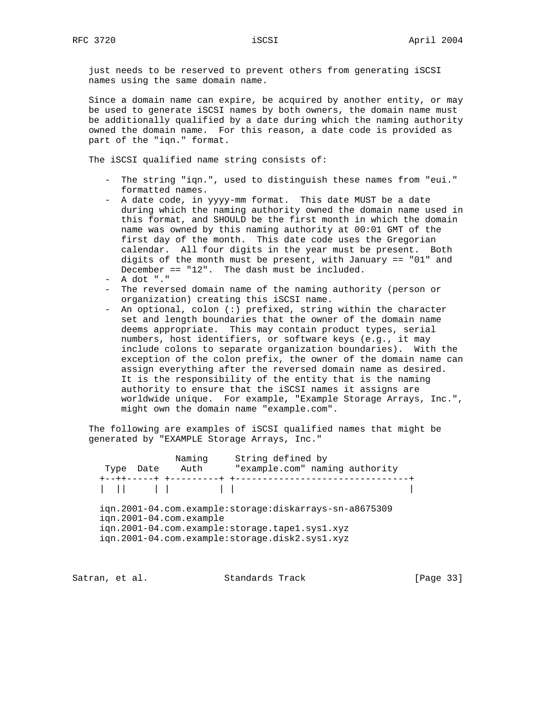just needs to be reserved to prevent others from generating iSCSI names using the same domain name.

 Since a domain name can expire, be acquired by another entity, or may be used to generate iSCSI names by both owners, the domain name must be additionally qualified by a date during which the naming authority owned the domain name. For this reason, a date code is provided as part of the "iqn." format.

The iSCSI qualified name string consists of:

- The string "iqn.", used to distinguish these names from "eui." formatted names.
- A date code, in yyyy-mm format. This date MUST be a date during which the naming authority owned the domain name used in this format, and SHOULD be the first month in which the domain name was owned by this naming authority at 00:01 GMT of the first day of the month. This date code uses the Gregorian calendar. All four digits in the year must be present. Both digits of the month must be present, with January == "01" and December == "12". The dash must be included.
- A dot "."
- The reversed domain name of the naming authority (person or organization) creating this iSCSI name.
- An optional, colon (:) prefixed, string within the character set and length boundaries that the owner of the domain name deems appropriate. This may contain product types, serial numbers, host identifiers, or software keys (e.g., it may include colons to separate organization boundaries). With the exception of the colon prefix, the owner of the domain name can assign everything after the reversed domain name as desired. It is the responsibility of the entity that is the naming authority to ensure that the iSCSI names it assigns are worldwide unique. For example, "Example Storage Arrays, Inc.", might own the domain name "example.com".

 The following are examples of iSCSI qualified names that might be generated by "EXAMPLE Storage Arrays, Inc."

|      |      | Naming                  | String defined by                                      |
|------|------|-------------------------|--------------------------------------------------------|
| Type | Date | Auth                    | "example.com" naming authority                         |
|      |      | +--++-----+ +---------  | ---------------------------                            |
|      |      |                         |                                                        |
|      |      |                         |                                                        |
|      |      |                         | ign.2001-04.com.example:storage:diskarrays-sn-a8675309 |
|      |      | ign.2001-04.com.example |                                                        |
|      |      |                         |                                                        |
|      |      |                         |                                                        |
|      |      |                         | ign.2001-04.com.example:storage.tape1.sys1.xyz         |

Satran, et al. Standards Track [Page 33]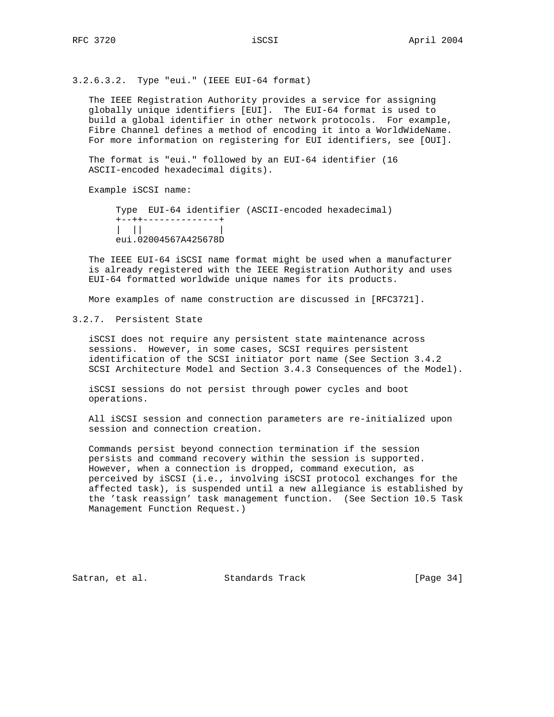3.2.6.3.2. Type "eui." (IEEE EUI-64 format)

 The IEEE Registration Authority provides a service for assigning globally unique identifiers [EUI]. The EUI-64 format is used to build a global identifier in other network protocols. For example, Fibre Channel defines a method of encoding it into a WorldWideName. For more information on registering for EUI identifiers, see [OUI].

 The format is "eui." followed by an EUI-64 identifier (16 ASCII-encoded hexadecimal digits).

Example iSCSI name:

 Type EUI-64 identifier (ASCII-encoded hexadecimal) +--++--------------+ | || | eui.02004567A425678D

 The IEEE EUI-64 iSCSI name format might be used when a manufacturer is already registered with the IEEE Registration Authority and uses EUI-64 formatted worldwide unique names for its products.

More examples of name construction are discussed in [RFC3721].

3.2.7. Persistent State

 iSCSI does not require any persistent state maintenance across sessions. However, in some cases, SCSI requires persistent identification of the SCSI initiator port name (See Section 3.4.2 SCSI Architecture Model and Section 3.4.3 Consequences of the Model).

 iSCSI sessions do not persist through power cycles and boot operations.

 All iSCSI session and connection parameters are re-initialized upon session and connection creation.

 Commands persist beyond connection termination if the session persists and command recovery within the session is supported. However, when a connection is dropped, command execution, as perceived by iSCSI (i.e., involving iSCSI protocol exchanges for the affected task), is suspended until a new allegiance is established by the 'task reassign' task management function. (See Section 10.5 Task Management Function Request.)

Satran, et al. Standards Track [Page 34]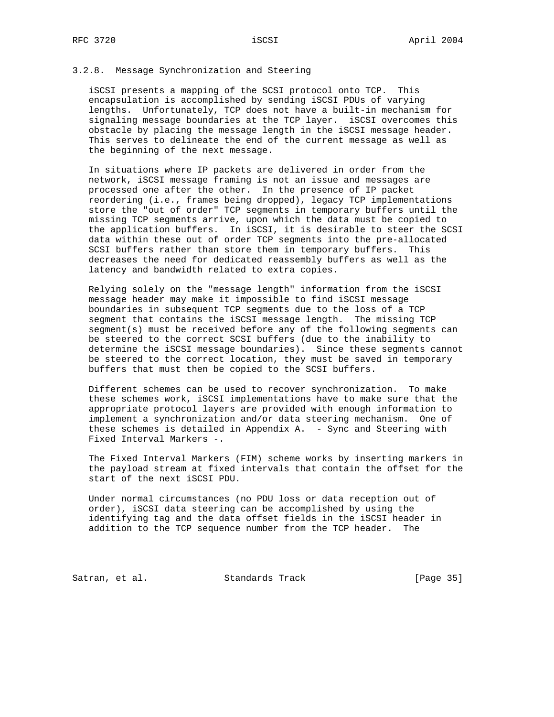### 3.2.8. Message Synchronization and Steering

 iSCSI presents a mapping of the SCSI protocol onto TCP. This encapsulation is accomplished by sending iSCSI PDUs of varying lengths. Unfortunately, TCP does not have a built-in mechanism for signaling message boundaries at the TCP layer. iSCSI overcomes this obstacle by placing the message length in the iSCSI message header. This serves to delineate the end of the current message as well as the beginning of the next message.

 In situations where IP packets are delivered in order from the network, iSCSI message framing is not an issue and messages are processed one after the other. In the presence of IP packet reordering (i.e., frames being dropped), legacy TCP implementations store the "out of order" TCP segments in temporary buffers until the missing TCP segments arrive, upon which the data must be copied to the application buffers. In iSCSI, it is desirable to steer the SCSI data within these out of order TCP segments into the pre-allocated SCSI buffers rather than store them in temporary buffers. This decreases the need for dedicated reassembly buffers as well as the latency and bandwidth related to extra copies.

 Relying solely on the "message length" information from the iSCSI message header may make it impossible to find iSCSI message boundaries in subsequent TCP segments due to the loss of a TCP segment that contains the iSCSI message length. The missing TCP segment(s) must be received before any of the following segments can be steered to the correct SCSI buffers (due to the inability to determine the iSCSI message boundaries). Since these segments cannot be steered to the correct location, they must be saved in temporary buffers that must then be copied to the SCSI buffers.

 Different schemes can be used to recover synchronization. To make these schemes work, iSCSI implementations have to make sure that the appropriate protocol layers are provided with enough information to implement a synchronization and/or data steering mechanism. One of these schemes is detailed in Appendix A. - Sync and Steering with Fixed Interval Markers -.

 The Fixed Interval Markers (FIM) scheme works by inserting markers in the payload stream at fixed intervals that contain the offset for the start of the next iSCSI PDU.

 Under normal circumstances (no PDU loss or data reception out of order), iSCSI data steering can be accomplished by using the identifying tag and the data offset fields in the iSCSI header in addition to the TCP sequence number from the TCP header. The

Satran, et al. Standards Track [Page 35]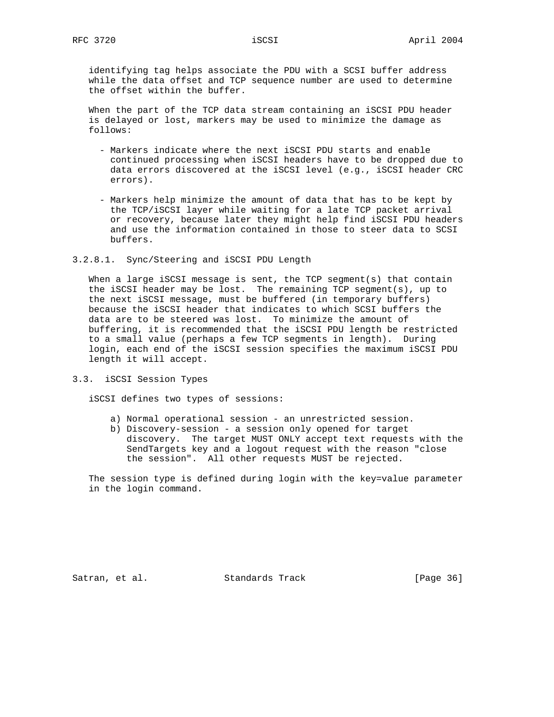identifying tag helps associate the PDU with a SCSI buffer address while the data offset and TCP sequence number are used to determine the offset within the buffer.

 When the part of the TCP data stream containing an iSCSI PDU header is delayed or lost, markers may be used to minimize the damage as follows:

- Markers indicate where the next iSCSI PDU starts and enable continued processing when iSCSI headers have to be dropped due to data errors discovered at the iSCSI level (e.g., iSCSI header CRC errors).
- Markers help minimize the amount of data that has to be kept by the TCP/iSCSI layer while waiting for a late TCP packet arrival or recovery, because later they might help find iSCSI PDU headers and use the information contained in those to steer data to SCSI buffers.
- 3.2.8.1. Sync/Steering and iSCSI PDU Length

 When a large iSCSI message is sent, the TCP segment(s) that contain the iSCSI header may be lost. The remaining TCP segment(s), up to the next iSCSI message, must be buffered (in temporary buffers) because the iSCSI header that indicates to which SCSI buffers the data are to be steered was lost. To minimize the amount of buffering, it is recommended that the iSCSI PDU length be restricted to a small value (perhaps a few TCP segments in length). During login, each end of the iSCSI session specifies the maximum iSCSI PDU length it will accept.

3.3. iSCSI Session Types

iSCSI defines two types of sessions:

- a) Normal operational session an unrestricted session.
- b) Discovery-session a session only opened for target discovery. The target MUST ONLY accept text requests with the SendTargets key and a logout request with the reason "close the session". All other requests MUST be rejected.

 The session type is defined during login with the key=value parameter in the login command.

Satran, et al. Standards Track [Page 36]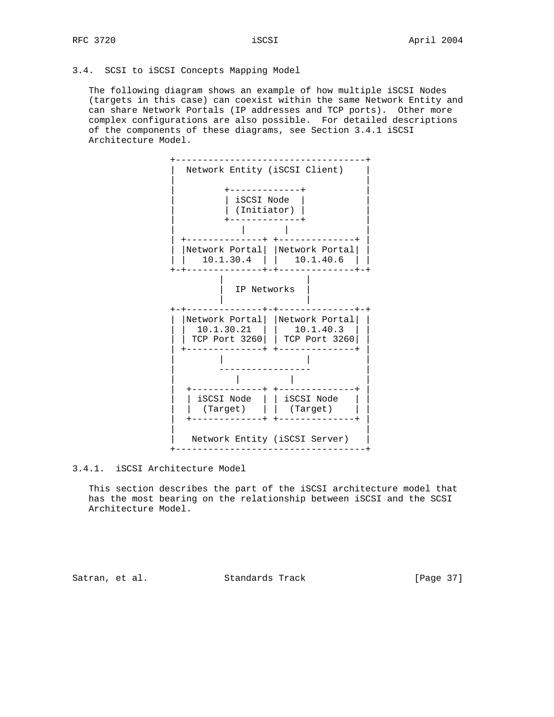#### 3.4. SCSI to iSCSI Concepts Mapping Model

 The following diagram shows an example of how multiple iSCSI Nodes (targets in this case) can coexist within the same Network Entity and can share Network Portals (IP addresses and TCP ports). Other more complex configurations are also possible. For detailed descriptions of the components of these diagrams, see Section 3.4.1 iSCSI Architecture Model.



3.4.1. iSCSI Architecture Model

 This section describes the part of the iSCSI architecture model that has the most bearing on the relationship between iSCSI and the SCSI Architecture Model.

Satran, et al. Standards Track [Page 37]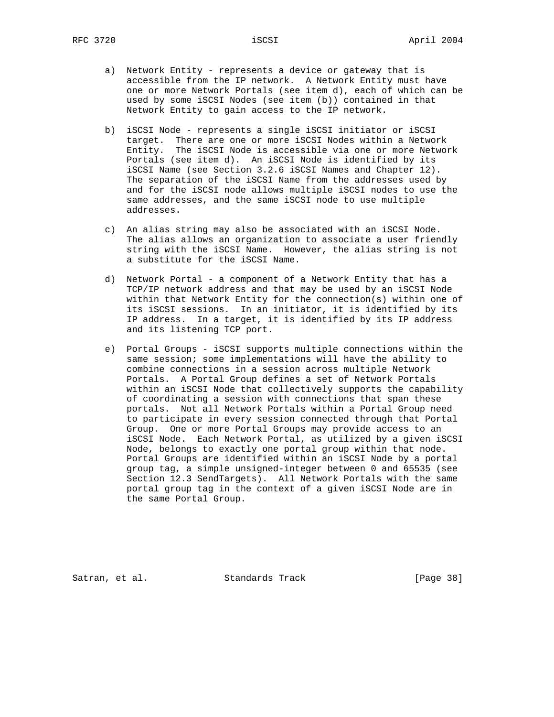- a) Network Entity represents a device or gateway that is accessible from the IP network. A Network Entity must have one or more Network Portals (see item d), each of which can be used by some iSCSI Nodes (see item (b)) contained in that Network Entity to gain access to the IP network.
- b) iSCSI Node represents a single iSCSI initiator or iSCSI target. There are one or more iSCSI Nodes within a Network Entity. The iSCSI Node is accessible via one or more Network Portals (see item d). An iSCSI Node is identified by its iSCSI Name (see Section 3.2.6 iSCSI Names and Chapter 12). The separation of the iSCSI Name from the addresses used by and for the iSCSI node allows multiple iSCSI nodes to use the same addresses, and the same iSCSI node to use multiple addresses.
- c) An alias string may also be associated with an iSCSI Node. The alias allows an organization to associate a user friendly string with the iSCSI Name. However, the alias string is not a substitute for the iSCSI Name.
- d) Network Portal a component of a Network Entity that has a TCP/IP network address and that may be used by an iSCSI Node within that Network Entity for the connection(s) within one of its iSCSI sessions. In an initiator, it is identified by its IP address. In a target, it is identified by its IP address and its listening TCP port.
- e) Portal Groups iSCSI supports multiple connections within the same session; some implementations will have the ability to combine connections in a session across multiple Network Portals. A Portal Group defines a set of Network Portals within an iSCSI Node that collectively supports the capability of coordinating a session with connections that span these portals. Not all Network Portals within a Portal Group need to participate in every session connected through that Portal Group. One or more Portal Groups may provide access to an iSCSI Node. Each Network Portal, as utilized by a given iSCSI Node, belongs to exactly one portal group within that node. Portal Groups are identified within an iSCSI Node by a portal group tag, a simple unsigned-integer between 0 and 65535 (see Section 12.3 SendTargets). All Network Portals with the same portal group tag in the context of a given iSCSI Node are in the same Portal Group.

Satran, et al. Standards Track [Page 38]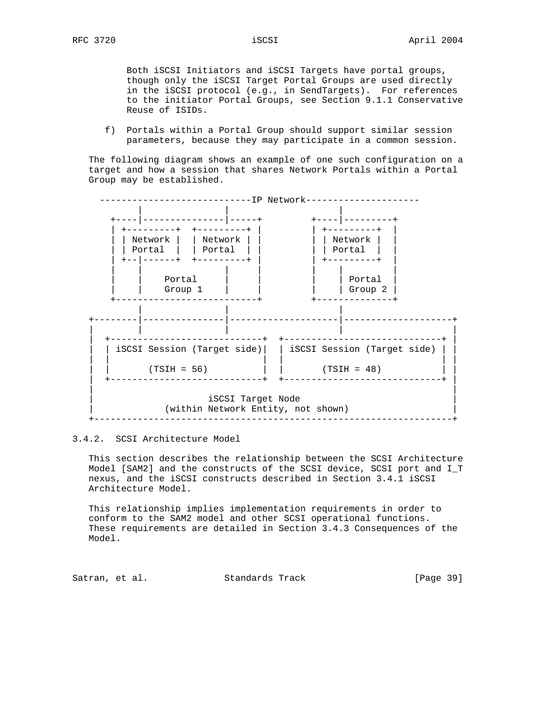Both iSCSI Initiators and iSCSI Targets have portal groups, though only the iSCSI Target Portal Groups are used directly in the iSCSI protocol (e.g., in SendTargets). For references to the initiator Portal Groups, see Section 9.1.1 Conservative Reuse of ISIDs.

 f) Portals within a Portal Group should support similar session parameters, because they may participate in a common session.

 The following diagram shows an example of one such configuration on a target and how a session that shares Network Portals within a Portal Group may be established.



#### 3.4.2. SCSI Architecture Model

 This section describes the relationship between the SCSI Architecture Model [SAM2] and the constructs of the SCSI device, SCSI port and I\_T nexus, and the iSCSI constructs described in Section 3.4.1 iSCSI Architecture Model.

 This relationship implies implementation requirements in order to conform to the SAM2 model and other SCSI operational functions. These requirements are detailed in Section 3.4.3 Consequences of the Model.

Satran, et al. Standards Track [Page 39]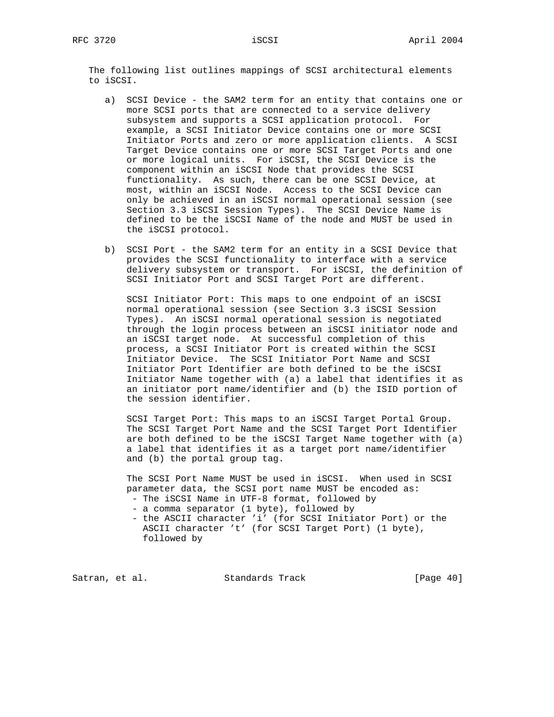The following list outlines mappings of SCSI architectural elements to iSCSI.

- a) SCSI Device the SAM2 term for an entity that contains one or more SCSI ports that are connected to a service delivery subsystem and supports a SCSI application protocol. For example, a SCSI Initiator Device contains one or more SCSI Initiator Ports and zero or more application clients. A SCSI Target Device contains one or more SCSI Target Ports and one or more logical units. For iSCSI, the SCSI Device is the component within an iSCSI Node that provides the SCSI functionality. As such, there can be one SCSI Device, at most, within an iSCSI Node. Access to the SCSI Device can only be achieved in an iSCSI normal operational session (see Section 3.3 iSCSI Session Types). The SCSI Device Name is defined to be the iSCSI Name of the node and MUST be used in the iSCSI protocol.
- b) SCSI Port the SAM2 term for an entity in a SCSI Device that provides the SCSI functionality to interface with a service delivery subsystem or transport. For iSCSI, the definition of SCSI Initiator Port and SCSI Target Port are different.

 SCSI Initiator Port: This maps to one endpoint of an iSCSI normal operational session (see Section 3.3 iSCSI Session Types). An iSCSI normal operational session is negotiated through the login process between an iSCSI initiator node and an iSCSI target node. At successful completion of this process, a SCSI Initiator Port is created within the SCSI Initiator Device. The SCSI Initiator Port Name and SCSI Initiator Port Identifier are both defined to be the iSCSI Initiator Name together with (a) a label that identifies it as an initiator port name/identifier and (b) the ISID portion of the session identifier.

 SCSI Target Port: This maps to an iSCSI Target Portal Group. The SCSI Target Port Name and the SCSI Target Port Identifier are both defined to be the iSCSI Target Name together with (a) a label that identifies it as a target port name/identifier and (b) the portal group tag.

 The SCSI Port Name MUST be used in iSCSI. When used in SCSI parameter data, the SCSI port name MUST be encoded as: - The iSCSI Name in UTF-8 format, followed by

- a comma separator (1 byte), followed by
- the ASCII character 'i' (for SCSI Initiator Port) or the ASCII character 't' (for SCSI Target Port) (1 byte), followed by

Satran, et al. Standards Track [Page 40]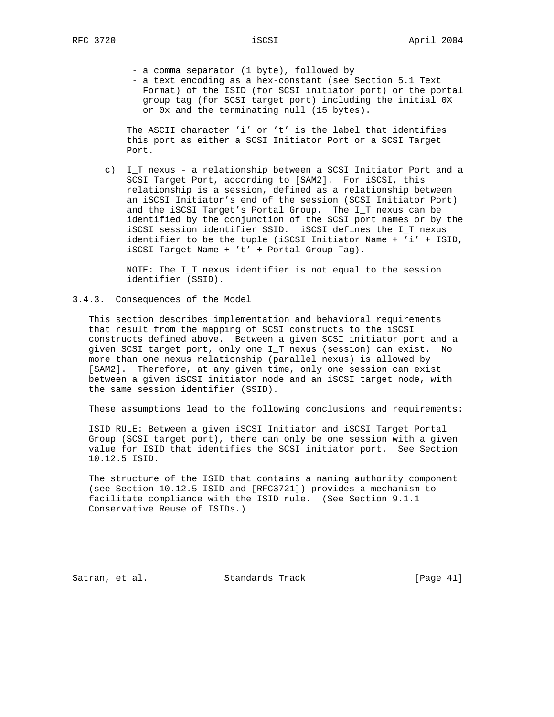- a comma separator (1 byte), followed by

 - a text encoding as a hex-constant (see Section 5.1 Text Format) of the ISID (for SCSI initiator port) or the portal group tag (for SCSI target port) including the initial 0X or 0x and the terminating null (15 bytes).

 The ASCII character 'i' or 't' is the label that identifies this port as either a SCSI Initiator Port or a SCSI Target Port.

 c) I\_T nexus - a relationship between a SCSI Initiator Port and a SCSI Target Port, according to [SAM2]. For iSCSI, this relationship is a session, defined as a relationship between an iSCSI Initiator's end of the session (SCSI Initiator Port) and the iSCSI Target's Portal Group. The I\_T nexus can be identified by the conjunction of the SCSI port names or by the iSCSI session identifier SSID. iSCSI defines the I\_T nexus identifier to be the tuple (iSCSI Initiator Name + 'i' + ISID, iSCSI Target Name + 't' + Portal Group Tag).

 NOTE: The I\_T nexus identifier is not equal to the session identifier (SSID).

3.4.3. Consequences of the Model

 This section describes implementation and behavioral requirements that result from the mapping of SCSI constructs to the iSCSI constructs defined above. Between a given SCSI initiator port and a given SCSI target port, only one I\_T nexus (session) can exist. No more than one nexus relationship (parallel nexus) is allowed by [SAM2]. Therefore, at any given time, only one session can exist between a given iSCSI initiator node and an iSCSI target node, with the same session identifier (SSID).

These assumptions lead to the following conclusions and requirements:

 ISID RULE: Between a given iSCSI Initiator and iSCSI Target Portal Group (SCSI target port), there can only be one session with a given value for ISID that identifies the SCSI initiator port. See Section 10.12.5 ISID.

 The structure of the ISID that contains a naming authority component (see Section 10.12.5 ISID and [RFC3721]) provides a mechanism to facilitate compliance with the ISID rule. (See Section 9.1.1 Conservative Reuse of ISIDs.)

Satran, et al. Standards Track [Page 41]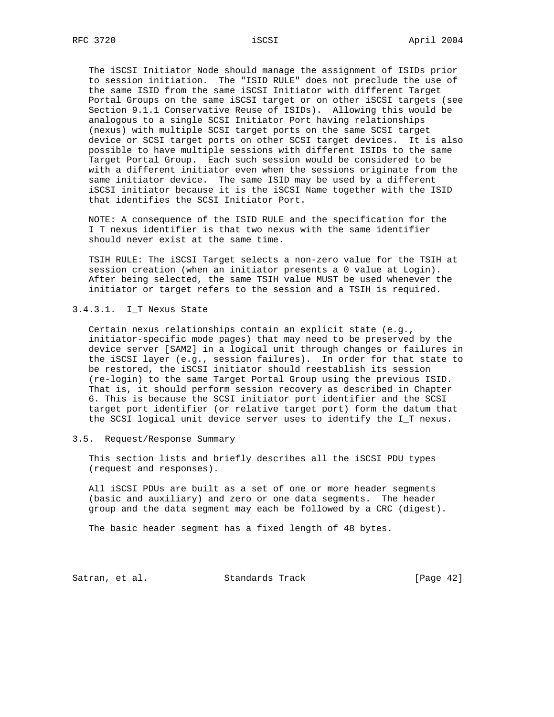The iSCSI Initiator Node should manage the assignment of ISIDs prior to session initiation. The "ISID RULE" does not preclude the use of the same ISID from the same iSCSI Initiator with different Target Portal Groups on the same iSCSI target or on other iSCSI targets (see Section 9.1.1 Conservative Reuse of ISIDs). Allowing this would be analogous to a single SCSI Initiator Port having relationships (nexus) with multiple SCSI target ports on the same SCSI target device or SCSI target ports on other SCSI target devices. It is also possible to have multiple sessions with different ISIDs to the same Target Portal Group. Each such session would be considered to be with a different initiator even when the sessions originate from the same initiator device. The same ISID may be used by a different iSCSI initiator because it is the iSCSI Name together with the ISID that identifies the SCSI Initiator Port.

 NOTE: A consequence of the ISID RULE and the specification for the I\_T nexus identifier is that two nexus with the same identifier should never exist at the same time.

 TSIH RULE: The iSCSI Target selects a non-zero value for the TSIH at session creation (when an initiator presents a 0 value at Login). After being selected, the same TSIH value MUST be used whenever the initiator or target refers to the session and a TSIH is required.

3.4.3.1. I\_T Nexus State

 Certain nexus relationships contain an explicit state (e.g., initiator-specific mode pages) that may need to be preserved by the device server [SAM2] in a logical unit through changes or failures in the iSCSI layer (e.g., session failures). In order for that state to be restored, the iSCSI initiator should reestablish its session (re-login) to the same Target Portal Group using the previous ISID. That is, it should perform session recovery as described in Chapter 6. This is because the SCSI initiator port identifier and the SCSI target port identifier (or relative target port) form the datum that the SCSI logical unit device server uses to identify the I\_T nexus.

3.5. Request/Response Summary

 This section lists and briefly describes all the iSCSI PDU types (request and responses).

 All iSCSI PDUs are built as a set of one or more header segments (basic and auxiliary) and zero or one data segments. The header group and the data segment may each be followed by a CRC (digest).

The basic header segment has a fixed length of 48 bytes.

Satran, et al. Standards Track [Page 42]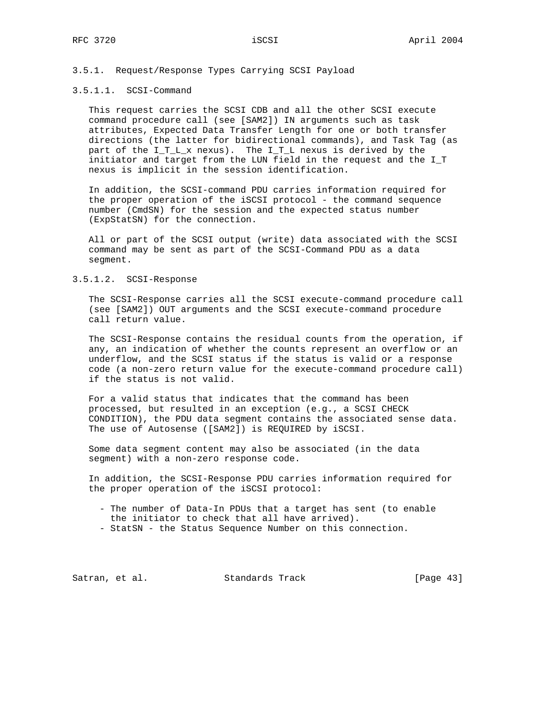# 3.5.1. Request/Response Types Carrying SCSI Payload

### 3.5.1.1. SCSI-Command

 This request carries the SCSI CDB and all the other SCSI execute command procedure call (see [SAM2]) IN arguments such as task attributes, Expected Data Transfer Length for one or both transfer directions (the latter for bidirectional commands), and Task Tag (as part of the  $I_T_L x$  nexus). The  $I_T L$  nexus is derived by the initiator and target from the LUN field in the request and the I\_T nexus is implicit in the session identification.

 In addition, the SCSI-command PDU carries information required for the proper operation of the iSCSI protocol - the command sequence number (CmdSN) for the session and the expected status number (ExpStatSN) for the connection.

 All or part of the SCSI output (write) data associated with the SCSI command may be sent as part of the SCSI-Command PDU as a data segment.

## 3.5.1.2. SCSI-Response

 The SCSI-Response carries all the SCSI execute-command procedure call (see [SAM2]) OUT arguments and the SCSI execute-command procedure call return value.

 The SCSI-Response contains the residual counts from the operation, if any, an indication of whether the counts represent an overflow or an underflow, and the SCSI status if the status is valid or a response code (a non-zero return value for the execute-command procedure call) if the status is not valid.

 For a valid status that indicates that the command has been processed, but resulted in an exception (e.g., a SCSI CHECK CONDITION), the PDU data segment contains the associated sense data. The use of Autosense ([SAM2]) is REQUIRED by iSCSI.

 Some data segment content may also be associated (in the data segment) with a non-zero response code.

 In addition, the SCSI-Response PDU carries information required for the proper operation of the iSCSI protocol:

- The number of Data-In PDUs that a target has sent (to enable the initiator to check that all have arrived).
- StatSN the Status Sequence Number on this connection.

Satran, et al. Standards Track [Page 43]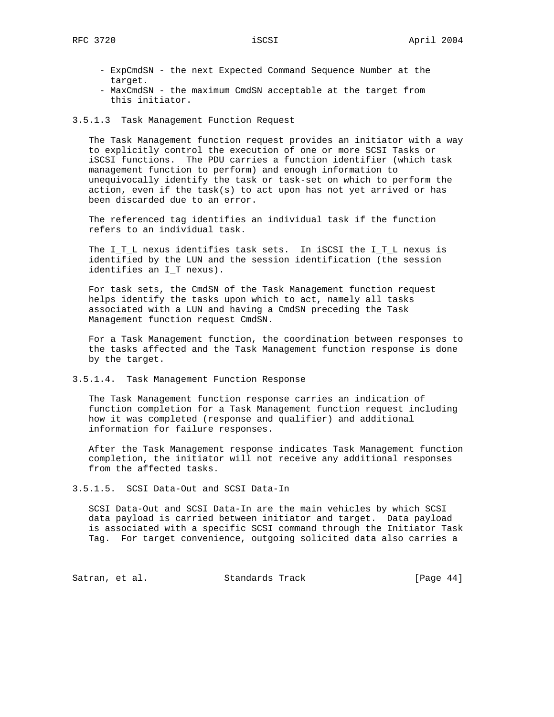- ExpCmdSN the next Expected Command Sequence Number at the target.
- MaxCmdSN the maximum CmdSN acceptable at the target from this initiator.

#### 3.5.1.3 Task Management Function Request

 The Task Management function request provides an initiator with a way to explicitly control the execution of one or more SCSI Tasks or iSCSI functions. The PDU carries a function identifier (which task management function to perform) and enough information to unequivocally identify the task or task-set on which to perform the action, even if the task(s) to act upon has not yet arrived or has been discarded due to an error.

 The referenced tag identifies an individual task if the function refers to an individual task.

 The I\_T\_L nexus identifies task sets. In iSCSI the I\_T\_L nexus is identified by the LUN and the session identification (the session identifies an I\_T nexus).

 For task sets, the CmdSN of the Task Management function request helps identify the tasks upon which to act, namely all tasks associated with a LUN and having a CmdSN preceding the Task Management function request CmdSN.

 For a Task Management function, the coordination between responses to the tasks affected and the Task Management function response is done by the target.

3.5.1.4. Task Management Function Response

 The Task Management function response carries an indication of function completion for a Task Management function request including how it was completed (response and qualifier) and additional information for failure responses.

 After the Task Management response indicates Task Management function completion, the initiator will not receive any additional responses from the affected tasks.

3.5.1.5. SCSI Data-Out and SCSI Data-In

 SCSI Data-Out and SCSI Data-In are the main vehicles by which SCSI data payload is carried between initiator and target. Data payload is associated with a specific SCSI command through the Initiator Task Tag. For target convenience, outgoing solicited data also carries a

Satran, et al. Standards Track [Page 44]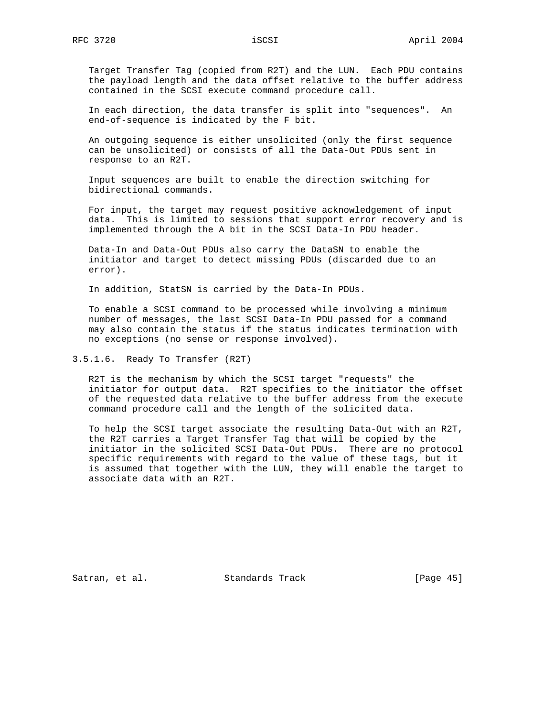Target Transfer Tag (copied from R2T) and the LUN. Each PDU contains the payload length and the data offset relative to the buffer address contained in the SCSI execute command procedure call.

 In each direction, the data transfer is split into "sequences". An end-of-sequence is indicated by the F bit.

 An outgoing sequence is either unsolicited (only the first sequence can be unsolicited) or consists of all the Data-Out PDUs sent in response to an R2T.

 Input sequences are built to enable the direction switching for bidirectional commands.

 For input, the target may request positive acknowledgement of input data. This is limited to sessions that support error recovery and is implemented through the A bit in the SCSI Data-In PDU header.

 Data-In and Data-Out PDUs also carry the DataSN to enable the initiator and target to detect missing PDUs (discarded due to an error).

In addition, StatSN is carried by the Data-In PDUs.

 To enable a SCSI command to be processed while involving a minimum number of messages, the last SCSI Data-In PDU passed for a command may also contain the status if the status indicates termination with no exceptions (no sense or response involved).

3.5.1.6. Ready To Transfer (R2T)

 R2T is the mechanism by which the SCSI target "requests" the initiator for output data. R2T specifies to the initiator the offset of the requested data relative to the buffer address from the execute command procedure call and the length of the solicited data.

 To help the SCSI target associate the resulting Data-Out with an R2T, the R2T carries a Target Transfer Tag that will be copied by the initiator in the solicited SCSI Data-Out PDUs. There are no protocol specific requirements with regard to the value of these tags, but it is assumed that together with the LUN, they will enable the target to associate data with an R2T.

Satran, et al. Standards Track [Page 45]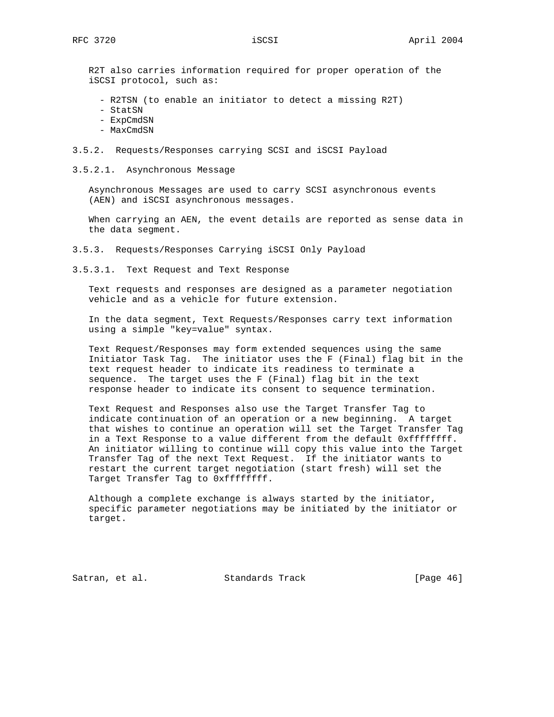R2T also carries information required for proper operation of the iSCSI protocol, such as:

- R2TSN (to enable an initiator to detect a missing R2T)
- StatSN
- ExpCmdSN
- MaxCmdSN
- 3.5.2. Requests/Responses carrying SCSI and iSCSI Payload
- 3.5.2.1. Asynchronous Message

 Asynchronous Messages are used to carry SCSI asynchronous events (AEN) and iSCSI asynchronous messages.

 When carrying an AEN, the event details are reported as sense data in the data segment.

3.5.3. Requests/Responses Carrying iSCSI Only Payload

3.5.3.1. Text Request and Text Response

 Text requests and responses are designed as a parameter negotiation vehicle and as a vehicle for future extension.

 In the data segment, Text Requests/Responses carry text information using a simple "key=value" syntax.

 Text Request/Responses may form extended sequences using the same Initiator Task Tag. The initiator uses the F (Final) flag bit in the text request header to indicate its readiness to terminate a sequence. The target uses the F (Final) flag bit in the text response header to indicate its consent to sequence termination.

 Text Request and Responses also use the Target Transfer Tag to indicate continuation of an operation or a new beginning. A target that wishes to continue an operation will set the Target Transfer Tag in a Text Response to a value different from the default 0xffffffff. An initiator willing to continue will copy this value into the Target Transfer Tag of the next Text Request. If the initiator wants to restart the current target negotiation (start fresh) will set the Target Transfer Tag to 0xffffffff.

 Although a complete exchange is always started by the initiator, specific parameter negotiations may be initiated by the initiator or target.

Satran, et al. Standards Track [Page 46]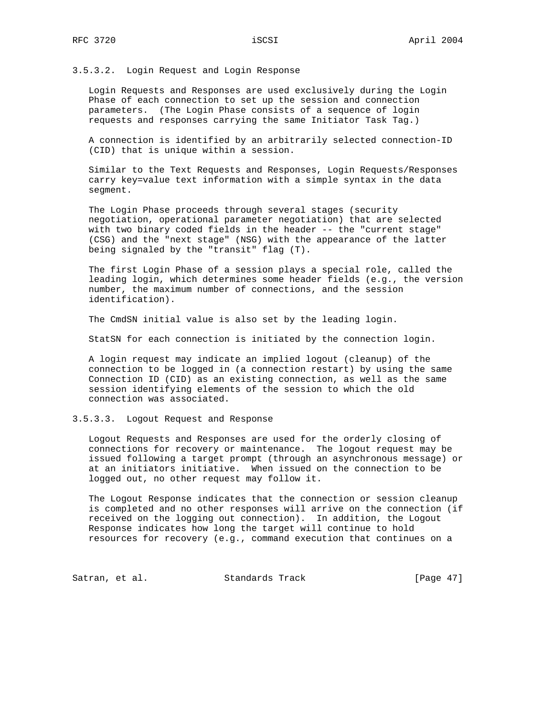## 3.5.3.2. Login Request and Login Response

 Login Requests and Responses are used exclusively during the Login Phase of each connection to set up the session and connection parameters. (The Login Phase consists of a sequence of login requests and responses carrying the same Initiator Task Tag.)

 A connection is identified by an arbitrarily selected connection-ID (CID) that is unique within a session.

 Similar to the Text Requests and Responses, Login Requests/Responses carry key=value text information with a simple syntax in the data segment.

 The Login Phase proceeds through several stages (security negotiation, operational parameter negotiation) that are selected with two binary coded fields in the header -- the "current stage" (CSG) and the "next stage" (NSG) with the appearance of the latter being signaled by the "transit" flag (T).

 The first Login Phase of a session plays a special role, called the leading login, which determines some header fields (e.g., the version number, the maximum number of connections, and the session identification).

The CmdSN initial value is also set by the leading login.

StatSN for each connection is initiated by the connection login.

 A login request may indicate an implied logout (cleanup) of the connection to be logged in (a connection restart) by using the same Connection ID (CID) as an existing connection, as well as the same session identifying elements of the session to which the old connection was associated.

## 3.5.3.3. Logout Request and Response

 Logout Requests and Responses are used for the orderly closing of connections for recovery or maintenance. The logout request may be issued following a target prompt (through an asynchronous message) or at an initiators initiative. When issued on the connection to be logged out, no other request may follow it.

 The Logout Response indicates that the connection or session cleanup is completed and no other responses will arrive on the connection (if received on the logging out connection). In addition, the Logout Response indicates how long the target will continue to hold resources for recovery (e.g., command execution that continues on a

Satran, et al. Standards Track [Page 47]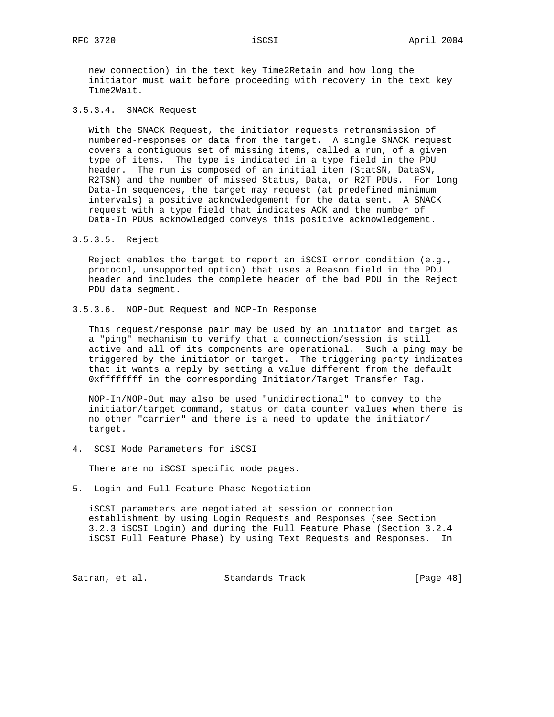new connection) in the text key Time2Retain and how long the initiator must wait before proceeding with recovery in the text key Time2Wait.

### 3.5.3.4. SNACK Request

 With the SNACK Request, the initiator requests retransmission of numbered-responses or data from the target. A single SNACK request covers a contiguous set of missing items, called a run, of a given type of items. The type is indicated in a type field in the PDU header. The run is composed of an initial item (StatSN, DataSN, R2TSN) and the number of missed Status, Data, or R2T PDUs. For long Data-In sequences, the target may request (at predefined minimum intervals) a positive acknowledgement for the data sent. A SNACK request with a type field that indicates ACK and the number of Data-In PDUs acknowledged conveys this positive acknowledgement.

### 3.5.3.5. Reject

 Reject enables the target to report an iSCSI error condition (e.g., protocol, unsupported option) that uses a Reason field in the PDU header and includes the complete header of the bad PDU in the Reject PDU data segment.

3.5.3.6. NOP-Out Request and NOP-In Response

 This request/response pair may be used by an initiator and target as a "ping" mechanism to verify that a connection/session is still active and all of its components are operational. Such a ping may be triggered by the initiator or target. The triggering party indicates that it wants a reply by setting a value different from the default 0xffffffff in the corresponding Initiator/Target Transfer Tag.

 NOP-In/NOP-Out may also be used "unidirectional" to convey to the initiator/target command, status or data counter values when there is no other "carrier" and there is a need to update the initiator/ target.

4. SCSI Mode Parameters for iSCSI

There are no iSCSI specific mode pages.

5. Login and Full Feature Phase Negotiation

 iSCSI parameters are negotiated at session or connection establishment by using Login Requests and Responses (see Section 3.2.3 iSCSI Login) and during the Full Feature Phase (Section 3.2.4 iSCSI Full Feature Phase) by using Text Requests and Responses. In

Satran, et al. Standards Track [Page 48]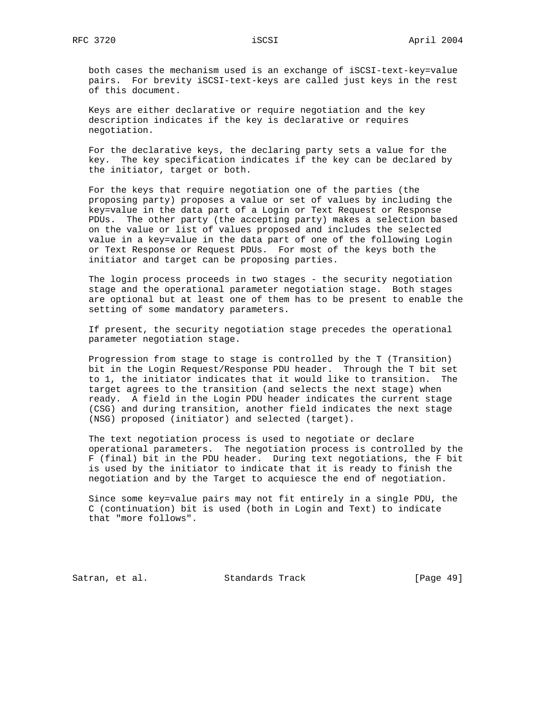both cases the mechanism used is an exchange of iSCSI-text-key=value pairs. For brevity iSCSI-text-keys are called just keys in the rest of this document.

 Keys are either declarative or require negotiation and the key description indicates if the key is declarative or requires negotiation.

 For the declarative keys, the declaring party sets a value for the key. The key specification indicates if the key can be declared by the initiator, target or both.

 For the keys that require negotiation one of the parties (the proposing party) proposes a value or set of values by including the key=value in the data part of a Login or Text Request or Response PDUs. The other party (the accepting party) makes a selection based on the value or list of values proposed and includes the selected value in a key=value in the data part of one of the following Login or Text Response or Request PDUs. For most of the keys both the initiator and target can be proposing parties.

 The login process proceeds in two stages - the security negotiation stage and the operational parameter negotiation stage. Both stages are optional but at least one of them has to be present to enable the setting of some mandatory parameters.

 If present, the security negotiation stage precedes the operational parameter negotiation stage.

 Progression from stage to stage is controlled by the T (Transition) bit in the Login Request/Response PDU header. Through the T bit set to 1, the initiator indicates that it would like to transition. The target agrees to the transition (and selects the next stage) when ready. A field in the Login PDU header indicates the current stage (CSG) and during transition, another field indicates the next stage (NSG) proposed (initiator) and selected (target).

 The text negotiation process is used to negotiate or declare operational parameters. The negotiation process is controlled by the F (final) bit in the PDU header. During text negotiations, the F bit is used by the initiator to indicate that it is ready to finish the negotiation and by the Target to acquiesce the end of negotiation.

 Since some key=value pairs may not fit entirely in a single PDU, the C (continuation) bit is used (both in Login and Text) to indicate that "more follows".

Satran, et al. Standards Track [Page 49]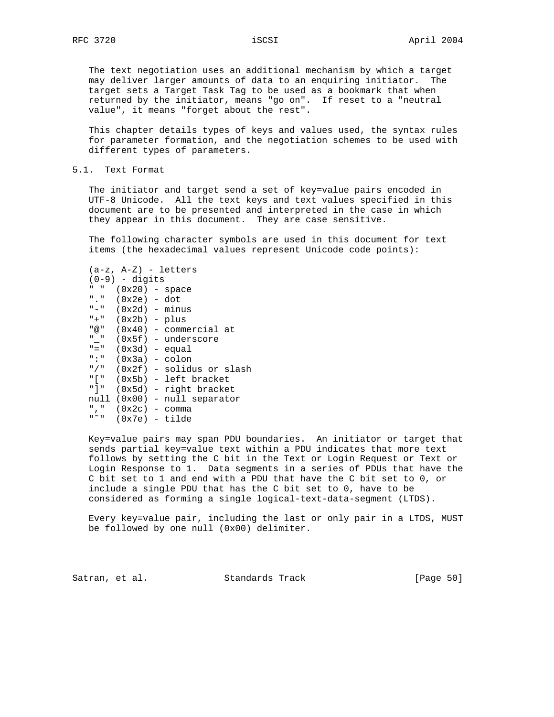The text negotiation uses an additional mechanism by which a target may deliver larger amounts of data to an enquiring initiator. The target sets a Target Task Tag to be used as a bookmark that when returned by the initiator, means "go on". If reset to a "neutral value", it means "forget about the rest".

 This chapter details types of keys and values used, the syntax rules for parameter formation, and the negotiation schemes to be used with different types of parameters.

#### 5.1. Text Format

 The initiator and target send a set of key=value pairs encoded in UTF-8 Unicode. All the text keys and text values specified in this document are to be presented and interpreted in the case in which they appear in this document. They are case sensitive.

 The following character symbols are used in this document for text items (the hexadecimal values represent Unicode code points):

|                                         | $(a-z, A-Z) - letters$ |                                 |  |
|-----------------------------------------|------------------------|---------------------------------|--|
|                                         | (0-9) - digits         |                                 |  |
| <b>H</b> H                              | $(0x20)$ - space       |                                 |  |
|                                         | "." $(0x2e) - dot$     |                                 |  |
|                                         | "-" (Ox2d) – minus     |                                 |  |
|                                         | "+" $(0x2b) - p$ lus   |                                 |  |
|                                         |                        | "@" (0x40) - commercial at      |  |
| $\mathbf{H}=\mathbf{H}$ .               |                        | (Ox5f) – underscore             |  |
| $^{\prime\prime}$ = $^{\prime\prime}$ . | $(0x3d)$ - equal       |                                 |  |
| " : "                                   | $(0x3a) - colon$       |                                 |  |
|                                         |                        | "/" $(0x2f)$ - solidus or slash |  |
|                                         |                        | "[" (0x5b) - left bracket       |  |
| "1"                                     |                        | (Ox5d) - right bracket          |  |
|                                         |                        | null (0x00) - null separator    |  |
|                                         | "," $(0x2c)$ - comma   |                                 |  |
| $_{\rm H}$ $\sim$ $_{\rm H}$            | $(0x7e) - tilde$       |                                 |  |

 Key=value pairs may span PDU boundaries. An initiator or target that sends partial key=value text within a PDU indicates that more text follows by setting the C bit in the Text or Login Request or Text or Login Response to 1. Data segments in a series of PDUs that have the C bit set to 1 and end with a PDU that have the C bit set to 0, or include a single PDU that has the C bit set to 0, have to be considered as forming a single logical-text-data-segment (LTDS).

 Every key=value pair, including the last or only pair in a LTDS, MUST be followed by one null (0x00) delimiter.

Satran, et al. Standards Track [Page 50]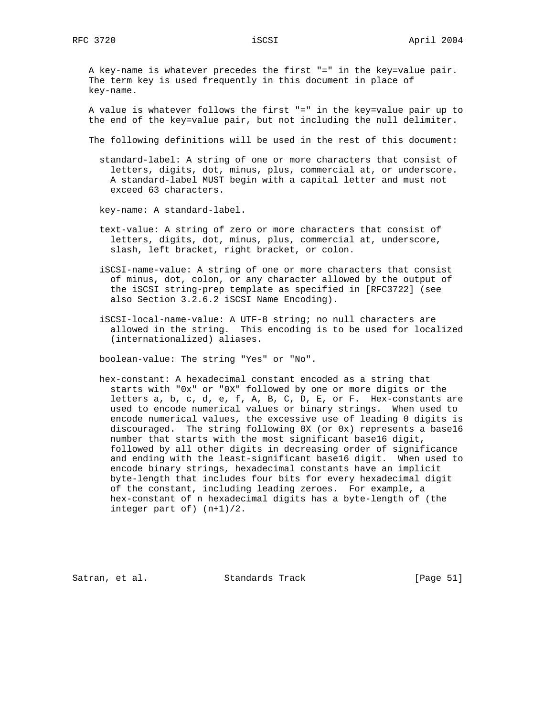A key-name is whatever precedes the first "=" in the key=value pair. The term key is used frequently in this document in place of key-name.

 A value is whatever follows the first "=" in the key=value pair up to the end of the key=value pair, but not including the null delimiter.

The following definitions will be used in the rest of this document:

 standard-label: A string of one or more characters that consist of letters, digits, dot, minus, plus, commercial at, or underscore. A standard-label MUST begin with a capital letter and must not exceed 63 characters.

key-name: A standard-label.

 text-value: A string of zero or more characters that consist of letters, digits, dot, minus, plus, commercial at, underscore, slash, left bracket, right bracket, or colon.

 iSCSI-name-value: A string of one or more characters that consist of minus, dot, colon, or any character allowed by the output of the iSCSI string-prep template as specified in [RFC3722] (see also Section 3.2.6.2 iSCSI Name Encoding).

 iSCSI-local-name-value: A UTF-8 string; no null characters are allowed in the string. This encoding is to be used for localized (internationalized) aliases.

boolean-value: The string "Yes" or "No".

 hex-constant: A hexadecimal constant encoded as a string that starts with "0x" or "0X" followed by one or more digits or the letters a, b, c, d, e, f, A, B, C, D, E, or F. Hex-constants are used to encode numerical values or binary strings. When used to encode numerical values, the excessive use of leading 0 digits is discouraged. The string following 0X (or 0x) represents a base16 number that starts with the most significant base16 digit, followed by all other digits in decreasing order of significance and ending with the least-significant base16 digit. When used to encode binary strings, hexadecimal constants have an implicit byte-length that includes four bits for every hexadecimal digit of the constant, including leading zeroes. For example, a hex-constant of n hexadecimal digits has a byte-length of (the integer part of) (n+1)/2.

Satran, et al. Standards Track [Page 51]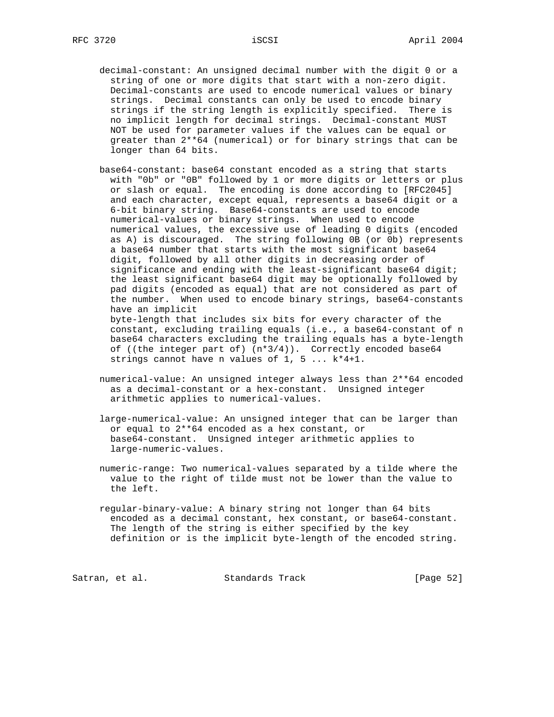- RFC 3720 **iSCSI https://www.iscs.com/iSCSI April 2004** 
	- decimal-constant: An unsigned decimal number with the digit 0 or a string of one or more digits that start with a non-zero digit. Decimal-constants are used to encode numerical values or binary strings. Decimal constants can only be used to encode binary strings if the string length is explicitly specified. There is no implicit length for decimal strings. Decimal-constant MUST NOT be used for parameter values if the values can be equal or greater than 2\*\*64 (numerical) or for binary strings that can be longer than 64 bits.
	- base64-constant: base64 constant encoded as a string that starts with "0b" or "0B" followed by 1 or more digits or letters or plus or slash or equal. The encoding is done according to [RFC2045] and each character, except equal, represents a base64 digit or a 6-bit binary string. Base64-constants are used to encode numerical-values or binary strings. When used to encode numerical values, the excessive use of leading 0 digits (encoded as A) is discouraged. The string following 0B (or 0b) represents a base64 number that starts with the most significant base64 digit, followed by all other digits in decreasing order of significance and ending with the least-significant base64 digit; the least significant base64 digit may be optionally followed by pad digits (encoded as equal) that are not considered as part of the number. When used to encode binary strings, base64-constants have an implicit byte-length that includes six bits for every character of the

 constant, excluding trailing equals (i.e., a base64-constant of n base64 characters excluding the trailing equals has a byte-length of ((the integer part of) (n\*3/4)). Correctly encoded base64 strings cannot have n values of 1, 5 ... k\*4+1.

 numerical-value: An unsigned integer always less than 2\*\*64 encoded as a decimal-constant or a hex-constant. Unsigned integer arithmetic applies to numerical-values.

 large-numerical-value: An unsigned integer that can be larger than or equal to 2\*\*64 encoded as a hex constant, or base64-constant. Unsigned integer arithmetic applies to large-numeric-values.

 numeric-range: Two numerical-values separated by a tilde where the value to the right of tilde must not be lower than the value to the left.

 regular-binary-value: A binary string not longer than 64 bits encoded as a decimal constant, hex constant, or base64-constant. The length of the string is either specified by the key definition or is the implicit byte-length of the encoded string.

Satran, et al. Standards Track [Page 52]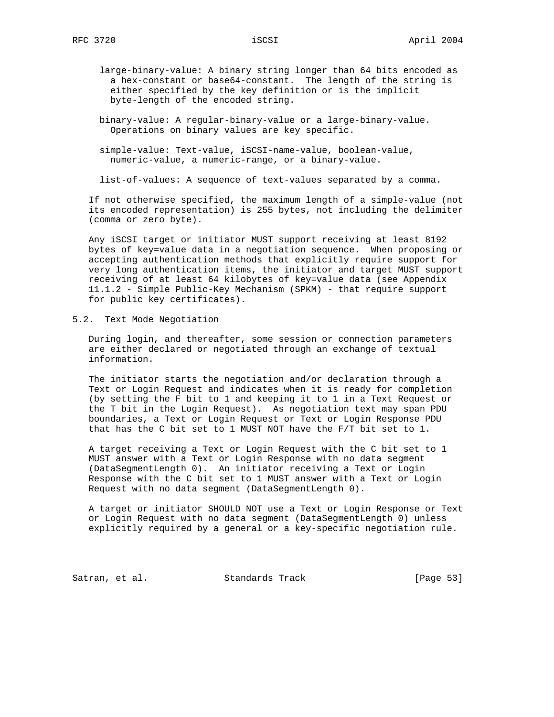- large-binary-value: A binary string longer than 64 bits encoded as a hex-constant or base64-constant. The length of the string is either specified by the key definition or is the implicit byte-length of the encoded string.
- binary-value: A regular-binary-value or a large-binary-value. Operations on binary values are key specific.
- simple-value: Text-value, iSCSI-name-value, boolean-value, numeric-value, a numeric-range, or a binary-value.

list-of-values: A sequence of text-values separated by a comma.

 If not otherwise specified, the maximum length of a simple-value (not its encoded representation) is 255 bytes, not including the delimiter (comma or zero byte).

 Any iSCSI target or initiator MUST support receiving at least 8192 bytes of key=value data in a negotiation sequence. When proposing or accepting authentication methods that explicitly require support for very long authentication items, the initiator and target MUST support receiving of at least 64 kilobytes of key=value data (see Appendix 11.1.2 - Simple Public-Key Mechanism (SPKM) - that require support for public key certificates).

5.2. Text Mode Negotiation

 During login, and thereafter, some session or connection parameters are either declared or negotiated through an exchange of textual information.

 The initiator starts the negotiation and/or declaration through a Text or Login Request and indicates when it is ready for completion (by setting the F bit to 1 and keeping it to 1 in a Text Request or the T bit in the Login Request). As negotiation text may span PDU boundaries, a Text or Login Request or Text or Login Response PDU that has the C bit set to 1 MUST NOT have the F/T bit set to 1.

 A target receiving a Text or Login Request with the C bit set to 1 MUST answer with a Text or Login Response with no data segment (DataSegmentLength 0). An initiator receiving a Text or Login Response with the C bit set to 1 MUST answer with a Text or Login Request with no data segment (DataSegmentLength 0).

 A target or initiator SHOULD NOT use a Text or Login Response or Text or Login Request with no data segment (DataSegmentLength 0) unless explicitly required by a general or a key-specific negotiation rule.

Satran, et al. Standards Track [Page 53]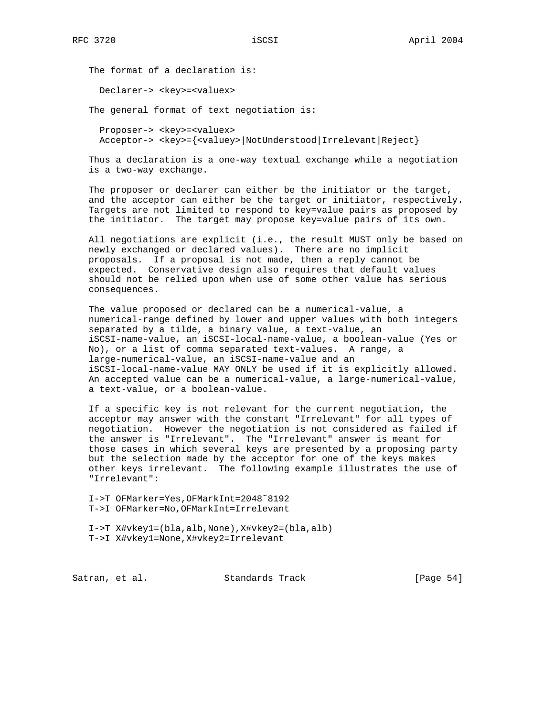The format of a declaration is:

Declarer-> <key>=<valuex>

The general format of text negotiation is:

 Proposer-> <key>=<valuex> Acceptor-> <key>={<valuey>|NotUnderstood|Irrelevant|Reject}

 Thus a declaration is a one-way textual exchange while a negotiation is a two-way exchange.

 The proposer or declarer can either be the initiator or the target, and the acceptor can either be the target or initiator, respectively. Targets are not limited to respond to key=value pairs as proposed by the initiator. The target may propose key=value pairs of its own.

 All negotiations are explicit (i.e., the result MUST only be based on newly exchanged or declared values). There are no implicit proposals. If a proposal is not made, then a reply cannot be expected. Conservative design also requires that default values should not be relied upon when use of some other value has serious consequences.

 The value proposed or declared can be a numerical-value, a numerical-range defined by lower and upper values with both integers separated by a tilde, a binary value, a text-value, an iSCSI-name-value, an iSCSI-local-name-value, a boolean-value (Yes or No), or a list of comma separated text-values. A range, a large-numerical-value, an iSCSI-name-value and an iSCSI-local-name-value MAY ONLY be used if it is explicitly allowed. An accepted value can be a numerical-value, a large-numerical-value, a text-value, or a boolean-value.

 If a specific key is not relevant for the current negotiation, the acceptor may answer with the constant "Irrelevant" for all types of negotiation. However the negotiation is not considered as failed if the answer is "Irrelevant". The "Irrelevant" answer is meant for those cases in which several keys are presented by a proposing party but the selection made by the acceptor for one of the keys makes other keys irrelevant. The following example illustrates the use of "Irrelevant":

 I->T OFMarker=Yes,OFMarkInt=2048˜8192 T->I OFMarker=No,OFMarkInt=Irrelevant

 I->T X#vkey1=(bla,alb,None),X#vkey2=(bla,alb) T->I X#vkey1=None,X#vkey2=Irrelevant

Satran, et al. Standards Track [Page 54]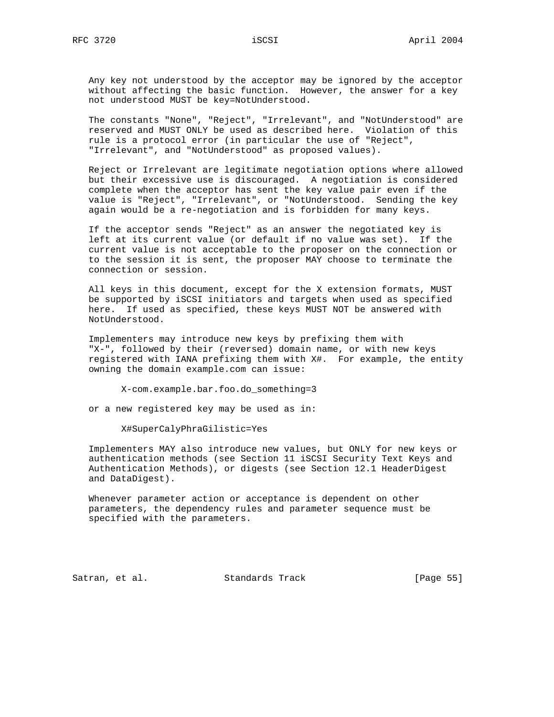Any key not understood by the acceptor may be ignored by the acceptor without affecting the basic function. However, the answer for a key not understood MUST be key=NotUnderstood.

 The constants "None", "Reject", "Irrelevant", and "NotUnderstood" are reserved and MUST ONLY be used as described here. Violation of this rule is a protocol error (in particular the use of "Reject", "Irrelevant", and "NotUnderstood" as proposed values).

 Reject or Irrelevant are legitimate negotiation options where allowed but their excessive use is discouraged. A negotiation is considered complete when the acceptor has sent the key value pair even if the value is "Reject", "Irrelevant", or "NotUnderstood. Sending the key again would be a re-negotiation and is forbidden for many keys.

 If the acceptor sends "Reject" as an answer the negotiated key is left at its current value (or default if no value was set). If the current value is not acceptable to the proposer on the connection or to the session it is sent, the proposer MAY choose to terminate the connection or session.

 All keys in this document, except for the X extension formats, MUST be supported by iSCSI initiators and targets when used as specified here. If used as specified, these keys MUST NOT be answered with NotUnderstood.

 Implementers may introduce new keys by prefixing them with "X-", followed by their (reversed) domain name, or with new keys registered with IANA prefixing them with X#. For example, the entity owning the domain example.com can issue:

X-com.example.bar.foo.do\_something=3

or a new registered key may be used as in:

X#SuperCalyPhraGilistic=Yes

 Implementers MAY also introduce new values, but ONLY for new keys or authentication methods (see Section 11 iSCSI Security Text Keys and Authentication Methods), or digests (see Section 12.1 HeaderDigest and DataDigest).

 Whenever parameter action or acceptance is dependent on other parameters, the dependency rules and parameter sequence must be specified with the parameters.

Satran, et al. Standards Track [Page 55]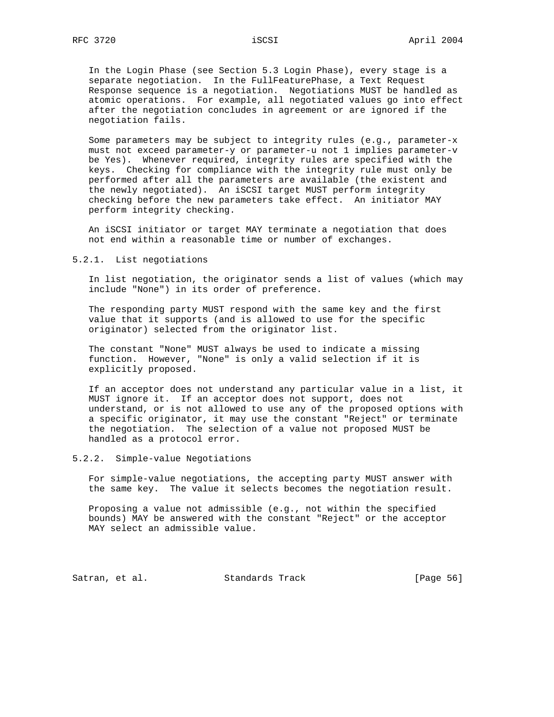In the Login Phase (see Section 5.3 Login Phase), every stage is a separate negotiation. In the FullFeaturePhase, a Text Request Response sequence is a negotiation. Negotiations MUST be handled as atomic operations. For example, all negotiated values go into effect after the negotiation concludes in agreement or are ignored if the negotiation fails.

 Some parameters may be subject to integrity rules (e.g., parameter-x must not exceed parameter-y or parameter-u not 1 implies parameter-v be Yes). Whenever required, integrity rules are specified with the keys. Checking for compliance with the integrity rule must only be performed after all the parameters are available (the existent and the newly negotiated). An iSCSI target MUST perform integrity checking before the new parameters take effect. An initiator MAY perform integrity checking.

 An iSCSI initiator or target MAY terminate a negotiation that does not end within a reasonable time or number of exchanges.

5.2.1. List negotiations

 In list negotiation, the originator sends a list of values (which may include "None") in its order of preference.

 The responding party MUST respond with the same key and the first value that it supports (and is allowed to use for the specific originator) selected from the originator list.

 The constant "None" MUST always be used to indicate a missing function. However, "None" is only a valid selection if it is explicitly proposed.

 If an acceptor does not understand any particular value in a list, it MUST ignore it. If an acceptor does not support, does not understand, or is not allowed to use any of the proposed options with a specific originator, it may use the constant "Reject" or terminate the negotiation. The selection of a value not proposed MUST be handled as a protocol error.

5.2.2. Simple-value Negotiations

 For simple-value negotiations, the accepting party MUST answer with the same key. The value it selects becomes the negotiation result.

 Proposing a value not admissible (e.g., not within the specified bounds) MAY be answered with the constant "Reject" or the acceptor MAY select an admissible value.

Satran, et al. Standards Track [Page 56]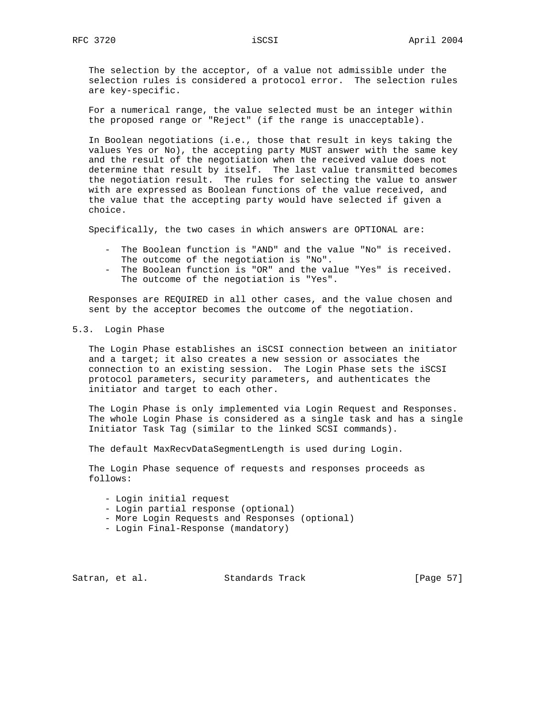The selection by the acceptor, of a value not admissible under the selection rules is considered a protocol error. The selection rules are key-specific.

 For a numerical range, the value selected must be an integer within the proposed range or "Reject" (if the range is unacceptable).

 In Boolean negotiations (i.e., those that result in keys taking the values Yes or No), the accepting party MUST answer with the same key and the result of the negotiation when the received value does not determine that result by itself. The last value transmitted becomes the negotiation result. The rules for selecting the value to answer with are expressed as Boolean functions of the value received, and the value that the accepting party would have selected if given a choice.

Specifically, the two cases in which answers are OPTIONAL are:

- The Boolean function is "AND" and the value "No" is received. The outcome of the negotiation is "No".
- The Boolean function is "OR" and the value "Yes" is received. The outcome of the negotiation is "Yes".

 Responses are REQUIRED in all other cases, and the value chosen and sent by the acceptor becomes the outcome of the negotiation.

5.3. Login Phase

 The Login Phase establishes an iSCSI connection between an initiator and a target; it also creates a new session or associates the connection to an existing session. The Login Phase sets the iSCSI protocol parameters, security parameters, and authenticates the initiator and target to each other.

 The Login Phase is only implemented via Login Request and Responses. The whole Login Phase is considered as a single task and has a single Initiator Task Tag (similar to the linked SCSI commands).

The default MaxRecvDataSegmentLength is used during Login.

 The Login Phase sequence of requests and responses proceeds as follows:

- Login initial request
- Login partial response (optional)
- More Login Requests and Responses (optional)
- Login Final-Response (mandatory)

Satran, et al. Standards Track [Page 57]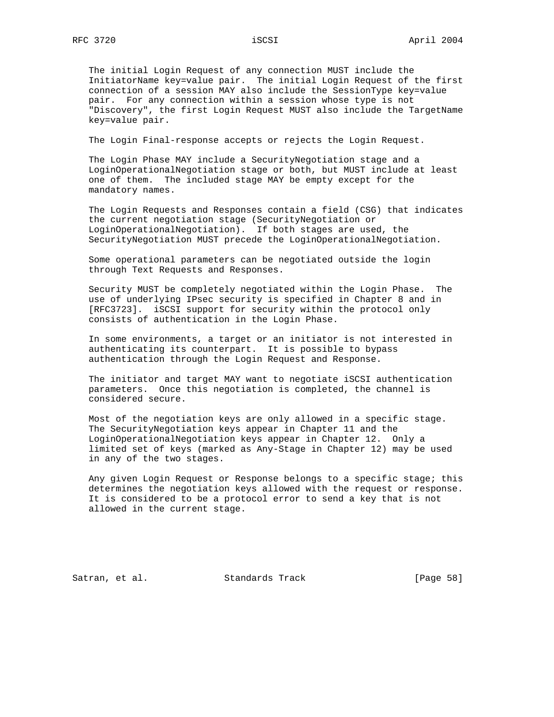The initial Login Request of any connection MUST include the InitiatorName key=value pair. The initial Login Request of the first connection of a session MAY also include the SessionType key=value pair. For any connection within a session whose type is not "Discovery", the first Login Request MUST also include the TargetName key=value pair.

The Login Final-response accepts or rejects the Login Request.

 The Login Phase MAY include a SecurityNegotiation stage and a LoginOperationalNegotiation stage or both, but MUST include at least one of them. The included stage MAY be empty except for the mandatory names.

 The Login Requests and Responses contain a field (CSG) that indicates the current negotiation stage (SecurityNegotiation or LoginOperationalNegotiation). If both stages are used, the SecurityNegotiation MUST precede the LoginOperationalNegotiation.

 Some operational parameters can be negotiated outside the login through Text Requests and Responses.

 Security MUST be completely negotiated within the Login Phase. The use of underlying IPsec security is specified in Chapter 8 and in [RFC3723]. iSCSI support for security within the protocol only consists of authentication in the Login Phase.

 In some environments, a target or an initiator is not interested in authenticating its counterpart. It is possible to bypass authentication through the Login Request and Response.

 The initiator and target MAY want to negotiate iSCSI authentication parameters. Once this negotiation is completed, the channel is considered secure.

 Most of the negotiation keys are only allowed in a specific stage. The SecurityNegotiation keys appear in Chapter 11 and the LoginOperationalNegotiation keys appear in Chapter 12. Only a limited set of keys (marked as Any-Stage in Chapter 12) may be used in any of the two stages.

 Any given Login Request or Response belongs to a specific stage; this determines the negotiation keys allowed with the request or response. It is considered to be a protocol error to send a key that is not allowed in the current stage.

Satran, et al. Standards Track [Page 58]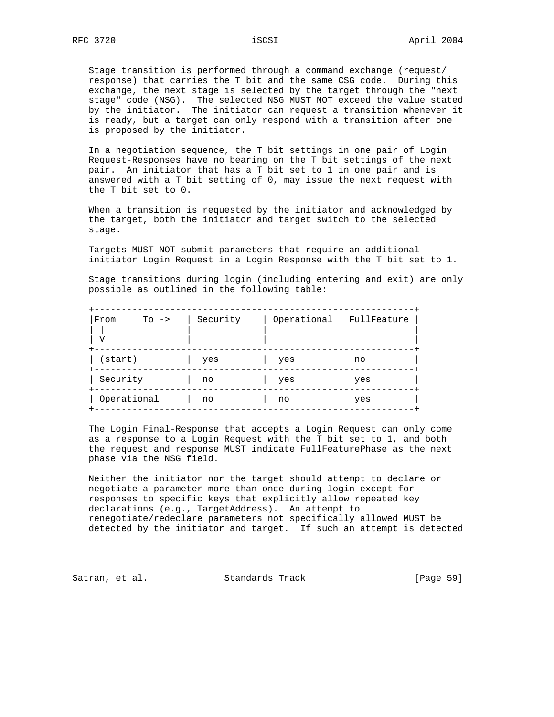Stage transition is performed through a command exchange (request/ response) that carries the T bit and the same CSG code. During this exchange, the next stage is selected by the target through the "next stage" code (NSG). The selected NSG MUST NOT exceed the value stated by the initiator. The initiator can request a transition whenever it is ready, but a target can only respond with a transition after one is proposed by the initiator.

 In a negotiation sequence, the T bit settings in one pair of Login Request-Responses have no bearing on the T bit settings of the next pair. An initiator that has a T bit set to 1 in one pair and is answered with a T bit setting of 0, may issue the next request with the T bit set to 0.

 When a transition is requested by the initiator and acknowledged by the target, both the initiator and target switch to the selected stage.

 Targets MUST NOT submit parameters that require an additional initiator Login Request in a Login Response with the T bit set to 1.

 Stage transitions during login (including entering and exit) are only possible as outlined in the following table:

| From<br>$To \rightarrow$<br>٦7 | Security | Operational | FullFeature |
|--------------------------------|----------|-------------|-------------|
| $(s\tan t)$                    | yes      | yes         | no          |
| Security                       | no       | yes         | yes         |
| Operational                    | no       | no          | yes         |

 The Login Final-Response that accepts a Login Request can only come as a response to a Login Request with the T bit set to 1, and both the request and response MUST indicate FullFeaturePhase as the next phase via the NSG field.

 Neither the initiator nor the target should attempt to declare or negotiate a parameter more than once during login except for responses to specific keys that explicitly allow repeated key declarations (e.g., TargetAddress). An attempt to renegotiate/redeclare parameters not specifically allowed MUST be detected by the initiator and target. If such an attempt is detected

Satran, et al. Standards Track [Page 59]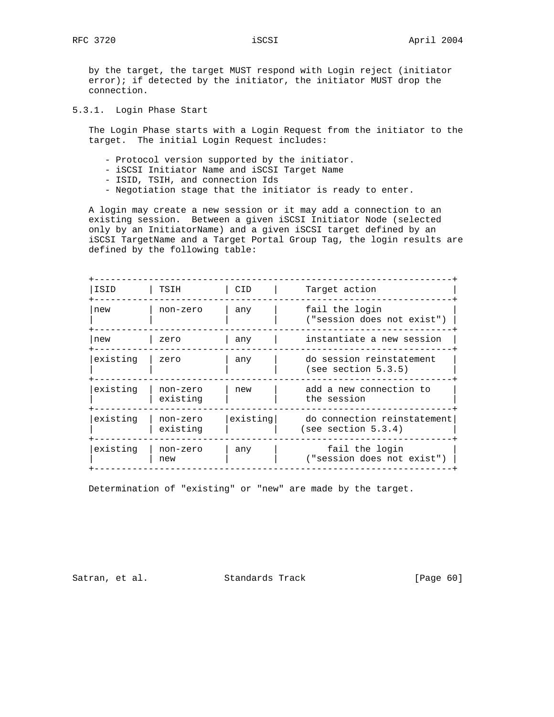by the target, the target MUST respond with Login reject (initiator  $error$ ; if detected by the initiator, the initiator MUST drop the connection.

5.3.1. Login Phase Start

 The Login Phase starts with a Login Request from the initiator to the target. The initial Login Request includes:

- Protocol version supported by the initiator.
- iSCSI Initiator Name and iSCSI Target Name
- ISID, TSIH, and connection Ids
- Negotiation stage that the initiator is ready to enter.

 A login may create a new session or it may add a connection to an existing session. Between a given iSCSI Initiator Node (selected only by an InitiatorName) and a given iSCSI target defined by an iSCSI TargetName and a Target Portal Group Tag, the login results are defined by the following table:

| ISID     | TSIH                 | CID.     | Target action                                         |
|----------|----------------------|----------|-------------------------------------------------------|
| new      | non-zero             | any      | fail the login<br>("session does not exist")          |
| new      | zero                 | any      | instantiate a new session                             |
| existing | zero                 | any      | do session reinstatement<br>(see section 5.3.5)       |
| existing | non-zero<br>existing | new      | add a new connection to<br>the session                |
| existing | non-zero<br>existing | existing | do connection reinstatement<br>(see section $5.3.4$ ) |
| existing | non-zero<br>new      | any      | fail the login<br>("session does not exist")          |

Determination of "existing" or "new" are made by the target.

Satran, et al. Standards Track [Page 60]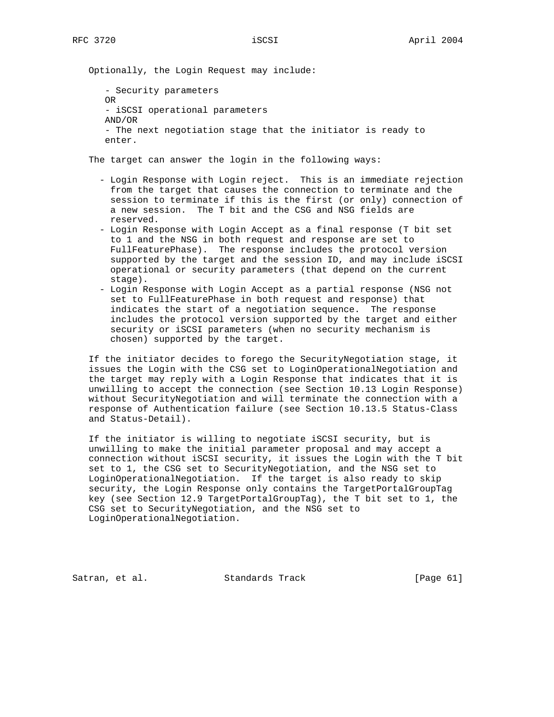Optionally, the Login Request may include:

```
 - Security parameters
OR
- iSCSI operational parameters
AND/OR
- The next negotiation stage that the initiator is ready to
enter.
```
The target can answer the login in the following ways:

- Login Response with Login reject. This is an immediate rejection from the target that causes the connection to terminate and the session to terminate if this is the first (or only) connection of a new session. The T bit and the CSG and NSG fields are reserved.
- Login Response with Login Accept as a final response (T bit set to 1 and the NSG in both request and response are set to FullFeaturePhase). The response includes the protocol version supported by the target and the session ID, and may include iSCSI operational or security parameters (that depend on the current stage).
- Login Response with Login Accept as a partial response (NSG not set to FullFeaturePhase in both request and response) that indicates the start of a negotiation sequence. The response includes the protocol version supported by the target and either security or iSCSI parameters (when no security mechanism is chosen) supported by the target.

 If the initiator decides to forego the SecurityNegotiation stage, it issues the Login with the CSG set to LoginOperationalNegotiation and the target may reply with a Login Response that indicates that it is unwilling to accept the connection (see Section 10.13 Login Response) without SecurityNegotiation and will terminate the connection with a response of Authentication failure (see Section 10.13.5 Status-Class and Status-Detail).

 If the initiator is willing to negotiate iSCSI security, but is unwilling to make the initial parameter proposal and may accept a connection without iSCSI security, it issues the Login with the T bit set to 1, the CSG set to SecurityNegotiation, and the NSG set to LoginOperationalNegotiation. If the target is also ready to skip security, the Login Response only contains the TargetPortalGroupTag key (see Section 12.9 TargetPortalGroupTag), the T bit set to 1, the CSG set to SecurityNegotiation, and the NSG set to LoginOperationalNegotiation.

Satran, et al. Standards Track [Page 61]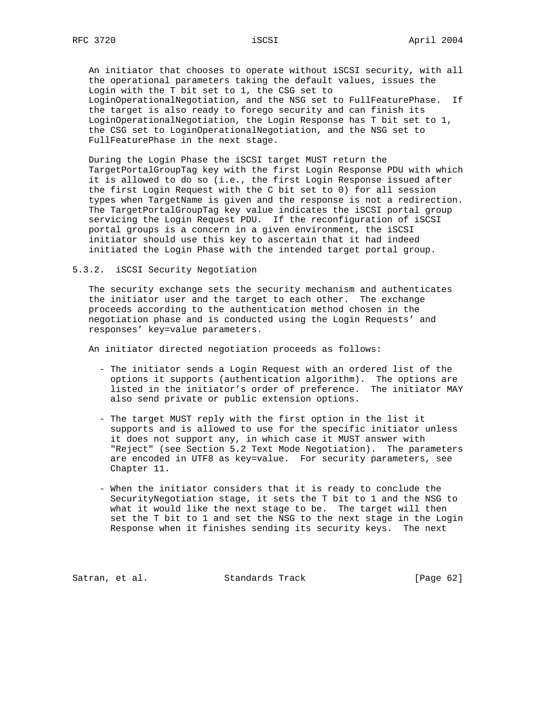An initiator that chooses to operate without iSCSI security, with all the operational parameters taking the default values, issues the Login with the T bit set to 1, the CSG set to LoginOperationalNegotiation, and the NSG set to FullFeaturePhase. If the target is also ready to forego security and can finish its LoginOperationalNegotiation, the Login Response has T bit set to 1, the CSG set to LoginOperationalNegotiation, and the NSG set to FullFeaturePhase in the next stage.

 During the Login Phase the iSCSI target MUST return the TargetPortalGroupTag key with the first Login Response PDU with which it is allowed to do so (i.e., the first Login Response issued after the first Login Request with the C bit set to 0) for all session types when TargetName is given and the response is not a redirection. The TargetPortalGroupTag key value indicates the iSCSI portal group servicing the Login Request PDU. If the reconfiguration of iSCSI portal groups is a concern in a given environment, the iSCSI initiator should use this key to ascertain that it had indeed initiated the Login Phase with the intended target portal group.

5.3.2. iSCSI Security Negotiation

 The security exchange sets the security mechanism and authenticates the initiator user and the target to each other. The exchange proceeds according to the authentication method chosen in the negotiation phase and is conducted using the Login Requests' and responses' key=value parameters.

An initiator directed negotiation proceeds as follows:

- The initiator sends a Login Request with an ordered list of the options it supports (authentication algorithm). The options are listed in the initiator's order of preference. The initiator MAY also send private or public extension options.
- The target MUST reply with the first option in the list it supports and is allowed to use for the specific initiator unless it does not support any, in which case it MUST answer with "Reject" (see Section 5.2 Text Mode Negotiation). The parameters are encoded in UTF8 as key=value. For security parameters, see Chapter 11.
- When the initiator considers that it is ready to conclude the SecurityNegotiation stage, it sets the T bit to 1 and the NSG to what it would like the next stage to be. The target will then set the T bit to 1 and set the NSG to the next stage in the Login Response when it finishes sending its security keys. The next

Satran, et al. Standards Track [Page 62]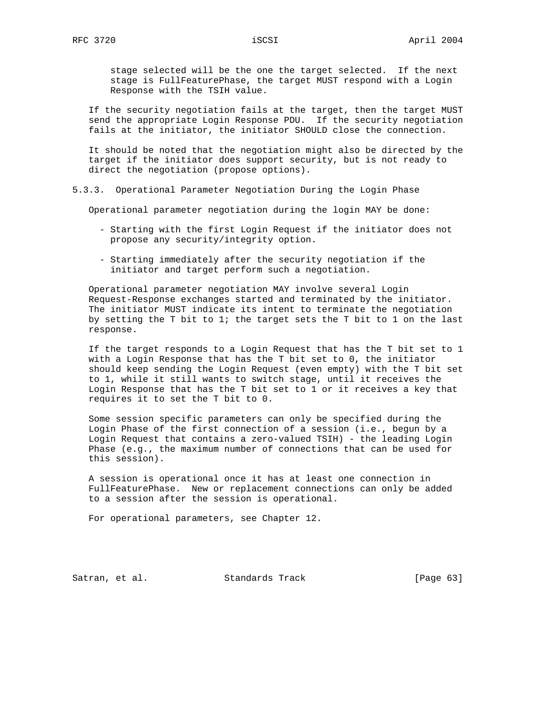stage selected will be the one the target selected. If the next stage is FullFeaturePhase, the target MUST respond with a Login Response with the TSIH value.

 If the security negotiation fails at the target, then the target MUST send the appropriate Login Response PDU. If the security negotiation fails at the initiator, the initiator SHOULD close the connection.

 It should be noted that the negotiation might also be directed by the target if the initiator does support security, but is not ready to direct the negotiation (propose options).

5.3.3. Operational Parameter Negotiation During the Login Phase

Operational parameter negotiation during the login MAY be done:

- Starting with the first Login Request if the initiator does not propose any security/integrity option.
- Starting immediately after the security negotiation if the initiator and target perform such a negotiation.

 Operational parameter negotiation MAY involve several Login Request-Response exchanges started and terminated by the initiator. The initiator MUST indicate its intent to terminate the negotiation by setting the T bit to 1; the target sets the T bit to 1 on the last response.

 If the target responds to a Login Request that has the T bit set to 1 with a Login Response that has the T bit set to 0, the initiator should keep sending the Login Request (even empty) with the T bit set to 1, while it still wants to switch stage, until it receives the Login Response that has the T bit set to 1 or it receives a key that requires it to set the T bit to 0.

 Some session specific parameters can only be specified during the Login Phase of the first connection of a session (i.e., begun by a Login Request that contains a zero-valued TSIH) - the leading Login Phase (e.g., the maximum number of connections that can be used for this session).

 A session is operational once it has at least one connection in FullFeaturePhase. New or replacement connections can only be added to a session after the session is operational.

For operational parameters, see Chapter 12.

Satran, et al. Standards Track [Page 63]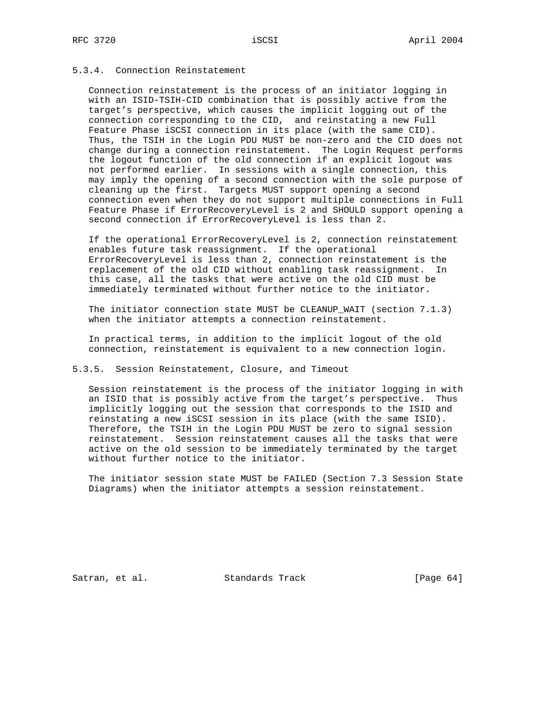# 5.3.4. Connection Reinstatement

 Connection reinstatement is the process of an initiator logging in with an ISID-TSIH-CID combination that is possibly active from the target's perspective, which causes the implicit logging out of the connection corresponding to the CID, and reinstating a new Full Feature Phase iSCSI connection in its place (with the same CID). Thus, the TSIH in the Login PDU MUST be non-zero and the CID does not change during a connection reinstatement. The Login Request performs the logout function of the old connection if an explicit logout was not performed earlier. In sessions with a single connection, this may imply the opening of a second connection with the sole purpose of cleaning up the first. Targets MUST support opening a second connection even when they do not support multiple connections in Full Feature Phase if ErrorRecoveryLevel is 2 and SHOULD support opening a second connection if ErrorRecoveryLevel is less than 2.

 If the operational ErrorRecoveryLevel is 2, connection reinstatement enables future task reassignment. If the operational ErrorRecoveryLevel is less than 2, connection reinstatement is the replacement of the old CID without enabling task reassignment. In this case, all the tasks that were active on the old CID must be immediately terminated without further notice to the initiator.

 The initiator connection state MUST be CLEANUP\_WAIT (section 7.1.3) when the initiator attempts a connection reinstatement.

 In practical terms, in addition to the implicit logout of the old connection, reinstatement is equivalent to a new connection login.

5.3.5. Session Reinstatement, Closure, and Timeout

 Session reinstatement is the process of the initiator logging in with an ISID that is possibly active from the target's perspective. Thus implicitly logging out the session that corresponds to the ISID and reinstating a new iSCSI session in its place (with the same ISID). Therefore, the TSIH in the Login PDU MUST be zero to signal session reinstatement. Session reinstatement causes all the tasks that were active on the old session to be immediately terminated by the target without further notice to the initiator.

 The initiator session state MUST be FAILED (Section 7.3 Session State Diagrams) when the initiator attempts a session reinstatement.

Satran, et al. Standards Track [Page 64]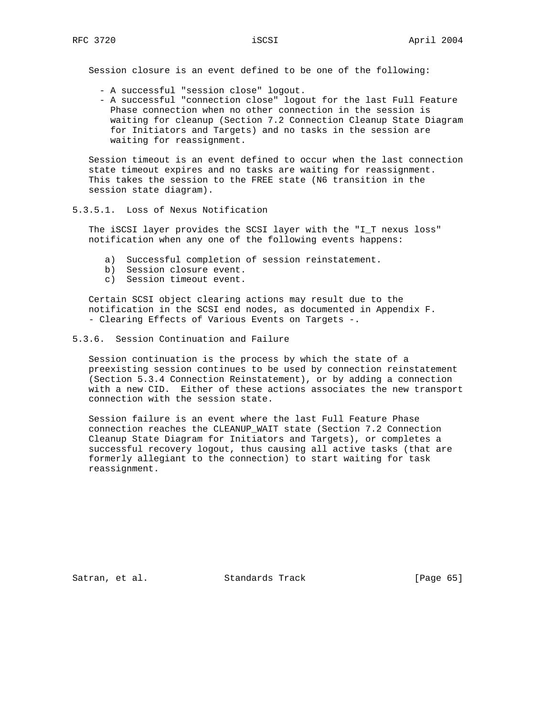Session closure is an event defined to be one of the following:

- A successful "session close" logout.
- A successful "connection close" logout for the last Full Feature Phase connection when no other connection in the session is waiting for cleanup (Section 7.2 Connection Cleanup State Diagram for Initiators and Targets) and no tasks in the session are waiting for reassignment.

 Session timeout is an event defined to occur when the last connection state timeout expires and no tasks are waiting for reassignment. This takes the session to the FREE state (N6 transition in the session state diagram).

5.3.5.1. Loss of Nexus Notification

 The iSCSI layer provides the SCSI layer with the "I\_T nexus loss" notification when any one of the following events happens:

- a) Successful completion of session reinstatement.
- b) Session closure event.
- c) Session timeout event.

 Certain SCSI object clearing actions may result due to the notification in the SCSI end nodes, as documented in Appendix F. - Clearing Effects of Various Events on Targets -.

## 5.3.6. Session Continuation and Failure

 Session continuation is the process by which the state of a preexisting session continues to be used by connection reinstatement (Section 5.3.4 Connection Reinstatement), or by adding a connection with a new CID. Either of these actions associates the new transport connection with the session state.

 Session failure is an event where the last Full Feature Phase connection reaches the CLEANUP\_WAIT state (Section 7.2 Connection Cleanup State Diagram for Initiators and Targets), or completes a successful recovery logout, thus causing all active tasks (that are formerly allegiant to the connection) to start waiting for task reassignment.

Satran, et al. Standards Track [Page 65]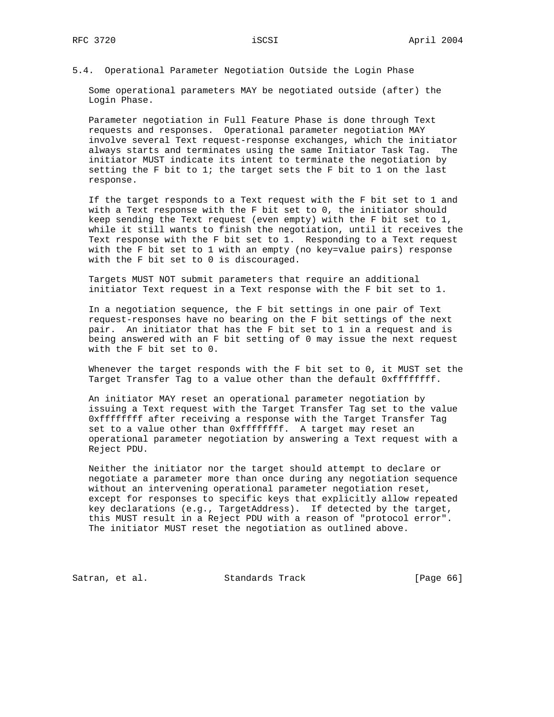## 5.4. Operational Parameter Negotiation Outside the Login Phase

 Some operational parameters MAY be negotiated outside (after) the Login Phase.

 Parameter negotiation in Full Feature Phase is done through Text requests and responses. Operational parameter negotiation MAY involve several Text request-response exchanges, which the initiator always starts and terminates using the same Initiator Task Tag. The initiator MUST indicate its intent to terminate the negotiation by setting the F bit to 1; the target sets the F bit to 1 on the last response.

 If the target responds to a Text request with the F bit set to 1 and with a Text response with the F bit set to 0, the initiator should keep sending the Text request (even empty) with the F bit set to 1, while it still wants to finish the negotiation, until it receives the Text response with the F bit set to 1. Responding to a Text request with the F bit set to 1 with an empty (no key=value pairs) response with the F bit set to 0 is discouraged.

 Targets MUST NOT submit parameters that require an additional initiator Text request in a Text response with the F bit set to 1.

 In a negotiation sequence, the F bit settings in one pair of Text request-responses have no bearing on the F bit settings of the next pair. An initiator that has the F bit set to 1 in a request and is being answered with an F bit setting of 0 may issue the next request with the F bit set to 0.

 Whenever the target responds with the F bit set to 0, it MUST set the Target Transfer Tag to a value other than the default 0xffffffff.

 An initiator MAY reset an operational parameter negotiation by issuing a Text request with the Target Transfer Tag set to the value 0xffffffff after receiving a response with the Target Transfer Tag set to a value other than 0xffffffff. A target may reset an operational parameter negotiation by answering a Text request with a Reject PDU.

 Neither the initiator nor the target should attempt to declare or negotiate a parameter more than once during any negotiation sequence without an intervening operational parameter negotiation reset, except for responses to specific keys that explicitly allow repeated key declarations (e.g., TargetAddress). If detected by the target, this MUST result in a Reject PDU with a reason of "protocol error". The initiator MUST reset the negotiation as outlined above.

Satran, et al. Standards Track [Page 66]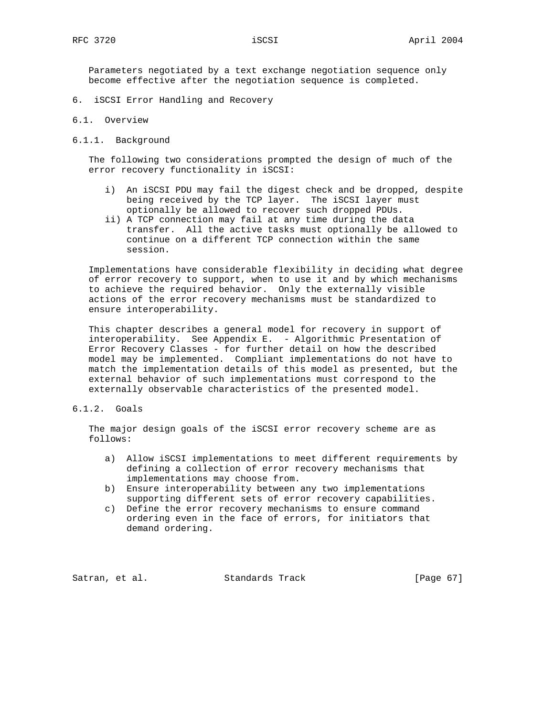Parameters negotiated by a text exchange negotiation sequence only become effective after the negotiation sequence is completed.

- 6. iSCSI Error Handling and Recovery
- 6.1. Overview
- 6.1.1. Background

 The following two considerations prompted the design of much of the error recovery functionality in iSCSI:

- i) An iSCSI PDU may fail the digest check and be dropped, despite being received by the TCP layer. The iSCSI layer must optionally be allowed to recover such dropped PDUs.
- ii) A TCP connection may fail at any time during the data transfer. All the active tasks must optionally be allowed to continue on a different TCP connection within the same session.

 Implementations have considerable flexibility in deciding what degree of error recovery to support, when to use it and by which mechanisms to achieve the required behavior. Only the externally visible actions of the error recovery mechanisms must be standardized to ensure interoperability.

 This chapter describes a general model for recovery in support of interoperability. See Appendix E. - Algorithmic Presentation of Error Recovery Classes - for further detail on how the described model may be implemented. Compliant implementations do not have to match the implementation details of this model as presented, but the external behavior of such implementations must correspond to the externally observable characteristics of the presented model.

6.1.2. Goals

 The major design goals of the iSCSI error recovery scheme are as follows:

- a) Allow iSCSI implementations to meet different requirements by defining a collection of error recovery mechanisms that implementations may choose from.
- b) Ensure interoperability between any two implementations supporting different sets of error recovery capabilities.
- c) Define the error recovery mechanisms to ensure command ordering even in the face of errors, for initiators that demand ordering.

Satran, et al. Standards Track [Page 67]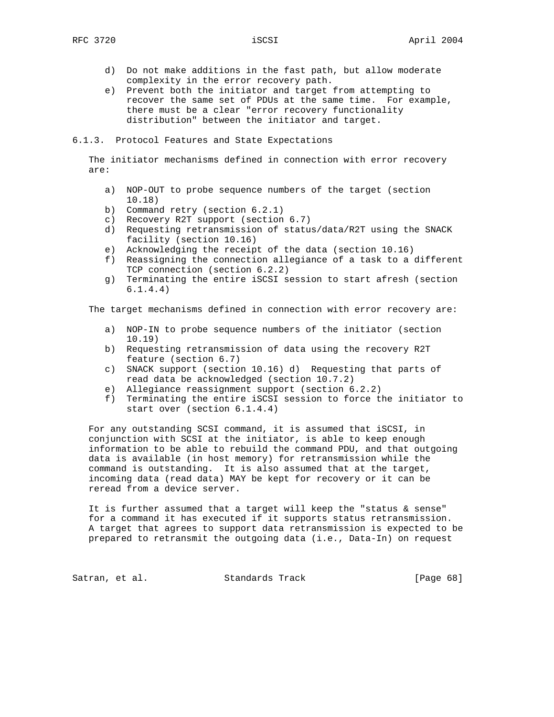- d) Do not make additions in the fast path, but allow moderate complexity in the error recovery path.
- e) Prevent both the initiator and target from attempting to recover the same set of PDUs at the same time. For example, there must be a clear "error recovery functionality distribution" between the initiator and target.

6.1.3. Protocol Features and State Expectations

 The initiator mechanisms defined in connection with error recovery are:

- a) NOP-OUT to probe sequence numbers of the target (section 10.18)
- b) Command retry (section 6.2.1)
- c) Recovery R2T support (section 6.7)
- d) Requesting retransmission of status/data/R2T using the SNACK facility (section 10.16)
- e) Acknowledging the receipt of the data (section 10.16)
- f) Reassigning the connection allegiance of a task to a different TCP connection (section 6.2.2)
- g) Terminating the entire iSCSI session to start afresh (section 6.1.4.4)

The target mechanisms defined in connection with error recovery are:

- a) NOP-IN to probe sequence numbers of the initiator (section 10.19)
- b) Requesting retransmission of data using the recovery R2T feature (section 6.7)
- c) SNACK support (section 10.16) d) Requesting that parts of read data be acknowledged (section 10.7.2)
- e) Allegiance reassignment support (section 6.2.2)
- f) Terminating the entire iSCSI session to force the initiator to start over (section 6.1.4.4)

 For any outstanding SCSI command, it is assumed that iSCSI, in conjunction with SCSI at the initiator, is able to keep enough information to be able to rebuild the command PDU, and that outgoing data is available (in host memory) for retransmission while the command is outstanding. It is also assumed that at the target, incoming data (read data) MAY be kept for recovery or it can be reread from a device server.

 It is further assumed that a target will keep the "status & sense" for a command it has executed if it supports status retransmission. A target that agrees to support data retransmission is expected to be prepared to retransmit the outgoing data (i.e., Data-In) on request

Satran, et al. Standards Track [Page 68]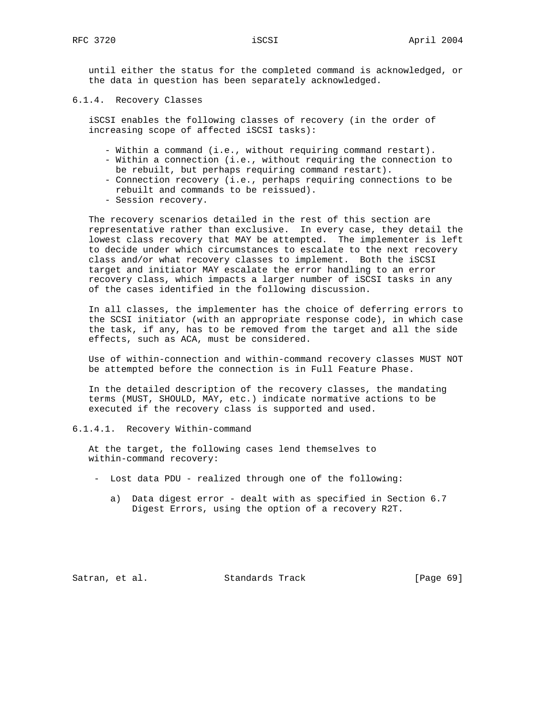until either the status for the completed command is acknowledged, or the data in question has been separately acknowledged.

6.1.4. Recovery Classes

 iSCSI enables the following classes of recovery (in the order of increasing scope of affected iSCSI tasks):

- Within a command (i.e., without requiring command restart).
- Within a connection (i.e., without requiring the connection to be rebuilt, but perhaps requiring command restart).
- Connection recovery (i.e., perhaps requiring connections to be rebuilt and commands to be reissued).
- Session recovery.

 The recovery scenarios detailed in the rest of this section are representative rather than exclusive. In every case, they detail the lowest class recovery that MAY be attempted. The implementer is left to decide under which circumstances to escalate to the next recovery class and/or what recovery classes to implement. Both the iSCSI target and initiator MAY escalate the error handling to an error recovery class, which impacts a larger number of iSCSI tasks in any of the cases identified in the following discussion.

 In all classes, the implementer has the choice of deferring errors to the SCSI initiator (with an appropriate response code), in which case the task, if any, has to be removed from the target and all the side effects, such as ACA, must be considered.

 Use of within-connection and within-command recovery classes MUST NOT be attempted before the connection is in Full Feature Phase.

 In the detailed description of the recovery classes, the mandating terms (MUST, SHOULD, MAY, etc.) indicate normative actions to be executed if the recovery class is supported and used.

6.1.4.1. Recovery Within-command

 At the target, the following cases lend themselves to within-command recovery:

- Lost data PDU realized through one of the following:
	- a) Data digest error dealt with as specified in Section 6.7 Digest Errors, using the option of a recovery R2T.

Satran, et al. Standards Track [Page 69]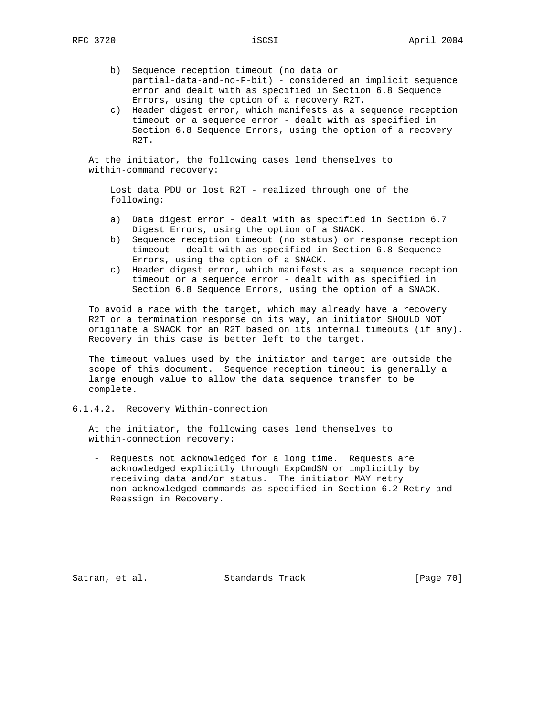- b) Sequence reception timeout (no data or partial-data-and-no-F-bit) - considered an implicit sequence error and dealt with as specified in Section 6.8 Sequence Errors, using the option of a recovery R2T.
- c) Header digest error, which manifests as a sequence reception timeout or a sequence error - dealt with as specified in Section 6.8 Sequence Errors, using the option of a recovery R2T.

 At the initiator, the following cases lend themselves to within-command recovery:

 Lost data PDU or lost R2T - realized through one of the following:

- a) Data digest error dealt with as specified in Section 6.7 Digest Errors, using the option of a SNACK.
- b) Sequence reception timeout (no status) or response reception timeout - dealt with as specified in Section 6.8 Sequence Errors, using the option of a SNACK.
- c) Header digest error, which manifests as a sequence reception timeout or a sequence error - dealt with as specified in Section 6.8 Sequence Errors, using the option of a SNACK.

 To avoid a race with the target, which may already have a recovery R2T or a termination response on its way, an initiator SHOULD NOT originate a SNACK for an R2T based on its internal timeouts (if any). Recovery in this case is better left to the target.

 The timeout values used by the initiator and target are outside the scope of this document. Sequence reception timeout is generally a large enough value to allow the data sequence transfer to be complete.

### 6.1.4.2. Recovery Within-connection

 At the initiator, the following cases lend themselves to within-connection recovery:

 - Requests not acknowledged for a long time. Requests are acknowledged explicitly through ExpCmdSN or implicitly by receiving data and/or status. The initiator MAY retry non-acknowledged commands as specified in Section 6.2 Retry and Reassign in Recovery.

Satran, et al. Standards Track [Page 70]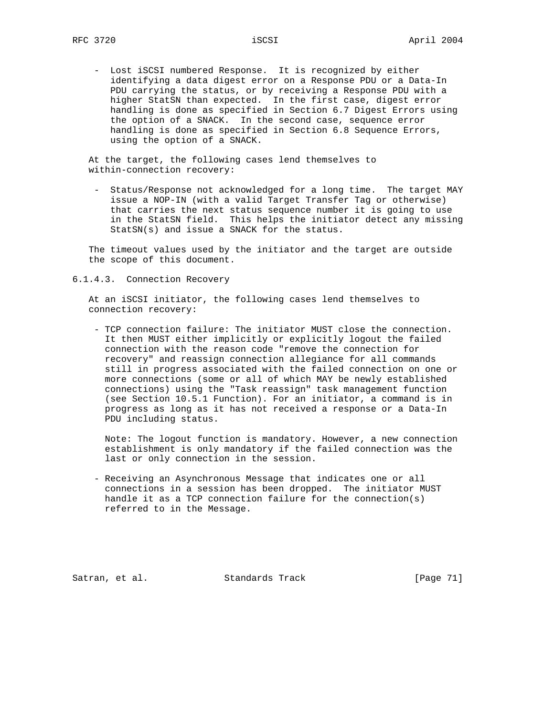- Lost iSCSI numbered Response. It is recognized by either identifying a data digest error on a Response PDU or a Data-In PDU carrying the status, or by receiving a Response PDU with a higher StatSN than expected. In the first case, digest error handling is done as specified in Section 6.7 Digest Errors using the option of a SNACK. In the second case, sequence error handling is done as specified in Section 6.8 Sequence Errors, using the option of a SNACK.

 At the target, the following cases lend themselves to within-connection recovery:

 - Status/Response not acknowledged for a long time. The target MAY issue a NOP-IN (with a valid Target Transfer Tag or otherwise) that carries the next status sequence number it is going to use in the StatSN field. This helps the initiator detect any missing StatSN(s) and issue a SNACK for the status.

 The timeout values used by the initiator and the target are outside the scope of this document.

6.1.4.3. Connection Recovery

 At an iSCSI initiator, the following cases lend themselves to connection recovery:

 - TCP connection failure: The initiator MUST close the connection. It then MUST either implicitly or explicitly logout the failed connection with the reason code "remove the connection for recovery" and reassign connection allegiance for all commands still in progress associated with the failed connection on one or more connections (some or all of which MAY be newly established connections) using the "Task reassign" task management function (see Section 10.5.1 Function). For an initiator, a command is in progress as long as it has not received a response or a Data-In PDU including status.

 Note: The logout function is mandatory. However, a new connection establishment is only mandatory if the failed connection was the last or only connection in the session.

 - Receiving an Asynchronous Message that indicates one or all connections in a session has been dropped. The initiator MUST handle it as a TCP connection failure for the connection(s) referred to in the Message.

Satran, et al. Standards Track [Page 71]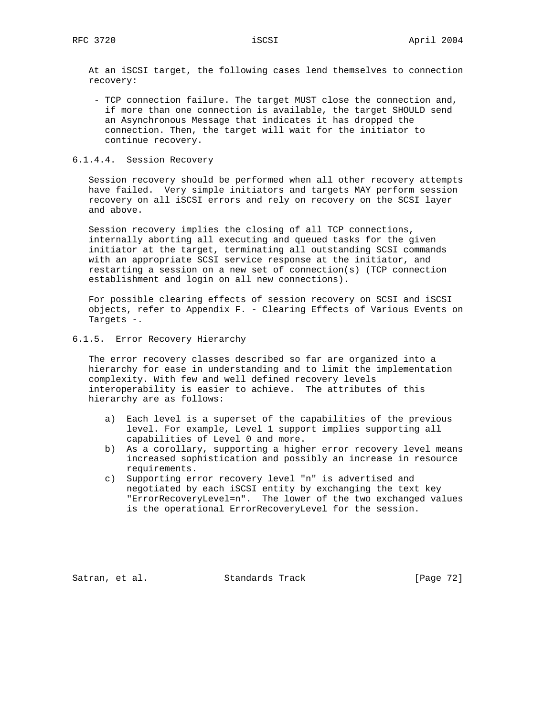At an iSCSI target, the following cases lend themselves to connection recovery:

 - TCP connection failure. The target MUST close the connection and, if more than one connection is available, the target SHOULD send an Asynchronous Message that indicates it has dropped the connection. Then, the target will wait for the initiator to continue recovery.

## 6.1.4.4. Session Recovery

 Session recovery should be performed when all other recovery attempts have failed. Very simple initiators and targets MAY perform session recovery on all iSCSI errors and rely on recovery on the SCSI layer and above.

 Session recovery implies the closing of all TCP connections, internally aborting all executing and queued tasks for the given initiator at the target, terminating all outstanding SCSI commands with an appropriate SCSI service response at the initiator, and restarting a session on a new set of connection(s) (TCP connection establishment and login on all new connections).

 For possible clearing effects of session recovery on SCSI and iSCSI objects, refer to Appendix F. - Clearing Effects of Various Events on Targets -.

6.1.5. Error Recovery Hierarchy

 The error recovery classes described so far are organized into a hierarchy for ease in understanding and to limit the implementation complexity. With few and well defined recovery levels interoperability is easier to achieve. The attributes of this hierarchy are as follows:

- a) Each level is a superset of the capabilities of the previous level. For example, Level 1 support implies supporting all capabilities of Level 0 and more.
- b) As a corollary, supporting a higher error recovery level means increased sophistication and possibly an increase in resource requirements.
- c) Supporting error recovery level "n" is advertised and negotiated by each iSCSI entity by exchanging the text key "ErrorRecoveryLevel=n". The lower of the two exchanged values is the operational ErrorRecoveryLevel for the session.

Satran, et al. Standards Track [Page 72]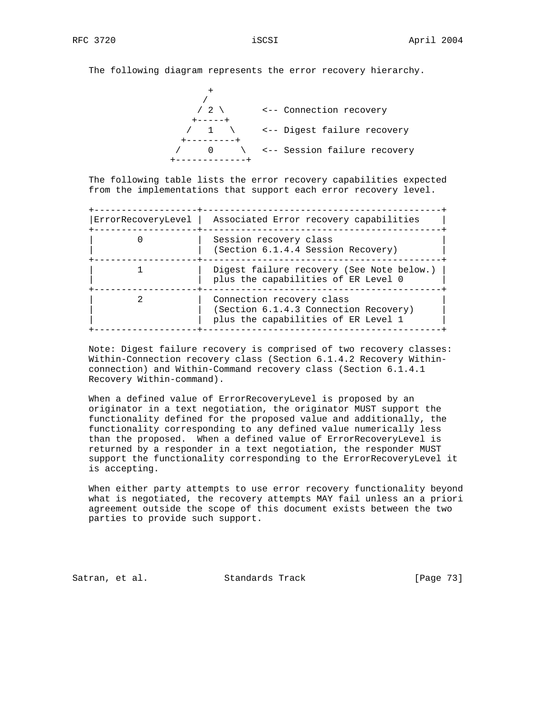The following diagram represents the error recovery hierarchy.

 $+$  /  $\sqrt{2}$  \  $\sqrt{2}$  <-- Connection recovery +-----+ / 1 \ <-- Digest failure recovery +---------+ / 0 \ <-- Session failure recovery +-------------+

 The following table lists the error recovery capabilities expected from the implementations that support each error recovery level.

| ErrorRecoveryLevel | Associated Error recovery capabilities                                                                    |
|--------------------|-----------------------------------------------------------------------------------------------------------|
|                    | Session recovery class<br>(Section 6.1.4.4 Session Recovery)                                              |
|                    | Digest failure recovery (See Note below.)<br>plus the capabilities of ER Level 0                          |
|                    | Connection recovery class<br>(Section 6.1.4.3 Connection Recovery)<br>plus the capabilities of ER Level 1 |

 Note: Digest failure recovery is comprised of two recovery classes: Within-Connection recovery class (Section 6.1.4.2 Recovery Within connection) and Within-Command recovery class (Section 6.1.4.1 Recovery Within-command).

 When a defined value of ErrorRecoveryLevel is proposed by an originator in a text negotiation, the originator MUST support the functionality defined for the proposed value and additionally, the functionality corresponding to any defined value numerically less than the proposed. When a defined value of ErrorRecoveryLevel is returned by a responder in a text negotiation, the responder MUST support the functionality corresponding to the ErrorRecoveryLevel it is accepting.

 When either party attempts to use error recovery functionality beyond what is negotiated, the recovery attempts MAY fail unless an a priori agreement outside the scope of this document exists between the two parties to provide such support.

Satran, et al. Standards Track [Page 73]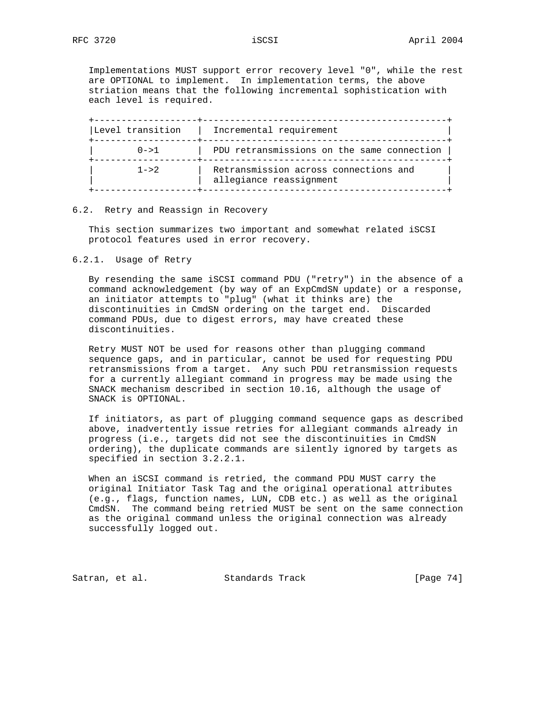Implementations MUST support error recovery level "0", while the rest are OPTIONAL to implement. In implementation terms, the above striation means that the following incremental sophistication with each level is required.

| Level transition | Incremental requirement                                          |
|------------------|------------------------------------------------------------------|
| $0 - > 1$        | PDU retransmissions on the same connection                       |
| $1 - 2.$         | Retransmission across connections and<br>allegiance reassignment |

### 6.2. Retry and Reassign in Recovery

 This section summarizes two important and somewhat related iSCSI protocol features used in error recovery.

### 6.2.1. Usage of Retry

 By resending the same iSCSI command PDU ("retry") in the absence of a command acknowledgement (by way of an ExpCmdSN update) or a response, an initiator attempts to "plug" (what it thinks are) the discontinuities in CmdSN ordering on the target end. Discarded command PDUs, due to digest errors, may have created these discontinuities.

 Retry MUST NOT be used for reasons other than plugging command sequence gaps, and in particular, cannot be used for requesting PDU retransmissions from a target. Any such PDU retransmission requests for a currently allegiant command in progress may be made using the SNACK mechanism described in section 10.16, although the usage of SNACK is OPTIONAL.

 If initiators, as part of plugging command sequence gaps as described above, inadvertently issue retries for allegiant commands already in progress (i.e., targets did not see the discontinuities in CmdSN ordering), the duplicate commands are silently ignored by targets as specified in section 3.2.2.1.

 When an iSCSI command is retried, the command PDU MUST carry the original Initiator Task Tag and the original operational attributes (e.g., flags, function names, LUN, CDB etc.) as well as the original CmdSN. The command being retried MUST be sent on the same connection as the original command unless the original connection was already successfully logged out.

Satran, et al. Standards Track [Page 74]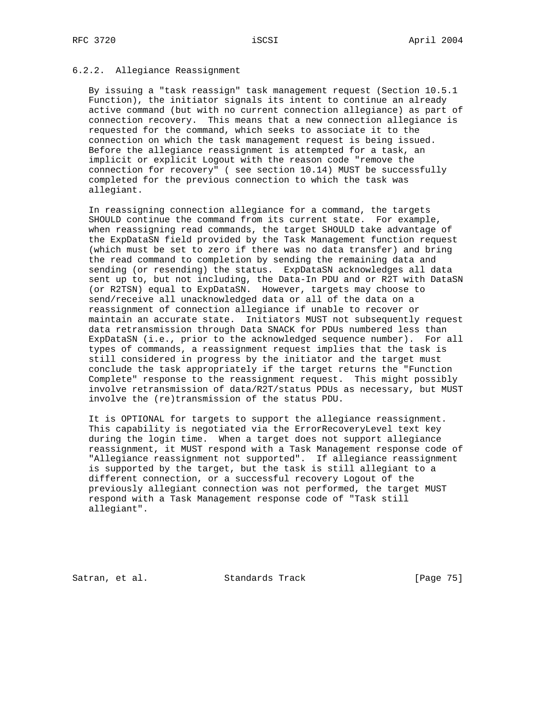## 6.2.2. Allegiance Reassignment

 By issuing a "task reassign" task management request (Section 10.5.1 Function), the initiator signals its intent to continue an already active command (but with no current connection allegiance) as part of connection recovery. This means that a new connection allegiance is requested for the command, which seeks to associate it to the connection on which the task management request is being issued. Before the allegiance reassignment is attempted for a task, an implicit or explicit Logout with the reason code "remove the connection for recovery" ( see section 10.14) MUST be successfully completed for the previous connection to which the task was allegiant.

 In reassigning connection allegiance for a command, the targets SHOULD continue the command from its current state. For example, when reassigning read commands, the target SHOULD take advantage of the ExpDataSN field provided by the Task Management function request (which must be set to zero if there was no data transfer) and bring the read command to completion by sending the remaining data and sending (or resending) the status. ExpDataSN acknowledges all data sent up to, but not including, the Data-In PDU and or R2T with DataSN (or R2TSN) equal to ExpDataSN. However, targets may choose to send/receive all unacknowledged data or all of the data on a reassignment of connection allegiance if unable to recover or maintain an accurate state. Initiators MUST not subsequently request data retransmission through Data SNACK for PDUs numbered less than ExpDataSN (i.e., prior to the acknowledged sequence number). For all types of commands, a reassignment request implies that the task is still considered in progress by the initiator and the target must conclude the task appropriately if the target returns the "Function Complete" response to the reassignment request. This might possibly involve retransmission of data/R2T/status PDUs as necessary, but MUST involve the (re)transmission of the status PDU.

 It is OPTIONAL for targets to support the allegiance reassignment. This capability is negotiated via the ErrorRecoveryLevel text key during the login time. When a target does not support allegiance reassignment, it MUST respond with a Task Management response code of "Allegiance reassignment not supported". If allegiance reassignment is supported by the target, but the task is still allegiant to a different connection, or a successful recovery Logout of the previously allegiant connection was not performed, the target MUST respond with a Task Management response code of "Task still allegiant".

Satran, et al. Standards Track [Page 75]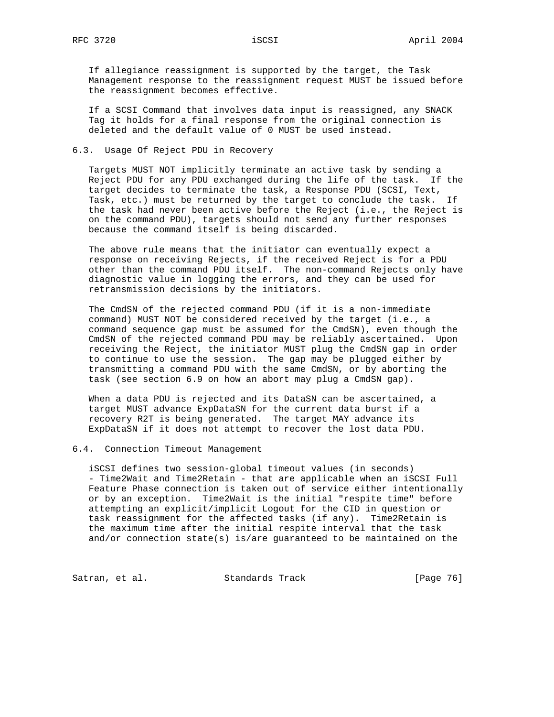If allegiance reassignment is supported by the target, the Task Management response to the reassignment request MUST be issued before the reassignment becomes effective.

 If a SCSI Command that involves data input is reassigned, any SNACK Tag it holds for a final response from the original connection is deleted and the default value of 0 MUST be used instead.

## 6.3. Usage Of Reject PDU in Recovery

 Targets MUST NOT implicitly terminate an active task by sending a Reject PDU for any PDU exchanged during the life of the task. If the target decides to terminate the task, a Response PDU (SCSI, Text, Task, etc.) must be returned by the target to conclude the task. If the task had never been active before the Reject (i.e., the Reject is on the command PDU), targets should not send any further responses because the command itself is being discarded.

 The above rule means that the initiator can eventually expect a response on receiving Rejects, if the received Reject is for a PDU other than the command PDU itself. The non-command Rejects only have diagnostic value in logging the errors, and they can be used for retransmission decisions by the initiators.

 The CmdSN of the rejected command PDU (if it is a non-immediate command) MUST NOT be considered received by the target (i.e., a command sequence gap must be assumed for the CmdSN), even though the CmdSN of the rejected command PDU may be reliably ascertained. Upon receiving the Reject, the initiator MUST plug the CmdSN gap in order to continue to use the session. The gap may be plugged either by transmitting a command PDU with the same CmdSN, or by aborting the task (see section 6.9 on how an abort may plug a CmdSN gap).

 When a data PDU is rejected and its DataSN can be ascertained, a target MUST advance ExpDataSN for the current data burst if a recovery R2T is being generated. The target MAY advance its ExpDataSN if it does not attempt to recover the lost data PDU.

## 6.4. Connection Timeout Management

 iSCSI defines two session-global timeout values (in seconds) - Time2Wait and Time2Retain - that are applicable when an iSCSI Full Feature Phase connection is taken out of service either intentionally or by an exception. Time2Wait is the initial "respite time" before attempting an explicit/implicit Logout for the CID in question or task reassignment for the affected tasks (if any). Time2Retain is the maximum time after the initial respite interval that the task and/or connection state(s) is/are guaranteed to be maintained on the

Satran, et al. Standards Track [Page 76]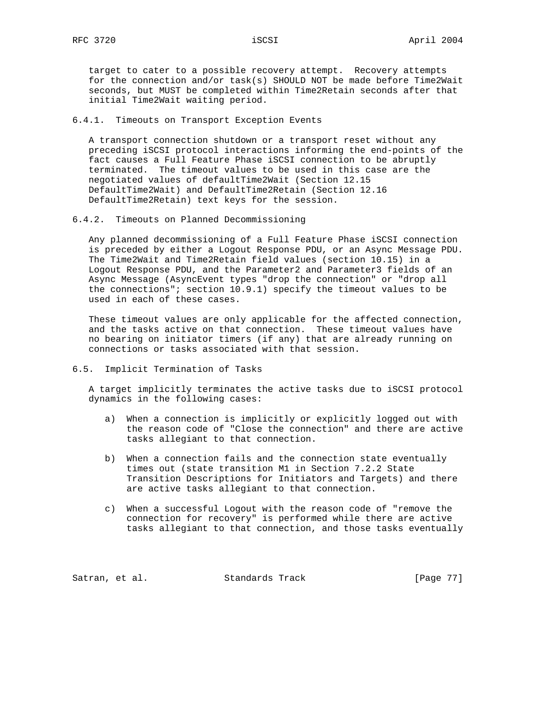target to cater to a possible recovery attempt. Recovery attempts for the connection and/or task(s) SHOULD NOT be made before Time2Wait seconds, but MUST be completed within Time2Retain seconds after that initial Time2Wait waiting period.

## 6.4.1. Timeouts on Transport Exception Events

 A transport connection shutdown or a transport reset without any preceding iSCSI protocol interactions informing the end-points of the fact causes a Full Feature Phase iSCSI connection to be abruptly terminated. The timeout values to be used in this case are the negotiated values of defaultTime2Wait (Section 12.15 DefaultTime2Wait) and DefaultTime2Retain (Section 12.16 DefaultTime2Retain) text keys for the session.

## 6.4.2. Timeouts on Planned Decommissioning

 Any planned decommissioning of a Full Feature Phase iSCSI connection is preceded by either a Logout Response PDU, or an Async Message PDU. The Time2Wait and Time2Retain field values (section 10.15) in a Logout Response PDU, and the Parameter2 and Parameter3 fields of an Async Message (AsyncEvent types "drop the connection" or "drop all the connections"; section 10.9.1) specify the timeout values to be used in each of these cases.

 These timeout values are only applicable for the affected connection, and the tasks active on that connection. These timeout values have no bearing on initiator timers (if any) that are already running on connections or tasks associated with that session.

## 6.5. Implicit Termination of Tasks

 A target implicitly terminates the active tasks due to iSCSI protocol dynamics in the following cases:

- a) When a connection is implicitly or explicitly logged out with the reason code of "Close the connection" and there are active tasks allegiant to that connection.
- b) When a connection fails and the connection state eventually times out (state transition M1 in Section 7.2.2 State Transition Descriptions for Initiators and Targets) and there are active tasks allegiant to that connection.
- c) When a successful Logout with the reason code of "remove the connection for recovery" is performed while there are active tasks allegiant to that connection, and those tasks eventually

Satran, et al. Standards Track [Page 77]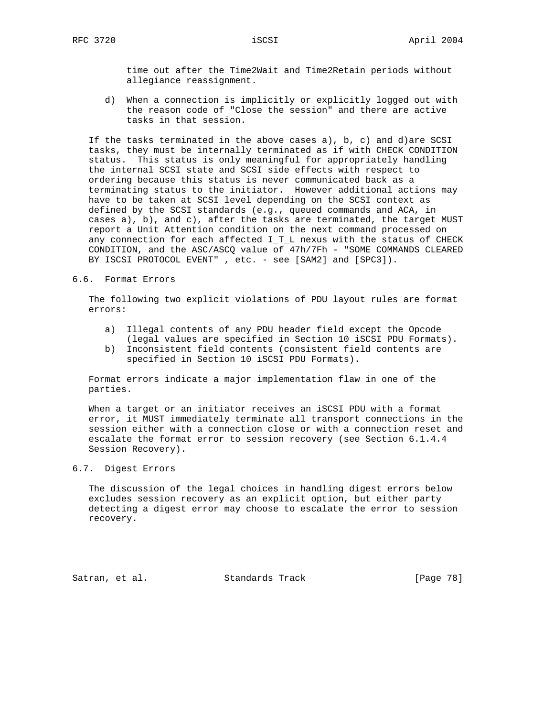time out after the Time2Wait and Time2Retain periods without allegiance reassignment.

 d) When a connection is implicitly or explicitly logged out with the reason code of "Close the session" and there are active tasks in that session.

If the tasks terminated in the above cases  $a$ ),  $b$ ,  $c$ ) and d)are SCSI tasks, they must be internally terminated as if with CHECK CONDITION status. This status is only meaningful for appropriately handling the internal SCSI state and SCSI side effects with respect to ordering because this status is never communicated back as a terminating status to the initiator. However additional actions may have to be taken at SCSI level depending on the SCSI context as defined by the SCSI standards (e.g., queued commands and ACA, in cases a), b), and c), after the tasks are terminated, the target MUST report a Unit Attention condition on the next command processed on any connection for each affected I\_T\_L nexus with the status of CHECK CONDITION, and the ASC/ASCQ value of 47h/7Fh - "SOME COMMANDS CLEARED BY ISCSI PROTOCOL EVENT" , etc. - see [SAM2] and [SPC3]).

6.6. Format Errors

 The following two explicit violations of PDU layout rules are format errors:

- a) Illegal contents of any PDU header field except the Opcode (legal values are specified in Section 10 iSCSI PDU Formats).
- b) Inconsistent field contents (consistent field contents are specified in Section 10 iSCSI PDU Formats).

 Format errors indicate a major implementation flaw in one of the parties.

 When a target or an initiator receives an iSCSI PDU with a format error, it MUST immediately terminate all transport connections in the session either with a connection close or with a connection reset and escalate the format error to session recovery (see Section 6.1.4.4 Session Recovery).

## 6.7. Digest Errors

 The discussion of the legal choices in handling digest errors below excludes session recovery as an explicit option, but either party detecting a digest error may choose to escalate the error to session recovery.

Satran, et al. Standards Track [Page 78]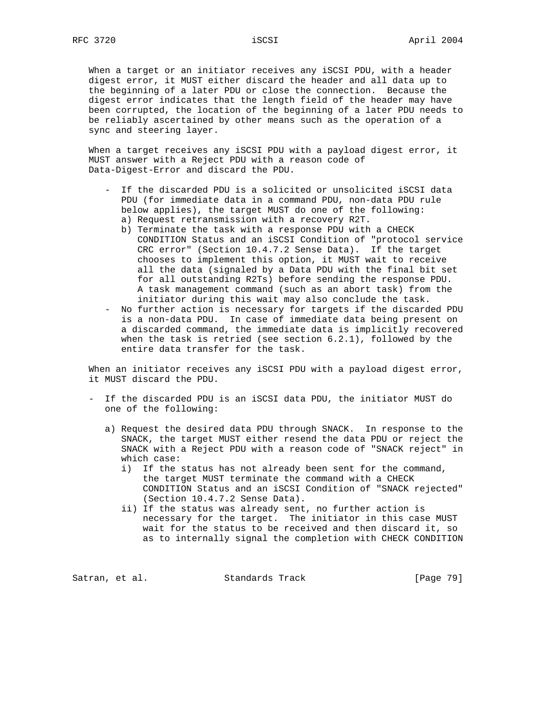When a target or an initiator receives any iSCSI PDU, with a header digest error, it MUST either discard the header and all data up to the beginning of a later PDU or close the connection. Because the digest error indicates that the length field of the header may have been corrupted, the location of the beginning of a later PDU needs to be reliably ascertained by other means such as the operation of a sync and steering layer.

 When a target receives any iSCSI PDU with a payload digest error, it MUST answer with a Reject PDU with a reason code of Data-Digest-Error and discard the PDU.

- If the discarded PDU is a solicited or unsolicited iSCSI data PDU (for immediate data in a command PDU, non-data PDU rule below applies), the target MUST do one of the following: a) Request retransmission with a recovery R2T.
	- b) Terminate the task with a response PDU with a CHECK CONDITION Status and an iSCSI Condition of "protocol service CRC error" (Section 10.4.7.2 Sense Data). If the target chooses to implement this option, it MUST wait to receive all the data (signaled by a Data PDU with the final bit set for all outstanding R2Ts) before sending the response PDU. A task management command (such as an abort task) from the initiator during this wait may also conclude the task.
- No further action is necessary for targets if the discarded PDU is a non-data PDU. In case of immediate data being present on a discarded command, the immediate data is implicitly recovered when the task is retried (see section 6.2.1), followed by the entire data transfer for the task.

When an initiator receives any iSCSI PDU with a payload digest error, it MUST discard the PDU.

- If the discarded PDU is an iSCSI data PDU, the initiator MUST do one of the following:
	- a) Request the desired data PDU through SNACK. In response to the SNACK, the target MUST either resend the data PDU or reject the SNACK with a Reject PDU with a reason code of "SNACK reject" in which case:
		- i) If the status has not already been sent for the command, the target MUST terminate the command with a CHECK CONDITION Status and an iSCSI Condition of "SNACK rejected" (Section 10.4.7.2 Sense Data).
		- ii) If the status was already sent, no further action is necessary for the target. The initiator in this case MUST wait for the status to be received and then discard it, so as to internally signal the completion with CHECK CONDITION

Satran, et al. Standards Track [Page 79]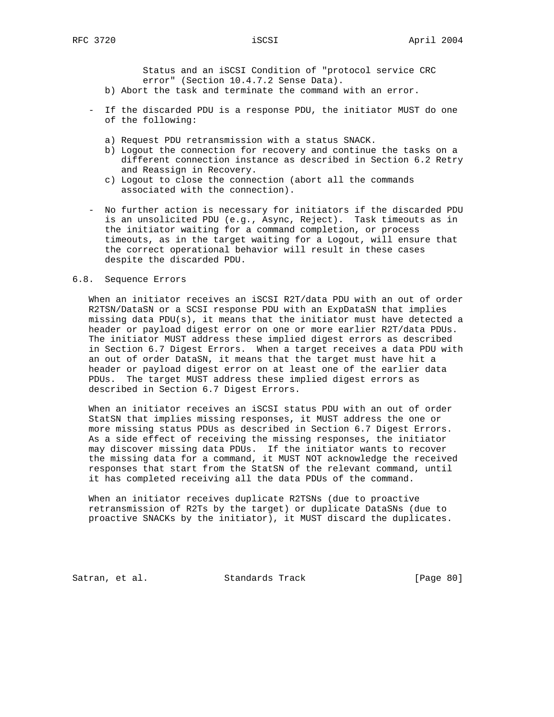Status and an iSCSI Condition of "protocol service CRC error" (Section 10.4.7.2 Sense Data).

- b) Abort the task and terminate the command with an error.
- If the discarded PDU is a response PDU, the initiator MUST do one of the following:
	- a) Request PDU retransmission with a status SNACK.
	- b) Logout the connection for recovery and continue the tasks on a different connection instance as described in Section 6.2 Retry and Reassign in Recovery.
	- c) Logout to close the connection (abort all the commands associated with the connection).
- No further action is necessary for initiators if the discarded PDU is an unsolicited PDU (e.g., Async, Reject). Task timeouts as in the initiator waiting for a command completion, or process timeouts, as in the target waiting for a Logout, will ensure that the correct operational behavior will result in these cases despite the discarded PDU.

## 6.8. Sequence Errors

 When an initiator receives an iSCSI R2T/data PDU with an out of order R2TSN/DataSN or a SCSI response PDU with an ExpDataSN that implies missing data PDU(s), it means that the initiator must have detected a header or payload digest error on one or more earlier R2T/data PDUs. The initiator MUST address these implied digest errors as described in Section 6.7 Digest Errors. When a target receives a data PDU with an out of order DataSN, it means that the target must have hit a header or payload digest error on at least one of the earlier data PDUs. The target MUST address these implied digest errors as described in Section 6.7 Digest Errors.

 When an initiator receives an iSCSI status PDU with an out of order StatSN that implies missing responses, it MUST address the one or more missing status PDUs as described in Section 6.7 Digest Errors. As a side effect of receiving the missing responses, the initiator may discover missing data PDUs. If the initiator wants to recover the missing data for a command, it MUST NOT acknowledge the received responses that start from the StatSN of the relevant command, until it has completed receiving all the data PDUs of the command.

 When an initiator receives duplicate R2TSNs (due to proactive retransmission of R2Ts by the target) or duplicate DataSNs (due to proactive SNACKs by the initiator), it MUST discard the duplicates.

Satran, et al. Standards Track [Page 80]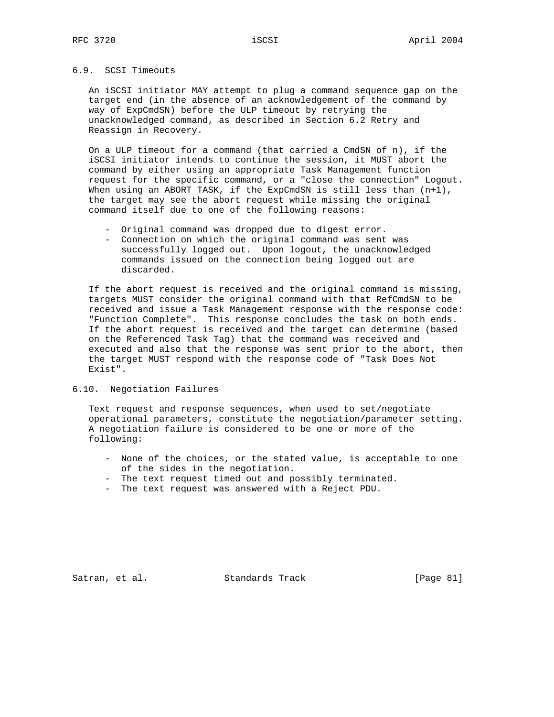# 6.9. SCSI Timeouts

 An iSCSI initiator MAY attempt to plug a command sequence gap on the target end (in the absence of an acknowledgement of the command by way of ExpCmdSN) before the ULP timeout by retrying the unacknowledged command, as described in Section 6.2 Retry and Reassign in Recovery.

 On a ULP timeout for a command (that carried a CmdSN of n), if the iSCSI initiator intends to continue the session, it MUST abort the command by either using an appropriate Task Management function request for the specific command, or a "close the connection" Logout. When using an ABORT TASK, if the ExpCmdSN is still less than  $(n+1)$ , the target may see the abort request while missing the original command itself due to one of the following reasons:

- Original command was dropped due to digest error.
- Connection on which the original command was sent was successfully logged out. Upon logout, the unacknowledged commands issued on the connection being logged out are discarded.

 If the abort request is received and the original command is missing, targets MUST consider the original command with that RefCmdSN to be received and issue a Task Management response with the response code: "Function Complete". This response concludes the task on both ends. If the abort request is received and the target can determine (based on the Referenced Task Tag) that the command was received and executed and also that the response was sent prior to the abort, then the target MUST respond with the response code of "Task Does Not Exist".

### 6.10. Negotiation Failures

 Text request and response sequences, when used to set/negotiate operational parameters, constitute the negotiation/parameter setting. A negotiation failure is considered to be one or more of the following:

- None of the choices, or the stated value, is acceptable to one of the sides in the negotiation.
- The text request timed out and possibly terminated.
- The text request was answered with a Reject PDU.

Satran, et al. Standards Track [Page 81]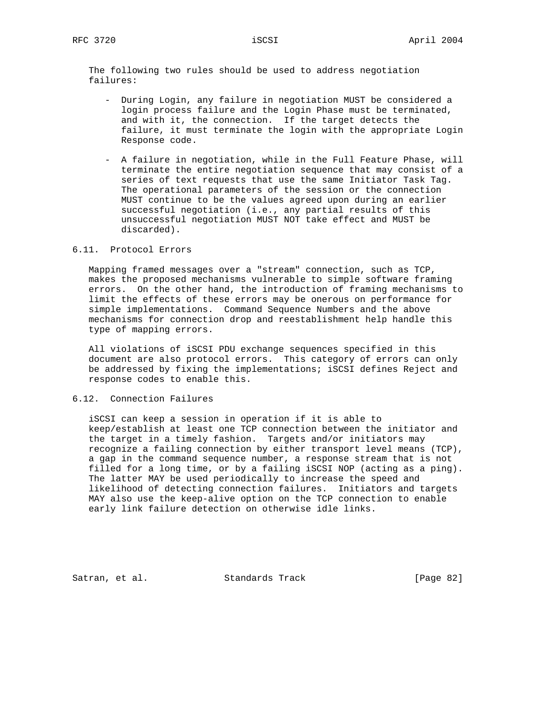The following two rules should be used to address negotiation failures:

- During Login, any failure in negotiation MUST be considered a login process failure and the Login Phase must be terminated, and with it, the connection. If the target detects the failure, it must terminate the login with the appropriate Login Response code.
- A failure in negotiation, while in the Full Feature Phase, will terminate the entire negotiation sequence that may consist of a series of text requests that use the same Initiator Task Tag. The operational parameters of the session or the connection MUST continue to be the values agreed upon during an earlier successful negotiation (i.e., any partial results of this unsuccessful negotiation MUST NOT take effect and MUST be discarded).

## 6.11. Protocol Errors

 Mapping framed messages over a "stream" connection, such as TCP, makes the proposed mechanisms vulnerable to simple software framing errors. On the other hand, the introduction of framing mechanisms to limit the effects of these errors may be onerous on performance for simple implementations. Command Sequence Numbers and the above mechanisms for connection drop and reestablishment help handle this type of mapping errors.

 All violations of iSCSI PDU exchange sequences specified in this document are also protocol errors. This category of errors can only be addressed by fixing the implementations; iSCSI defines Reject and response codes to enable this.

6.12. Connection Failures

 iSCSI can keep a session in operation if it is able to keep/establish at least one TCP connection between the initiator and the target in a timely fashion. Targets and/or initiators may recognize a failing connection by either transport level means (TCP), a gap in the command sequence number, a response stream that is not filled for a long time, or by a failing iSCSI NOP (acting as a ping). The latter MAY be used periodically to increase the speed and likelihood of detecting connection failures. Initiators and targets MAY also use the keep-alive option on the TCP connection to enable early link failure detection on otherwise idle links.

Satran, et al. Standards Track [Page 82]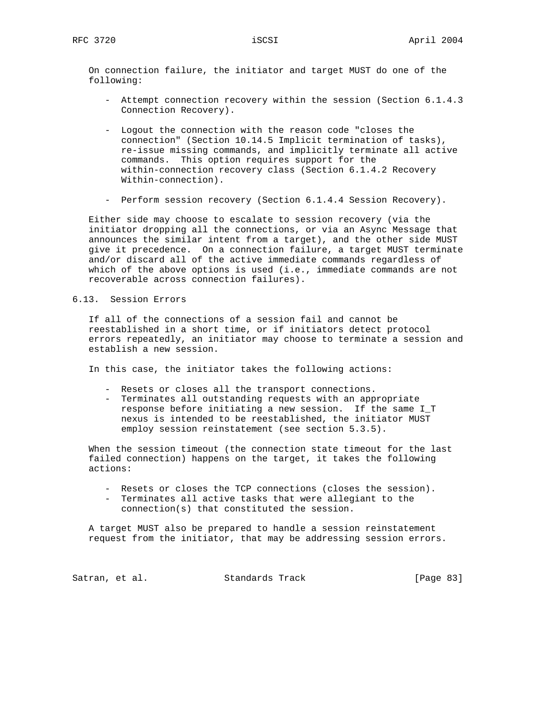On connection failure, the initiator and target MUST do one of the following:

- Attempt connection recovery within the session (Section 6.1.4.3 Connection Recovery).
- Logout the connection with the reason code "closes the connection" (Section 10.14.5 Implicit termination of tasks), re-issue missing commands, and implicitly terminate all active commands. This option requires support for the within-connection recovery class (Section 6.1.4.2 Recovery Within-connection).
- Perform session recovery (Section 6.1.4.4 Session Recovery).

 Either side may choose to escalate to session recovery (via the initiator dropping all the connections, or via an Async Message that announces the similar intent from a target), and the other side MUST give it precedence. On a connection failure, a target MUST terminate and/or discard all of the active immediate commands regardless of which of the above options is used (i.e., immediate commands are not recoverable across connection failures).

## 6.13. Session Errors

 If all of the connections of a session fail and cannot be reestablished in a short time, or if initiators detect protocol errors repeatedly, an initiator may choose to terminate a session and establish a new session.

In this case, the initiator takes the following actions:

- Resets or closes all the transport connections.
- Terminates all outstanding requests with an appropriate response before initiating a new session. If the same I\_T nexus is intended to be reestablished, the initiator MUST employ session reinstatement (see section 5.3.5).

 When the session timeout (the connection state timeout for the last failed connection) happens on the target, it takes the following actions:

- Resets or closes the TCP connections (closes the session).
- Terminates all active tasks that were allegiant to the connection(s) that constituted the session.

 A target MUST also be prepared to handle a session reinstatement request from the initiator, that may be addressing session errors.

Satran, et al. Standards Track [Page 83]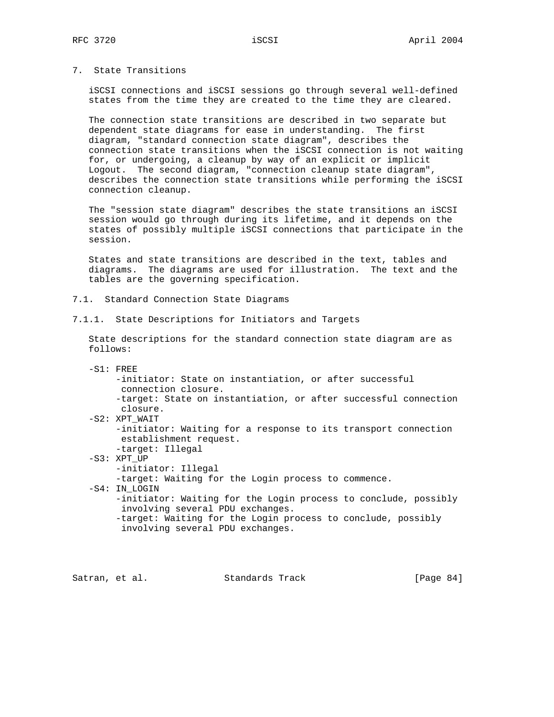7. State Transitions

 iSCSI connections and iSCSI sessions go through several well-defined states from the time they are created to the time they are cleared.

 The connection state transitions are described in two separate but dependent state diagrams for ease in understanding. The first diagram, "standard connection state diagram", describes the connection state transitions when the iSCSI connection is not waiting for, or undergoing, a cleanup by way of an explicit or implicit Logout. The second diagram, "connection cleanup state diagram", describes the connection state transitions while performing the iSCSI connection cleanup.

 The "session state diagram" describes the state transitions an iSCSI session would go through during its lifetime, and it depends on the states of possibly multiple iSCSI connections that participate in the session.

 States and state transitions are described in the text, tables and diagrams. The diagrams are used for illustration. The text and the tables are the governing specification.

- 7.1. Standard Connection State Diagrams
- 7.1.1. State Descriptions for Initiators and Targets

 State descriptions for the standard connection state diagram are as follows:

- -S1: FREE
	- -initiator: State on instantiation, or after successful connection closure.
	- -target: State on instantiation, or after successful connection closure.
- -S2: XPT\_WAIT

 -initiator: Waiting for a response to its transport connection establishment request.

- -target: Illegal
- -S3: XPT\_UP
	- -initiator: Illegal

-target: Waiting for the Login process to commence.

- -S4: IN\_LOGIN
	- -initiator: Waiting for the Login process to conclude, possibly involving several PDU exchanges.
	- -target: Waiting for the Login process to conclude, possibly involving several PDU exchanges.

Satran, et al. Standards Track [Page 84]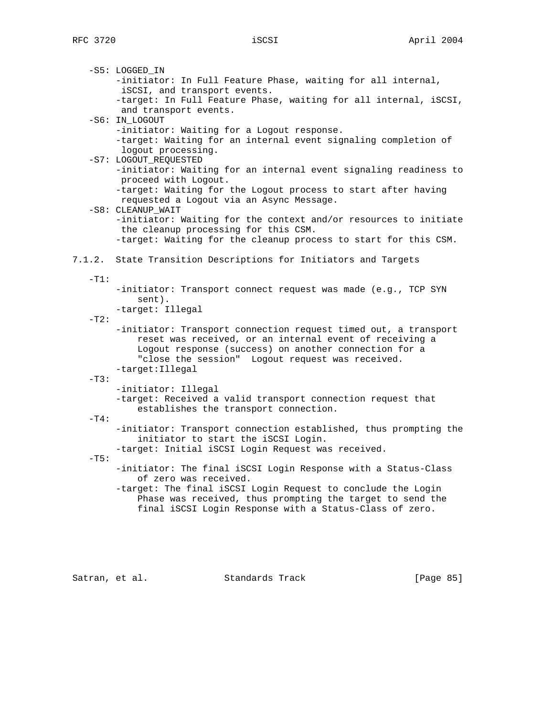-S5: LOGGED\_IN -initiator: In Full Feature Phase, waiting for all internal, iSCSI, and transport events. -target: In Full Feature Phase, waiting for all internal, iSCSI, and transport events. -S6: IN\_LOGOUT -initiator: Waiting for a Logout response. -target: Waiting for an internal event signaling completion of logout processing. -S7: LOGOUT REQUESTED -initiator: Waiting for an internal event signaling readiness to proceed with Logout. -target: Waiting for the Logout process to start after having requested a Logout via an Async Message. -S8: CLEANUP\_WAIT -initiator: Waiting for the context and/or resources to initiate the cleanup processing for this CSM. -target: Waiting for the cleanup process to start for this CSM. 7.1.2. State Transition Descriptions for Initiators and Targets  $-T1$ : -initiator: Transport connect request was made (e.g., TCP SYN sent). -target: Illegal  $-T2$ : -initiator: Transport connection request timed out, a transport reset was received, or an internal event of receiving a Logout response (success) on another connection for a "close the session" Logout request was received. -target:Illegal  $-T3$ : -initiator: Illegal -target: Received a valid transport connection request that establishes the transport connection.  $-T4$ : -initiator: Transport connection established, thus prompting the initiator to start the iSCSI Login. -target: Initial iSCSI Login Request was received.  $-T5$ : -initiator: The final iSCSI Login Response with a Status-Class of zero was received. -target: The final iSCSI Login Request to conclude the Login Phase was received, thus prompting the target to send the final iSCSI Login Response with a Status-Class of zero.

Satran, et al. Standards Track [Page 85]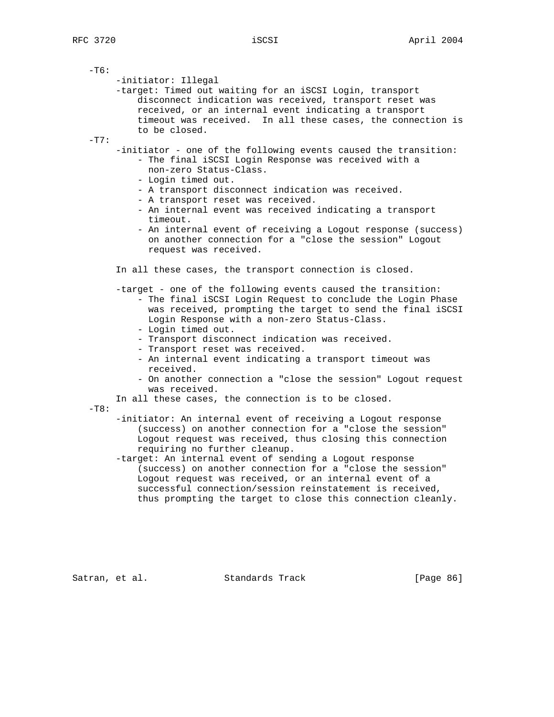| -т6:    | -initiator: Illegal<br>-target: Timed out waiting for an iSCSI Login, transport<br>disconnect indication was received, transport reset was<br>received, or an internal event indicating a transport<br>timeout was received. In all these cases, the connection is<br>to be closed.                                                                                                                                                                                                                                                                                                                                             |
|---------|---------------------------------------------------------------------------------------------------------------------------------------------------------------------------------------------------------------------------------------------------------------------------------------------------------------------------------------------------------------------------------------------------------------------------------------------------------------------------------------------------------------------------------------------------------------------------------------------------------------------------------|
| $-T7$ : | -initiator - one of the following events caused the transition:<br>- The final iSCSI Login Response was received with a<br>non-zero Status-Class.<br>- Login timed out.<br>- A transport disconnect indication was received.<br>- A transport reset was received.<br>- An internal event was received indicating a transport<br>timeout.<br>- An internal event of receiving a Logout response (success)<br>on another connection for a "close the session" Logout<br>request was received.                                                                                                                                     |
|         | In all these cases, the transport connection is closed.<br>-target - one of the following events caused the transition:<br>- The final iSCSI Login Request to conclude the Login Phase<br>was received, prompting the target to send the final iSCSI<br>Login Response with a non-zero Status-Class.<br>- Login timed out.<br>- Transport disconnect indication was received.<br>- Transport reset was received.<br>- An internal event indicating a transport timeout was<br>received.<br>- On another connection a "close the session" Logout request<br>was received.<br>In all these cases, the connection is to be closed. |
| $-T8$ : | -initiator: An internal event of receiving a Logout response<br>(success) on another connection for a "close the session"<br>Logout request was received, thus closing this connection<br>requiring no further cleanup.<br>-target: An internal event of sending a Logout response<br>(success) on another connection for a "close the session"<br>Loqout request was received, or an internal event of a<br>successful connection/session reinstatement is received,<br>thus prompting the target to close this connection cleanly.                                                                                            |

Satran, et al. Standards Track [Page 86]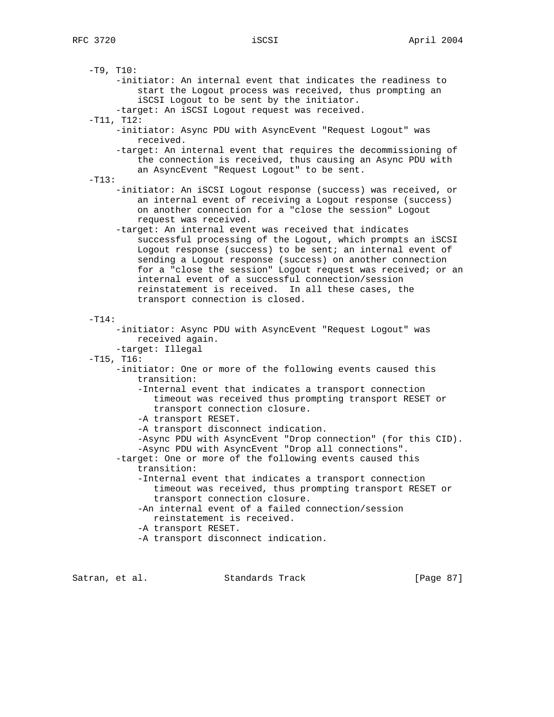$-T9, T10:$  -initiator: An internal event that indicates the readiness to start the Logout process was received, thus prompting an iSCSI Logout to be sent by the initiator. -target: An iSCSI Logout request was received. -T11, T12: -initiator: Async PDU with AsyncEvent "Request Logout" was received. -target: An internal event that requires the decommissioning of the connection is received, thus causing an Async PDU with an AsyncEvent "Request Logout" to be sent.  $-T13:$  -initiator: An iSCSI Logout response (success) was received, or an internal event of receiving a Logout response (success) on another connection for a "close the session" Logout request was received. -target: An internal event was received that indicates successful processing of the Logout, which prompts an iSCSI Logout response (success) to be sent; an internal event of sending a Logout response (success) on another connection for a "close the session" Logout request was received; or an internal event of a successful connection/session reinstatement is received. In all these cases, the transport connection is closed. -T14: -initiator: Async PDU with AsyncEvent "Request Logout" was received again. -target: Illegal  $-T15, T16:$  -initiator: One or more of the following events caused this transition: -Internal event that indicates a transport connection timeout was received thus prompting transport RESET or transport connection closure. -A transport RESET. -A transport disconnect indication. -Async PDU with AsyncEvent "Drop connection" (for this CID). -Async PDU with AsyncEvent "Drop all connections". -target: One or more of the following events caused this transition: -Internal event that indicates a transport connection timeout was received, thus prompting transport RESET or transport connection closure. -An internal event of a failed connection/session reinstatement is received. -A transport RESET. -A transport disconnect indication.

Satran, et al. Standards Track [Page 87]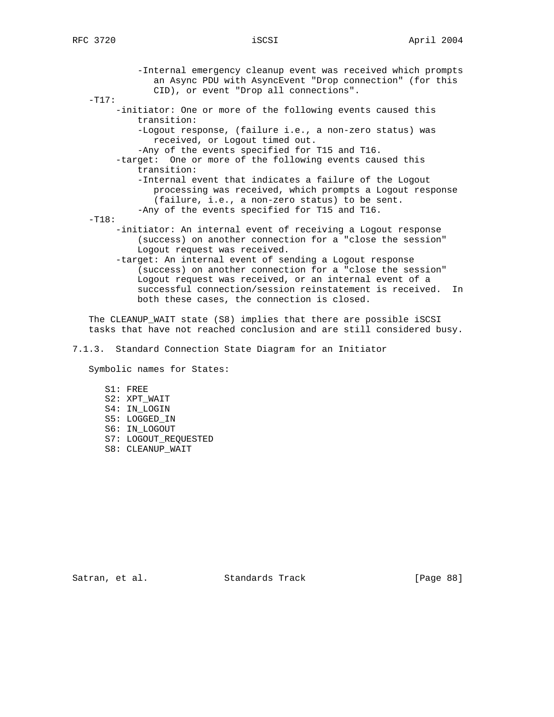-Internal emergency cleanup event was received which prompts an Async PDU with AsyncEvent "Drop connection" (for this CID), or event "Drop all connections".  $-T17:$  -initiator: One or more of the following events caused this transition: -Logout response, (failure i.e., a non-zero status) was received, or Logout timed out. -Any of the events specified for T15 and T16. -target: One or more of the following events caused this transition: -Internal event that indicates a failure of the Logout processing was received, which prompts a Logout response (failure, i.e., a non-zero status) to be sent. -Any of the events specified for T15 and T16. -T18: -initiator: An internal event of receiving a Logout response (success) on another connection for a "close the session" Logout request was received. -target: An internal event of sending a Logout response (success) on another connection for a "close the session" Logout request was received, or an internal event of a successful connection/session reinstatement is received. In both these cases, the connection is closed. The CLEANUP\_WAIT state (S8) implies that there are possible iSCSI tasks that have not reached conclusion and are still considered busy. 7.1.3. Standard Connection State Diagram for an Initiator

Symbolic names for States:

- S1: FREE S2: XPT\_WAIT S4: IN\_LOGIN S5: LOGGED\_IN S6: IN\_LOGOUT
- S7: LOGOUT\_REQUESTED
- S8: CLEANUP\_WAIT

Satran, et al. Standards Track [Page 88]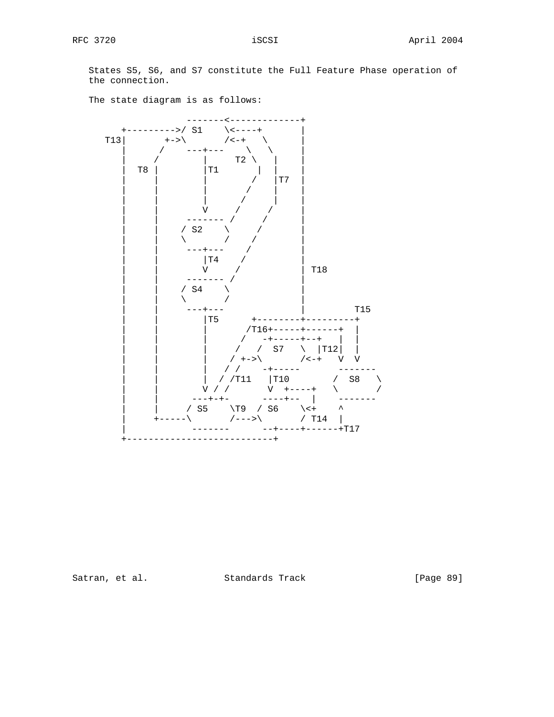States S5, S6, and S7 constitute the Full Feature Phase operation of the connection.



The state diagram is as follows:

Satran, et al. Standards Track [Page 89]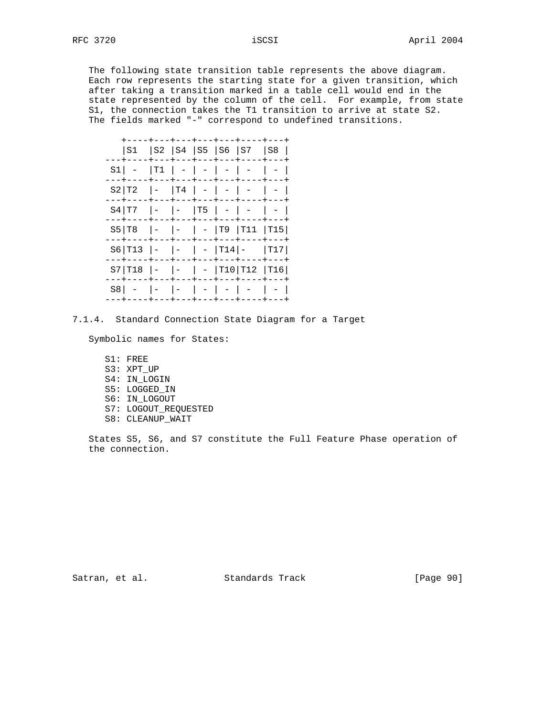The following state transition table represents the above diagram. Each row represents the starting state for a given transition, which after taking a transition marked in a table cell would end in the state represented by the column of the cell. For example, from state S1, the connection takes the T1 transition to arrive at state S2. The fields marked "-" correspond to undefined transitions.

|                                          |                                                       |               |               | S1  S2  S4  S5  S6  S7  S8 |     |
|------------------------------------------|-------------------------------------------------------|---------------|---------------|----------------------------|-----|
| S1 I                                     | $ \texttt{T1} $                                       |               | $- - + - - -$ | $        -$                |     |
| S2 T2                                    | $   T4  -  -$                                         | $- + - - - +$ | $---$         | $\overline{\phantom{a}}$   |     |
| $S4 T7$ $  T5$ $ -$                      |                                                       |               |               | ---+---+---+----           |     |
| --+----+---+---+---+---+---+---<br>S5 T8 |                                                       |               |               | -  -   -  T9  T11  T15     |     |
| S6 T13                                   | $\vert - \vert - \vert - \vert - \vert$ T14 $\vert -$ |               |               |                            | T17 |
| S7 T18                                   |                                                       |               | ---+---+      | -   -  T10 T12  T16        |     |
| S8 I                                     |                                                       | $1 - 1 - 1$   |               |                            |     |
|                                          |                                                       |               |               |                            |     |

7.1.4. Standard Connection State Diagram for a Target

Symbolic names for States:

- S1: FREE S3: XPT\_UP S4: IN\_LOGIN S5: LOGGED\_IN S6: IN\_LOGOUT S7: LOGOUT\_REQUESTED
- S8: CLEANUP\_WAIT

 States S5, S6, and S7 constitute the Full Feature Phase operation of the connection.

Satran, et al. Standards Track [Page 90]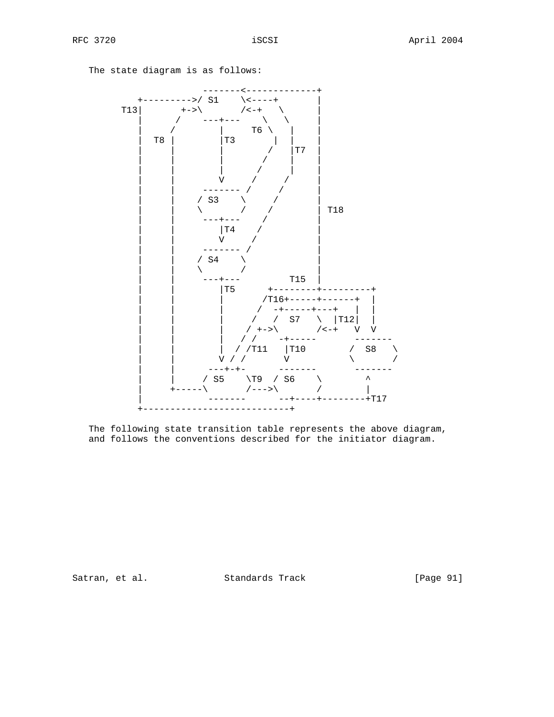---------------+<br>\<----+<sub>.</sub> +--------->/ S1 \<----+ | T13  $|$  +->\ /<-+  $/$  ---+---  $\setminus$  $|$  T6  $\backslash$ | T8 | |T3 | | | | | | / |T7 | | | | / | | | | | / | | | | V / / | | | ------- / / | | | / S3 \ / | | | \ / / | T18 | | ---+--- / |  $|T4$  $\mathbf{\dot{V}}$  | | ------- / | | | / S4 \ | |  $\sum_{i=1}^n | \alpha_i |$  | | ---+--- T15 | | | |T5 +--------+---------+ | | | /T16+-----+------+ |  $/$  -+-----+---+ | | | | / / S7 \ |T12| | | | | / +->\ /<-+ V V | | | / / -+----- ------- | | | / /T11 |T10 / S8 \ | | V / / V \ / | | ---+-+- ------- ------- | | / S5 \T9 / S6 \ ^  $|$  +-----\ /--->\ / /  $---+-----+T17$ +---------------------------+

The state diagram is as follows:

 The following state transition table represents the above diagram, and follows the conventions described for the initiator diagram.

Satran, et al. Standards Track [Page 91]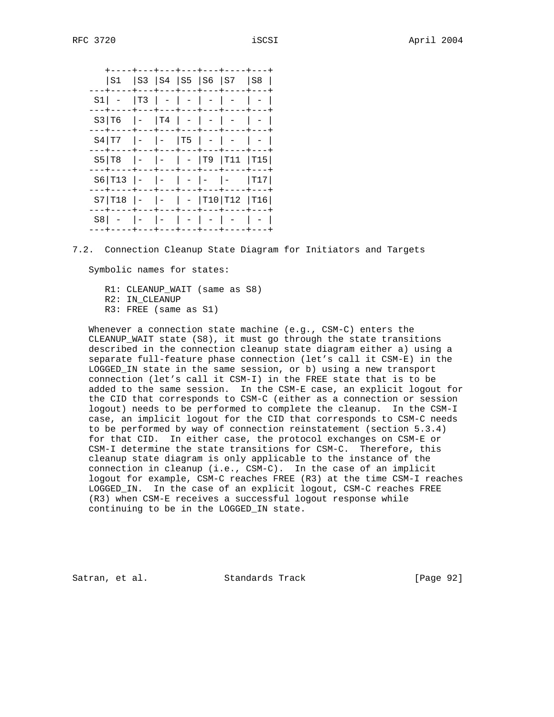+----+---+---+---+---+----+---+ |S1 |S3 |S4 |S5 |S6 |S7 |S8 | ---+----+---+---+---+---+----+---+ S1| - |T3 | - | - | - | - | - | ---+----+---+---+---+---+----+---+  $S3|T6$  |- |T4 | - | - | - | - | ---+----+---+---+---+---+----+---+  $S4|T7$  |- |- |T5 | - | - | - | ---+----+---+---+---+---+----+---+ S5|T8 |- |- | - |T9 |T11 |T15| ---+----+---+---+---+---+----+---+  $S6|T13$  |- |- |- |- |- |T17| ---+----+---+---+---+---+----+---+ S7|T18 |- |- | - |T10|T12 |T16| ---+----+---+---+---+---+----+---+ S8| - |- |- | - | - | - | - | ---+----+---+---+---+---+----+---+

7.2. Connection Cleanup State Diagram for Initiators and Targets

Symbolic names for states:

 R1: CLEANUP\_WAIT (same as S8) R2: IN\_CLEANUP R3: FREE (same as S1)

 Whenever a connection state machine (e.g., CSM-C) enters the CLEANUP WAIT state  $(S8)$ , it must go through the state transitions described in the connection cleanup state diagram either a) using a separate full-feature phase connection (let's call it CSM-E) in the LOGGED\_IN state in the same session, or b) using a new transport connection (let's call it CSM-I) in the FREE state that is to be added to the same session. In the CSM-E case, an explicit logout for the CID that corresponds to CSM-C (either as a connection or session logout) needs to be performed to complete the cleanup. In the CSM-I case, an implicit logout for the CID that corresponds to CSM-C needs to be performed by way of connection reinstatement (section 5.3.4) for that CID. In either case, the protocol exchanges on CSM-E or CSM-I determine the state transitions for CSM-C. Therefore, this cleanup state diagram is only applicable to the instance of the connection in cleanup (i.e., CSM-C). In the case of an implicit logout for example, CSM-C reaches FREE (R3) at the time CSM-I reaches LOGGED\_IN. In the case of an explicit logout, CSM-C reaches FREE (R3) when CSM-E receives a successful logout response while continuing to be in the LOGGED\_IN state.

Satran, et al. Standards Track [Page 92]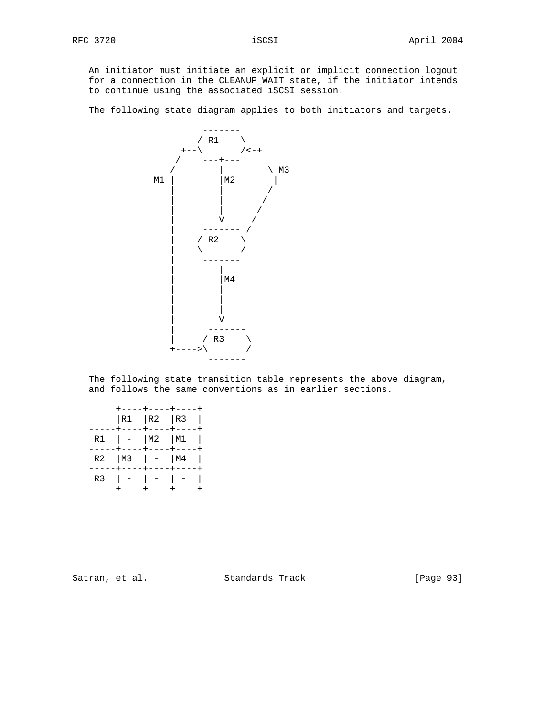An initiator must initiate an explicit or implicit connection logout for a connection in the CLEANUP\_WAIT state, if the initiator intends to continue using the associated iSCSI session.

The following state diagram applies to both initiators and targets.



 The following state transition table represents the above diagram, and follows the same conventions as in earlier sections.

|  |              | . - - - - + - - - - + - - - - .<br> R1   R2   R3 |              |  |
|--|--------------|--------------------------------------------------|--------------|--|
|  |              | ---+----+----+----<br>$R1$   -   M2   M1         |              |  |
|  | $----+----+$ | ----+----+---+-----<br>R2   M3   $-$   M4        | $----+-----$ |  |
|  |              | R3 $ -  -   -   -  $<br>----+----+----+          |              |  |
|  |              |                                                  |              |  |

Satran, et al. Standards Track [Page 93]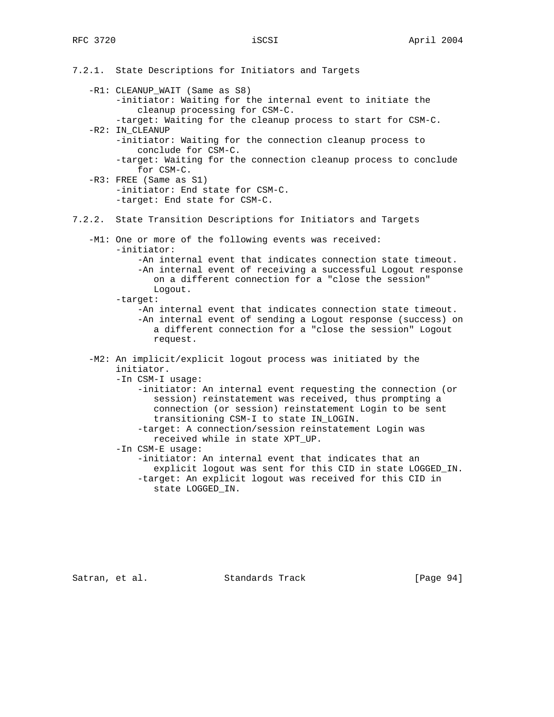7.2.1. State Descriptions for Initiators and Targets -R1: CLEANUP\_WAIT (Same as S8) -initiator: Waiting for the internal event to initiate the cleanup processing for CSM-C. -target: Waiting for the cleanup process to start for CSM-C. -R2: IN\_CLEANUP -initiator: Waiting for the connection cleanup process to conclude for CSM-C. -target: Waiting for the connection cleanup process to conclude for CSM-C. -R3: FREE (Same as S1) -initiator: End state for CSM-C. -target: End state for CSM-C. 7.2.2. State Transition Descriptions for Initiators and Targets -M1: One or more of the following events was received: -initiator: -An internal event that indicates connection state timeout. -An internal event of receiving a successful Logout response on a different connection for a "close the session" Logout. -target: -An internal event that indicates connection state timeout. -An internal event of sending a Logout response (success) on a different connection for a "close the session" Logout request. -M2: An implicit/explicit logout process was initiated by the initiator. -In CSM-I usage: -initiator: An internal event requesting the connection (or session) reinstatement was received, thus prompting a connection (or session) reinstatement Login to be sent transitioning CSM-I to state IN\_LOGIN. -target: A connection/session reinstatement Login was received while in state XPT\_UP. -In CSM-E usage: -initiator: An internal event that indicates that an explicit logout was sent for this CID in state LOGGED\_IN. -target: An explicit logout was received for this CID in state LOGGED\_IN.

Satran, et al. Standards Track [Page 94]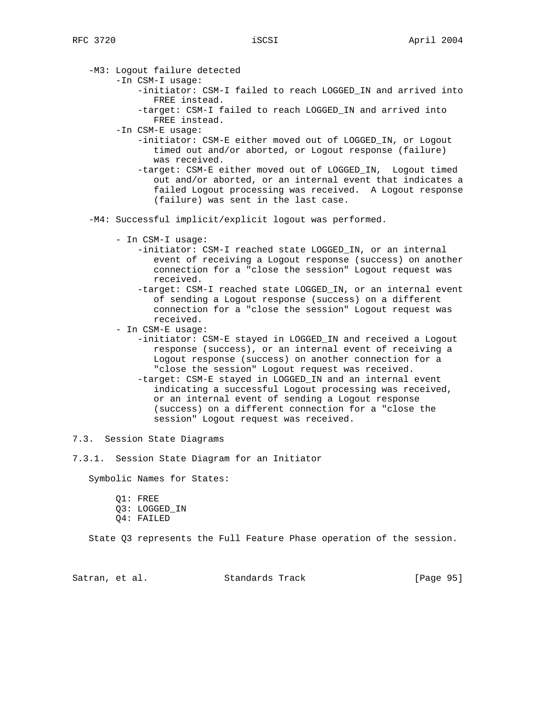-M3: Logout failure detected

- -In CSM-I usage:
	- -initiator: CSM-I failed to reach LOGGED\_IN and arrived into FREE instead.
	- -target: CSM-I failed to reach LOGGED\_IN and arrived into FREE instead.

-In CSM-E usage:

- -initiator: CSM-E either moved out of LOGGED\_IN, or Logout timed out and/or aborted, or Logout response (failure) was received.
- -target: CSM-E either moved out of LOGGED\_IN, Logout timed out and/or aborted, or an internal event that indicates a failed Logout processing was received. A Logout response (failure) was sent in the last case.
- -M4: Successful implicit/explicit logout was performed.
	- In CSM-I usage:
		- -initiator: CSM-I reached state LOGGED\_IN, or an internal event of receiving a Logout response (success) on another connection for a "close the session" Logout request was received.
		- -target: CSM-I reached state LOGGED\_IN, or an internal event of sending a Logout response (success) on a different connection for a "close the session" Logout request was received.
	- In CSM-E usage:
		- -initiator: CSM-E stayed in LOGGED\_IN and received a Logout response (success), or an internal event of receiving a Logout response (success) on another connection for a "close the session" Logout request was received. -target: CSM-E stayed in LOGGED\_IN and an internal event indicating a successful Logout processing was received, or an internal event of sending a Logout response (success) on a different connection for a "close the session" Logout request was received.

7.3. Session State Diagrams

7.3.1. Session State Diagram for an Initiator

Symbolic Names for States:

- Q1: FREE Q3: LOGGED\_IN
- Q4: FAILED

State Q3 represents the Full Feature Phase operation of the session.

Satran, et al. Standards Track [Page 95]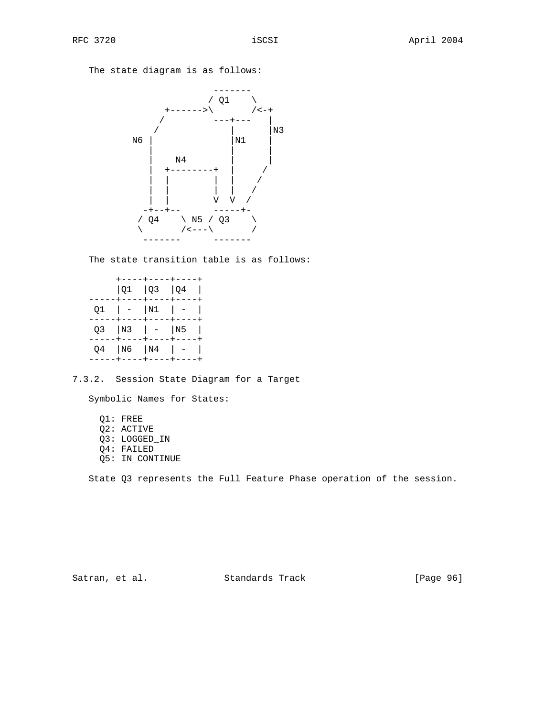The state diagram is as follows:



The state transition table is as follows:

|  | $ Q1 $ $ Q3 $ $ Q4 $ | ----+----+----+<br>---+----+----+----                        |     |
|--|----------------------|--------------------------------------------------------------|-----|
|  | Q1   -  N1   -       |                                                              | - 1 |
|  | ----+----+           | ----+<br>Q3   N3   -   N5                                    |     |
|  |                      | ----+----+----+----<br>Q4  N6  N4   -<br>----+----+----+---- |     |

7.3.2. Session State Diagram for a Target

Symbolic Names for States:

 Q1: FREE Q2: ACTIVE Q3: LOGGED\_IN Q4: FAILED Q5: IN\_CONTINUE

State Q3 represents the Full Feature Phase operation of the session.

Satran, et al. Standards Track [Page 96]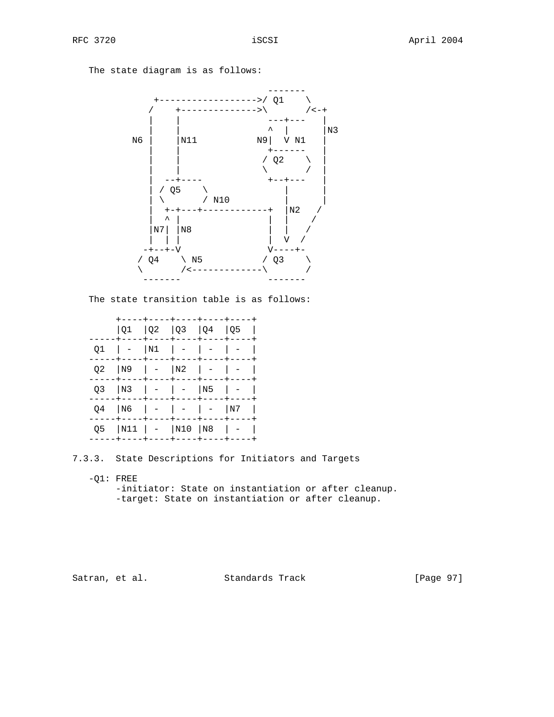The state diagram is as follows:



The state transition table is as follows:

|    |          |               | $ Q1 \t  Q2 \t  Q3 \t  Q4 \t  Q5$<br>----+----+----+----+---- |             |                             |  |
|----|----------|---------------|---------------------------------------------------------------|-------------|-----------------------------|--|
|    |          |               | $ N1  -   -$                                                  |             |                             |  |
| 02 | N9       |               | $  -  N2  -   -$                                              |             |                             |  |
| O3 | N3       |               | $  -   -   N5$                                                |             |                             |  |
| 04 | N6       |               |                                                               |             | l N7                        |  |
| 05 | ---+---- | $\cdot$ $  -$ | +----+---++---+----+---<br> N11   -  N10  N8<br>----          | $+ - - - -$ | $\frac{1}{2}$ $\frac{1}{2}$ |  |
|    |          |               |                                                               |             |                             |  |

7.3.3. State Descriptions for Initiators and Targets

 $-Q1:$  FREE

 -initiator: State on instantiation or after cleanup. -target: State on instantiation or after cleanup.

Satran, et al. Standards Track [Page 97]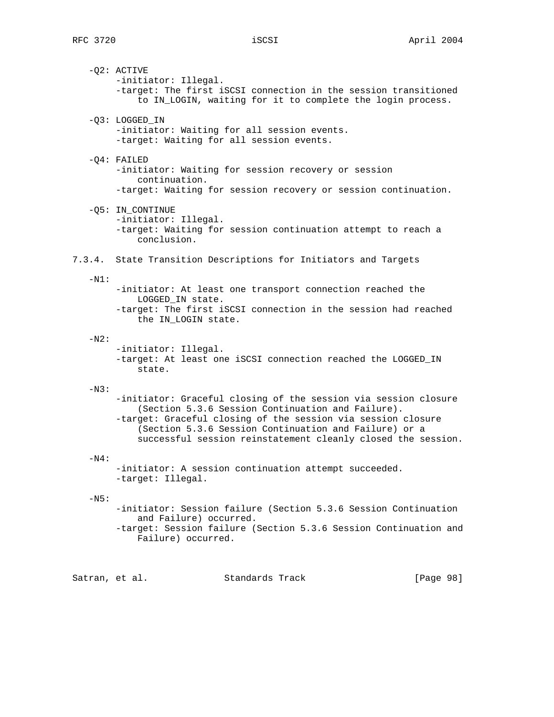-Q2: ACTIVE -initiator: Illegal. -target: The first iSCSI connection in the session transitioned to IN\_LOGIN, waiting for it to complete the login process. -Q3: LOGGED\_IN -initiator: Waiting for all session events. -target: Waiting for all session events. -Q4: FAILED -initiator: Waiting for session recovery or session continuation. -target: Waiting for session recovery or session continuation. -Q5: IN\_CONTINUE -initiator: Illegal. -target: Waiting for session continuation attempt to reach a conclusion. 7.3.4. State Transition Descriptions for Initiators and Targets  $-N1$ : -initiator: At least one transport connection reached the LOGGED\_IN state. -target: The first iSCSI connection in the session had reached the IN\_LOGIN state.  $-N2$ : -initiator: Illegal. -target: At least one iSCSI connection reached the LOGGED\_IN state.  $-N3$ : -initiator: Graceful closing of the session via session closure (Section 5.3.6 Session Continuation and Failure). -target: Graceful closing of the session via session closure (Section 5.3.6 Session Continuation and Failure) or a successful session reinstatement cleanly closed the session.  $-N4$ : -initiator: A session continuation attempt succeeded. -target: Illegal.  $-N5$ : -initiator: Session failure (Section 5.3.6 Session Continuation and Failure) occurred. -target: Session failure (Section 5.3.6 Session Continuation and Failure) occurred.

Satran, et al. Standards Track [Page 98]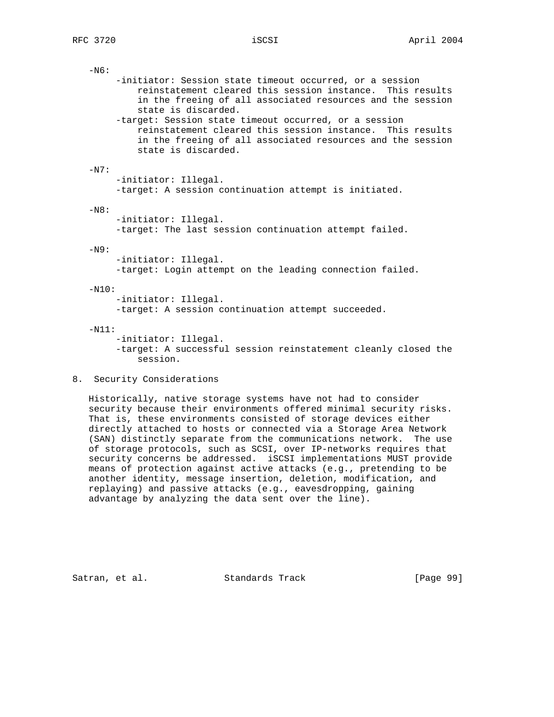| $-N6:$  |                                                                                                                                                                                                            |
|---------|------------------------------------------------------------------------------------------------------------------------------------------------------------------------------------------------------------|
|         | -initiator: Session state timeout occurred, or a session<br>reinstatement cleared this session instance. This results<br>in the freeing of all associated resources and the session<br>state is discarded. |
|         | -target: Session state timeout occurred, or a session<br>reinstatement cleared this session instance. This results<br>in the freeing of all associated resources and the session<br>state is discarded.    |
| $-N7:$  |                                                                                                                                                                                                            |
|         | -initiator: Illegal.<br>-target: A session continuation attempt is initiated.                                                                                                                              |
| $-N8:$  |                                                                                                                                                                                                            |
|         | -initiator: Illegal.<br>-target: The last session continuation attempt failed.                                                                                                                             |
| $-N9:$  |                                                                                                                                                                                                            |
|         | -initiator: Illegal.<br>-target: Login attempt on the leading connection failed.                                                                                                                           |
| $-N10:$ |                                                                                                                                                                                                            |
|         | -initiator: Illegal.<br>-target: A session continuation attempt succeeded.                                                                                                                                 |
| $-N11:$ |                                                                                                                                                                                                            |
|         | -initiator: Illegal.                                                                                                                                                                                       |
|         | -target: A successful session reinstatement cleanly closed the<br>session.                                                                                                                                 |

8. Security Considerations

 Historically, native storage systems have not had to consider security because their environments offered minimal security risks. That is, these environments consisted of storage devices either directly attached to hosts or connected via a Storage Area Network (SAN) distinctly separate from the communications network. The use of storage protocols, such as SCSI, over IP-networks requires that security concerns be addressed. iSCSI implementations MUST provide means of protection against active attacks (e.g., pretending to be another identity, message insertion, deletion, modification, and replaying) and passive attacks (e.g., eavesdropping, gaining advantage by analyzing the data sent over the line).

Satran, et al. Standards Track [Page 99]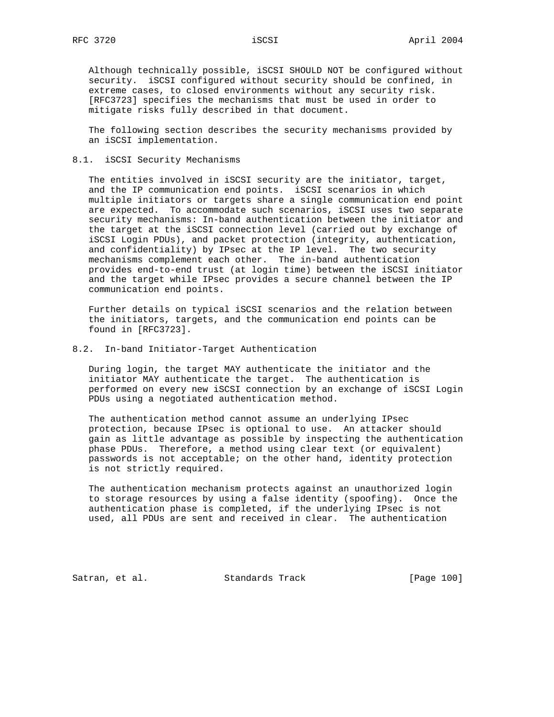Although technically possible, iSCSI SHOULD NOT be configured without security. iSCSI configured without security should be confined, in extreme cases, to closed environments without any security risk. [RFC3723] specifies the mechanisms that must be used in order to mitigate risks fully described in that document.

 The following section describes the security mechanisms provided by an iSCSI implementation.

## 8.1. iSCSI Security Mechanisms

 The entities involved in iSCSI security are the initiator, target, and the IP communication end points. iSCSI scenarios in which multiple initiators or targets share a single communication end point are expected. To accommodate such scenarios, iSCSI uses two separate security mechanisms: In-band authentication between the initiator and the target at the iSCSI connection level (carried out by exchange of iSCSI Login PDUs), and packet protection (integrity, authentication, and confidentiality) by IPsec at the IP level. The two security mechanisms complement each other. The in-band authentication provides end-to-end trust (at login time) between the iSCSI initiator and the target while IPsec provides a secure channel between the IP communication end points.

 Further details on typical iSCSI scenarios and the relation between the initiators, targets, and the communication end points can be found in [RFC3723].

## 8.2. In-band Initiator-Target Authentication

 During login, the target MAY authenticate the initiator and the initiator MAY authenticate the target. The authentication is performed on every new iSCSI connection by an exchange of iSCSI Login PDUs using a negotiated authentication method.

 The authentication method cannot assume an underlying IPsec protection, because IPsec is optional to use. An attacker should gain as little advantage as possible by inspecting the authentication phase PDUs. Therefore, a method using clear text (or equivalent) passwords is not acceptable; on the other hand, identity protection is not strictly required.

 The authentication mechanism protects against an unauthorized login to storage resources by using a false identity (spoofing). Once the authentication phase is completed, if the underlying IPsec is not used, all PDUs are sent and received in clear. The authentication

Satran, et al. Standards Track [Page 100]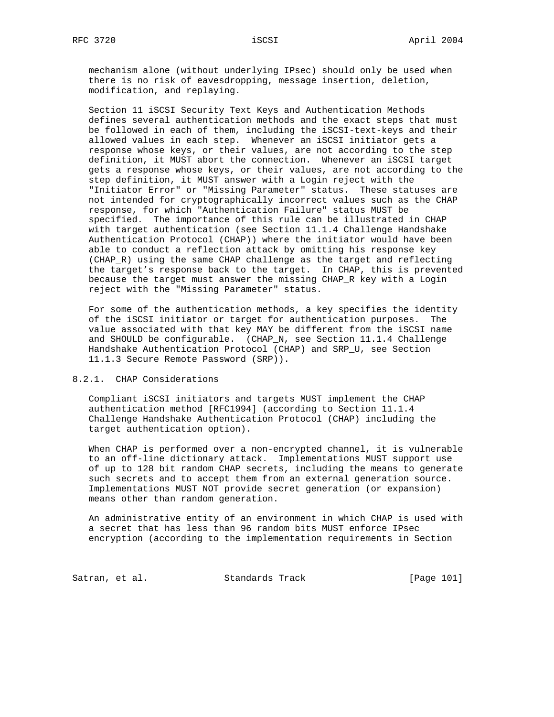mechanism alone (without underlying IPsec) should only be used when there is no risk of eavesdropping, message insertion, deletion, modification, and replaying.

 Section 11 iSCSI Security Text Keys and Authentication Methods defines several authentication methods and the exact steps that must be followed in each of them, including the iSCSI-text-keys and their allowed values in each step. Whenever an iSCSI initiator gets a response whose keys, or their values, are not according to the step definition, it MUST abort the connection. Whenever an iSCSI target gets a response whose keys, or their values, are not according to the step definition, it MUST answer with a Login reject with the "Initiator Error" or "Missing Parameter" status. These statuses are not intended for cryptographically incorrect values such as the CHAP response, for which "Authentication Failure" status MUST be specified. The importance of this rule can be illustrated in CHAP with target authentication (see Section 11.1.4 Challenge Handshake Authentication Protocol (CHAP)) where the initiator would have been able to conduct a reflection attack by omitting his response key (CHAP\_R) using the same CHAP challenge as the target and reflecting the target's response back to the target. In CHAP, this is prevented because the target must answer the missing CHAP\_R key with a Login reject with the "Missing Parameter" status.

 For some of the authentication methods, a key specifies the identity of the iSCSI initiator or target for authentication purposes. The value associated with that key MAY be different from the iSCSI name and SHOULD be configurable. (CHAP\_N, see Section 11.1.4 Challenge Handshake Authentication Protocol (CHAP) and SRP\_U, see Section 11.1.3 Secure Remote Password (SRP)).

# 8.2.1. CHAP Considerations

 Compliant iSCSI initiators and targets MUST implement the CHAP authentication method [RFC1994] (according to Section 11.1.4 Challenge Handshake Authentication Protocol (CHAP) including the target authentication option).

 When CHAP is performed over a non-encrypted channel, it is vulnerable to an off-line dictionary attack. Implementations MUST support use of up to 128 bit random CHAP secrets, including the means to generate such secrets and to accept them from an external generation source. Implementations MUST NOT provide secret generation (or expansion) means other than random generation.

 An administrative entity of an environment in which CHAP is used with a secret that has less than 96 random bits MUST enforce IPsec encryption (according to the implementation requirements in Section

Satran, et al. Standards Track [Page 101]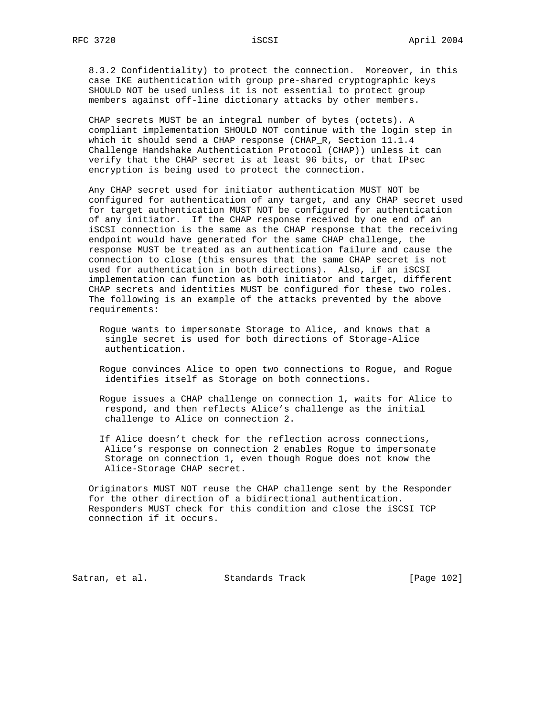8.3.2 Confidentiality) to protect the connection. Moreover, in this case IKE authentication with group pre-shared cryptographic keys SHOULD NOT be used unless it is not essential to protect group members against off-line dictionary attacks by other members.

 CHAP secrets MUST be an integral number of bytes (octets). A compliant implementation SHOULD NOT continue with the login step in which it should send a CHAP response (CHAP\_R, Section 11.1.4 Challenge Handshake Authentication Protocol (CHAP)) unless it can verify that the CHAP secret is at least 96 bits, or that IPsec encryption is being used to protect the connection.

 Any CHAP secret used for initiator authentication MUST NOT be configured for authentication of any target, and any CHAP secret used for target authentication MUST NOT be configured for authentication of any initiator. If the CHAP response received by one end of an iSCSI connection is the same as the CHAP response that the receiving endpoint would have generated for the same CHAP challenge, the response MUST be treated as an authentication failure and cause the connection to close (this ensures that the same CHAP secret is not used for authentication in both directions). Also, if an iSCSI implementation can function as both initiator and target, different CHAP secrets and identities MUST be configured for these two roles. The following is an example of the attacks prevented by the above requirements:

- Rogue wants to impersonate Storage to Alice, and knows that a single secret is used for both directions of Storage-Alice authentication.
- Rogue convinces Alice to open two connections to Rogue, and Rogue identifies itself as Storage on both connections.

 Rogue issues a CHAP challenge on connection 1, waits for Alice to respond, and then reflects Alice's challenge as the initial challenge to Alice on connection 2.

 If Alice doesn't check for the reflection across connections, Alice's response on connection 2 enables Rogue to impersonate Storage on connection 1, even though Rogue does not know the Alice-Storage CHAP secret.

 Originators MUST NOT reuse the CHAP challenge sent by the Responder for the other direction of a bidirectional authentication. Responders MUST check for this condition and close the iSCSI TCP connection if it occurs.

Satran, et al. Standards Track [Page 102]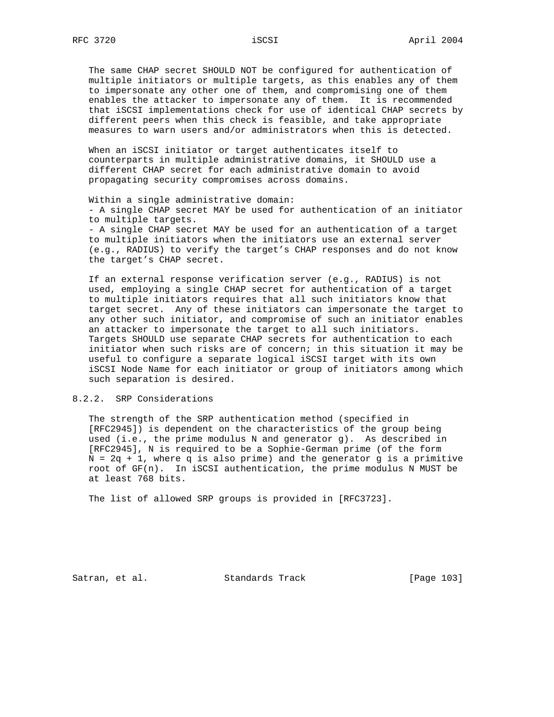The same CHAP secret SHOULD NOT be configured for authentication of multiple initiators or multiple targets, as this enables any of them to impersonate any other one of them, and compromising one of them enables the attacker to impersonate any of them. It is recommended that iSCSI implementations check for use of identical CHAP secrets by different peers when this check is feasible, and take appropriate measures to warn users and/or administrators when this is detected.

 When an iSCSI initiator or target authenticates itself to counterparts in multiple administrative domains, it SHOULD use a different CHAP secret for each administrative domain to avoid propagating security compromises across domains.

 Within a single administrative domain: - A single CHAP secret MAY be used for authentication of an initiator to multiple targets. - A single CHAP secret MAY be used for an authentication of a target to multiple initiators when the initiators use an external server (e.g., RADIUS) to verify the target's CHAP responses and do not know the target's CHAP secret.

 If an external response verification server (e.g., RADIUS) is not used, employing a single CHAP secret for authentication of a target to multiple initiators requires that all such initiators know that target secret. Any of these initiators can impersonate the target to any other such initiator, and compromise of such an initiator enables an attacker to impersonate the target to all such initiators. Targets SHOULD use separate CHAP secrets for authentication to each initiator when such risks are of concern; in this situation it may be useful to configure a separate logical iSCSI target with its own iSCSI Node Name for each initiator or group of initiators among which such separation is desired.

## 8.2.2. SRP Considerations

 The strength of the SRP authentication method (specified in [RFC2945]) is dependent on the characteristics of the group being used (i.e., the prime modulus N and generator g). As described in [RFC2945], N is required to be a Sophie-German prime (of the form  $N = 2q + 1$ , where q is also prime) and the generator g is a primitive root of GF(n). In iSCSI authentication, the prime modulus N MUST be at least 768 bits.

The list of allowed SRP groups is provided in [RFC3723].

Satran, et al. Standards Track [Page 103]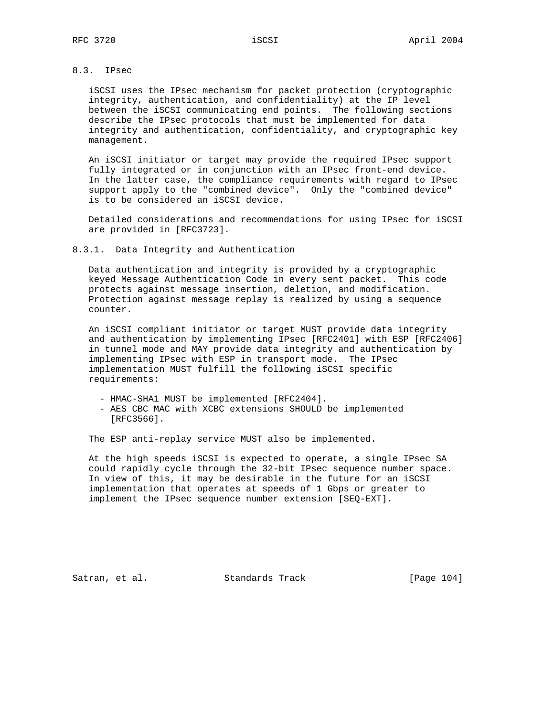# 8.3. IPsec

 iSCSI uses the IPsec mechanism for packet protection (cryptographic integrity, authentication, and confidentiality) at the IP level between the iSCSI communicating end points. The following sections describe the IPsec protocols that must be implemented for data integrity and authentication, confidentiality, and cryptographic key management.

 An iSCSI initiator or target may provide the required IPsec support fully integrated or in conjunction with an IPsec front-end device. In the latter case, the compliance requirements with regard to IPsec support apply to the "combined device". Only the "combined device" is to be considered an iSCSI device.

 Detailed considerations and recommendations for using IPsec for iSCSI are provided in [RFC3723].

8.3.1. Data Integrity and Authentication

 Data authentication and integrity is provided by a cryptographic keyed Message Authentication Code in every sent packet. This code protects against message insertion, deletion, and modification. Protection against message replay is realized by using a sequence counter.

 An iSCSI compliant initiator or target MUST provide data integrity and authentication by implementing IPsec [RFC2401] with ESP [RFC2406] in tunnel mode and MAY provide data integrity and authentication by implementing IPsec with ESP in transport mode. The IPsec implementation MUST fulfill the following iSCSI specific requirements:

- HMAC-SHA1 MUST be implemented [RFC2404].
- AES CBC MAC with XCBC extensions SHOULD be implemented [RFC3566].

The ESP anti-replay service MUST also be implemented.

 At the high speeds iSCSI is expected to operate, a single IPsec SA could rapidly cycle through the 32-bit IPsec sequence number space. In view of this, it may be desirable in the future for an iSCSI implementation that operates at speeds of 1 Gbps or greater to implement the IPsec sequence number extension [SEQ-EXT].

Satran, et al. Standards Track [Page 104]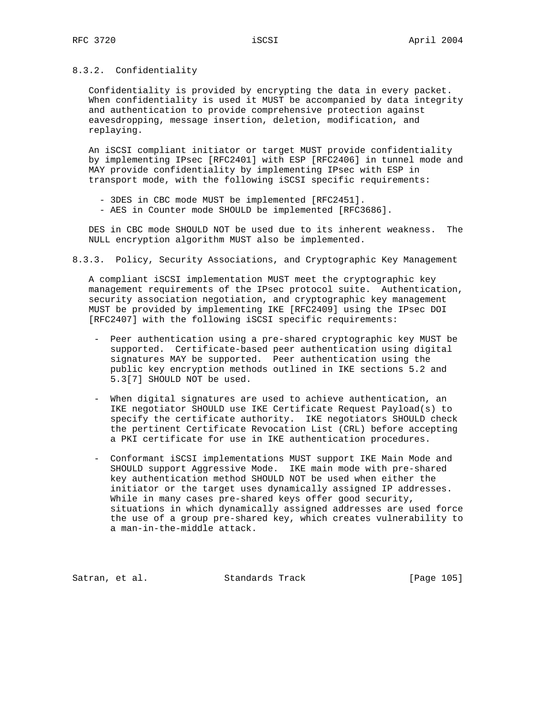# 8.3.2. Confidentiality

 Confidentiality is provided by encrypting the data in every packet. When confidentiality is used it MUST be accompanied by data integrity and authentication to provide comprehensive protection against eavesdropping, message insertion, deletion, modification, and replaying.

 An iSCSI compliant initiator or target MUST provide confidentiality by implementing IPsec [RFC2401] with ESP [RFC2406] in tunnel mode and MAY provide confidentiality by implementing IPsec with ESP in transport mode, with the following iSCSI specific requirements:

- 3DES in CBC mode MUST be implemented [RFC2451].
- AES in Counter mode SHOULD be implemented [RFC3686].

 DES in CBC mode SHOULD NOT be used due to its inherent weakness. The NULL encryption algorithm MUST also be implemented.

8.3.3. Policy, Security Associations, and Cryptographic Key Management

 A compliant iSCSI implementation MUST meet the cryptographic key management requirements of the IPsec protocol suite. Authentication, security association negotiation, and cryptographic key management MUST be provided by implementing IKE [RFC2409] using the IPsec DOI [RFC2407] with the following iSCSI specific requirements:

- Peer authentication using a pre-shared cryptographic key MUST be supported. Certificate-based peer authentication using digital signatures MAY be supported. Peer authentication using the public key encryption methods outlined in IKE sections 5.2 and 5.3[7] SHOULD NOT be used.
- When digital signatures are used to achieve authentication, an IKE negotiator SHOULD use IKE Certificate Request Payload(s) to specify the certificate authority. IKE negotiators SHOULD check the pertinent Certificate Revocation List (CRL) before accepting a PKI certificate for use in IKE authentication procedures.
- Conformant iSCSI implementations MUST support IKE Main Mode and SHOULD support Aggressive Mode. IKE main mode with pre-shared key authentication method SHOULD NOT be used when either the initiator or the target uses dynamically assigned IP addresses. While in many cases pre-shared keys offer good security, situations in which dynamically assigned addresses are used force the use of a group pre-shared key, which creates vulnerability to a man-in-the-middle attack.

Satran, et al. Standards Track [Page 105]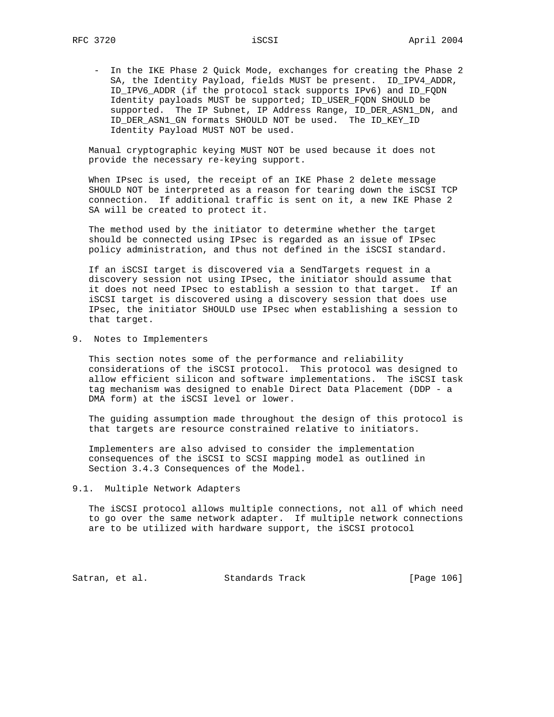- In the IKE Phase 2 Quick Mode, exchanges for creating the Phase 2 SA, the Identity Payload, fields MUST be present. ID\_IPV4\_ADDR, ID\_IPV6\_ADDR (if the protocol stack supports IPv6) and ID\_FQDN Identity payloads MUST be supported; ID\_USER\_FQDN SHOULD be supported. The IP Subnet, IP Address Range, ID\_DER\_ASN1\_DN, and ID\_DER\_ASN1\_GN formats SHOULD NOT be used. The ID\_KEY\_ID Identity Payload MUST NOT be used.

 Manual cryptographic keying MUST NOT be used because it does not provide the necessary re-keying support.

 When IPsec is used, the receipt of an IKE Phase 2 delete message SHOULD NOT be interpreted as a reason for tearing down the iSCSI TCP connection. If additional traffic is sent on it, a new IKE Phase 2 SA will be created to protect it.

 The method used by the initiator to determine whether the target should be connected using IPsec is regarded as an issue of IPsec policy administration, and thus not defined in the iSCSI standard.

 If an iSCSI target is discovered via a SendTargets request in a discovery session not using IPsec, the initiator should assume that it does not need IPsec to establish a session to that target. If an iSCSI target is discovered using a discovery session that does use IPsec, the initiator SHOULD use IPsec when establishing a session to that target.

9. Notes to Implementers

 This section notes some of the performance and reliability considerations of the iSCSI protocol. This protocol was designed to allow efficient silicon and software implementations. The iSCSI task tag mechanism was designed to enable Direct Data Placement (DDP - a DMA form) at the iSCSI level or lower.

 The guiding assumption made throughout the design of this protocol is that targets are resource constrained relative to initiators.

 Implementers are also advised to consider the implementation consequences of the iSCSI to SCSI mapping model as outlined in Section 3.4.3 Consequences of the Model.

9.1. Multiple Network Adapters

The iSCSI protocol allows multiple connections, not all of which need to go over the same network adapter. If multiple network connections are to be utilized with hardware support, the iSCSI protocol

Satran, et al. Standards Track [Page 106]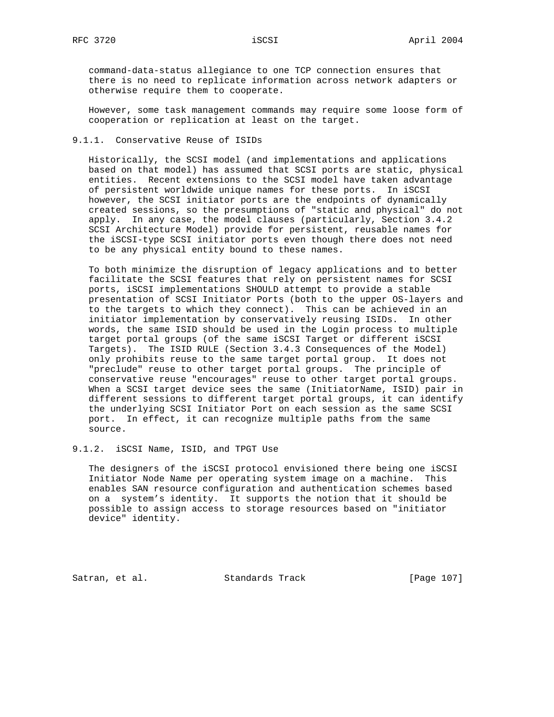command-data-status allegiance to one TCP connection ensures that there is no need to replicate information across network adapters or otherwise require them to cooperate.

 However, some task management commands may require some loose form of cooperation or replication at least on the target.

# 9.1.1. Conservative Reuse of ISIDs

 Historically, the SCSI model (and implementations and applications based on that model) has assumed that SCSI ports are static, physical entities. Recent extensions to the SCSI model have taken advantage of persistent worldwide unique names for these ports. In iSCSI however, the SCSI initiator ports are the endpoints of dynamically created sessions, so the presumptions of "static and physical" do not apply. In any case, the model clauses (particularly, Section 3.4.2 SCSI Architecture Model) provide for persistent, reusable names for the iSCSI-type SCSI initiator ports even though there does not need to be any physical entity bound to these names.

 To both minimize the disruption of legacy applications and to better facilitate the SCSI features that rely on persistent names for SCSI ports, iSCSI implementations SHOULD attempt to provide a stable presentation of SCSI Initiator Ports (both to the upper OS-layers and to the targets to which they connect). This can be achieved in an initiator implementation by conservatively reusing ISIDs. In other words, the same ISID should be used in the Login process to multiple target portal groups (of the same iSCSI Target or different iSCSI Targets). The ISID RULE (Section 3.4.3 Consequences of the Model) only prohibits reuse to the same target portal group. It does not "preclude" reuse to other target portal groups. The principle of conservative reuse "encourages" reuse to other target portal groups. When a SCSI target device sees the same (InitiatorName, ISID) pair in different sessions to different target portal groups, it can identify the underlying SCSI Initiator Port on each session as the same SCSI port. In effect, it can recognize multiple paths from the same source.

9.1.2. iSCSI Name, ISID, and TPGT Use

 The designers of the iSCSI protocol envisioned there being one iSCSI Initiator Node Name per operating system image on a machine. This enables SAN resource configuration and authentication schemes based on a system's identity. It supports the notion that it should be possible to assign access to storage resources based on "initiator device" identity.

Satran, et al. Standards Track [Page 107]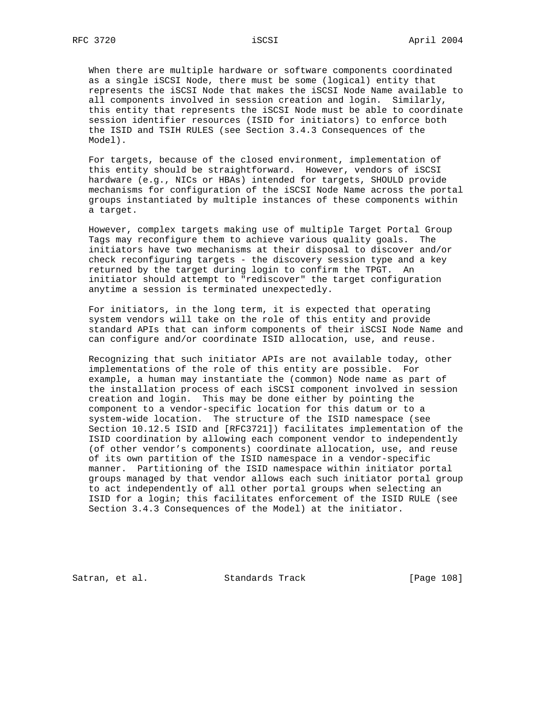When there are multiple hardware or software components coordinated as a single iSCSI Node, there must be some (logical) entity that represents the iSCSI Node that makes the iSCSI Node Name available to all components involved in session creation and login. Similarly, this entity that represents the iSCSI Node must be able to coordinate session identifier resources (ISID for initiators) to enforce both the ISID and TSIH RULES (see Section 3.4.3 Consequences of the Model).

 For targets, because of the closed environment, implementation of this entity should be straightforward. However, vendors of iSCSI hardware (e.g., NICs or HBAs) intended for targets, SHOULD provide mechanisms for configuration of the iSCSI Node Name across the portal groups instantiated by multiple instances of these components within a target.

 However, complex targets making use of multiple Target Portal Group Tags may reconfigure them to achieve various quality goals. The initiators have two mechanisms at their disposal to discover and/or check reconfiguring targets - the discovery session type and a key returned by the target during login to confirm the TPGT. An initiator should attempt to "rediscover" the target configuration anytime a session is terminated unexpectedly.

 For initiators, in the long term, it is expected that operating system vendors will take on the role of this entity and provide standard APIs that can inform components of their iSCSI Node Name and can configure and/or coordinate ISID allocation, use, and reuse.

 Recognizing that such initiator APIs are not available today, other implementations of the role of this entity are possible. For example, a human may instantiate the (common) Node name as part of the installation process of each iSCSI component involved in session creation and login. This may be done either by pointing the component to a vendor-specific location for this datum or to a system-wide location. The structure of the ISID namespace (see Section 10.12.5 ISID and [RFC3721]) facilitates implementation of the ISID coordination by allowing each component vendor to independently (of other vendor's components) coordinate allocation, use, and reuse of its own partition of the ISID namespace in a vendor-specific manner. Partitioning of the ISID namespace within initiator portal groups managed by that vendor allows each such initiator portal group to act independently of all other portal groups when selecting an ISID for a login; this facilitates enforcement of the ISID RULE (see Section 3.4.3 Consequences of the Model) at the initiator.

Satran, et al. Standards Track [Page 108]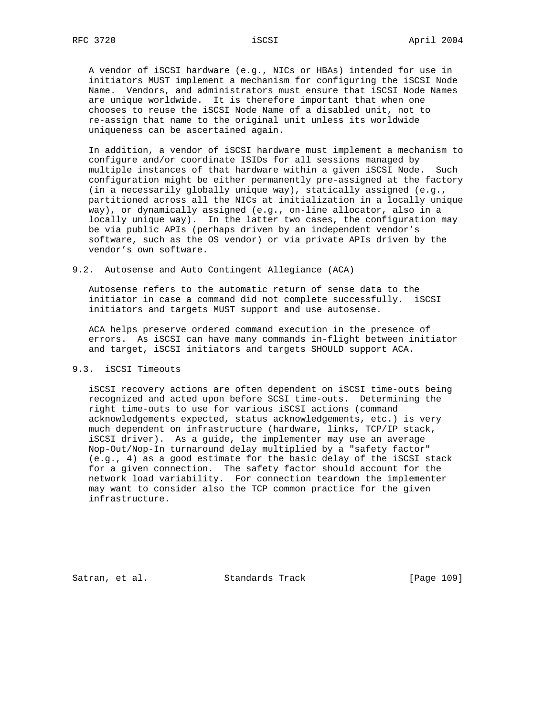A vendor of iSCSI hardware (e.g., NICs or HBAs) intended for use in initiators MUST implement a mechanism for configuring the iSCSI Node Name. Vendors, and administrators must ensure that iSCSI Node Names are unique worldwide. It is therefore important that when one chooses to reuse the iSCSI Node Name of a disabled unit, not to re-assign that name to the original unit unless its worldwide uniqueness can be ascertained again.

 In addition, a vendor of iSCSI hardware must implement a mechanism to configure and/or coordinate ISIDs for all sessions managed by multiple instances of that hardware within a given iSCSI Node. Such configuration might be either permanently pre-assigned at the factory (in a necessarily globally unique way), statically assigned (e.g., partitioned across all the NICs at initialization in a locally unique way), or dynamically assigned (e.g., on-line allocator, also in a locally unique way). In the latter two cases, the configuration may be via public APIs (perhaps driven by an independent vendor's software, such as the OS vendor) or via private APIs driven by the vendor's own software.

### 9.2. Autosense and Auto Contingent Allegiance (ACA)

 Autosense refers to the automatic return of sense data to the initiator in case a command did not complete successfully. iSCSI initiators and targets MUST support and use autosense.

 ACA helps preserve ordered command execution in the presence of errors. As iSCSI can have many commands in-flight between initiator and target, iSCSI initiators and targets SHOULD support ACA.

# 9.3. iSCSI Timeouts

 iSCSI recovery actions are often dependent on iSCSI time-outs being recognized and acted upon before SCSI time-outs. Determining the right time-outs to use for various iSCSI actions (command acknowledgements expected, status acknowledgements, etc.) is very much dependent on infrastructure (hardware, links, TCP/IP stack, iSCSI driver). As a guide, the implementer may use an average Nop-Out/Nop-In turnaround delay multiplied by a "safety factor" (e.g., 4) as a good estimate for the basic delay of the iSCSI stack for a given connection. The safety factor should account for the network load variability. For connection teardown the implementer may want to consider also the TCP common practice for the given infrastructure.

Satran, et al. Standards Track [Page 109]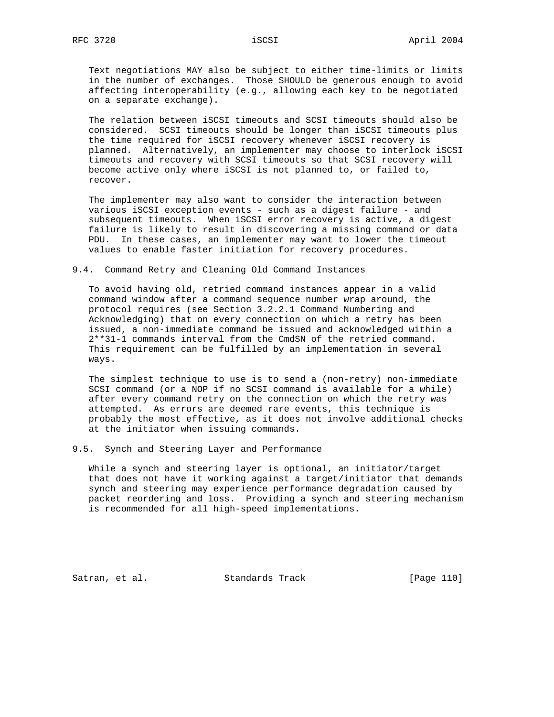Text negotiations MAY also be subject to either time-limits or limits in the number of exchanges. Those SHOULD be generous enough to avoid affecting interoperability (e.g., allowing each key to be negotiated on a separate exchange).

 The relation between iSCSI timeouts and SCSI timeouts should also be considered. SCSI timeouts should be longer than iSCSI timeouts plus the time required for iSCSI recovery whenever iSCSI recovery is planned. Alternatively, an implementer may choose to interlock iSCSI timeouts and recovery with SCSI timeouts so that SCSI recovery will become active only where iSCSI is not planned to, or failed to, recover.

 The implementer may also want to consider the interaction between various iSCSI exception events - such as a digest failure - and subsequent timeouts. When iSCSI error recovery is active, a digest failure is likely to result in discovering a missing command or data PDU. In these cases, an implementer may want to lower the timeout values to enable faster initiation for recovery procedures.

### 9.4. Command Retry and Cleaning Old Command Instances

 To avoid having old, retried command instances appear in a valid command window after a command sequence number wrap around, the protocol requires (see Section 3.2.2.1 Command Numbering and Acknowledging) that on every connection on which a retry has been issued, a non-immediate command be issued and acknowledged within a 2\*\*31-1 commands interval from the CmdSN of the retried command. This requirement can be fulfilled by an implementation in several ways.

 The simplest technique to use is to send a (non-retry) non-immediate SCSI command (or a NOP if no SCSI command is available for a while) after every command retry on the connection on which the retry was attempted. As errors are deemed rare events, this technique is probably the most effective, as it does not involve additional checks at the initiator when issuing commands.

9.5. Synch and Steering Layer and Performance

 While a synch and steering layer is optional, an initiator/target that does not have it working against a target/initiator that demands synch and steering may experience performance degradation caused by packet reordering and loss. Providing a synch and steering mechanism is recommended for all high-speed implementations.

Satran, et al. Standards Track [Page 110]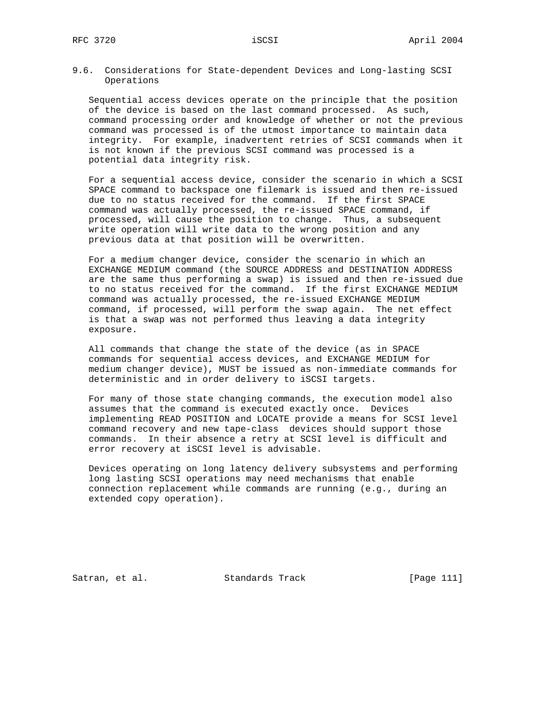9.6. Considerations for State-dependent Devices and Long-lasting SCSI Operations

 Sequential access devices operate on the principle that the position of the device is based on the last command processed. As such, command processing order and knowledge of whether or not the previous command was processed is of the utmost importance to maintain data integrity. For example, inadvertent retries of SCSI commands when it is not known if the previous SCSI command was processed is a potential data integrity risk.

 For a sequential access device, consider the scenario in which a SCSI SPACE command to backspace one filemark is issued and then re-issued due to no status received for the command. If the first SPACE command was actually processed, the re-issued SPACE command, if processed, will cause the position to change. Thus, a subsequent write operation will write data to the wrong position and any previous data at that position will be overwritten.

 For a medium changer device, consider the scenario in which an EXCHANGE MEDIUM command (the SOURCE ADDRESS and DESTINATION ADDRESS are the same thus performing a swap) is issued and then re-issued due to no status received for the command. If the first EXCHANGE MEDIUM command was actually processed, the re-issued EXCHANGE MEDIUM command, if processed, will perform the swap again. The net effect is that a swap was not performed thus leaving a data integrity exposure.

 All commands that change the state of the device (as in SPACE commands for sequential access devices, and EXCHANGE MEDIUM for medium changer device), MUST be issued as non-immediate commands for deterministic and in order delivery to iSCSI targets.

 For many of those state changing commands, the execution model also assumes that the command is executed exactly once. Devices implementing READ POSITION and LOCATE provide a means for SCSI level command recovery and new tape-class devices should support those commands. In their absence a retry at SCSI level is difficult and error recovery at iSCSI level is advisable.

 Devices operating on long latency delivery subsystems and performing long lasting SCSI operations may need mechanisms that enable connection replacement while commands are running (e.g., during an extended copy operation).

Satran, et al. Standards Track [Page 111]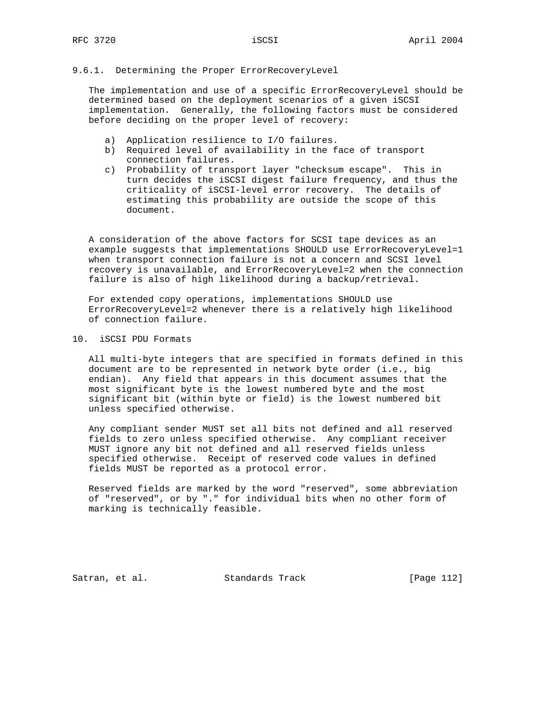## 9.6.1. Determining the Proper ErrorRecoveryLevel

 The implementation and use of a specific ErrorRecoveryLevel should be determined based on the deployment scenarios of a given iSCSI implementation. Generally, the following factors must be considered before deciding on the proper level of recovery:

- a) Application resilience to I/O failures.
- b) Required level of availability in the face of transport connection failures.
- c) Probability of transport layer "checksum escape". This in turn decides the iSCSI digest failure frequency, and thus the criticality of iSCSI-level error recovery. The details of estimating this probability are outside the scope of this document.

 A consideration of the above factors for SCSI tape devices as an example suggests that implementations SHOULD use ErrorRecoveryLevel=1 when transport connection failure is not a concern and SCSI level recovery is unavailable, and ErrorRecoveryLevel=2 when the connection failure is also of high likelihood during a backup/retrieval.

 For extended copy operations, implementations SHOULD use ErrorRecoveryLevel=2 whenever there is a relatively high likelihood of connection failure.

## 10. iSCSI PDU Formats

 All multi-byte integers that are specified in formats defined in this document are to be represented in network byte order (i.e., big endian). Any field that appears in this document assumes that the most significant byte is the lowest numbered byte and the most significant bit (within byte or field) is the lowest numbered bit unless specified otherwise.

 Any compliant sender MUST set all bits not defined and all reserved fields to zero unless specified otherwise. Any compliant receiver MUST ignore any bit not defined and all reserved fields unless specified otherwise. Receipt of reserved code values in defined fields MUST be reported as a protocol error.

 Reserved fields are marked by the word "reserved", some abbreviation of "reserved", or by "." for individual bits when no other form of marking is technically feasible.

Satran, et al. Standards Track [Page 112]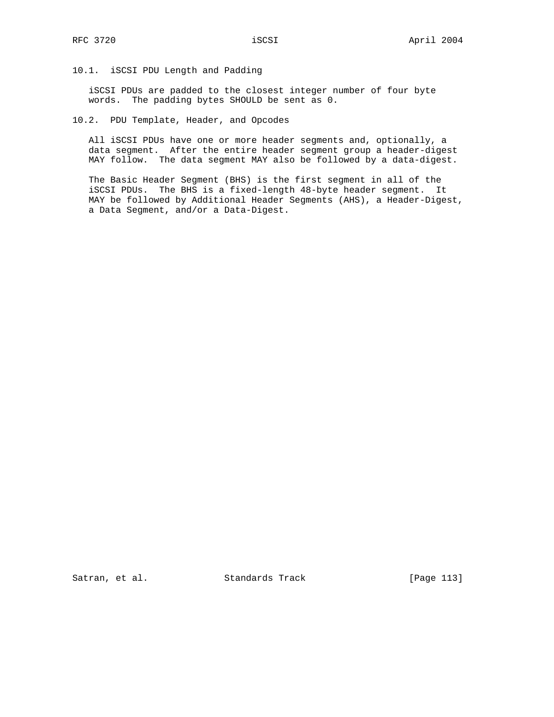# 10.1. iSCSI PDU Length and Padding

 iSCSI PDUs are padded to the closest integer number of four byte words. The padding bytes SHOULD be sent as 0.

10.2. PDU Template, Header, and Opcodes

 All iSCSI PDUs have one or more header segments and, optionally, a data segment. After the entire header segment group a header-digest MAY follow. The data segment MAY also be followed by a data-digest.

 The Basic Header Segment (BHS) is the first segment in all of the iSCSI PDUs. The BHS is a fixed-length 48-byte header segment. It MAY be followed by Additional Header Segments (AHS), a Header-Digest, a Data Segment, and/or a Data-Digest.

Satran, et al. Standards Track [Page 113]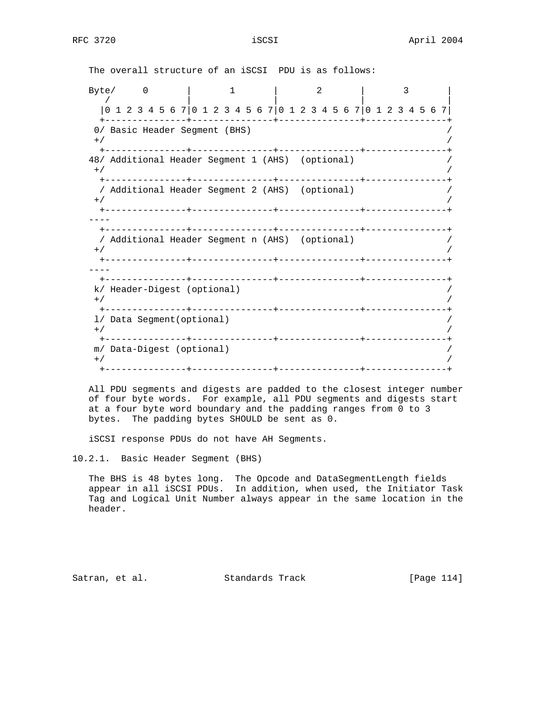The overall structure of an iSCSI PDU is as follows:

Byte/ 0 | 1 | 2 | 3 / | | | | |0 1 2 3 4 5 6 7|0 1 2 3 4 5 6 7|0 1 2 3 4 5 6 7|0 1 2 3 4 5 6 7| +---------------+---------------+---------------+---------------+ 0/ Basic Header Segment (BHS)  $^{+/-}$  /  $^{+/-}$  /  $^{+/-}$  /  $^{+/-}$  /  $^{+/-}$  /  $^{+/-}$  /  $^{+/-}$  /  $^{+/-}$  /  $^{+/-}$  /  $^{+/-}$  /  $^{+/-}$  /  $^{+/-}$  /  $^{+/-}$  /  $^{+/-}$  /  $^{+/-}$  /  $^{+/-}$  /  $^{+/-}$  /  $^{+/-}$  /  $^{+/-}$  /  $^{+/-}$  /  $^{+/-}$  /  $^{+/-}$  /  $^{+/-}$  /  $^{+/-}$  /  $^{+/-}$  +---------------+---------------+---------------+---------------+ 48/ Additional Header Segment 1 (AHS) (optional) /  $^{+/-}$  /  $^{+/-}$  /  $^{+/-}$  /  $^{+/-}$  /  $^{+/-}$  /  $^{+/-}$  /  $^{+/-}$  /  $^{+/-}$  /  $^{+/-}$  /  $^{+/-}$  /  $^{+/-}$  /  $^{+/-}$  /  $^{+/-}$  /  $^{+/-}$  /  $^{+/-}$  /  $^{+/-}$  /  $^{+/-}$  /  $^{+/-}$  /  $^{+/-}$  /  $^{+/-}$  /  $^{+/-}$  /  $^{+/-}$  /  $^{+/-}$  /  $^{+/-}$  /  $^{+/-}$  +---------------+---------------+---------------+---------------+ / Additional Header Segment 2 (AHS) (optional) /  $^{+/-}$  /  $^{+/-}$  /  $^{+/-}$  /  $^{+/-}$  /  $^{+/-}$  /  $^{+/-}$  /  $^{+/-}$  /  $^{+/-}$  /  $^{+/-}$  /  $^{+/-}$  /  $^{+/-}$  /  $^{+/-}$  /  $^{+/-}$  /  $^{+/-}$  /  $^{+/-}$  /  $^{+/-}$  /  $^{+/-}$  /  $^{+/-}$  /  $^{+/-}$  /  $^{+/-}$  /  $^{+/-}$  /  $^{+/-}$  /  $^{+/-}$  /  $^{+/-}$  /  $^{+/-}$  +---------------+---------------+---------------+---------------+ ---- +---------------+---------------+---------------+---------------+ / Additional Header Segment n (AHS) (optional) /  $^{+/-}$  /  $^{+/-}$  /  $^{+/-}$  /  $^{+/-}$  /  $^{+/-}$  /  $^{+/-}$  /  $^{+/-}$  /  $^{+/-}$  /  $^{+/-}$  /  $^{+/-}$  /  $^{+/-}$  /  $^{+/-}$  /  $^{+/-}$  /  $^{+/-}$  /  $^{+/-}$  /  $^{+/-}$  /  $^{+/-}$  /  $^{+/-}$  /  $^{+/-}$  /  $^{+/-}$  /  $^{+/-}$  /  $^{+/-}$  /  $^{+/-}$  /  $^{+/-}$  /  $^{+/-}$  +---------------+---------------+---------------+---------------+ ---- +---------------+---------------+---------------+---------------+ k/ Header-Digest (optional) /  $^{+/-}$  /  $^{+/-}$  /  $^{+/-}$  /  $^{+/-}$  /  $^{+/-}$  /  $^{+/-}$  /  $^{+/-}$  /  $^{+/-}$  /  $^{+/-}$  /  $^{+/-}$  /  $^{+/-}$  /  $^{+/-}$  /  $^{+/-}$  /  $^{+/-}$  /  $^{+/-}$  /  $^{+/-}$  /  $^{+/-}$  /  $^{+/-}$  /  $^{+/-}$  /  $^{+/-}$  /  $^{+/-}$  /  $^{+/-}$  /  $^{+/-}$  /  $^{+/-}$  /  $^{+/-}$  +---------------+---------------+---------------+---------------+ l/ Data Segment(optional) /  $^{+/-}$  /  $^{+/-}$  /  $^{+/-}$  /  $^{+/-}$  /  $^{+/-}$  /  $^{+/-}$  /  $^{+/-}$  /  $^{+/-}$  /  $^{+/-}$  /  $^{+/-}$  /  $^{+/-}$  /  $^{+/-}$  /  $^{+/-}$  /  $^{+/-}$  /  $^{+/-}$  /  $^{+/-}$  /  $^{+/-}$  /  $^{+/-}$  /  $^{+/-}$  /  $^{+/-}$  /  $^{+/-}$  /  $^{+/-}$  /  $^{+/-}$  /  $^{+/-}$  /  $^{+/-}$  +---------------+---------------+---------------+---------------+ m/ Data-Digest (optional) /  $^{+/-}$  /  $^{+/-}$  /  $^{+/-}$  /  $^{+/-}$  /  $^{+/-}$  /  $^{+/-}$  /  $^{+/-}$  /  $^{+/-}$  /  $^{+/-}$  /  $^{+/-}$  /  $^{+/-}$  /  $^{+/-}$  /  $^{+/-}$  /  $^{+/-}$  /  $^{+/-}$  /  $^{+/-}$  /  $^{+/-}$  /  $^{+/-}$  /  $^{+/-}$  /  $^{+/-}$  /  $^{+/-}$  /  $^{+/-}$  /  $^{+/-}$  /  $^{+/-}$  /  $^{+/-}$ +---------------+---------------+---------------+---------------+

 All PDU segments and digests are padded to the closest integer number of four byte words. For example, all PDU segments and digests start at a four byte word boundary and the padding ranges from 0 to 3 bytes. The padding bytes SHOULD be sent as 0.

iSCSI response PDUs do not have AH Segments.

10.2.1. Basic Header Segment (BHS)

 The BHS is 48 bytes long. The Opcode and DataSegmentLength fields appear in all iSCSI PDUs. In addition, when used, the Initiator Task Tag and Logical Unit Number always appear in the same location in the header.

Satran, et al. Standards Track [Page 114]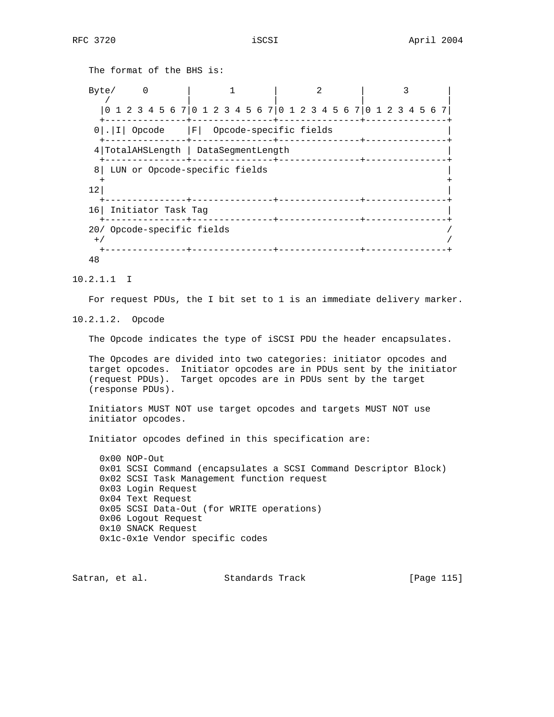```
 The format of the BHS is:
  Byte/ 0 | 1 | 2 | 3
 / | | | |
     |0 1 2 3 4 5 6 7|0 1 2 3 4 5 6 7|0 1 2 3 4 5 6 7|0 1 2 3 4 5 6 7|
     +---------------+---------------+---------------+---------------+
    0|.|I| Opcode |F| Opcode-specific fields |
    +---------------+---------------+---------------+---------------+
    4|TotalAHSLength | DataSegmentLength |
    +---------------+---------------+---------------+---------------+
    8| LUN or Opcode-specific fields |
 + +
\vert 12|
     +---------------+---------------+---------------+---------------+
   16| Initiator Task Tag |
    +---------------+---------------+---------------+---------------+
   20/ Opcode-specific fields /
^{+/-} / ^{+/-} / ^{+/-} / ^{+/-} / ^{+/-} / ^{+/-} / ^{+/-} / ^{+/-} / ^{+/-} / ^{+/-} / ^{+/-} / ^{+/-} / ^{+/-} / ^{+/-} / ^{+/-} / ^{+/-} / ^{+/-} / ^{+/-} / ^{+/-} / ^{+/-} / ^{+/-} / ^{+/-} / ^{+/-} / ^{+/-} / ^{+/-} +---------------+---------------+---------------+---------------+
   48
```
10.2.1.1 I

For request PDUs, the I bit set to 1 is an immediate delivery marker.

10.2.1.2. Opcode

The Opcode indicates the type of iSCSI PDU the header encapsulates.

 The Opcodes are divided into two categories: initiator opcodes and target opcodes. Initiator opcodes are in PDUs sent by the initiator (request PDUs). Target opcodes are in PDUs sent by the target (response PDUs).

 Initiators MUST NOT use target opcodes and targets MUST NOT use initiator opcodes.

Initiator opcodes defined in this specification are:

 0x00 NOP-Out 0x01 SCSI Command (encapsulates a SCSI Command Descriptor Block) 0x02 SCSI Task Management function request 0x03 Login Request 0x04 Text Request 0x05 SCSI Data-Out (for WRITE operations) 0x06 Logout Request 0x10 SNACK Request 0x1c-0x1e Vendor specific codes

Satran, et al. Standards Track [Page 115]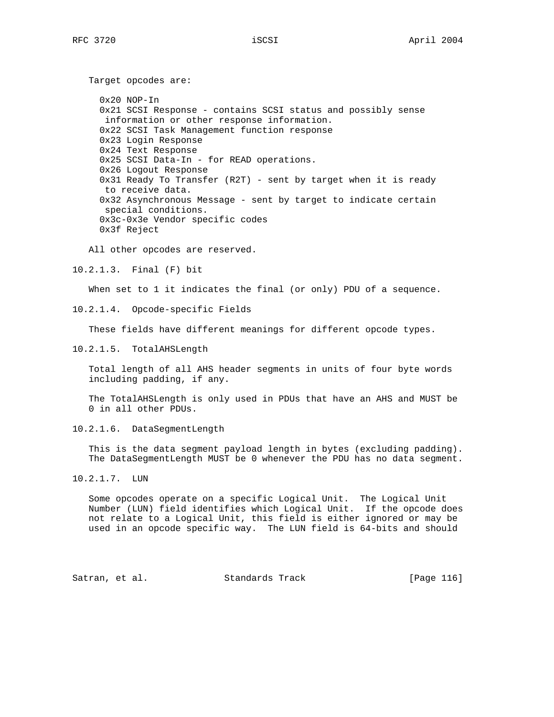0x20 NOP-In 0x21 SCSI Response - contains SCSI status and possibly sense information or other response information. 0x22 SCSI Task Management function response 0x23 Login Response 0x24 Text Response 0x25 SCSI Data-In - for READ operations. 0x26 Logout Response 0x31 Ready To Transfer (R2T) - sent by target when it is ready to receive data. 0x32 Asynchronous Message - sent by target to indicate certain special conditions. 0x3c-0x3e Vendor specific codes 0x3f Reject

All other opcodes are reserved.

10.2.1.3. Final (F) bit

Target opcodes are:

When set to 1 it indicates the final (or only) PDU of a sequence.

10.2.1.4. Opcode-specific Fields

These fields have different meanings for different opcode types.

10.2.1.5. TotalAHSLength

 Total length of all AHS header segments in units of four byte words including padding, if any.

 The TotalAHSLength is only used in PDUs that have an AHS and MUST be 0 in all other PDUs.

10.2.1.6. DataSegmentLength

 This is the data segment payload length in bytes (excluding padding). The DataSegmentLength MUST be 0 whenever the PDU has no data segment.

 Some opcodes operate on a specific Logical Unit. The Logical Unit Number (LUN) field identifies which Logical Unit. If the opcode does not relate to a Logical Unit, this field is either ignored or may be used in an opcode specific way. The LUN field is 64-bits and should

Satran, et al. Standards Track [Page 116]

<sup>10.2.1.7.</sup> LUN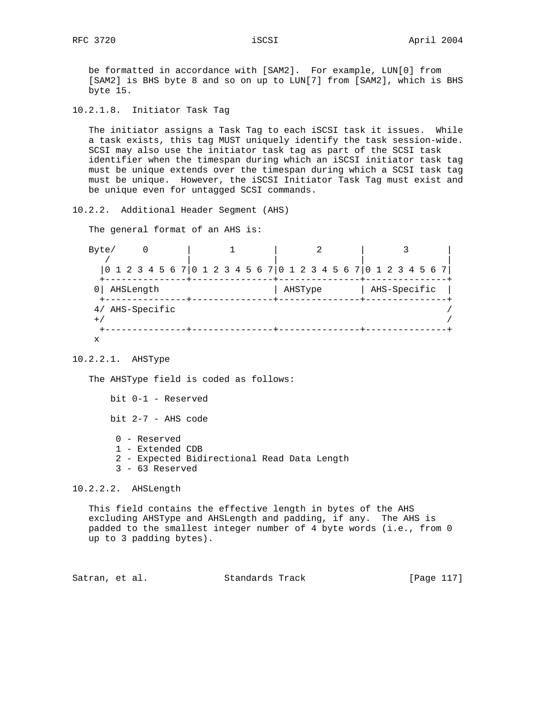be formatted in accordance with [SAM2]. For example, LUN[0] from [SAM2] is BHS byte 8 and so on up to LUN[7] from [SAM2], which is BHS byte 15.

10.2.1.8. Initiator Task Tag

 The initiator assigns a Task Tag to each iSCSI task it issues. While a task exists, this tag MUST uniquely identify the task session-wide. SCSI may also use the initiator task tag as part of the SCSI task identifier when the timespan during which an iSCSI initiator task tag must be unique extends over the timespan during which a SCSI task tag must be unique. However, the iSCSI Initiator Task Tag must exist and be unique even for untagged SCSI commands.

10.2.2. Additional Header Segment (AHS)

The general format of an AHS is:

Byte/ 0 | 1 | 2 | 3 / | | | | |0 1 2 3 4 5 6 7|0 1 2 3 4 5 6 7|0 1 2 3 4 5 6 7|0 1 2 3 4 5 6 7| +---------------+---------------+---------------+---------------+ 0| AHSLength  $|$  AHSType  $|$  AHS-Specific  $|$  +---------------+---------------+---------------+---------------+ 4/ AHS-Specific /  $^{+/-}$  /  $^{+/-}$  /  $^{+/-}$  /  $^{+/-}$  /  $^{+/-}$  /  $^{+/-}$  /  $^{+/-}$  /  $^{+/-}$  /  $^{+/-}$  /  $^{+/-}$  /  $^{+/-}$  /  $^{+/-}$  /  $^{+/-}$  /  $^{+/-}$  /  $^{+/-}$  /  $^{+/-}$  /  $^{+/-}$  /  $^{+/-}$  /  $^{+/-}$  /  $^{+/-}$  /  $^{+/-}$  /  $^{+/-}$  /  $^{+/-}$  /  $^{+/-}$  /  $^{+/-}$  +---------------+---------------+---------------+---------------+ x

10.2.2.1. AHSType

The AHSType field is coded as follows:

bit 0-1 - Reserved

bit 2-7 - AHS code

- 0 Reserved
- 1 Extended CDB
- 2 Expected Bidirectional Read Data Length
- 3 63 Reserved

10.2.2.2. AHSLength

 This field contains the effective length in bytes of the AHS excluding AHSType and AHSLength and padding, if any. The AHS is padded to the smallest integer number of 4 byte words (i.e., from 0 up to 3 padding bytes).

Satran, et al. Standards Track [Page 117]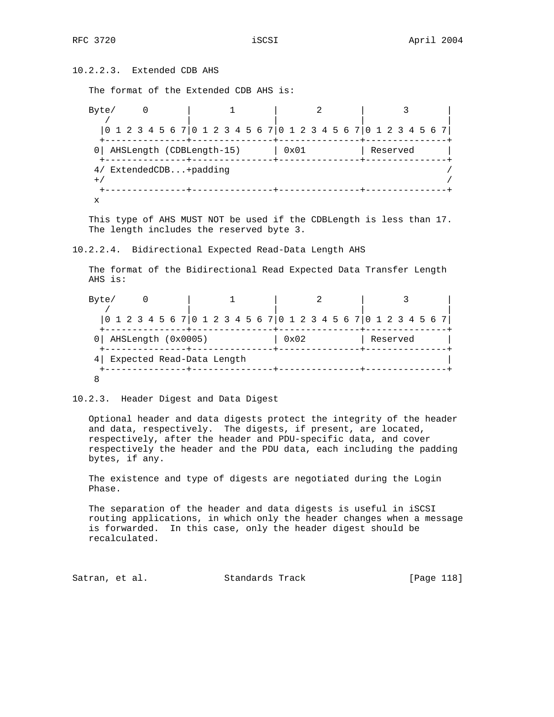10.2.2.3. Extended CDB AHS

The format of the Extended CDB AHS is:

Byte/ 0 | 1 | 2 | 3 / | | | | |0 1 2 3 4 5 6 7|0 1 2 3 4 5 6 7|0 1 2 3 4 5 6 7|0 1 2 3 4 5 6 7| +---------------+---------------+---------------+---------------+ 0| AHSLength (CDBLength-15) | 0x01 | Reserved +---------------+---------------+---------------+---------------+ 4/ ExtendedCDB...+padding /  $^{+/-}$  /  $^{+/-}$  /  $^{+/-}$  /  $^{+/-}$  /  $^{+/-}$  /  $^{+/-}$  /  $^{+/-}$  /  $^{+/-}$  /  $^{+/-}$  /  $^{+/-}$  /  $^{+/-}$  /  $^{+/-}$  /  $^{+/-}$  /  $^{+/-}$  /  $^{+/-}$  /  $^{+/-}$  /  $^{+/-}$  /  $^{+/-}$  /  $^{+/-}$  /  $^{+/-}$  /  $^{+/-}$  /  $^{+/-}$  /  $^{+/-}$  /  $^{+/-}$  /  $^{+/-}$  +---------------+---------------+---------------+---------------+ x

 This type of AHS MUST NOT be used if the CDBLength is less than 17. The length includes the reserved byte 3.

10.2.2.4. Bidirectional Expected Read-Data Length AHS

 The format of the Bidirectional Read Expected Data Transfer Length AHS is:

Byte/ 0 | 1 | 2 | 3 / | | | | |0 1 2 3 4 5 6 7|0 1 2 3 4 5 6 7|0 1 2 3 4 5 6 7|0 1 2 3 4 5 6 7| +---------------+---------------+---------------+---------------+ 0| AHSLength (0x0005) | 0x02 | Reserved | +---------------+---------------+---------------+---------------+ 4| Expected Read-Data Length | +---------------+---------------+---------------+---------------+ 8

10.2.3. Header Digest and Data Digest

 Optional header and data digests protect the integrity of the header and data, respectively. The digests, if present, are located, respectively, after the header and PDU-specific data, and cover respectively the header and the PDU data, each including the padding bytes, if any.

 The existence and type of digests are negotiated during the Login Phase.

 The separation of the header and data digests is useful in iSCSI routing applications, in which only the header changes when a message is forwarded. In this case, only the header digest should be recalculated.

Satran, et al. Standards Track [Page 118]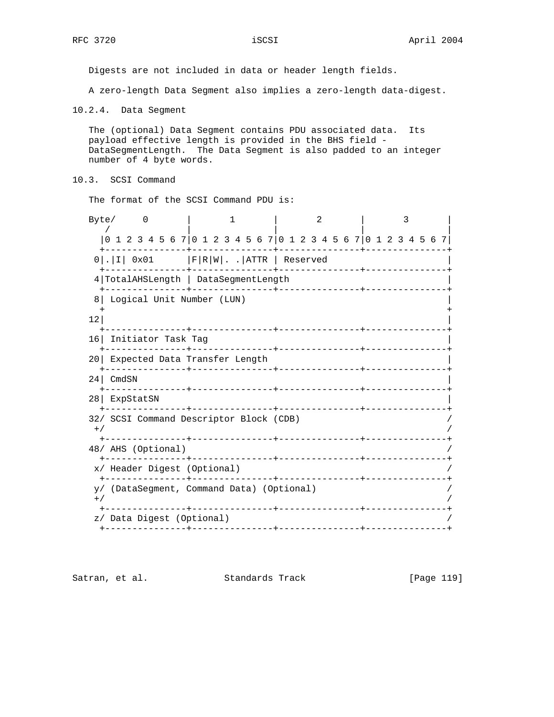Digests are not included in data or header length fields.

A zero-length Data Segment also implies a zero-length data-digest.

10.2.4. Data Segment

 The (optional) Data Segment contains PDU associated data. Its payload effective length is provided in the BHS field - DataSegmentLength. The Data Segment is also padded to an integer number of 4 byte words.

10.3. SCSI Command

The format of the SCSI Command PDU is:

| Byte/<br>$\overline{0}$                            |                                                                                                                 | $\mathfrak{D}$ | 3                    |  |  |  |  |  |  |  |  |  |  |  |  |
|----------------------------------------------------|-----------------------------------------------------------------------------------------------------------------|----------------|----------------------|--|--|--|--|--|--|--|--|--|--|--|--|
|                                                    | 0 1 2 3 4 5 6 7 0 1 2 3 4 5 6 7 0 1 2 3 4 5 6 7 0 1 2 3 4 5 6 7                                                 |                |                      |  |  |  |  |  |  |  |  |  |  |  |  |
|                                                    | $0$  . I  0x01   F R W . . ATTR   Reserved                                                                      |                |                      |  |  |  |  |  |  |  |  |  |  |  |  |
|                                                    | 4 TotalAHSLength   DataSegmentLength                                                                            |                |                      |  |  |  |  |  |  |  |  |  |  |  |  |
| 8                                                  | Logical Unit Number (LUN)                                                                                       |                |                      |  |  |  |  |  |  |  |  |  |  |  |  |
| 12                                                 |                                                                                                                 |                |                      |  |  |  |  |  |  |  |  |  |  |  |  |
|                                                    | 16 Initiator Task Tag                                                                                           |                |                      |  |  |  |  |  |  |  |  |  |  |  |  |
| 201                                                | Expected Data Transfer Length                                                                                   |                |                      |  |  |  |  |  |  |  |  |  |  |  |  |
| CmdSN<br>24 <sub>1</sub>                           |                                                                                                                 |                |                      |  |  |  |  |  |  |  |  |  |  |  |  |
| 28  <br>ExpStatSN                                  |                                                                                                                 |                |                      |  |  |  |  |  |  |  |  |  |  |  |  |
| 32/ SCSI Command Descriptor Block (CDB)<br>$+$ /   | the contract of the contract of the contract of the contract of the contract of the contract of the contract of |                |                      |  |  |  |  |  |  |  |  |  |  |  |  |
| 48/ AHS (Optional)                                 |                                                                                                                 |                |                      |  |  |  |  |  |  |  |  |  |  |  |  |
| x/ Header Digest (Optional)                        |                                                                                                                 |                |                      |  |  |  |  |  |  |  |  |  |  |  |  |
| y/ (DataSegment, Command Data) (Optional)<br>$+ /$ |                                                                                                                 |                |                      |  |  |  |  |  |  |  |  |  |  |  |  |
| z/ Data Digest (Optional)                          |                                                                                                                 |                | ________+___________ |  |  |  |  |  |  |  |  |  |  |  |  |

Satran, et al. Standards Track [Page 119]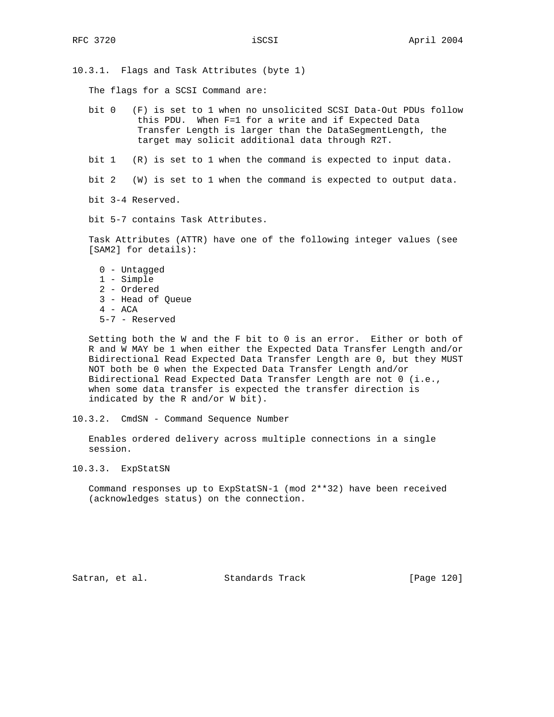10.3.1. Flags and Task Attributes (byte 1)

The flags for a SCSI Command are:

 bit 0 (F) is set to 1 when no unsolicited SCSI Data-Out PDUs follow this PDU. When F=1 for a write and if Expected Data Transfer Length is larger than the DataSegmentLength, the target may solicit additional data through R2T.

bit 1 (R) is set to 1 when the command is expected to input data.

bit 2 (W) is set to 1 when the command is expected to output data.

bit 3-4 Reserved.

bit 5-7 contains Task Attributes.

 Task Attributes (ATTR) have one of the following integer values (see [SAM2] for details):

 0 - Untagged 1 - Simple 2 - Ordered 3 - Head of Queue 4 - ACA 5-7 - Reserved

 Setting both the W and the F bit to 0 is an error. Either or both of R and W MAY be 1 when either the Expected Data Transfer Length and/or Bidirectional Read Expected Data Transfer Length are 0, but they MUST NOT both be 0 when the Expected Data Transfer Length and/or Bidirectional Read Expected Data Transfer Length are not 0 (i.e., when some data transfer is expected the transfer direction is indicated by the R and/or W bit).

10.3.2. CmdSN - Command Sequence Number

 Enables ordered delivery across multiple connections in a single session.

10.3.3. ExpStatSN

 Command responses up to ExpStatSN-1 (mod 2\*\*32) have been received (acknowledges status) on the connection.

Satran, et al. Standards Track [Page 120]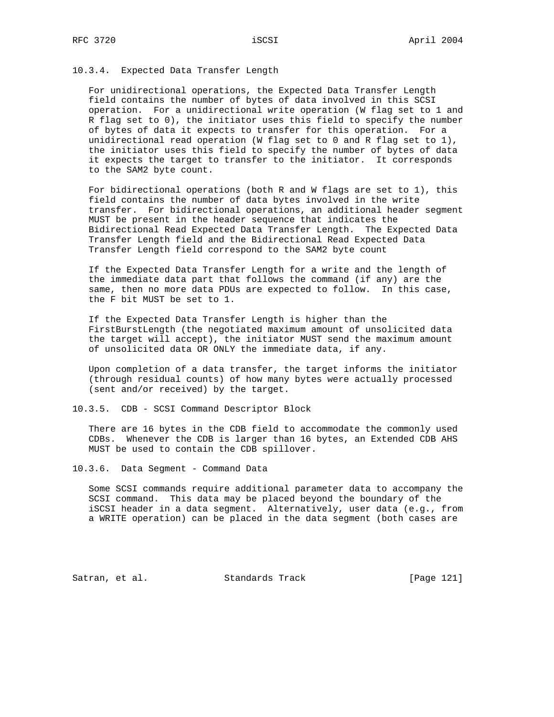## 10.3.4. Expected Data Transfer Length

 For unidirectional operations, the Expected Data Transfer Length field contains the number of bytes of data involved in this SCSI operation. For a unidirectional write operation (W flag set to 1 and R flag set to 0), the initiator uses this field to specify the number of bytes of data it expects to transfer for this operation. For a unidirectional read operation (W flag set to 0 and R flag set to 1), the initiator uses this field to specify the number of bytes of data it expects the target to transfer to the initiator. It corresponds to the SAM2 byte count.

 For bidirectional operations (both R and W flags are set to 1), this field contains the number of data bytes involved in the write transfer. For bidirectional operations, an additional header segment MUST be present in the header sequence that indicates the Bidirectional Read Expected Data Transfer Length. The Expected Data Transfer Length field and the Bidirectional Read Expected Data Transfer Length field correspond to the SAM2 byte count

 If the Expected Data Transfer Length for a write and the length of the immediate data part that follows the command (if any) are the same, then no more data PDUs are expected to follow. In this case, the F bit MUST be set to 1.

 If the Expected Data Transfer Length is higher than the FirstBurstLength (the negotiated maximum amount of unsolicited data the target will accept), the initiator MUST send the maximum amount of unsolicited data OR ONLY the immediate data, if any.

 Upon completion of a data transfer, the target informs the initiator (through residual counts) of how many bytes were actually processed (sent and/or received) by the target.

10.3.5. CDB - SCSI Command Descriptor Block

 There are 16 bytes in the CDB field to accommodate the commonly used CDBs. Whenever the CDB is larger than 16 bytes, an Extended CDB AHS MUST be used to contain the CDB spillover.

10.3.6. Data Segment - Command Data

 Some SCSI commands require additional parameter data to accompany the SCSI command. This data may be placed beyond the boundary of the iSCSI header in a data segment. Alternatively, user data (e.g., from a WRITE operation) can be placed in the data segment (both cases are

Satran, et al. Standards Track [Page 121]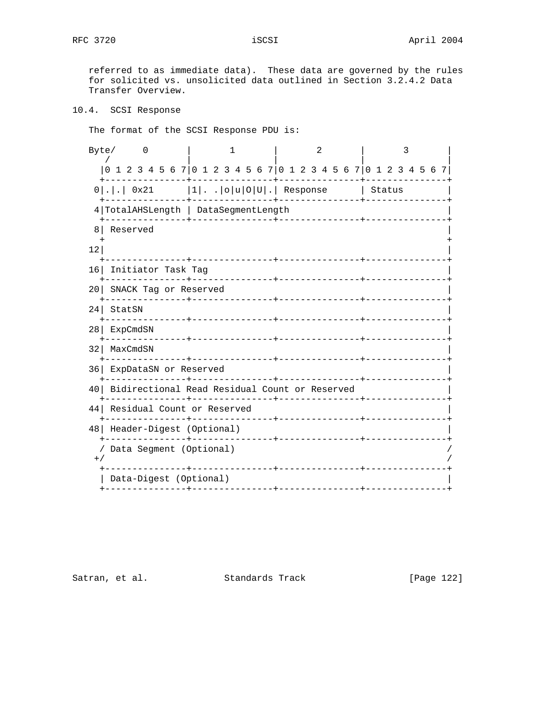referred to as immediate data). These data are governed by the rules for solicited vs. unsolicited data outlined in Section 3.2.4.2 Data Transfer Overview.

```
10.4. SCSI Response
```
The format of the SCSI Response PDU is:

| Byte/           | $\left($                                       | 1                                                             | $\mathfrak{D}$                | 3 |  |  |  |  |  |  |  |
|-----------------|------------------------------------------------|---------------------------------------------------------------|-------------------------------|---|--|--|--|--|--|--|--|
|                 |                                                | 1 2 3 4 5 6 7 0 1 2 3 4 5 6 7 0 1 2 3 4 5 6 7 0 1 2 3 4 5 6 7 |                               |   |  |  |  |  |  |  |  |
|                 |                                                | $0 . .$ 0x21  1  o u 0 U . Response   Status                  |                               |   |  |  |  |  |  |  |  |
|                 | 4 TotalAHSLength   DataSegmentLength           |                                                               |                               |   |  |  |  |  |  |  |  |
| 8               | Reserved                                       |                                                               |                               |   |  |  |  |  |  |  |  |
| 12 <sup>°</sup> |                                                |                                                               |                               |   |  |  |  |  |  |  |  |
| 16 <sup>1</sup> | Initiator Task Tag                             |                                                               |                               |   |  |  |  |  |  |  |  |
| 20              | SNACK Tag or Reserved<br>-------------         | ______________________________                                | ----------+------------       |   |  |  |  |  |  |  |  |
| 24              | StatSN                                         |                                                               |                               |   |  |  |  |  |  |  |  |
| 28              | ExpCmdSN<br>. <u>_ _ _ _ _ _ _ _ _ _ _ _</u> _ | ____________                                                  | _____________________________ |   |  |  |  |  |  |  |  |
| 32              | MaxCmdSN                                       | --------------+-----------------                              |                               |   |  |  |  |  |  |  |  |
| 361             | ExpDataSN or Reserved<br>____________          | _______________                                               | _____________                 |   |  |  |  |  |  |  |  |
| 40              |                                                | Bidirectional Read Residual Count or Reserved                 |                               |   |  |  |  |  |  |  |  |
| 44              | Residual Count or Reserved                     |                                                               |                               |   |  |  |  |  |  |  |  |
| 48              | Header-Digest (Optional)                       |                                                               |                               |   |  |  |  |  |  |  |  |
| $+$ /           | Data Segment (Optional)                        |                                                               |                               |   |  |  |  |  |  |  |  |
|                 | Data-Digest (Optional)                         | ------------                                                  |                               |   |  |  |  |  |  |  |  |
|                 |                                                |                                                               |                               |   |  |  |  |  |  |  |  |

Satran, et al. Standards Track [Page 122]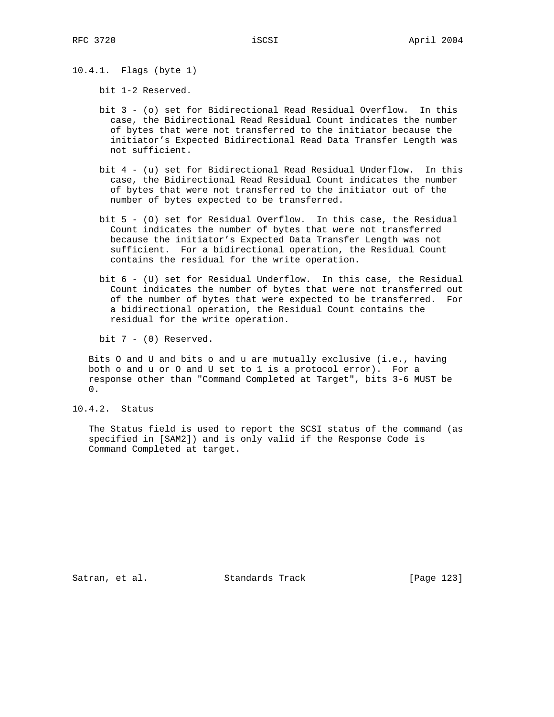10.4.1. Flags (byte 1)

bit 1-2 Reserved.

- bit 3 (o) set for Bidirectional Read Residual Overflow. In this case, the Bidirectional Read Residual Count indicates the number of bytes that were not transferred to the initiator because the initiator's Expected Bidirectional Read Data Transfer Length was not sufficient.
- bit 4 (u) set for Bidirectional Read Residual Underflow. In this case, the Bidirectional Read Residual Count indicates the number of bytes that were not transferred to the initiator out of the number of bytes expected to be transferred.
- bit 5 (O) set for Residual Overflow. In this case, the Residual Count indicates the number of bytes that were not transferred because the initiator's Expected Data Transfer Length was not sufficient. For a bidirectional operation, the Residual Count contains the residual for the write operation.
- bit 6 (U) set for Residual Underflow. In this case, the Residual Count indicates the number of bytes that were not transferred out of the number of bytes that were expected to be transferred. For a bidirectional operation, the Residual Count contains the residual for the write operation.

bit 7 - (0) Reserved.

 Bits O and U and bits o and u are mutually exclusive (i.e., having both o and u or O and U set to 1 is a protocol error). For a response other than "Command Completed at Target", bits 3-6 MUST be 0.

10.4.2. Status

 The Status field is used to report the SCSI status of the command (as specified in [SAM2]) and is only valid if the Response Code is Command Completed at target.

Satran, et al. Standards Track [Page 123]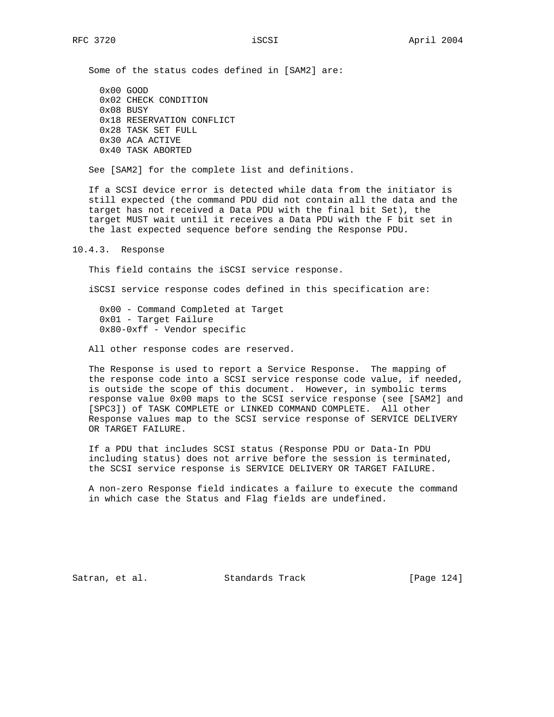Some of the status codes defined in [SAM2] are:

 0x00 GOOD 0x02 CHECK CONDITION 0x08 BUSY 0x18 RESERVATION CONFLICT 0x28 TASK SET FULL 0x30 ACA ACTIVE 0x40 TASK ABORTED

See [SAM2] for the complete list and definitions.

 If a SCSI device error is detected while data from the initiator is still expected (the command PDU did not contain all the data and the target has not received a Data PDU with the final bit Set), the target MUST wait until it receives a Data PDU with the F bit set in the last expected sequence before sending the Response PDU.

10.4.3. Response

This field contains the iSCSI service response.

iSCSI service response codes defined in this specification are:

 0x00 - Command Completed at Target 0x01 - Target Failure 0x80-0xff - Vendor specific

All other response codes are reserved.

 The Response is used to report a Service Response. The mapping of the response code into a SCSI service response code value, if needed, is outside the scope of this document. However, in symbolic terms response value 0x00 maps to the SCSI service response (see [SAM2] and [SPC3]) of TASK COMPLETE or LINKED COMMAND COMPLETE. All other Response values map to the SCSI service response of SERVICE DELIVERY OR TARGET FAILURE.

 If a PDU that includes SCSI status (Response PDU or Data-In PDU including status) does not arrive before the session is terminated, the SCSI service response is SERVICE DELIVERY OR TARGET FAILURE.

 A non-zero Response field indicates a failure to execute the command in which case the Status and Flag fields are undefined.

Satran, et al. Standards Track [Page 124]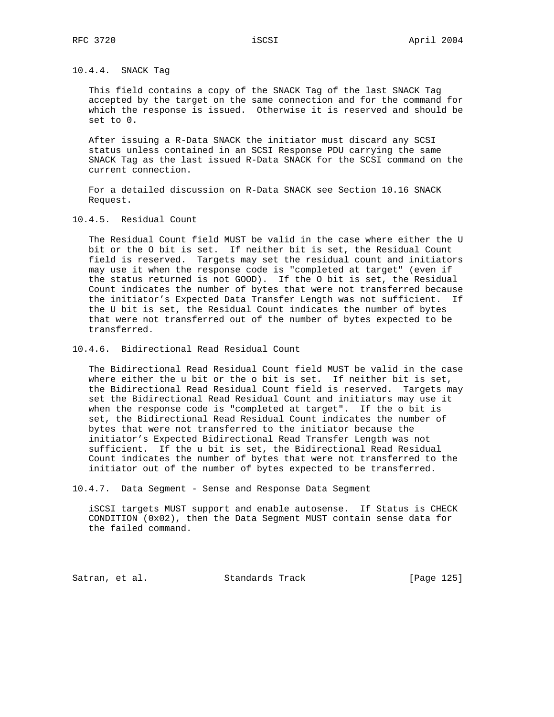10.4.4. SNACK Tag

 This field contains a copy of the SNACK Tag of the last SNACK Tag accepted by the target on the same connection and for the command for which the response is issued. Otherwise it is reserved and should be set to 0.

 After issuing a R-Data SNACK the initiator must discard any SCSI status unless contained in an SCSI Response PDU carrying the same SNACK Tag as the last issued R-Data SNACK for the SCSI command on the current connection.

 For a detailed discussion on R-Data SNACK see Section 10.16 SNACK Request.

10.4.5. Residual Count

 The Residual Count field MUST be valid in the case where either the U bit or the O bit is set. If neither bit is set, the Residual Count field is reserved. Targets may set the residual count and initiators may use it when the response code is "completed at target" (even if the status returned is not GOOD). If the O bit is set, the Residual Count indicates the number of bytes that were not transferred because the initiator's Expected Data Transfer Length was not sufficient. If the U bit is set, the Residual Count indicates the number of bytes that were not transferred out of the number of bytes expected to be transferred.

10.4.6. Bidirectional Read Residual Count

 The Bidirectional Read Residual Count field MUST be valid in the case where either the u bit or the o bit is set. If neither bit is set, the Bidirectional Read Residual Count field is reserved. Targets may set the Bidirectional Read Residual Count and initiators may use it when the response code is "completed at target". If the o bit is set, the Bidirectional Read Residual Count indicates the number of bytes that were not transferred to the initiator because the initiator's Expected Bidirectional Read Transfer Length was not sufficient. If the u bit is set, the Bidirectional Read Residual Count indicates the number of bytes that were not transferred to the initiator out of the number of bytes expected to be transferred.

10.4.7. Data Segment - Sense and Response Data Segment

 iSCSI targets MUST support and enable autosense. If Status is CHECK CONDITION  $(0x02)$ , then the Data Segment MUST contain sense data for the failed command.

Satran, et al. Standards Track [Page 125]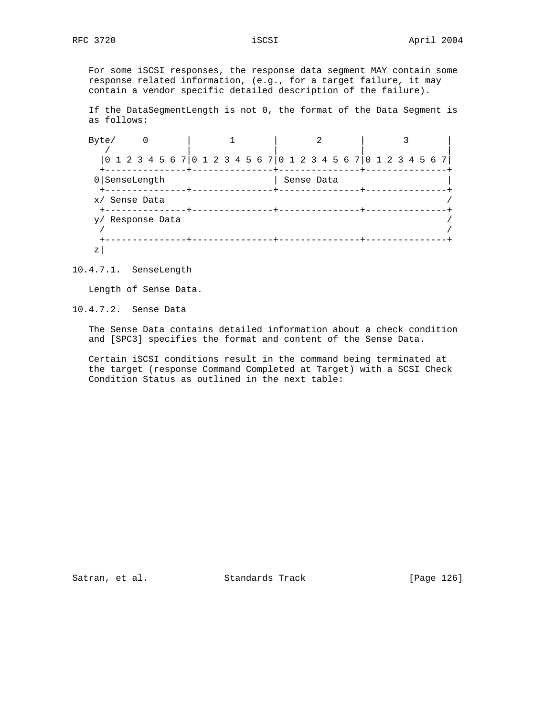For some iSCSI responses, the response data segment MAY contain some response related information, (e.g., for a target failure, it may contain a vendor specific detailed description of the failure).

 If the DataSegmentLength is not 0, the format of the Data Segment is as follows:

| Byte/                                                              |  |  |  |  |  |  |  |  |  |  |            |  |  |  |  |  |  |  |  |  |  |  |
|--------------------------------------------------------------------|--|--|--|--|--|--|--|--|--|--|------------|--|--|--|--|--|--|--|--|--|--|--|
| 0 1 2 3 4 5 6 7  0 1 2 3 4 5 6 7  0 1 2 3 4 5 6 7  0 1 2 3 4 5 6 7 |  |  |  |  |  |  |  |  |  |  |            |  |  |  |  |  |  |  |  |  |  |  |
| $0 $ SenseLength                                                   |  |  |  |  |  |  |  |  |  |  | Sense Data |  |  |  |  |  |  |  |  |  |  |  |
| x/ Sense Data                                                      |  |  |  |  |  |  |  |  |  |  |            |  |  |  |  |  |  |  |  |  |  |  |
| y/ Response Data                                                   |  |  |  |  |  |  |  |  |  |  |            |  |  |  |  |  |  |  |  |  |  |  |
| Ζ                                                                  |  |  |  |  |  |  |  |  |  |  |            |  |  |  |  |  |  |  |  |  |  |  |

10.4.7.1. SenseLength

Length of Sense Data.

10.4.7.2. Sense Data

 The Sense Data contains detailed information about a check condition and [SPC3] specifies the format and content of the Sense Data.

 Certain iSCSI conditions result in the command being terminated at the target (response Command Completed at Target) with a SCSI Check Condition Status as outlined in the next table:

Satran, et al. Standards Track [Page 126]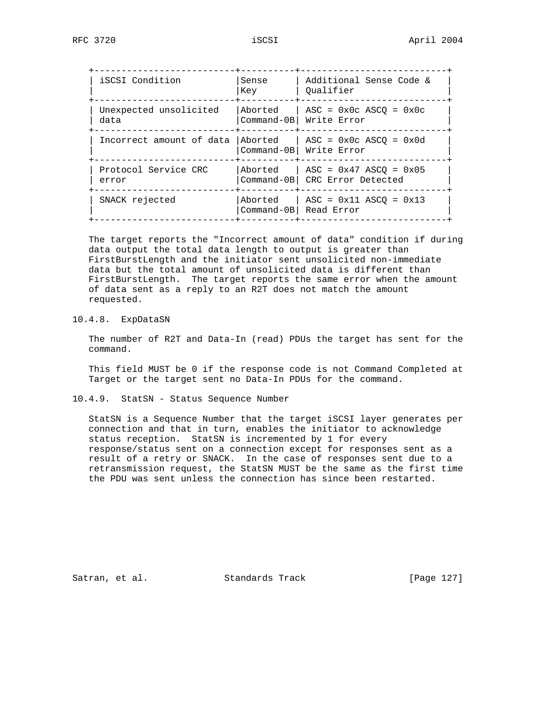| iSCSI Condition                | Sense<br>Key | Additional Sense Code &<br>Oualifier                                                               |
|--------------------------------|--------------|----------------------------------------------------------------------------------------------------|
| Unexpected unsolicited<br>data | Aborted      | $\text{ASC} = 0 \times 0 \text{ c} \text{ ASCO} = 0 \times 0 \text{ c}$<br>Command-0B  Write Error |
| Incorrect amount of data       | Aborted      | $\text{ASC} = 0 \times 0 \text{ c } \text{ASCO} = 0 \times 0 \text{ d}$<br>Command-0B  Write Error |
| Protocol Service CRC<br>error  | Aborted      | $\text{ASC} = 0 \times 47 \text{ ASCQ} = 0 \times 05$<br>Command-0B CRC Error Detected             |
| SNACK rejected                 | Aborted      | $\text{ASC} = 0 \times 11 \text{ ASCO} = 0 \times 13$<br>Command-0B Read Error                     |

 The target reports the "Incorrect amount of data" condition if during data output the total data length to output is greater than FirstBurstLength and the initiator sent unsolicited non-immediate data but the total amount of unsolicited data is different than FirstBurstLength. The target reports the same error when the amount of data sent as a reply to an R2T does not match the amount requested.

10.4.8. ExpDataSN

 The number of R2T and Data-In (read) PDUs the target has sent for the command.

 This field MUST be 0 if the response code is not Command Completed at Target or the target sent no Data-In PDUs for the command.

10.4.9. StatSN - Status Sequence Number

 StatSN is a Sequence Number that the target iSCSI layer generates per connection and that in turn, enables the initiator to acknowledge status reception. StatSN is incremented by 1 for every response/status sent on a connection except for responses sent as a result of a retry or SNACK. In the case of responses sent due to a retransmission request, the StatSN MUST be the same as the first time the PDU was sent unless the connection has since been restarted.

Satran, et al. Standards Track [Page 127]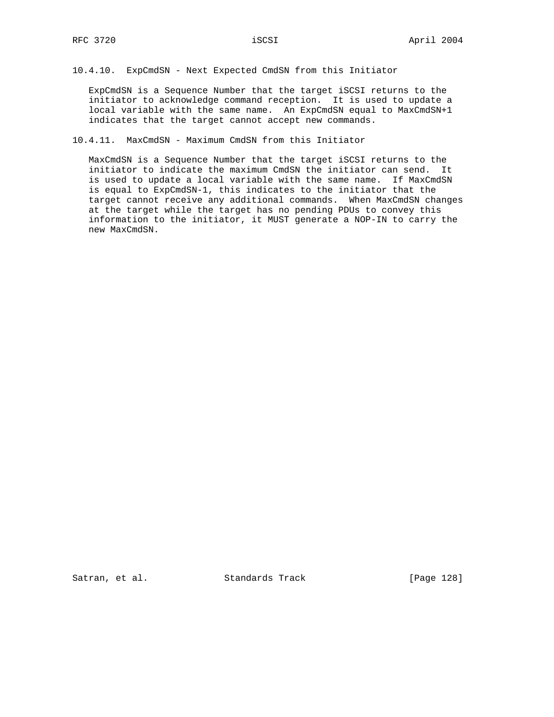# 10.4.10. ExpCmdSN - Next Expected CmdSN from this Initiator

 ExpCmdSN is a Sequence Number that the target iSCSI returns to the initiator to acknowledge command reception. It is used to update a local variable with the same name. An ExpCmdSN equal to MaxCmdSN+1 indicates that the target cannot accept new commands.

## 10.4.11. MaxCmdSN - Maximum CmdSN from this Initiator

 MaxCmdSN is a Sequence Number that the target iSCSI returns to the initiator to indicate the maximum CmdSN the initiator can send. It is used to update a local variable with the same name. If MaxCmdSN is equal to ExpCmdSN-1, this indicates to the initiator that the target cannot receive any additional commands. When MaxCmdSN changes at the target while the target has no pending PDUs to convey this information to the initiator, it MUST generate a NOP-IN to carry the new MaxCmdSN.

Satran, et al. Standards Track [Page 128]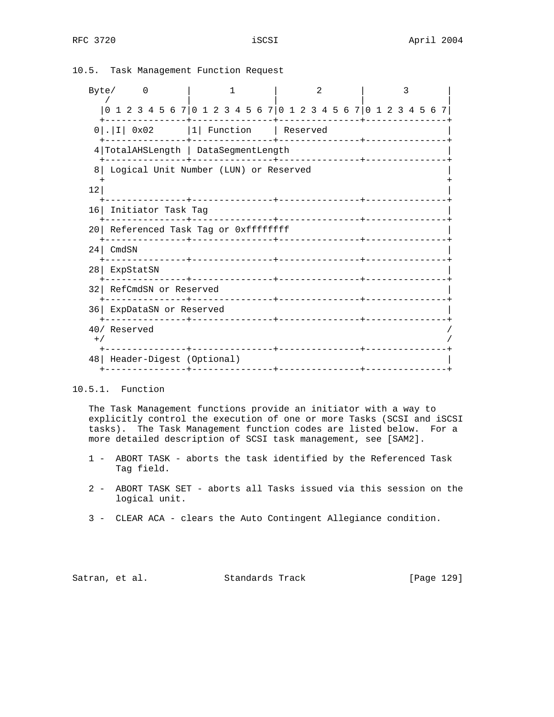# Byte/ 0 | 1 | 2 | 3 / | | | | |0 1 2 3 4 5 6 7|0 1 2 3 4 5 6 7|0 1 2 3 4 5 6 7|0 1 2 3 4 5 6 7| +---------------+---------------+---------------+---------------+  $0$ |.|I| 0x02 |1| Function | Reserved +---------------+---------------+---------------+---------------+ 4|TotalAHSLength | DataSegmentLength | +---------------+---------------+---------------+---------------+ 8| Logical Unit Number (LUN) or Reserved | + +  $\vert$  12| +---------------+---------------+---------------+---------------+ 16| Initiator Task Tag | +---------------+---------------+---------------+---------------+ 20 Referenced Task Tag or 0xffffffff +---------------+---------------+---------------+---------------+ 24| CmdSN | +---------------+---------------+---------------+---------------+ 28| ExpStatSN | +---------------+---------------+---------------+---------------+ 32| RefCmdSN or Reserved | +---------------+---------------+---------------+---------------+ 36| ExpDataSN or Reserved | +---------------+---------------+---------------+---------------+ 40/ Reserved /  $^{+/-}$  /  $^{+/-}$  /  $^{+/-}$  /  $^{+/-}$  /  $^{+/-}$  /  $^{+/-}$  /  $^{+/-}$  /  $^{+/-}$  /  $^{+/-}$  /  $^{+/-}$  /  $^{+/-}$  /  $^{+/-}$  /  $^{+/-}$  /  $^{+/-}$  /  $^{+/-}$  /  $^{+/-}$  /  $^{+/-}$  /  $^{+/-}$  /  $^{+/-}$  /  $^{+/-}$  /  $^{+/-}$  /  $^{+/-}$  /  $^{+/-}$  /  $^{+/-}$  /  $^{+/-}$  +---------------+---------------+---------------+---------------+ 48| Header-Digest (Optional) | +---------------+---------------+---------------+---------------+

10.5. Task Management Function Request

10.5.1. Function

 The Task Management functions provide an initiator with a way to explicitly control the execution of one or more Tasks (SCSI and iSCSI tasks). The Task Management function codes are listed below. For a more detailed description of SCSI task management, see [SAM2].

- 1 ABORT TASK aborts the task identified by the Referenced Task Tag field.
- 2 ABORT TASK SET aborts all Tasks issued via this session on the logical unit.
- 3 CLEAR ACA clears the Auto Contingent Allegiance condition.

Satran, et al. Standards Track [Page 129]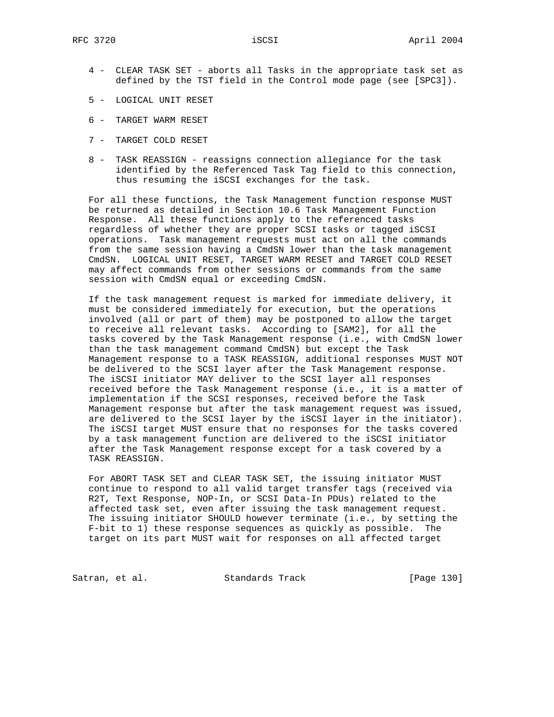- 4 CLEAR TASK SET aborts all Tasks in the appropriate task set as defined by the TST field in the Control mode page (see [SPC3]).
- 5 LOGICAL UNIT RESET
- 6 TARGET WARM RESET
- 7 TARGET COLD RESET
- 8 TASK REASSIGN reassigns connection allegiance for the task identified by the Referenced Task Tag field to this connection, thus resuming the iSCSI exchanges for the task.

 For all these functions, the Task Management function response MUST be returned as detailed in Section 10.6 Task Management Function Response. All these functions apply to the referenced tasks regardless of whether they are proper SCSI tasks or tagged iSCSI operations. Task management requests must act on all the commands from the same session having a CmdSN lower than the task management CmdSN. LOGICAL UNIT RESET, TARGET WARM RESET and TARGET COLD RESET may affect commands from other sessions or commands from the same session with CmdSN equal or exceeding CmdSN.

 If the task management request is marked for immediate delivery, it must be considered immediately for execution, but the operations involved (all or part of them) may be postponed to allow the target to receive all relevant tasks. According to [SAM2], for all the tasks covered by the Task Management response (i.e., with CmdSN lower than the task management command CmdSN) but except the Task Management response to a TASK REASSIGN, additional responses MUST NOT be delivered to the SCSI layer after the Task Management response. The iSCSI initiator MAY deliver to the SCSI layer all responses received before the Task Management response (i.e., it is a matter of implementation if the SCSI responses, received before the Task Management response but after the task management request was issued, are delivered to the SCSI layer by the iSCSI layer in the initiator). The iSCSI target MUST ensure that no responses for the tasks covered by a task management function are delivered to the iSCSI initiator after the Task Management response except for a task covered by a TASK REASSIGN.

 For ABORT TASK SET and CLEAR TASK SET, the issuing initiator MUST continue to respond to all valid target transfer tags (received via R2T, Text Response, NOP-In, or SCSI Data-In PDUs) related to the affected task set, even after issuing the task management request. The issuing initiator SHOULD however terminate (i.e., by setting the F-bit to 1) these response sequences as quickly as possible. The target on its part MUST wait for responses on all affected target

Satran, et al. Standards Track [Page 130]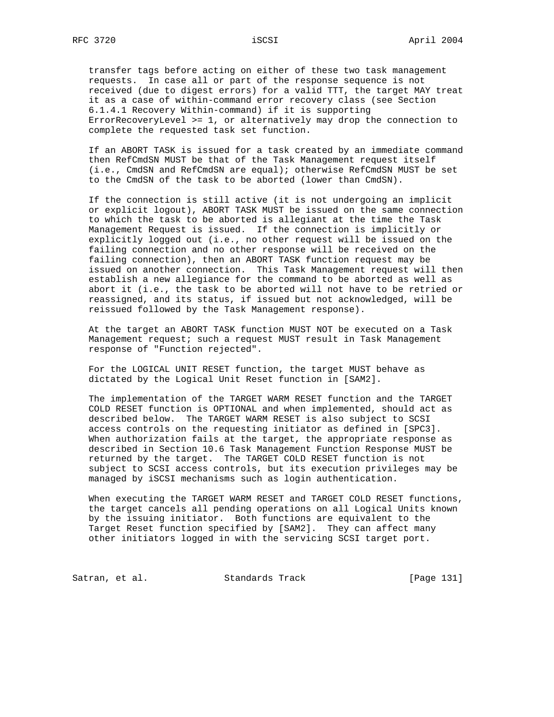transfer tags before acting on either of these two task management requests. In case all or part of the response sequence is not received (due to digest errors) for a valid TTT, the target MAY treat it as a case of within-command error recovery class (see Section 6.1.4.1 Recovery Within-command) if it is supporting ErrorRecoveryLevel >= 1, or alternatively may drop the connection to complete the requested task set function.

 If an ABORT TASK is issued for a task created by an immediate command then RefCmdSN MUST be that of the Task Management request itself (i.e., CmdSN and RefCmdSN are equal); otherwise RefCmdSN MUST be set to the CmdSN of the task to be aborted (lower than CmdSN).

 If the connection is still active (it is not undergoing an implicit or explicit logout), ABORT TASK MUST be issued on the same connection to which the task to be aborted is allegiant at the time the Task Management Request is issued. If the connection is implicitly or explicitly logged out (i.e., no other request will be issued on the failing connection and no other response will be received on the failing connection), then an ABORT TASK function request may be issued on another connection. This Task Management request will then establish a new allegiance for the command to be aborted as well as abort it (i.e., the task to be aborted will not have to be retried or reassigned, and its status, if issued but not acknowledged, will be reissued followed by the Task Management response).

 At the target an ABORT TASK function MUST NOT be executed on a Task Management request; such a request MUST result in Task Management response of "Function rejected".

 For the LOGICAL UNIT RESET function, the target MUST behave as dictated by the Logical Unit Reset function in [SAM2].

 The implementation of the TARGET WARM RESET function and the TARGET COLD RESET function is OPTIONAL and when implemented, should act as described below. The TARGET WARM RESET is also subject to SCSI access controls on the requesting initiator as defined in [SPC3]. When authorization fails at the target, the appropriate response as described in Section 10.6 Task Management Function Response MUST be returned by the target. The TARGET COLD RESET function is not subject to SCSI access controls, but its execution privileges may be managed by iSCSI mechanisms such as login authentication.

 When executing the TARGET WARM RESET and TARGET COLD RESET functions, the target cancels all pending operations on all Logical Units known by the issuing initiator. Both functions are equivalent to the Target Reset function specified by [SAM2]. They can affect many other initiators logged in with the servicing SCSI target port.

Satran, et al. Standards Track [Page 131]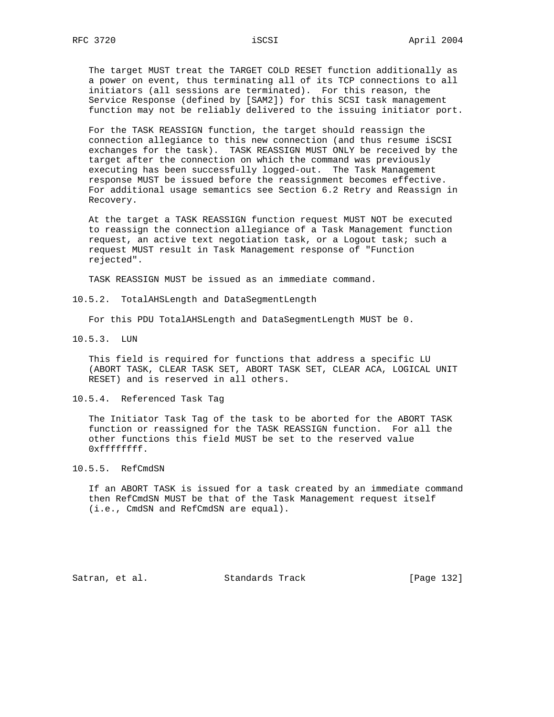The target MUST treat the TARGET COLD RESET function additionally as a power on event, thus terminating all of its TCP connections to all initiators (all sessions are terminated). For this reason, the Service Response (defined by [SAM2]) for this SCSI task management function may not be reliably delivered to the issuing initiator port.

 For the TASK REASSIGN function, the target should reassign the connection allegiance to this new connection (and thus resume iSCSI exchanges for the task). TASK REASSIGN MUST ONLY be received by the target after the connection on which the command was previously executing has been successfully logged-out. The Task Management response MUST be issued before the reassignment becomes effective. For additional usage semantics see Section 6.2 Retry and Reassign in Recovery.

 At the target a TASK REASSIGN function request MUST NOT be executed to reassign the connection allegiance of a Task Management function request, an active text negotiation task, or a Logout task; such a request MUST result in Task Management response of "Function rejected".

TASK REASSIGN MUST be issued as an immediate command.

10.5.2. TotalAHSLength and DataSegmentLength

For this PDU TotalAHSLength and DataSegmentLength MUST be 0.

10.5.3. LUN

 This field is required for functions that address a specific LU (ABORT TASK, CLEAR TASK SET, ABORT TASK SET, CLEAR ACA, LOGICAL UNIT RESET) and is reserved in all others.

10.5.4. Referenced Task Tag

 The Initiator Task Tag of the task to be aborted for the ABORT TASK function or reassigned for the TASK REASSIGN function. For all the other functions this field MUST be set to the reserved value 0xffffffff.

10.5.5. RefCmdSN

 If an ABORT TASK is issued for a task created by an immediate command then RefCmdSN MUST be that of the Task Management request itself (i.e., CmdSN and RefCmdSN are equal).

Satran, et al. Standards Track [Page 132]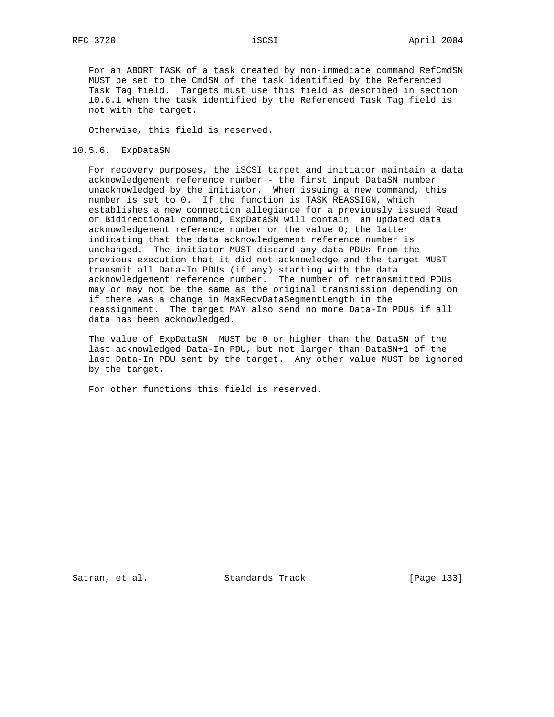For an ABORT TASK of a task created by non-immediate command RefCmdSN MUST be set to the CmdSN of the task identified by the Referenced Task Tag field. Targets must use this field as described in section 10.6.1 when the task identified by the Referenced Task Tag field is not with the target.

Otherwise, this field is reserved.

### 10.5.6. ExpDataSN

 For recovery purposes, the iSCSI target and initiator maintain a data acknowledgement reference number - the first input DataSN number unacknowledged by the initiator. When issuing a new command, this number is set to 0. If the function is TASK REASSIGN, which establishes a new connection allegiance for a previously issued Read or Bidirectional command, ExpDataSN will contain an updated data acknowledgement reference number or the value 0; the latter indicating that the data acknowledgement reference number is unchanged. The initiator MUST discard any data PDUs from the previous execution that it did not acknowledge and the target MUST transmit all Data-In PDUs (if any) starting with the data acknowledgement reference number. The number of retransmitted PDUs may or may not be the same as the original transmission depending on if there was a change in MaxRecvDataSegmentLength in the reassignment. The target MAY also send no more Data-In PDUs if all data has been acknowledged.

 The value of ExpDataSN MUST be 0 or higher than the DataSN of the last acknowledged Data-In PDU, but not larger than DataSN+1 of the last Data-In PDU sent by the target. Any other value MUST be ignored by the target.

For other functions this field is reserved.

Satran, et al. Standards Track [Page 133]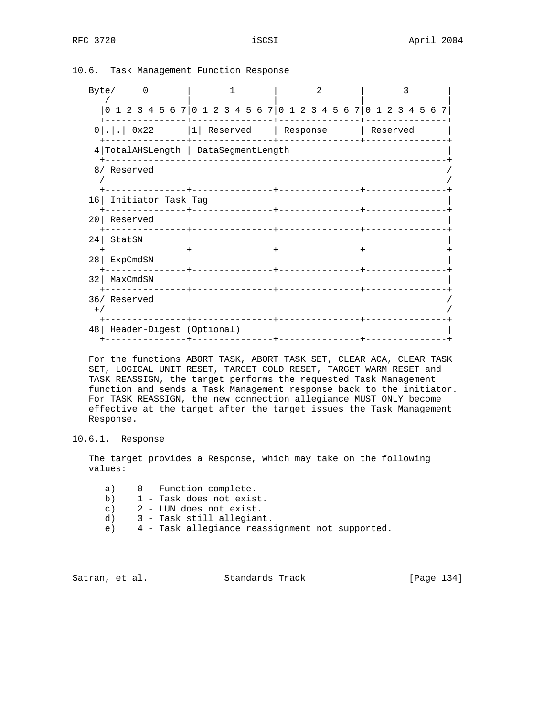| Byte/                                                              |                                 |                                 |                                                                 |  |  |  |  |  |  |  |  |  |  |  |
|--------------------------------------------------------------------|---------------------------------|---------------------------------|-----------------------------------------------------------------|--|--|--|--|--|--|--|--|--|--|--|
|                                                                    |                                 |                                 | 0 1 2 3 4 5 6 7 0 1 2 3 4 5 6 7 0 1 2 3 4 5 6 7 0 1 2 3 4 5 6 7 |  |  |  |  |  |  |  |  |  |  |  |
| $0$ 0x22  1 Reserved   Response   Reserved                         |                                 |                                 |                                                                 |  |  |  |  |  |  |  |  |  |  |  |
| 4 TotalAHSLength   DataSegmentLength                               |                                 |                                 |                                                                 |  |  |  |  |  |  |  |  |  |  |  |
| 8/ Reserved                                                        |                                 |                                 |                                                                 |  |  |  |  |  |  |  |  |  |  |  |
| 16 Initiator Task Tag                                              |                                 |                                 |                                                                 |  |  |  |  |  |  |  |  |  |  |  |
| 20 Reserved                                                        |                                 |                                 |                                                                 |  |  |  |  |  |  |  |  |  |  |  |
| 24 StatSN                                                          |                                 | ______________________________  |                                                                 |  |  |  |  |  |  |  |  |  |  |  |
| 28   ExpCmdSN                                                      | -------------+----------------+ | _______________________________ |                                                                 |  |  |  |  |  |  |  |  |  |  |  |
| 32   MaxCmdSN                                                      |                                 |                                 |                                                                 |  |  |  |  |  |  |  |  |  |  |  |
| 36/ Reserved<br>$+$ /                                              |                                 |                                 |                                                                 |  |  |  |  |  |  |  |  |  |  |  |
| 48   Header-Digest (Optional)<br>------------- <del>-</del> ------ |                                 |                                 |                                                                 |  |  |  |  |  |  |  |  |  |  |  |

10.6. Task Management Function Response

 For the functions ABORT TASK, ABORT TASK SET, CLEAR ACA, CLEAR TASK SET, LOGICAL UNIT RESET, TARGET COLD RESET, TARGET WARM RESET and TASK REASSIGN, the target performs the requested Task Management function and sends a Task Management response back to the initiator. For TASK REASSIGN, the new connection allegiance MUST ONLY become effective at the target after the target issues the Task Management Response.

## 10.6.1. Response

 The target provides a Response, which may take on the following values:

- a) 0 Function complete.
- b) 1 Task does not exist.
- c) 2 LUN does not exist.
- d) 3 Task still allegiant.
- e) 4 Task allegiance reassignment not supported.

Satran, et al. Standards Track [Page 134]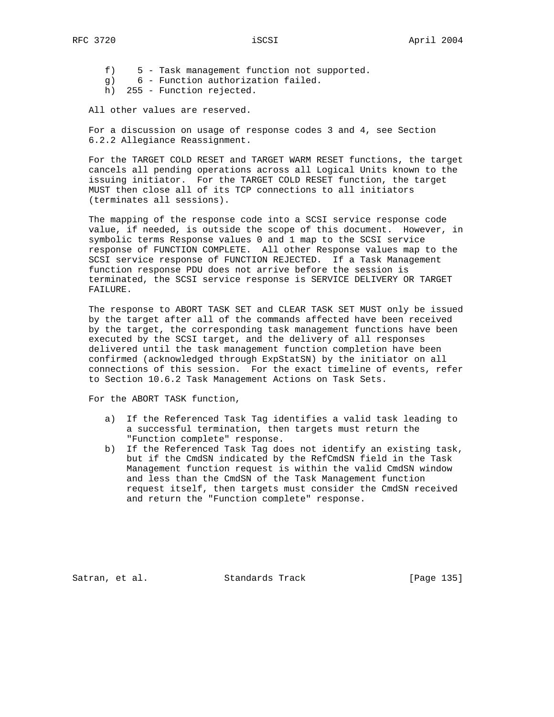- f) 5 Task management function not supported.
- g) 6 Function authorization failed.
- h) 255 Function rejected.

All other values are reserved.

 For a discussion on usage of response codes 3 and 4, see Section 6.2.2 Allegiance Reassignment.

 For the TARGET COLD RESET and TARGET WARM RESET functions, the target cancels all pending operations across all Logical Units known to the issuing initiator. For the TARGET COLD RESET function, the target MUST then close all of its TCP connections to all initiators (terminates all sessions).

 The mapping of the response code into a SCSI service response code value, if needed, is outside the scope of this document. However, in symbolic terms Response values 0 and 1 map to the SCSI service response of FUNCTION COMPLETE. All other Response values map to the SCSI service response of FUNCTION REJECTED. If a Task Management function response PDU does not arrive before the session is terminated, the SCSI service response is SERVICE DELIVERY OR TARGET FAILURE.

 The response to ABORT TASK SET and CLEAR TASK SET MUST only be issued by the target after all of the commands affected have been received by the target, the corresponding task management functions have been executed by the SCSI target, and the delivery of all responses delivered until the task management function completion have been confirmed (acknowledged through ExpStatSN) by the initiator on all connections of this session. For the exact timeline of events, refer to Section 10.6.2 Task Management Actions on Task Sets.

For the ABORT TASK function,

- a) If the Referenced Task Tag identifies a valid task leading to a successful termination, then targets must return the "Function complete" response.
- b) If the Referenced Task Tag does not identify an existing task, but if the CmdSN indicated by the RefCmdSN field in the Task Management function request is within the valid CmdSN window and less than the CmdSN of the Task Management function request itself, then targets must consider the CmdSN received and return the "Function complete" response.

Satran, et al. Standards Track [Page 135]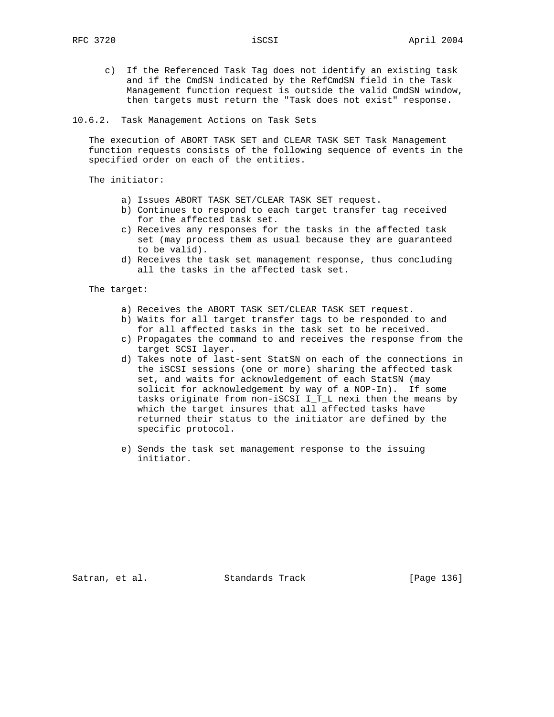- c) If the Referenced Task Tag does not identify an existing task and if the CmdSN indicated by the RefCmdSN field in the Task Management function request is outside the valid CmdSN window, then targets must return the "Task does not exist" response.
- 10.6.2. Task Management Actions on Task Sets

 The execution of ABORT TASK SET and CLEAR TASK SET Task Management function requests consists of the following sequence of events in the specified order on each of the entities.

The initiator:

- a) Issues ABORT TASK SET/CLEAR TASK SET request.
- b) Continues to respond to each target transfer tag received for the affected task set.
- c) Receives any responses for the tasks in the affected task set (may process them as usual because they are guaranteed to be valid).
- d) Receives the task set management response, thus concluding all the tasks in the affected task set.

The target:

- a) Receives the ABORT TASK SET/CLEAR TASK SET request.
- b) Waits for all target transfer tags to be responded to and for all affected tasks in the task set to be received.
- c) Propagates the command to and receives the response from the target SCSI layer.
- d) Takes note of last-sent StatSN on each of the connections in the iSCSI sessions (one or more) sharing the affected task set, and waits for acknowledgement of each StatSN (may solicit for acknowledgement by way of a NOP-In). If some tasks originate from non-iSCSI I T L nexi then the means by which the target insures that all affected tasks have returned their status to the initiator are defined by the specific protocol.
- e) Sends the task set management response to the issuing initiator.

Satran, et al. Standards Track [Page 136]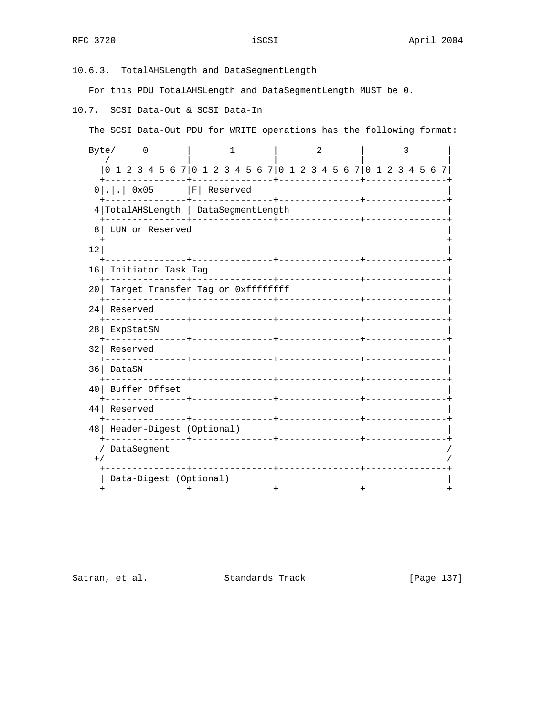10.6.3. TotalAHSLength and DataSegmentLength

For this PDU TotalAHSLength and DataSegmentLength MUST be 0.

10.7. SCSI Data-Out & SCSI Data-In

| Data-Digest (Optional) |

 The SCSI Data-Out PDU for WRITE operations has the following format: Byte/ 0 | 1 | 2 | 3 | / | | | | |0 1 2 3 4 5 6 7|0 1 2 3 4 5 6 7|0 1 2 3 4 5 6 7|0 1 2 3 4 5 6 7| +---------------+---------------+---------------+---------------+ 0 | . | . | 0x05 | F | Reserved +---------------+---------------+---------------+---------------+ 4|TotalAHSLength | DataSegmentLength | +---------------+---------------+---------------+---------------+ 8| LUN or Reserved | + +  $\vert$  12| +---------------+---------------+---------------+---------------+ 16| Initiator Task Tag | +---------------+---------------+---------------+---------------+ 20 Target Transfer Tag or 0xffffffff +---------------+---------------+---------------+---------------+ 24| Reserved | +---------------+---------------+---------------+---------------+ 28| ExpStatSN | +---------------+---------------+---------------+---------------+ 32| Reserved | +---------------+---------------+---------------+---------------+ 36| DataSN | +---------------+---------------+---------------+---------------+ 40| Buffer Offset | +---------------+---------------+---------------+---------------+ 44| Reserved | +---------------+---------------+---------------+---------------+ 48| Header-Digest (Optional) | +---------------+---------------+---------------+---------------+ / DataSegment /  $^{+/-}$  /  $^{+/-}$  /  $^{+/-}$  /  $^{+/-}$  /  $^{+/-}$  /  $^{+/-}$  /  $^{+/-}$  /  $^{+/-}$  /  $^{+/-}$  /  $^{+/-}$  /  $^{+/-}$  /  $^{+/-}$  /  $^{+/-}$  /  $^{+/-}$  /  $^{+/-}$  /  $^{+/-}$  /  $^{+/-}$  /  $^{+/-}$  /  $^{+/-}$  /  $^{+/-}$  /  $^{+/-}$  /  $^{+/-}$  /  $^{+/-}$  /  $^{+/-}$  /  $^{+/-}$ +---------------+---------------+---------------+---------------+

Satran, et al. Standards Track [Page 137]

+---------------+---------------+---------------+---------------+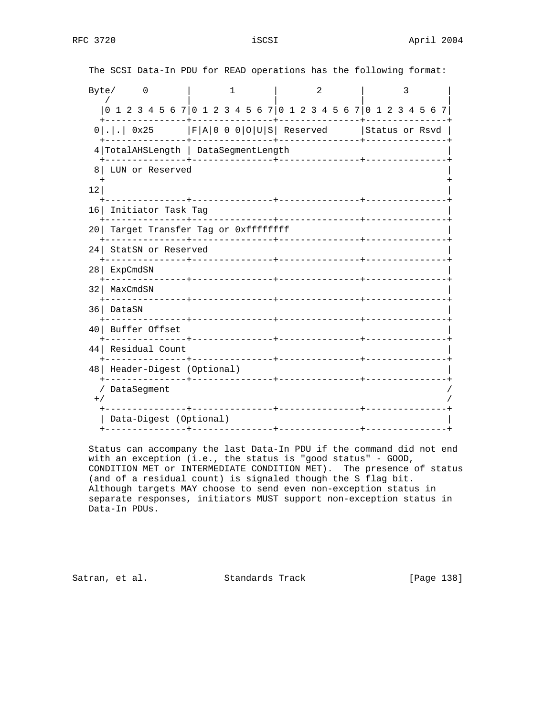|                 | The SCSI Data-In PDU for READ operations has the following format: |   |  |                                                                                               |  |  |  |  |                |  |  |  |  |  |   |  |  |  |  |  |  |  |
|-----------------|--------------------------------------------------------------------|---|--|-----------------------------------------------------------------------------------------------|--|--|--|--|----------------|--|--|--|--|--|---|--|--|--|--|--|--|--|
|                 | Byte/                                                              | 1 |  |                                                                                               |  |  |  |  | $\overline{2}$ |  |  |  |  |  | 3 |  |  |  |  |  |  |  |
|                 | 0 1 2 3 4 5 6 7 0 1 2 3 4 5 6 7 0 1 2 3 4 5 6 7 0 1 2 3 4 5 6 7    |   |  |                                                                                               |  |  |  |  |                |  |  |  |  |  |   |  |  |  |  |  |  |  |
|                 | $0$  . .  0x25   F A 0 0 0 O U S  Reserved   Status or Rsvd        |   |  |                                                                                               |  |  |  |  |                |  |  |  |  |  |   |  |  |  |  |  |  |  |
|                 |                                                                    |   |  | 4 TotalAHSLength   DataSegmentLength<br>-+--------------<br>-+----------------+-------------- |  |  |  |  |                |  |  |  |  |  |   |  |  |  |  |  |  |  |
| 8               | LUN or Reserved                                                    |   |  |                                                                                               |  |  |  |  |                |  |  |  |  |  |   |  |  |  |  |  |  |  |
| 12 <sup>°</sup> |                                                                    |   |  |                                                                                               |  |  |  |  |                |  |  |  |  |  |   |  |  |  |  |  |  |  |
| 161             | Initiator Task Tag                                                 |   |  |                                                                                               |  |  |  |  |                |  |  |  |  |  |   |  |  |  |  |  |  |  |
| 20 I            | Target Transfer Tag or 0xffffffff                                  |   |  |                                                                                               |  |  |  |  |                |  |  |  |  |  |   |  |  |  |  |  |  |  |
| 24 I            | StatSN or Reserved                                                 |   |  |                                                                                               |  |  |  |  |                |  |  |  |  |  |   |  |  |  |  |  |  |  |
| 28              | ExpCmdSN                                                           |   |  |                                                                                               |  |  |  |  |                |  |  |  |  |  |   |  |  |  |  |  |  |  |
| 321             | MaxCmdSN                                                           |   |  |                                                                                               |  |  |  |  |                |  |  |  |  |  |   |  |  |  |  |  |  |  |
| 361             | DataSN                                                             |   |  |                                                                                               |  |  |  |  |                |  |  |  |  |  |   |  |  |  |  |  |  |  |
| 40              | Buffer Offset                                                      |   |  |                                                                                               |  |  |  |  |                |  |  |  |  |  |   |  |  |  |  |  |  |  |
| 44              | Residual Count                                                     |   |  |                                                                                               |  |  |  |  |                |  |  |  |  |  |   |  |  |  |  |  |  |  |
|                 | 48   Header-Digest (Optional)                                      |   |  |                                                                                               |  |  |  |  |                |  |  |  |  |  |   |  |  |  |  |  |  |  |
|                 | / DataSegment                                                      |   |  |                                                                                               |  |  |  |  |                |  |  |  |  |  |   |  |  |  |  |  |  |  |
| $+$ /           |                                                                    |   |  |                                                                                               |  |  |  |  |                |  |  |  |  |  |   |  |  |  |  |  |  |  |
|                 | Data-Digest (Optional)                                             |   |  |                                                                                               |  |  |  |  |                |  |  |  |  |  |   |  |  |  |  |  |  |  |

 Status can accompany the last Data-In PDU if the command did not end with an exception (i.e., the status is "good status" - GOOD, CONDITION MET or INTERMEDIATE CONDITION MET). The presence of status (and of a residual count) is signaled though the S flag bit. Although targets MAY choose to send even non-exception status in separate responses, initiators MUST support non-exception status in Data-In PDUs.

Satran, et al. Standards Track [Page 138]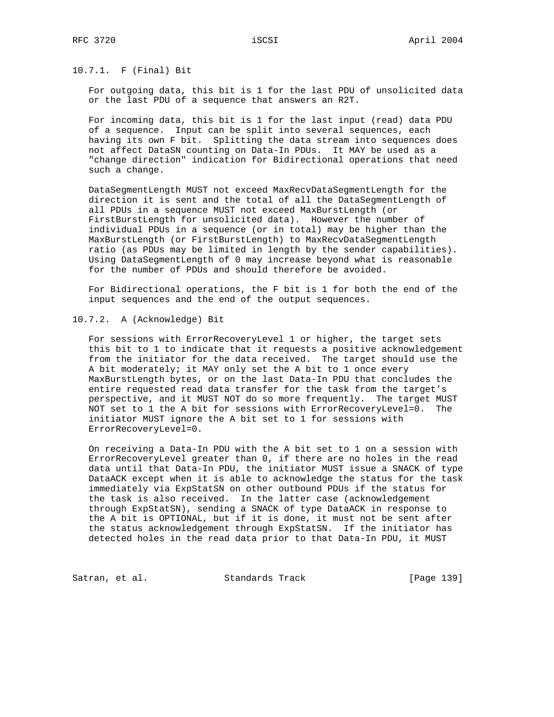10.7.1. F (Final) Bit

 For outgoing data, this bit is 1 for the last PDU of unsolicited data or the last PDU of a sequence that answers an R2T.

 For incoming data, this bit is 1 for the last input (read) data PDU of a sequence. Input can be split into several sequences, each having its own F bit. Splitting the data stream into sequences does not affect DataSN counting on Data-In PDUs. It MAY be used as a "change direction" indication for Bidirectional operations that need such a change.

 DataSegmentLength MUST not exceed MaxRecvDataSegmentLength for the direction it is sent and the total of all the DataSegmentLength of all PDUs in a sequence MUST not exceed MaxBurstLength (or FirstBurstLength for unsolicited data). However the number of individual PDUs in a sequence (or in total) may be higher than the MaxBurstLength (or FirstBurstLength) to MaxRecvDataSegmentLength ratio (as PDUs may be limited in length by the sender capabilities). Using DataSegmentLength of 0 may increase beyond what is reasonable for the number of PDUs and should therefore be avoided.

 For Bidirectional operations, the F bit is 1 for both the end of the input sequences and the end of the output sequences.

10.7.2. A (Acknowledge) Bit

 For sessions with ErrorRecoveryLevel 1 or higher, the target sets this bit to 1 to indicate that it requests a positive acknowledgement from the initiator for the data received. The target should use the A bit moderately; it MAY only set the A bit to 1 once every MaxBurstLength bytes, or on the last Data-In PDU that concludes the entire requested read data transfer for the task from the target's perspective, and it MUST NOT do so more frequently. The target MUST NOT set to 1 the A bit for sessions with ErrorRecoveryLevel=0. The initiator MUST ignore the A bit set to 1 for sessions with ErrorRecoveryLevel=0.

 On receiving a Data-In PDU with the A bit set to 1 on a session with ErrorRecoveryLevel greater than 0, if there are no holes in the read data until that Data-In PDU, the initiator MUST issue a SNACK of type DataACK except when it is able to acknowledge the status for the task immediately via ExpStatSN on other outbound PDUs if the status for the task is also received. In the latter case (acknowledgement through ExpStatSN), sending a SNACK of type DataACK in response to the A bit is OPTIONAL, but if it is done, it must not be sent after the status acknowledgement through ExpStatSN. If the initiator has detected holes in the read data prior to that Data-In PDU, it MUST

Satran, et al. Standards Track [Page 139]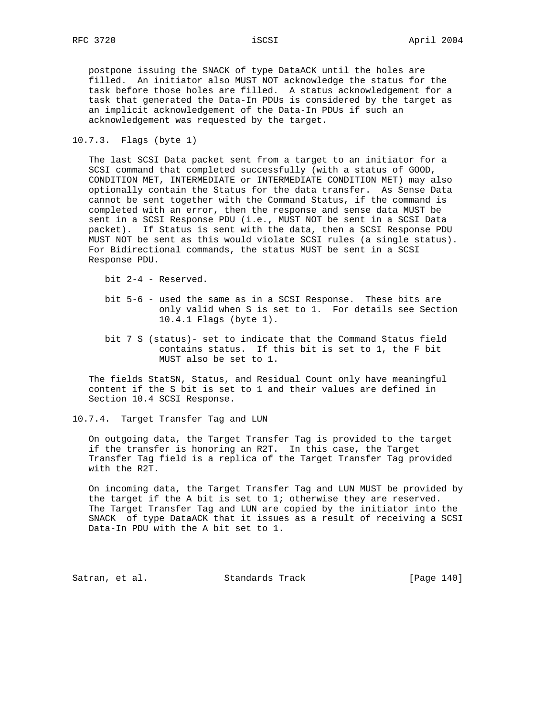postpone issuing the SNACK of type DataACK until the holes are filled. An initiator also MUST NOT acknowledge the status for the task before those holes are filled. A status acknowledgement for a task that generated the Data-In PDUs is considered by the target as an implicit acknowledgement of the Data-In PDUs if such an acknowledgement was requested by the target.

### 10.7.3. Flags (byte 1)

 The last SCSI Data packet sent from a target to an initiator for a SCSI command that completed successfully (with a status of GOOD, CONDITION MET, INTERMEDIATE or INTERMEDIATE CONDITION MET) may also optionally contain the Status for the data transfer. As Sense Data cannot be sent together with the Command Status, if the command is completed with an error, then the response and sense data MUST be sent in a SCSI Response PDU (i.e., MUST NOT be sent in a SCSI Data packet). If Status is sent with the data, then a SCSI Response PDU MUST NOT be sent as this would violate SCSI rules (a single status). For Bidirectional commands, the status MUST be sent in a SCSI Response PDU.

bit 2-4 - Reserved.

- bit 5-6 used the same as in a SCSI Response. These bits are only valid when S is set to 1. For details see Section 10.4.1 Flags (byte 1).
- bit 7 S (status)- set to indicate that the Command Status field contains status. If this bit is set to 1, the F bit MUST also be set to 1.

 The fields StatSN, Status, and Residual Count only have meaningful content if the S bit is set to 1 and their values are defined in Section 10.4 SCSI Response.

10.7.4. Target Transfer Tag and LUN

 On outgoing data, the Target Transfer Tag is provided to the target if the transfer is honoring an R2T. In this case, the Target Transfer Tag field is a replica of the Target Transfer Tag provided with the R2T.

 On incoming data, the Target Transfer Tag and LUN MUST be provided by the target if the A bit is set to 1; otherwise they are reserved. The Target Transfer Tag and LUN are copied by the initiator into the SNACK of type DataACK that it issues as a result of receiving a SCSI Data-In PDU with the A bit set to 1.

Satran, et al. Standards Track [Page 140]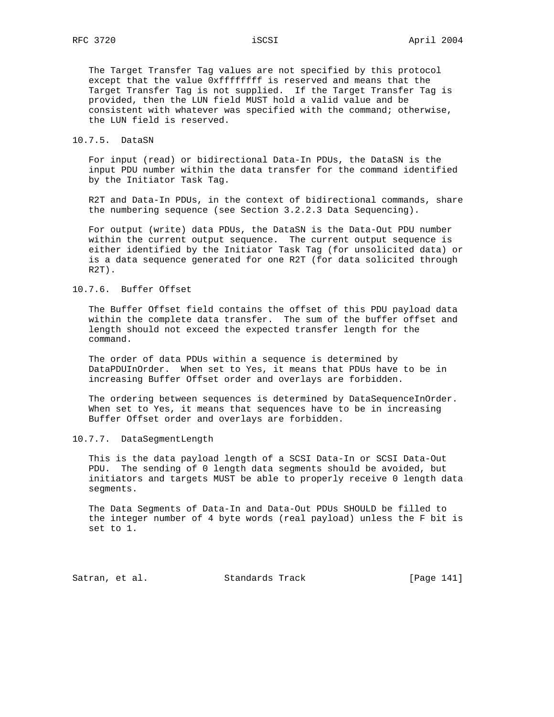The Target Transfer Tag values are not specified by this protocol except that the value 0xffffffff is reserved and means that the Target Transfer Tag is not supplied. If the Target Transfer Tag is provided, then the LUN field MUST hold a valid value and be consistent with whatever was specified with the command; otherwise, the LUN field is reserved.

10.7.5. DataSN

 For input (read) or bidirectional Data-In PDUs, the DataSN is the input PDU number within the data transfer for the command identified by the Initiator Task Tag.

 R2T and Data-In PDUs, in the context of bidirectional commands, share the numbering sequence (see Section 3.2.2.3 Data Sequencing).

For output (write) data PDUs, the DataSN is the Data-Out PDU number within the current output sequence. The current output sequence is either identified by the Initiator Task Tag (for unsolicited data) or is a data sequence generated for one R2T (for data solicited through R2T).

10.7.6. Buffer Offset

 The Buffer Offset field contains the offset of this PDU payload data within the complete data transfer. The sum of the buffer offset and length should not exceed the expected transfer length for the command.

 The order of data PDUs within a sequence is determined by DataPDUInOrder. When set to Yes, it means that PDUs have to be in increasing Buffer Offset order and overlays are forbidden.

 The ordering between sequences is determined by DataSequenceInOrder. When set to Yes, it means that sequences have to be in increasing Buffer Offset order and overlays are forbidden.

10.7.7. DataSegmentLength

 This is the data payload length of a SCSI Data-In or SCSI Data-Out PDU. The sending of 0 length data segments should be avoided, but initiators and targets MUST be able to properly receive 0 length data segments.

 The Data Segments of Data-In and Data-Out PDUs SHOULD be filled to the integer number of 4 byte words (real payload) unless the F bit is set to 1.

Satran, et al. Standards Track [Page 141]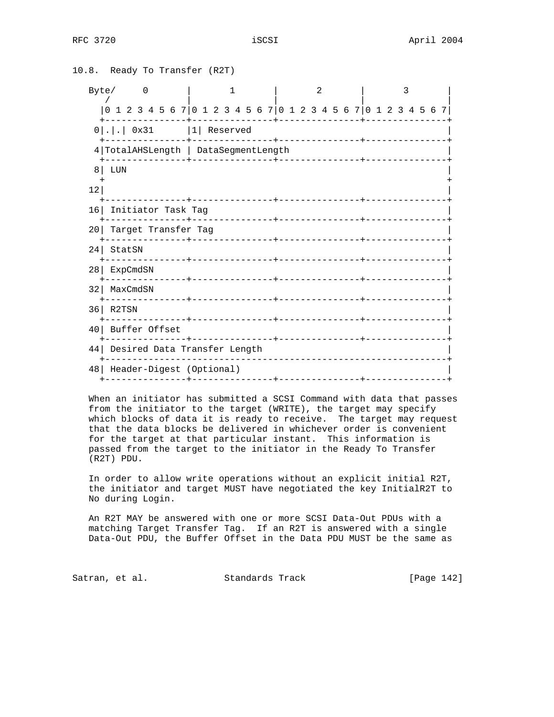| 10.8. Ready To Transfer (R2T) |                                                                 |   |              |               |  |                          |  |  |   |  |  |  |  |  |  |   |  |  |  |  |  |  |  |  |
|-------------------------------|-----------------------------------------------------------------|---|--------------|---------------|--|--------------------------|--|--|---|--|--|--|--|--|--|---|--|--|--|--|--|--|--|--|
|                               | Byte/                                                           | 0 | $\mathbf{1}$ |               |  |                          |  |  | 2 |  |  |  |  |  |  | 3 |  |  |  |  |  |  |  |  |
|                               | 0 1 2 3 4 5 6 7 0 1 2 3 4 5 6 7 0 1 2 3 4 5 6 7 0 1 2 3 4 5 6 7 |   |              |               |  |                          |  |  |   |  |  |  |  |  |  |   |  |  |  |  |  |  |  |  |
|                               | $0 . $ $0x31$   Reserved                                        |   |              |               |  |                          |  |  |   |  |  |  |  |  |  |   |  |  |  |  |  |  |  |  |
|                               | 4 TotalAHSLength   DataSegmentLength                            |   |              |               |  |                          |  |  |   |  |  |  |  |  |  |   |  |  |  |  |  |  |  |  |
| 8                             | LUN                                                             |   |              |               |  |                          |  |  |   |  |  |  |  |  |  |   |  |  |  |  |  |  |  |  |
| 12                            |                                                                 |   |              |               |  |                          |  |  |   |  |  |  |  |  |  |   |  |  |  |  |  |  |  |  |
|                               | 16 Initiator Task Tag                                           |   |              |               |  |                          |  |  |   |  |  |  |  |  |  |   |  |  |  |  |  |  |  |  |
|                               | 20 Target Transfer Tag                                          |   |              |               |  |                          |  |  |   |  |  |  |  |  |  |   |  |  |  |  |  |  |  |  |
|                               | 24 StatSN                                                       |   |              |               |  |                          |  |  |   |  |  |  |  |  |  |   |  |  |  |  |  |  |  |  |
|                               | 28   ExpCmdSN                                                   |   |              |               |  |                          |  |  |   |  |  |  |  |  |  |   |  |  |  |  |  |  |  |  |
|                               | 32   MaxCmdSN                                                   |   |              |               |  |                          |  |  |   |  |  |  |  |  |  |   |  |  |  |  |  |  |  |  |
|                               | $36$ R2TSN                                                      |   |              |               |  |                          |  |  |   |  |  |  |  |  |  |   |  |  |  |  |  |  |  |  |
| 40 l                          |                                                                 |   |              | Buffer Offset |  |                          |  |  |   |  |  |  |  |  |  |   |  |  |  |  |  |  |  |  |
|                               | 44 Desired Data Transfer Length                                 |   |              |               |  |                          |  |  |   |  |  |  |  |  |  |   |  |  |  |  |  |  |  |  |
| 48                            |                                                                 |   |              |               |  | Header-Digest (Optional) |  |  |   |  |  |  |  |  |  |   |  |  |  |  |  |  |  |  |
|                               |                                                                 |   |              |               |  |                          |  |  |   |  |  |  |  |  |  |   |  |  |  |  |  |  |  |  |

 When an initiator has submitted a SCSI Command with data that passes from the initiator to the target (WRITE), the target may specify which blocks of data it is ready to receive. The target may request that the data blocks be delivered in whichever order is convenient for the target at that particular instant. This information is passed from the target to the initiator in the Ready To Transfer (R2T) PDU.

 In order to allow write operations without an explicit initial R2T, the initiator and target MUST have negotiated the key InitialR2T to No during Login.

 An R2T MAY be answered with one or more SCSI Data-Out PDUs with a matching Target Transfer Tag. If an R2T is answered with a single Data-Out PDU, the Buffer Offset in the Data PDU MUST be the same as

Satran, et al. Standards Track [Page 142]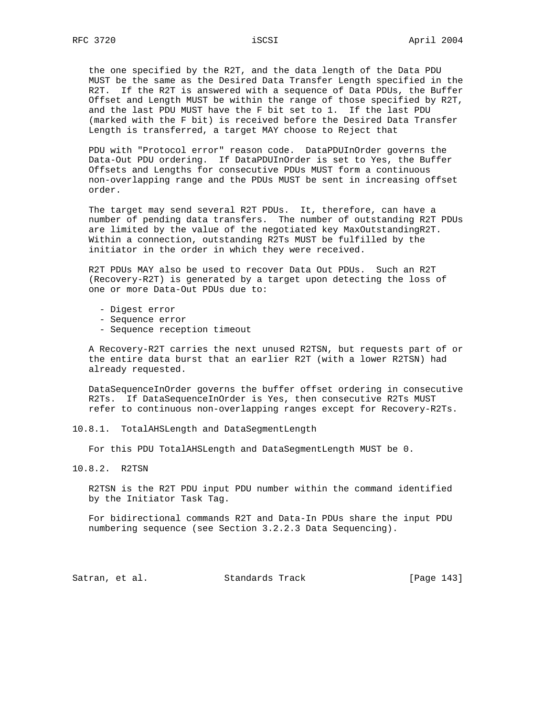the one specified by the R2T, and the data length of the Data PDU MUST be the same as the Desired Data Transfer Length specified in the R2T. If the R2T is answered with a sequence of Data PDUs, the Buffer Offset and Length MUST be within the range of those specified by R2T, and the last PDU MUST have the F bit set to 1. If the last PDU (marked with the F bit) is received before the Desired Data Transfer Length is transferred, a target MAY choose to Reject that

 PDU with "Protocol error" reason code. DataPDUInOrder governs the Data-Out PDU ordering. If DataPDUInOrder is set to Yes, the Buffer Offsets and Lengths for consecutive PDUs MUST form a continuous non-overlapping range and the PDUs MUST be sent in increasing offset order.

 The target may send several R2T PDUs. It, therefore, can have a number of pending data transfers. The number of outstanding R2T PDUs are limited by the value of the negotiated key MaxOutstandingR2T. Within a connection, outstanding R2Ts MUST be fulfilled by the initiator in the order in which they were received.

 R2T PDUs MAY also be used to recover Data Out PDUs. Such an R2T (Recovery-R2T) is generated by a target upon detecting the loss of one or more Data-Out PDUs due to:

- Digest error
- Sequence error
- Sequence reception timeout

 A Recovery-R2T carries the next unused R2TSN, but requests part of or the entire data burst that an earlier R2T (with a lower R2TSN) had already requested.

 DataSequenceInOrder governs the buffer offset ordering in consecutive R2Ts. If DataSequenceInOrder is Yes, then consecutive R2Ts MUST refer to continuous non-overlapping ranges except for Recovery-R2Ts.

10.8.1. TotalAHSLength and DataSegmentLength

For this PDU TotalAHSLength and DataSegmentLength MUST be 0.

10.8.2. R2TSN

 R2TSN is the R2T PDU input PDU number within the command identified by the Initiator Task Tag.

 For bidirectional commands R2T and Data-In PDUs share the input PDU numbering sequence (see Section 3.2.2.3 Data Sequencing).

Satran, et al. Standards Track [Page 143]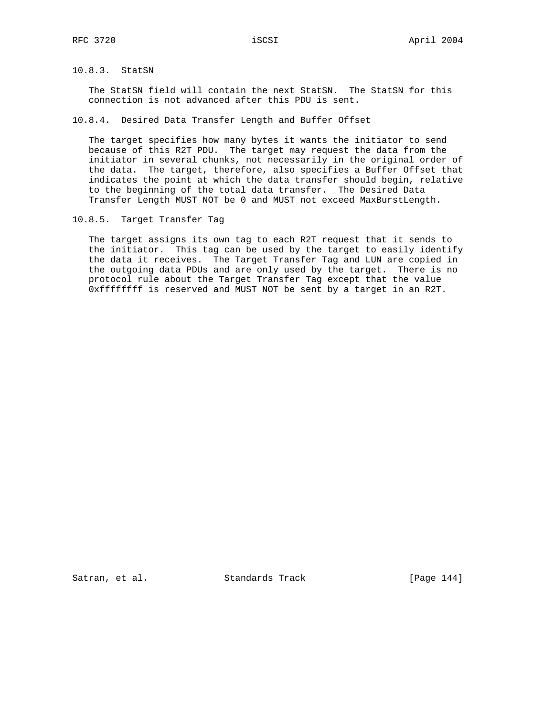## 10.8.3. StatSN

 The StatSN field will contain the next StatSN. The StatSN for this connection is not advanced after this PDU is sent.

10.8.4. Desired Data Transfer Length and Buffer Offset

 The target specifies how many bytes it wants the initiator to send because of this R2T PDU. The target may request the data from the initiator in several chunks, not necessarily in the original order of the data. The target, therefore, also specifies a Buffer Offset that indicates the point at which the data transfer should begin, relative to the beginning of the total data transfer. The Desired Data Transfer Length MUST NOT be 0 and MUST not exceed MaxBurstLength.

10.8.5. Target Transfer Tag

 The target assigns its own tag to each R2T request that it sends to the initiator. This tag can be used by the target to easily identify the data it receives. The Target Transfer Tag and LUN are copied in the outgoing data PDUs and are only used by the target. There is no protocol rule about the Target Transfer Tag except that the value 0xffffffff is reserved and MUST NOT be sent by a target in an R2T.

Satran, et al. Standards Track [Page 144]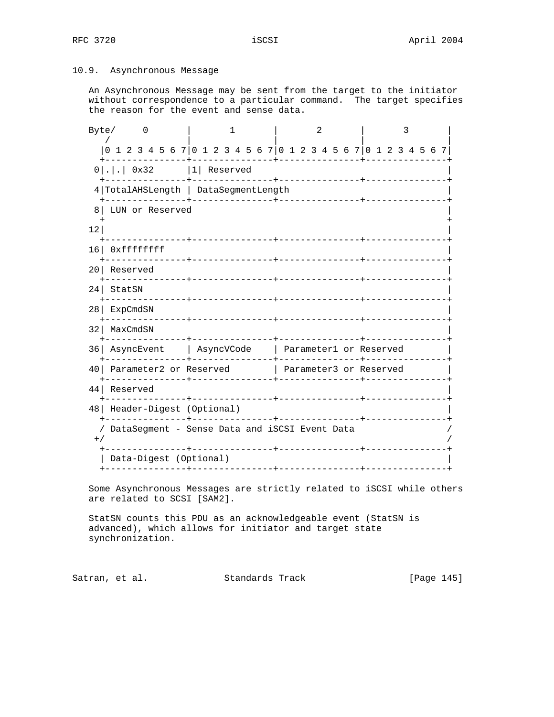# 10.9. Asynchronous Message

 An Asynchronous Message may be sent from the target to the initiator without correspondence to a particular command. The target specifies the reason for the event and sense data.

| Byte/           |                                                                 | 0 |                       |  | 1                 |  |  |                 |  |  |  | 2 |                              |  |  |  |  |  | 3 |  |             |  |  |  |  |  |
|-----------------|-----------------------------------------------------------------|---|-----------------------|--|-------------------|--|--|-----------------|--|--|--|---|------------------------------|--|--|--|--|--|---|--|-------------|--|--|--|--|--|
|                 | 0 1 2 3 4 5 6 7 0 1 2 3 4 5 6 7 0 1 2 3 4 5 6 7 0 1 2 3 4 5 6 7 |   |                       |  |                   |  |  |                 |  |  |  |   |                              |  |  |  |  |  |   |  |             |  |  |  |  |  |
|                 | $0 . .$ 0x32  1 Reserved                                        |   |                       |  |                   |  |  |                 |  |  |  |   |                              |  |  |  |  |  |   |  |             |  |  |  |  |  |
|                 | 4 TotalAHSLength   DataSegmentLength                            |   |                       |  |                   |  |  |                 |  |  |  |   |                              |  |  |  |  |  |   |  |             |  |  |  |  |  |
| 8               | LUN or Reserved                                                 |   |                       |  |                   |  |  |                 |  |  |  |   |                              |  |  |  |  |  |   |  |             |  |  |  |  |  |
| 12              |                                                                 |   |                       |  |                   |  |  |                 |  |  |  |   |                              |  |  |  |  |  |   |  |             |  |  |  |  |  |
| 16 <sup>1</sup> | Oxfffffffff                                                     |   |                       |  |                   |  |  |                 |  |  |  |   |                              |  |  |  |  |  |   |  |             |  |  |  |  |  |
| 201             | Reserved                                                        |   |                       |  |                   |  |  |                 |  |  |  |   |                              |  |  |  |  |  |   |  |             |  |  |  |  |  |
| 24              | StatSN                                                          |   |                       |  | +---------------- |  |  |                 |  |  |  |   | ____________________________ |  |  |  |  |  |   |  |             |  |  |  |  |  |
| 28              | ExpCmdSN<br>. _ _ _ _ _ _ _ _ _ _ _ _                           |   |                       |  |                   |  |  | ____________    |  |  |  |   |                              |  |  |  |  |  |   |  |             |  |  |  |  |  |
| 32              | MaxCmdSN                                                        |   |                       |  |                   |  |  |                 |  |  |  |   |                              |  |  |  |  |  |   |  |             |  |  |  |  |  |
| 361             | AsyncEvent   AsyncVCode   Parameter1 or Reserved                |   |                       |  |                   |  |  | --------------- |  |  |  |   |                              |  |  |  |  |  |   |  | ----------- |  |  |  |  |  |
| 40              | Parameter2 or Reserved Parameter3 or Reserved                   |   |                       |  |                   |  |  |                 |  |  |  |   |                              |  |  |  |  |  |   |  |             |  |  |  |  |  |
| 44              | Reserved                                                        |   | _____________________ |  |                   |  |  |                 |  |  |  |   |                              |  |  |  |  |  |   |  |             |  |  |  |  |  |
|                 | 48   Header-Digest (Optional)                                   |   |                       |  |                   |  |  |                 |  |  |  |   |                              |  |  |  |  |  |   |  |             |  |  |  |  |  |
| $+$ /           | DataSegment - Sense Data and iSCSI Event Data<br>--------       |   |                       |  |                   |  |  |                 |  |  |  |   |                              |  |  |  |  |  |   |  |             |  |  |  |  |  |
|                 | Data-Digest (Optional)                                          |   |                       |  |                   |  |  |                 |  |  |  |   |                              |  |  |  |  |  |   |  |             |  |  |  |  |  |
|                 |                                                                 |   |                       |  |                   |  |  |                 |  |  |  |   |                              |  |  |  |  |  |   |  |             |  |  |  |  |  |

 Some Asynchronous Messages are strictly related to iSCSI while others are related to SCSI [SAM2].

 StatSN counts this PDU as an acknowledgeable event (StatSN is advanced), which allows for initiator and target state synchronization.

Satran, et al. Standards Track [Page 145]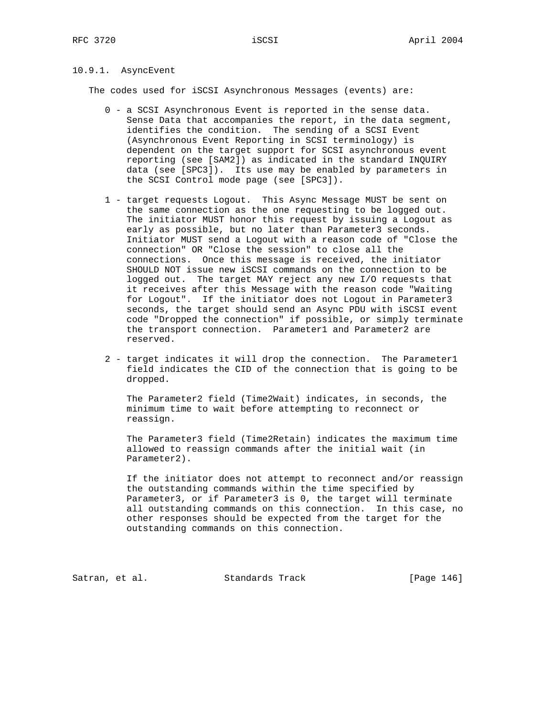# 10.9.1. AsyncEvent

The codes used for iSCSI Asynchronous Messages (events) are:

- 0 a SCSI Asynchronous Event is reported in the sense data. Sense Data that accompanies the report, in the data segment, identifies the condition. The sending of a SCSI Event (Asynchronous Event Reporting in SCSI terminology) is dependent on the target support for SCSI asynchronous event reporting (see [SAM2]) as indicated in the standard INQUIRY data (see [SPC3]). Its use may be enabled by parameters in the SCSI Control mode page (see [SPC3]).
- 1 target requests Logout. This Async Message MUST be sent on the same connection as the one requesting to be logged out. The initiator MUST honor this request by issuing a Logout as early as possible, but no later than Parameter3 seconds. Initiator MUST send a Logout with a reason code of "Close the connection" OR "Close the session" to close all the connections. Once this message is received, the initiator SHOULD NOT issue new iSCSI commands on the connection to be logged out. The target MAY reject any new I/O requests that it receives after this Message with the reason code "Waiting for Logout". If the initiator does not Logout in Parameter3 seconds, the target should send an Async PDU with iSCSI event code "Dropped the connection" if possible, or simply terminate the transport connection. Parameter1 and Parameter2 are reserved.
- 2 target indicates it will drop the connection. The Parameter1 field indicates the CID of the connection that is going to be dropped.

 The Parameter2 field (Time2Wait) indicates, in seconds, the minimum time to wait before attempting to reconnect or reassign.

 The Parameter3 field (Time2Retain) indicates the maximum time allowed to reassign commands after the initial wait (in Parameter2).

 If the initiator does not attempt to reconnect and/or reassign the outstanding commands within the time specified by Parameter3, or if Parameter3 is 0, the target will terminate all outstanding commands on this connection. In this case, no other responses should be expected from the target for the outstanding commands on this connection.

Satran, et al. Standards Track [Page 146]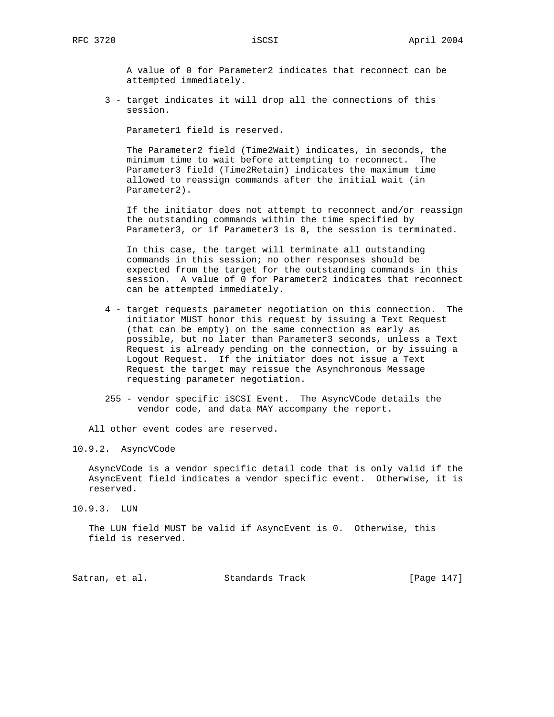A value of 0 for Parameter2 indicates that reconnect can be attempted immediately.

 3 - target indicates it will drop all the connections of this session.

Parameter1 field is reserved.

 The Parameter2 field (Time2Wait) indicates, in seconds, the minimum time to wait before attempting to reconnect. The Parameter3 field (Time2Retain) indicates the maximum time allowed to reassign commands after the initial wait (in Parameter2).

 If the initiator does not attempt to reconnect and/or reassign the outstanding commands within the time specified by Parameter3, or if Parameter3 is 0, the session is terminated.

 In this case, the target will terminate all outstanding commands in this session; no other responses should be expected from the target for the outstanding commands in this session. A value of 0 for Parameter2 indicates that reconnect can be attempted immediately.

- 4 target requests parameter negotiation on this connection. The initiator MUST honor this request by issuing a Text Request (that can be empty) on the same connection as early as possible, but no later than Parameter3 seconds, unless a Text Request is already pending on the connection, or by issuing a Logout Request. If the initiator does not issue a Text Request the target may reissue the Asynchronous Message requesting parameter negotiation.
- 255 vendor specific iSCSI Event. The AsyncVCode details the vendor code, and data MAY accompany the report.

All other event codes are reserved.

## 10.9.2. AsyncVCode

 AsyncVCode is a vendor specific detail code that is only valid if the AsyncEvent field indicates a vendor specific event. Otherwise, it is reserved.

10.9.3. LUN

 The LUN field MUST be valid if AsyncEvent is 0. Otherwise, this field is reserved.

| Satran, et al. |  | Standards Track | [Page 147] |  |  |
|----------------|--|-----------------|------------|--|--|
|----------------|--|-----------------|------------|--|--|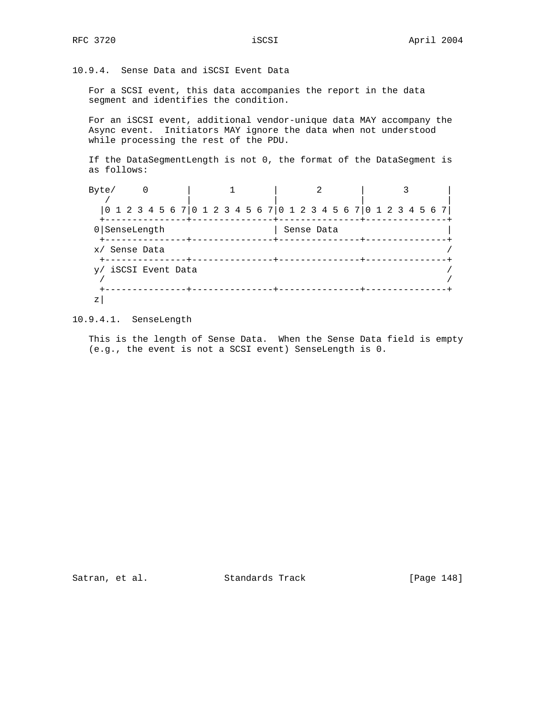10.9.4. Sense Data and iSCSI Event Data

 For a SCSI event, this data accompanies the report in the data segment and identifies the condition.

 For an iSCSI event, additional vendor-unique data MAY accompany the Async event. Initiators MAY ignore the data when not understood while processing the rest of the PDU.

 If the DataSegmentLength is not 0, the format of the DataSegment is as follows:

| Byte/                                                           |  |  |  |  |  |  |            |  |  |  |  |  |  |  |  |  |  |  |  |  |  |
|-----------------------------------------------------------------|--|--|--|--|--|--|------------|--|--|--|--|--|--|--|--|--|--|--|--|--|--|
| 0 1 2 3 4 5 6 7 0 1 2 3 4 5 6 7 0 1 2 3 4 5 6 7 0 1 2 3 4 5 6 7 |  |  |  |  |  |  |            |  |  |  |  |  |  |  |  |  |  |  |  |  |  |
| 0 SenseLength                                                   |  |  |  |  |  |  | Sense Data |  |  |  |  |  |  |  |  |  |  |  |  |  |  |
| x/ Sense Data                                                   |  |  |  |  |  |  |            |  |  |  |  |  |  |  |  |  |  |  |  |  |  |
| y/ iSCSI Event Data                                             |  |  |  |  |  |  |            |  |  |  |  |  |  |  |  |  |  |  |  |  |  |
| Ζ                                                               |  |  |  |  |  |  |            |  |  |  |  |  |  |  |  |  |  |  |  |  |  |

10.9.4.1. SenseLength

 This is the length of Sense Data. When the Sense Data field is empty (e.g., the event is not a SCSI event) SenseLength is 0.

Satran, et al. Standards Track [Page 148]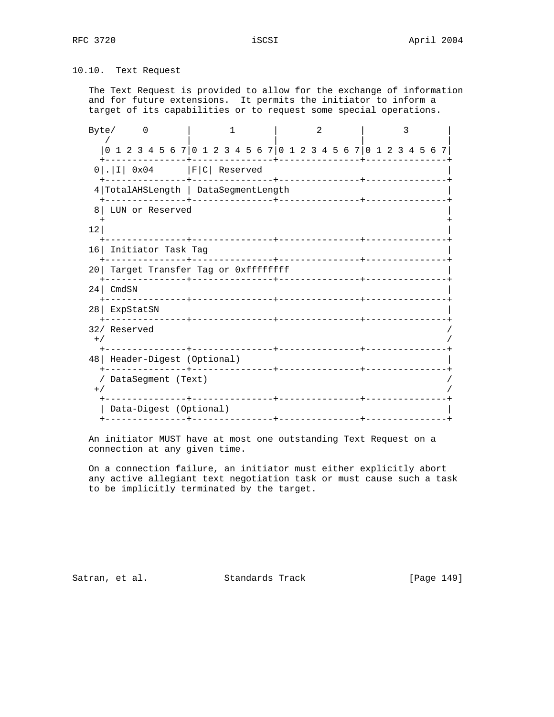10.10. Text Request

 The Text Request is provided to allow for the exchange of information and for future extensions. It permits the initiator to inform a target of its capabilities or to request some special operations.

| Byte/ 0                              | 1 | $\overline{2}$                                                  | 3 |  |  |  |  |  |  |  |
|--------------------------------------|---|-----------------------------------------------------------------|---|--|--|--|--|--|--|--|
|                                      |   | 0 1 2 3 4 5 6 7 0 1 2 3 4 5 6 7 0 1 2 3 4 5 6 7 0 1 2 3 4 5 6 7 |   |  |  |  |  |  |  |  |
| $0 . I $ 0x04   F C  Reserved        |   |                                                                 |   |  |  |  |  |  |  |  |
| 4 TotalAHSLength   DataSegmentLength |   |                                                                 |   |  |  |  |  |  |  |  |
| LUN or Reserved<br>8 I               |   |                                                                 |   |  |  |  |  |  |  |  |
| 12                                   |   |                                                                 |   |  |  |  |  |  |  |  |
| 16 Initiator Task Tag                |   |                                                                 |   |  |  |  |  |  |  |  |
| 20 Target Transfer Tag or 0xffffffff |   |                                                                 |   |  |  |  |  |  |  |  |
| 24 CmdSN                             |   |                                                                 |   |  |  |  |  |  |  |  |
| 28 ExpStatSN                         |   |                                                                 |   |  |  |  |  |  |  |  |
| 32/ Reserved<br>$+$ /                |   |                                                                 |   |  |  |  |  |  |  |  |
| 48   Header-Digest (Optional)        |   |                                                                 |   |  |  |  |  |  |  |  |
| / DataSeqment (Text)<br>$+ /$        |   |                                                                 |   |  |  |  |  |  |  |  |
| Data-Digest (Optional)               |   |                                                                 |   |  |  |  |  |  |  |  |

 An initiator MUST have at most one outstanding Text Request on a connection at any given time.

 On a connection failure, an initiator must either explicitly abort any active allegiant text negotiation task or must cause such a task to be implicitly terminated by the target.

Satran, et al. Standards Track [Page 149]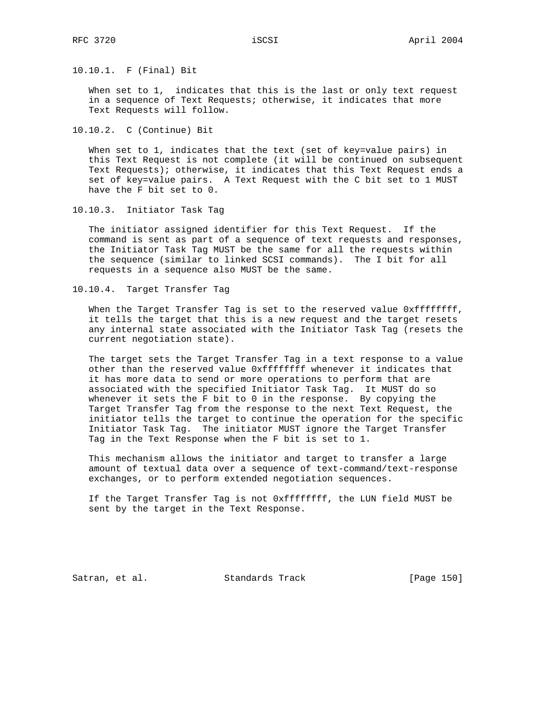10.10.1. F (Final) Bit

When set to 1, indicates that this is the last or only text request in a sequence of Text Requests; otherwise, it indicates that more Text Requests will follow.

10.10.2. C (Continue) Bit

 When set to 1, indicates that the text (set of key=value pairs) in this Text Request is not complete (it will be continued on subsequent Text Requests); otherwise, it indicates that this Text Request ends a set of key=value pairs. A Text Request with the C bit set to 1 MUST have the F bit set to 0.

10.10.3. Initiator Task Tag

 The initiator assigned identifier for this Text Request. If the command is sent as part of a sequence of text requests and responses, the Initiator Task Tag MUST be the same for all the requests within the sequence (similar to linked SCSI commands). The I bit for all requests in a sequence also MUST be the same.

10.10.4. Target Transfer Tag

When the Target Transfer Tag is set to the reserved value 0xffffffff, it tells the target that this is a new request and the target resets any internal state associated with the Initiator Task Tag (resets the current negotiation state).

 The target sets the Target Transfer Tag in a text response to a value other than the reserved value Oxffffffff whenever it indicates that it has more data to send or more operations to perform that are associated with the specified Initiator Task Tag. It MUST do so whenever it sets the F bit to 0 in the response. By copying the Target Transfer Tag from the response to the next Text Request, the initiator tells the target to continue the operation for the specific Initiator Task Tag. The initiator MUST ignore the Target Transfer Tag in the Text Response when the F bit is set to 1.

 This mechanism allows the initiator and target to transfer a large amount of textual data over a sequence of text-command/text-response exchanges, or to perform extended negotiation sequences.

 If the Target Transfer Tag is not 0xffffffff, the LUN field MUST be sent by the target in the Text Response.

Satran, et al. Standards Track [Page 150]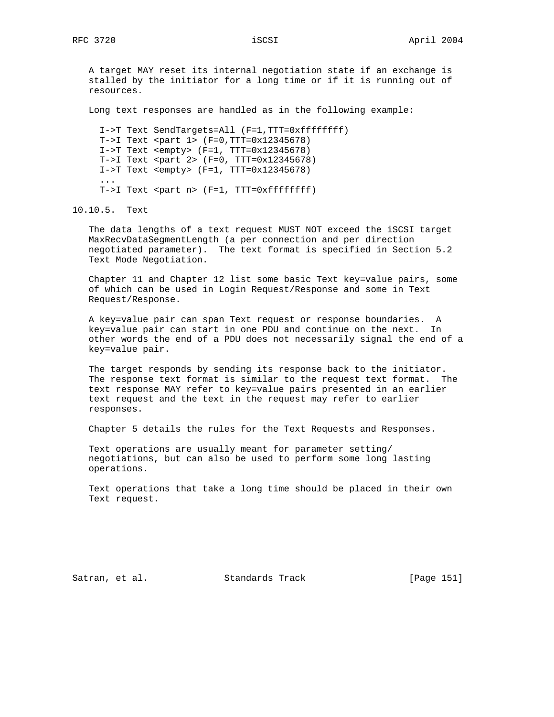A target MAY reset its internal negotiation state if an exchange is stalled by the initiator for a long time or if it is running out of resources.

Long text responses are handled as in the following example:

 I->T Text SendTargets=All (F=1,TTT=0xffffffff) T->I Text <part 1> (F=0,TTT=0x12345678) I->T Text <empty> (F=1, TTT=0x12345678) T->I Text <part 2> (F=0, TTT=0x12345678) I->T Text <empty> (F=1, TTT=0x12345678) ... T->I Text <part n> (F=1, TTT=0xffffffff)

10.10.5. Text

 The data lengths of a text request MUST NOT exceed the iSCSI target MaxRecvDataSegmentLength (a per connection and per direction negotiated parameter). The text format is specified in Section 5.2 Text Mode Negotiation.

 Chapter 11 and Chapter 12 list some basic Text key=value pairs, some of which can be used in Login Request/Response and some in Text Request/Response.

 A key=value pair can span Text request or response boundaries. A key=value pair can start in one PDU and continue on the next. In other words the end of a PDU does not necessarily signal the end of a key=value pair.

 The target responds by sending its response back to the initiator. The response text format is similar to the request text format. The text response MAY refer to key=value pairs presented in an earlier text request and the text in the request may refer to earlier responses.

Chapter 5 details the rules for the Text Requests and Responses.

 Text operations are usually meant for parameter setting/ negotiations, but can also be used to perform some long lasting operations.

 Text operations that take a long time should be placed in their own Text request.

Satran, et al. Standards Track [Page 151]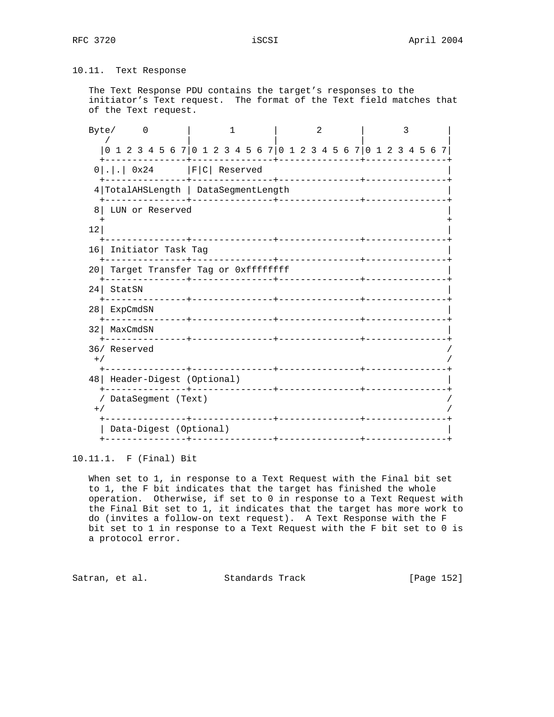# 10.11. Text Response

 The Text Response PDU contains the target's responses to the initiator's Text request. The format of the Text field matches that of the Text request.

Byte/ 0 | 1 | 2 | 3 / | | | | |0 1 2 3 4 5 6 7|0 1 2 3 4 5 6 7|0 1 2 3 4 5 6 7|0 1 2 3 4 5 6 7| +---------------+---------------+---------------+---------------+  $0|.|.$  0x24 |F|C| Reserved +---------------+---------------+---------------+---------------+ 4|TotalAHSLength | DataSegmentLength | +---------------+---------------+---------------+---------------+ 8| LUN or Reserved | + +  $\vert$  12| +---------------+---------------+---------------+---------------+ 16| Initiator Task Tag | +---------------+---------------+---------------+---------------+ 20 Target Transfer Tag or 0xffffffff +---------------+---------------+---------------+---------------+ 24| StatSN | +---------------+---------------+---------------+---------------+ 28| ExpCmdSN | +---------------+---------------+---------------+---------------+ 32| MaxCmdSN | +---------------+---------------+---------------+---------------+ 36/ Reserved /  $^{+/-}$  /  $^{+/-}$  /  $^{+/-}$  /  $^{+/-}$  /  $^{+/-}$  /  $^{+/-}$  /  $^{+/-}$  /  $^{+/-}$  /  $^{+/-}$  /  $^{+/-}$  /  $^{+/-}$  /  $^{+/-}$  /  $^{+/-}$  /  $^{+/-}$  /  $^{+/-}$  /  $^{+/-}$  /  $^{+/-}$  /  $^{+/-}$  /  $^{+/-}$  /  $^{+/-}$  /  $^{+/-}$  /  $^{+/-}$  /  $^{+/-}$  /  $^{+/-}$  /  $^{+/-}$  +---------------+---------------+---------------+---------------+ 48| Header-Digest (Optional) | +---------------+---------------+---------------+---------------+ / DataSegment (Text) /  $^{+/-}$  /  $^{+/-}$  /  $^{+/-}$  /  $^{+/-}$  /  $^{+/-}$  /  $^{+/-}$  /  $^{+/-}$  /  $^{+/-}$  /  $^{+/-}$  /  $^{+/-}$  /  $^{+/-}$  /  $^{+/-}$  /  $^{+/-}$  /  $^{+/-}$  /  $^{+/-}$  /  $^{+/-}$  /  $^{+/-}$  /  $^{+/-}$  /  $^{+/-}$  /  $^{+/-}$  /  $^{+/-}$  /  $^{+/-}$  /  $^{+/-}$  /  $^{+/-}$  /  $^{+/-}$  +---------------+---------------+---------------+---------------+ | Data-Digest (Optional) | +---------------+---------------+---------------+---------------+

## 10.11.1. F (Final) Bit

 When set to 1, in response to a Text Request with the Final bit set to 1, the F bit indicates that the target has finished the whole operation. Otherwise, if set to 0 in response to a Text Request with the Final Bit set to 1, it indicates that the target has more work to do (invites a follow-on text request). A Text Response with the F bit set to 1 in response to a Text Request with the F bit set to 0 is a protocol error.

Satran, et al. Standards Track [Page 152]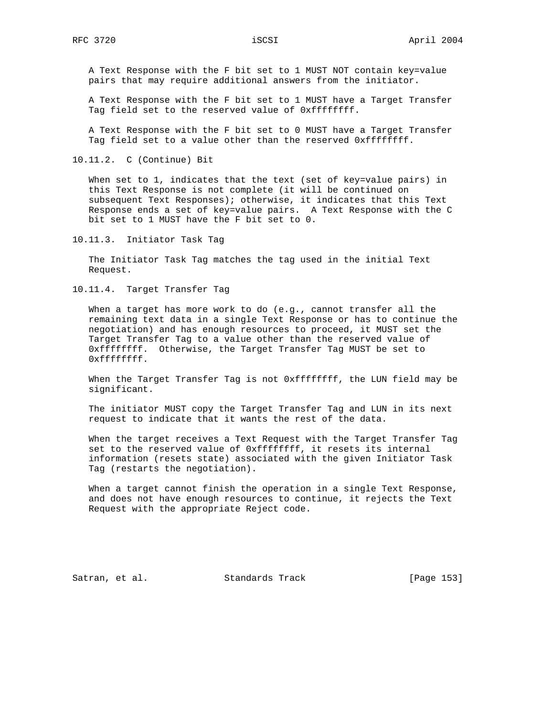A Text Response with the F bit set to 1 MUST NOT contain key=value pairs that may require additional answers from the initiator.

 A Text Response with the F bit set to 1 MUST have a Target Transfer Tag field set to the reserved value of 0xffffffff.

 A Text Response with the F bit set to 0 MUST have a Target Transfer Tag field set to a value other than the reserved 0xffffffff.

10.11.2. C (Continue) Bit

 When set to 1, indicates that the text (set of key=value pairs) in this Text Response is not complete (it will be continued on subsequent Text Responses); otherwise, it indicates that this Text Response ends a set of key=value pairs. A Text Response with the C bit set to 1 MUST have the F bit set to 0.

10.11.3. Initiator Task Tag

 The Initiator Task Tag matches the tag used in the initial Text Request.

10.11.4. Target Transfer Tag

 When a target has more work to do (e.g., cannot transfer all the remaining text data in a single Text Response or has to continue the negotiation) and has enough resources to proceed, it MUST set the Target Transfer Tag to a value other than the reserved value of 0xffffffff. Otherwise, the Target Transfer Tag MUST be set to 0xffffffff.

When the Target Transfer Tag is not 0xffffffff, the LUN field may be significant.

 The initiator MUST copy the Target Transfer Tag and LUN in its next request to indicate that it wants the rest of the data.

 When the target receives a Text Request with the Target Transfer Tag set to the reserved value of 0xffffffff, it resets its internal information (resets state) associated with the given Initiator Task Tag (restarts the negotiation).

 When a target cannot finish the operation in a single Text Response, and does not have enough resources to continue, it rejects the Text Request with the appropriate Reject code.

Satran, et al. Standards Track [Page 153]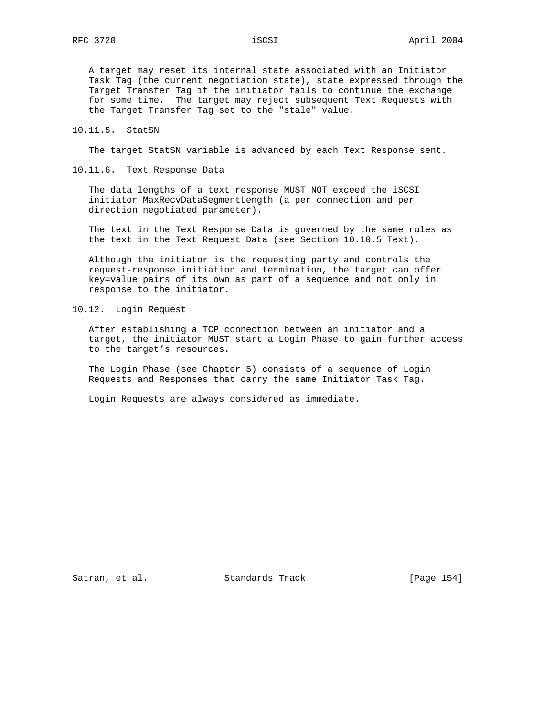A target may reset its internal state associated with an Initiator Task Tag (the current negotiation state), state expressed through the Target Transfer Tag if the initiator fails to continue the exchange for some time. The target may reject subsequent Text Requests with the Target Transfer Tag set to the "stale" value.

10.11.5. StatSN

The target StatSN variable is advanced by each Text Response sent.

10.11.6. Text Response Data

 The data lengths of a text response MUST NOT exceed the iSCSI initiator MaxRecvDataSegmentLength (a per connection and per direction negotiated parameter).

 The text in the Text Response Data is governed by the same rules as the text in the Text Request Data (see Section 10.10.5 Text).

 Although the initiator is the requesting party and controls the request-response initiation and termination, the target can offer key=value pairs of its own as part of a sequence and not only in response to the initiator.

10.12. Login Request

 After establishing a TCP connection between an initiator and a target, the initiator MUST start a Login Phase to gain further access to the target's resources.

 The Login Phase (see Chapter 5) consists of a sequence of Login Requests and Responses that carry the same Initiator Task Tag.

Login Requests are always considered as immediate.

Satran, et al. Standards Track [Page 154]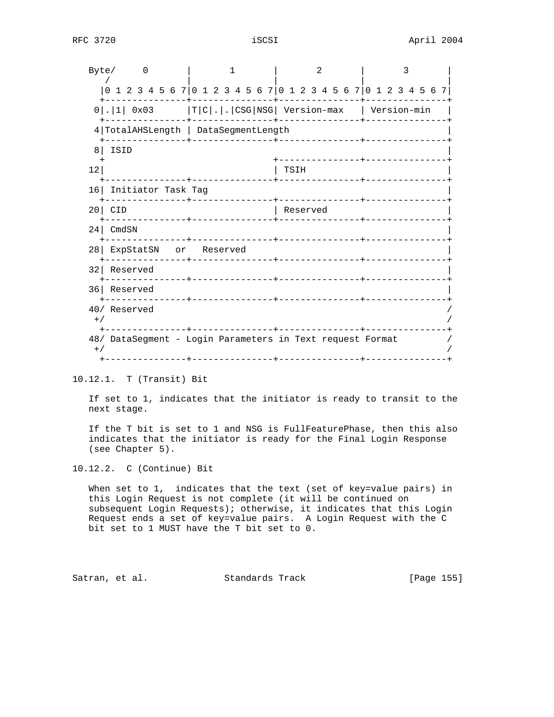| Byte/           | $\left($                                                        |  |                    |  | 2           |  | 3 |  |  |  |  |  |  |  |
|-----------------|-----------------------------------------------------------------|--|--------------------|--|-------------|--|---|--|--|--|--|--|--|--|
|                 | 0 1 2 3 4 5 6 7 0 1 2 3 4 5 6 7 0 1 2 3 4 5 6 7 0 1 2 3 4 5 6 7 |  |                    |  |             |  |   |  |  |  |  |  |  |  |
|                 | $0$  . 1  0x03  T C . . CSG NSG  Version-max   Version-min      |  |                    |  |             |  |   |  |  |  |  |  |  |  |
|                 | 4 TotalAHSLength   DataSegmentLength                            |  |                    |  |             |  |   |  |  |  |  |  |  |  |
| 8               | ISID                                                            |  |                    |  | ----------- |  |   |  |  |  |  |  |  |  |
| 12              |                                                                 |  |                    |  | TSIH        |  |   |  |  |  |  |  |  |  |
| 16 <sub>1</sub> | Initiator Task Tag                                              |  |                    |  |             |  |   |  |  |  |  |  |  |  |
| 20              | <b>CID</b>                                                      |  |                    |  | Reserved    |  |   |  |  |  |  |  |  |  |
| 24 <sub>1</sub> | CmdSN                                                           |  |                    |  |             |  |   |  |  |  |  |  |  |  |
| 28 <sub>1</sub> | ExpStatSN or Reserved                                           |  |                    |  |             |  |   |  |  |  |  |  |  |  |
| 32              | Reserved                                                        |  |                    |  |             |  |   |  |  |  |  |  |  |  |
| 36              | Reserved                                                        |  | ------+----------- |  |             |  |   |  |  |  |  |  |  |  |
| $+$ /           | 40/ Reserved                                                    |  |                    |  |             |  |   |  |  |  |  |  |  |  |
| $+$ /           | 48/ DataSegment - Login Parameters in Text request Format       |  | +---------------+  |  |             |  |   |  |  |  |  |  |  |  |

10.12.1. T (Transit) Bit

 If set to 1, indicates that the initiator is ready to transit to the next stage.

 If the T bit is set to 1 and NSG is FullFeaturePhase, then this also indicates that the initiator is ready for the Final Login Response (see Chapter 5).

10.12.2. C (Continue) Bit

When set to 1, indicates that the text (set of key=value pairs) in this Login Request is not complete (it will be continued on subsequent Login Requests); otherwise, it indicates that this Login Request ends a set of key=value pairs. A Login Request with the C bit set to 1 MUST have the T bit set to 0.

Satran, et al. Standards Track [Page 155]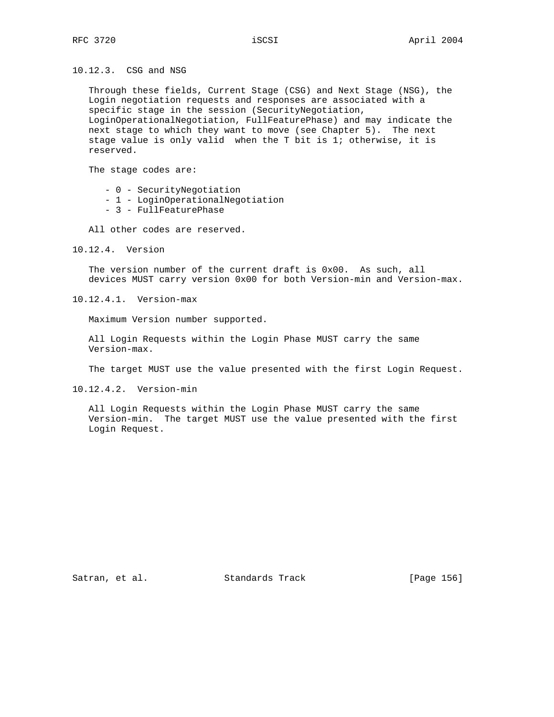10.12.3. CSG and NSG

 Through these fields, Current Stage (CSG) and Next Stage (NSG), the Login negotiation requests and responses are associated with a specific stage in the session (SecurityNegotiation, LoginOperationalNegotiation, FullFeaturePhase) and may indicate the next stage to which they want to move (see Chapter 5). The next stage value is only valid when the T bit is 1; otherwise, it is reserved.

The stage codes are:

- 0 SecurityNegotiation
- 1 LoginOperationalNegotiation
- 3 FullFeaturePhase

All other codes are reserved.

10.12.4. Version

 The version number of the current draft is 0x00. As such, all devices MUST carry version 0x00 for both Version-min and Version-max.

10.12.4.1. Version-max

Maximum Version number supported.

 All Login Requests within the Login Phase MUST carry the same Version-max.

The target MUST use the value presented with the first Login Request.

10.12.4.2. Version-min

 All Login Requests within the Login Phase MUST carry the same Version-min. The target MUST use the value presented with the first Login Request.

Satran, et al. Standards Track [Page 156]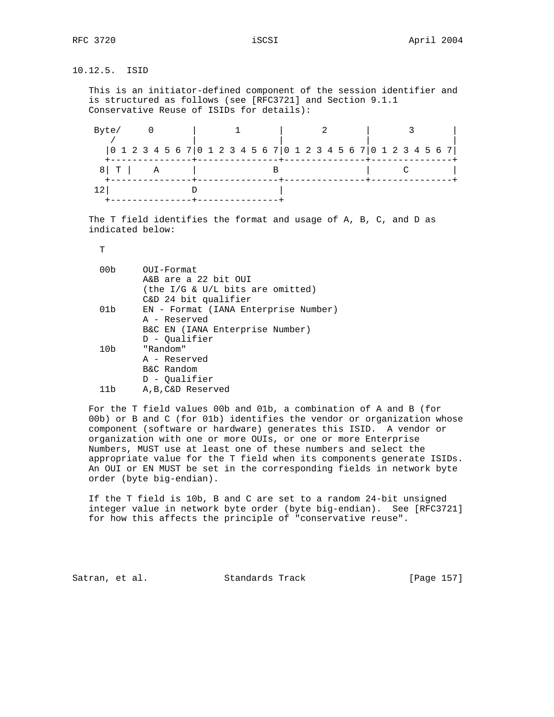10.12.5. ISID

 This is an initiator-defined component of the session identifier and is structured as follows (see [RFC3721] and Section 9.1.1 Conservative Reuse of ISIDs for details):

| Byte/       |  |                                                                        |  |  |  |  |  |  |  |  |
|-------------|--|------------------------------------------------------------------------|--|--|--|--|--|--|--|--|
|             |  | $[0 1 2 3 4 5 6 7] 0 1 2 3 4 5 6 7] 0 1 2 3 4 5 6 7] 0 1 2 3 4 5 6 7]$ |  |  |  |  |  |  |  |  |
| $8$ $T$ $A$ |  |                                                                        |  |  |  |  |  |  |  |  |
|             |  |                                                                        |  |  |  |  |  |  |  |  |

 The T field identifies the format and usage of A, B, C, and D as indicated below:

T

| OUI-Format<br>A&B are a 22 bit OUI                       |
|----------------------------------------------------------|
| (the I/G & U/L bits are omitted)<br>C&D 24 bit qualifier |
| EN - Format (IANA Enterprise Number)                     |
| A - Reserved                                             |
| B&C EN (IANA Enterprise Number)                          |
| D - Qualifier                                            |
| "Random"                                                 |
| A - Reserved                                             |
| B&C Random                                               |
| D - Oualifier                                            |
| A.B.C&D Reserved                                         |
|                                                          |

 For the T field values 00b and 01b, a combination of A and B (for 00b) or B and C (for 01b) identifies the vendor or organization whose component (software or hardware) generates this ISID. A vendor or organization with one or more OUIs, or one or more Enterprise Numbers, MUST use at least one of these numbers and select the appropriate value for the T field when its components generate ISIDs. An OUI or EN MUST be set in the corresponding fields in network byte order (byte big-endian).

 If the T field is 10b, B and C are set to a random 24-bit unsigned integer value in network byte order (byte big-endian). See [RFC3721] for how this affects the principle of "conservative reuse".

Satran, et al. Standards Track [Page 157]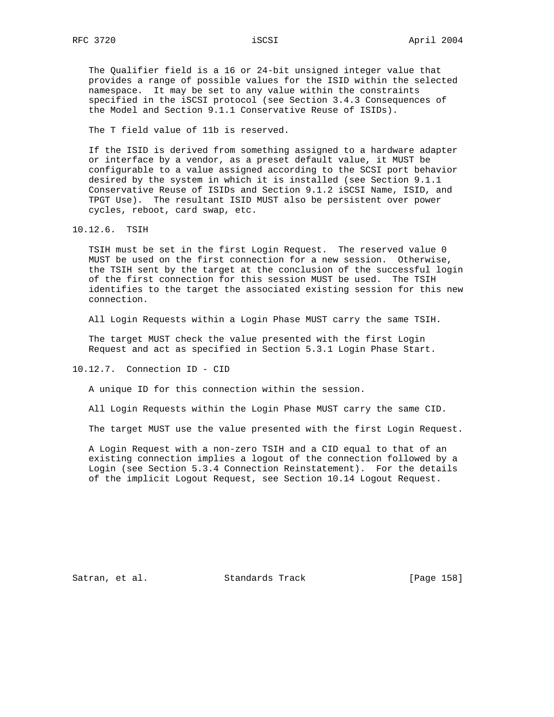The Qualifier field is a 16 or 24-bit unsigned integer value that provides a range of possible values for the ISID within the selected namespace. It may be set to any value within the constraints specified in the iSCSI protocol (see Section 3.4.3 Consequences of the Model and Section 9.1.1 Conservative Reuse of ISIDs).

The T field value of 11b is reserved.

 If the ISID is derived from something assigned to a hardware adapter or interface by a vendor, as a preset default value, it MUST be configurable to a value assigned according to the SCSI port behavior desired by the system in which it is installed (see Section 9.1.1 Conservative Reuse of ISIDs and Section 9.1.2 iSCSI Name, ISID, and TPGT Use). The resultant ISID MUST also be persistent over power cycles, reboot, card swap, etc.

10.12.6. TSIH

 TSIH must be set in the first Login Request. The reserved value 0 MUST be used on the first connection for a new session. Otherwise, the TSIH sent by the target at the conclusion of the successful login of the first connection for this session MUST be used. The TSIH identifies to the target the associated existing session for this new connection.

All Login Requests within a Login Phase MUST carry the same TSIH.

 The target MUST check the value presented with the first Login Request and act as specified in Section 5.3.1 Login Phase Start.

10.12.7. Connection ID - CID

A unique ID for this connection within the session.

All Login Requests within the Login Phase MUST carry the same CID.

The target MUST use the value presented with the first Login Request.

 A Login Request with a non-zero TSIH and a CID equal to that of an existing connection implies a logout of the connection followed by a Login (see Section 5.3.4 Connection Reinstatement). For the details of the implicit Logout Request, see Section 10.14 Logout Request.

Satran, et al. Standards Track [Page 158]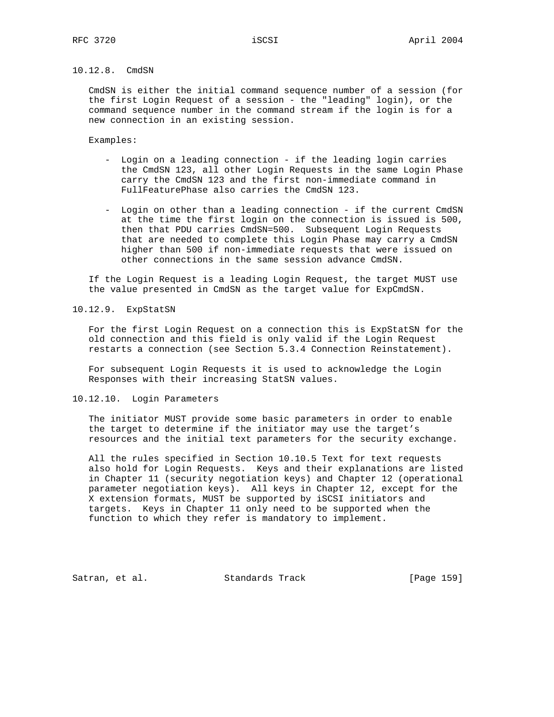# 10.12.8. CmdSN

 CmdSN is either the initial command sequence number of a session (for the first Login Request of a session - the "leading" login), or the command sequence number in the command stream if the login is for a new connection in an existing session.

Examples:

- Login on a leading connection if the leading login carries the CmdSN 123, all other Login Requests in the same Login Phase carry the CmdSN 123 and the first non-immediate command in FullFeaturePhase also carries the CmdSN 123.
- Login on other than a leading connection if the current CmdSN at the time the first login on the connection is issued is 500, then that PDU carries CmdSN=500. Subsequent Login Requests that are needed to complete this Login Phase may carry a CmdSN higher than 500 if non-immediate requests that were issued on other connections in the same session advance CmdSN.

 If the Login Request is a leading Login Request, the target MUST use the value presented in CmdSN as the target value for ExpCmdSN.

10.12.9. ExpStatSN

 For the first Login Request on a connection this is ExpStatSN for the old connection and this field is only valid if the Login Request restarts a connection (see Section 5.3.4 Connection Reinstatement).

 For subsequent Login Requests it is used to acknowledge the Login Responses with their increasing StatSN values.

10.12.10. Login Parameters

 The initiator MUST provide some basic parameters in order to enable the target to determine if the initiator may use the target's resources and the initial text parameters for the security exchange.

 All the rules specified in Section 10.10.5 Text for text requests also hold for Login Requests. Keys and their explanations are listed in Chapter 11 (security negotiation keys) and Chapter 12 (operational parameter negotiation keys). All keys in Chapter 12, except for the X extension formats, MUST be supported by iSCSI initiators and targets. Keys in Chapter 11 only need to be supported when the function to which they refer is mandatory to implement.

Satran, et al. Standards Track [Page 159]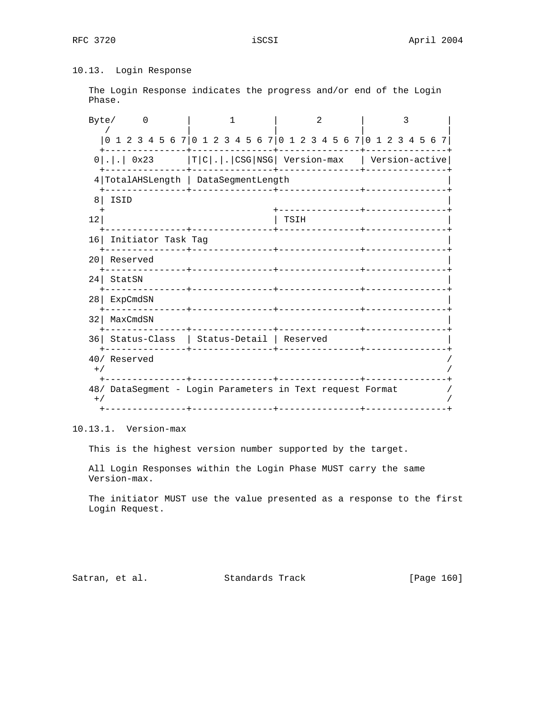# 10.13. Login Response

 The Login Response indicates the progress and/or end of the Login Phase.

|                 | Byte/<br>$\Omega$                               | 1                                                               | 2                                       | 3 |  |  |  |  |  |  |  |
|-----------------|-------------------------------------------------|-----------------------------------------------------------------|-----------------------------------------|---|--|--|--|--|--|--|--|
|                 |                                                 | 0 1 2 3 4 5 6 7 0 1 2 3 4 5 6 7 0 1 2 3 4 5 6 7 0 1 2 3 4 5 6 7 |                                         |   |  |  |  |  |  |  |  |
|                 |                                                 | 0 . .  0x23  T C . . CSG NSG  Version-max   Version-active      |                                         |   |  |  |  |  |  |  |  |
|                 |                                                 | 4 TotalAHSLength   DataSegmentLength                            |                                         |   |  |  |  |  |  |  |  |
| 8               | ISID                                            |                                                                 | --------------                          |   |  |  |  |  |  |  |  |
| 12              |                                                 |                                                                 | TSIH                                    |   |  |  |  |  |  |  |  |
| 16 <sup>1</sup> | Initiator Task Tag<br>- - - - - - - - - - - + - |                                                                 |                                         |   |  |  |  |  |  |  |  |
| 20              | Reserved                                        | . _ _ _ _ _ _ + _ _ _ _ _ _ _ _ _ _ _ _                         | <u> - - - - - - - - - - - - - - - -</u> |   |  |  |  |  |  |  |  |
| 24 <sub>1</sub> | StatSN                                          |                                                                 | __________________________              |   |  |  |  |  |  |  |  |
| 28              | ExpCmdSN                                        | ______+___________                                              | <u> - - - - - - - - - - - - - -</u>     |   |  |  |  |  |  |  |  |
| 32              | MaxCmdSN                                        |                                                                 |                                         |   |  |  |  |  |  |  |  |
|                 |                                                 | 36 Status-Class   Status-Detail   Reserved                      |                                         |   |  |  |  |  |  |  |  |
| $+ /$           | 40/ Reserved                                    |                                                                 |                                         |   |  |  |  |  |  |  |  |
| $+$ /           |                                                 | 48/ DataSegment - Login Parameters in Text request Format       |                                         |   |  |  |  |  |  |  |  |
|                 |                                                 |                                                                 |                                         |   |  |  |  |  |  |  |  |

10.13.1. Version-max

This is the highest version number supported by the target.

 All Login Responses within the Login Phase MUST carry the same Version-max.

 The initiator MUST use the value presented as a response to the first Login Request.

Satran, et al. Standards Track [Page 160]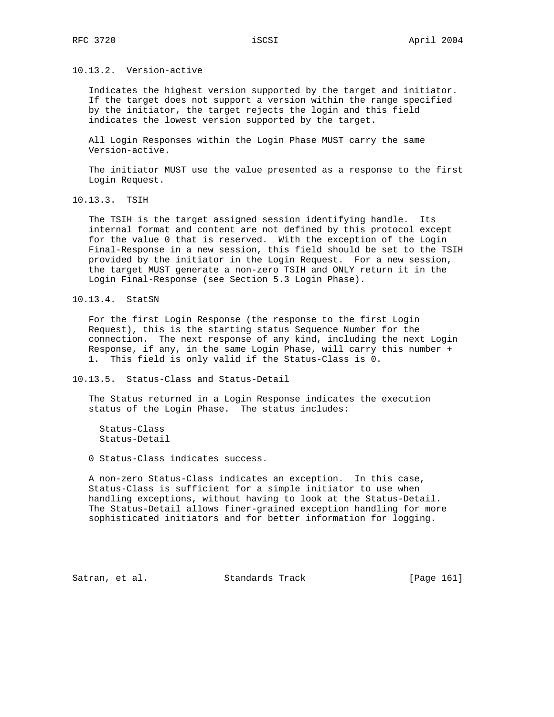10.13.2. Version-active

 Indicates the highest version supported by the target and initiator. If the target does not support a version within the range specified by the initiator, the target rejects the login and this field indicates the lowest version supported by the target.

 All Login Responses within the Login Phase MUST carry the same Version-active.

 The initiator MUST use the value presented as a response to the first Login Request.

10.13.3. TSIH

 The TSIH is the target assigned session identifying handle. Its internal format and content are not defined by this protocol except for the value 0 that is reserved. With the exception of the Login Final-Response in a new session, this field should be set to the TSIH provided by the initiator in the Login Request. For a new session, the target MUST generate a non-zero TSIH and ONLY return it in the Login Final-Response (see Section 5.3 Login Phase).

10.13.4. StatSN

 For the first Login Response (the response to the first Login Request), this is the starting status Sequence Number for the connection. The next response of any kind, including the next Login Response, if any, in the same Login Phase, will carry this number + 1. This field is only valid if the Status-Class is 0.

10.13.5. Status-Class and Status-Detail

 The Status returned in a Login Response indicates the execution status of the Login Phase. The status includes:

 Status-Class Status-Detail

0 Status-Class indicates success.

 A non-zero Status-Class indicates an exception. In this case, Status-Class is sufficient for a simple initiator to use when handling exceptions, without having to look at the Status-Detail. The Status-Detail allows finer-grained exception handling for more sophisticated initiators and for better information for logging.

Satran, et al. Standards Track [Page 161]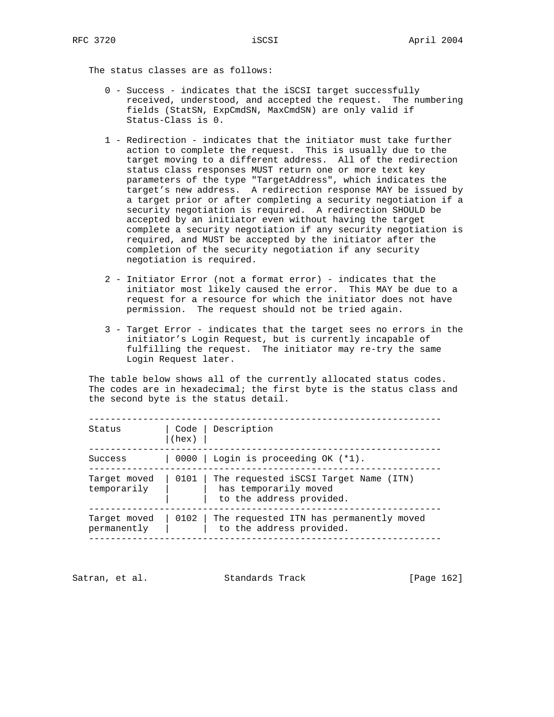The status classes are as follows:

- 0 Success indicates that the iSCSI target successfully received, understood, and accepted the request. The numbering fields (StatSN, ExpCmdSN, MaxCmdSN) are only valid if Status-Class is 0.
- 1 Redirection indicates that the initiator must take further action to complete the request. This is usually due to the target moving to a different address. All of the redirection status class responses MUST return one or more text key parameters of the type "TargetAddress", which indicates the target's new address. A redirection response MAY be issued by a target prior or after completing a security negotiation if a security negotiation is required. A redirection SHOULD be accepted by an initiator even without having the target complete a security negotiation if any security negotiation is required, and MUST be accepted by the initiator after the completion of the security negotiation if any security negotiation is required.
- 2 Initiator Error (not a format error) indicates that the initiator most likely caused the error. This MAY be due to a request for a resource for which the initiator does not have permission. The request should not be tried again.
- 3 Target Error indicates that the target sees no errors in the initiator's Login Request, but is currently incapable of fulfilling the request. The initiator may re-try the same Login Request later.

 The table below shows all of the currently allocated status codes. The codes are in hexadecimal; the first byte is the status class and the second byte is the status detail.

| Status                      | (hex) | Code   Description                                                                         |
|-----------------------------|-------|--------------------------------------------------------------------------------------------|
| Success                     |       | 0000   Login is proceeding OK (*1).                                                        |
| Target moved<br>temporarily | 0101  | The requested iSCSI Target Name (ITN)<br>has temporarily moved<br>to the address provided. |
| Target moved<br>permanently | 0102  | The requested ITN has permanently moved<br>to the address provided.                        |

-----------------------------------------------------------------

Satran, et al. Standards Track [Page 162]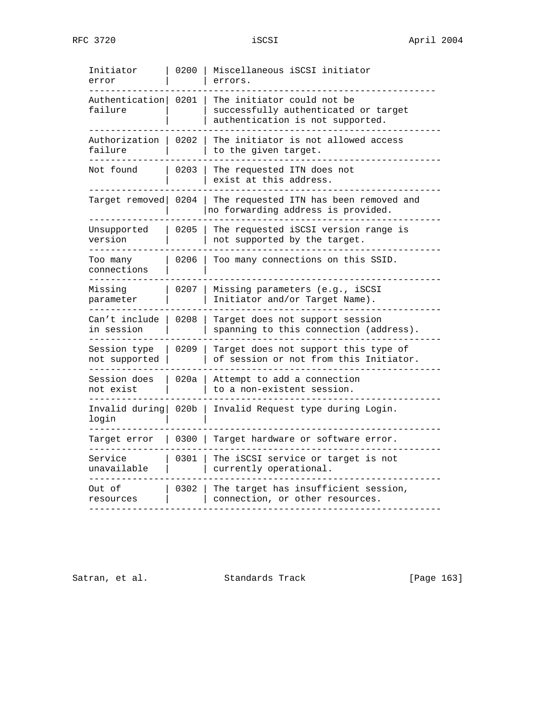| Initiator<br>error            | 0200             | Miscellaneous iSCSI initiator<br>errors.                                                               |
|-------------------------------|------------------|--------------------------------------------------------------------------------------------------------|
| Authentication<br>failure     | 0201             | The initiator could not be<br>successfully authenticated or target<br>authentication is not supported. |
| Authorization<br>failure      | 0202             | The initiator is not allowed access<br>to the given target.                                            |
| Not found                     | 0203             | The requested ITN does not<br>exist at this address.                                                   |
| Target removed                | 0204             | The requested ITN has been removed and<br>no forwarding address is provided.                           |
| Unsupported<br>version        | 0205             | The requested iSCSI version range is<br>not supported by the target.                                   |
| Too many<br>connections       | 0206             | Too many connections on this SSID.                                                                     |
| Missing<br>parameter          | 0207             | Missing parameters (e.g., iSCSI<br>Initiator and/or Target Name).                                      |
| Can't include<br>in session   | 0208             | Target does not support session<br>spanning to this connection (address).                              |
| Session type<br>not supported | 0209             | Target does not support this type of<br>of session or not from this Initiator.                         |
| Session does<br>not exist     | 020a             | Attempt to add a connection<br>to a non-existent session.                                              |
| Invalid during<br>login       | 020 <sub>b</sub> | Invalid Request type during Login.                                                                     |
| Target error                  | 0300             | Target hardware or software error.                                                                     |
| Service<br>unavailable        | 0301             | The iSCSI service or target is not<br>currently operational.                                           |
| Out of<br>resources           | 0302             | The target has insufficient session,<br>connection, or other resources.                                |

Satran, et al. Standards Track [Page 163]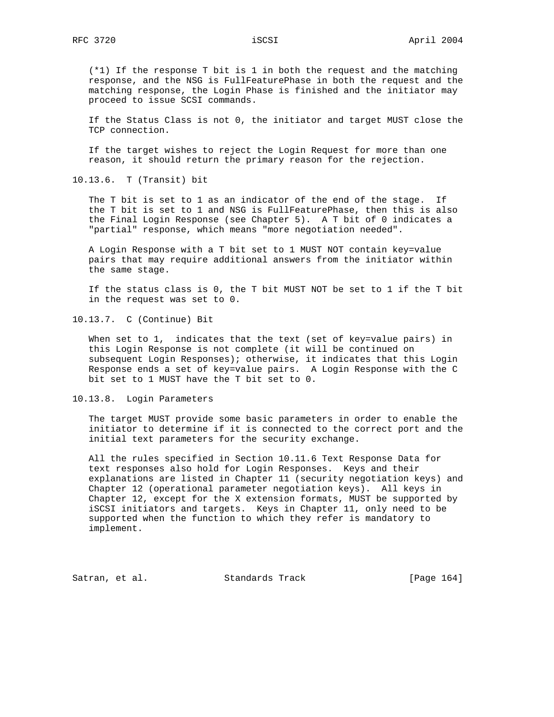(\*1) If the response T bit is 1 in both the request and the matching response, and the NSG is FullFeaturePhase in both the request and the matching response, the Login Phase is finished and the initiator may proceed to issue SCSI commands.

 If the Status Class is not 0, the initiator and target MUST close the TCP connection.

 If the target wishes to reject the Login Request for more than one reason, it should return the primary reason for the rejection.

10.13.6. T (Transit) bit

 The T bit is set to 1 as an indicator of the end of the stage. If the T bit is set to 1 and NSG is FullFeaturePhase, then this is also the Final Login Response (see Chapter 5). A T bit of 0 indicates a "partial" response, which means "more negotiation needed".

 A Login Response with a T bit set to 1 MUST NOT contain key=value pairs that may require additional answers from the initiator within the same stage.

 If the status class is 0, the T bit MUST NOT be set to 1 if the T bit in the request was set to 0.

10.13.7. C (Continue) Bit

When set to 1, indicates that the text (set of key=value pairs) in this Login Response is not complete (it will be continued on subsequent Login Responses); otherwise, it indicates that this Login Response ends a set of key=value pairs. A Login Response with the C bit set to 1 MUST have the T bit set to 0.

10.13.8. Login Parameters

 The target MUST provide some basic parameters in order to enable the initiator to determine if it is connected to the correct port and the initial text parameters for the security exchange.

 All the rules specified in Section 10.11.6 Text Response Data for text responses also hold for Login Responses. Keys and their explanations are listed in Chapter 11 (security negotiation keys) and Chapter 12 (operational parameter negotiation keys). All keys in Chapter 12, except for the X extension formats, MUST be supported by iSCSI initiators and targets. Keys in Chapter 11, only need to be supported when the function to which they refer is mandatory to implement.

Satran, et al. Standards Track [Page 164]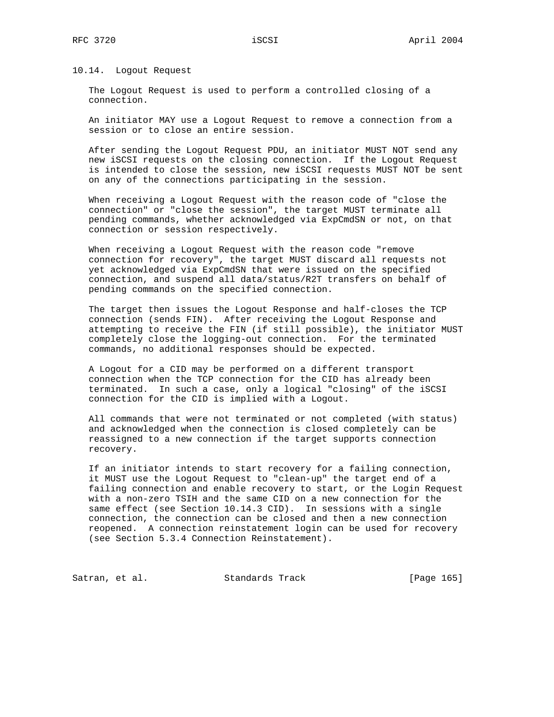## 10.14. Logout Request

 The Logout Request is used to perform a controlled closing of a connection.

 An initiator MAY use a Logout Request to remove a connection from a session or to close an entire session.

 After sending the Logout Request PDU, an initiator MUST NOT send any new iSCSI requests on the closing connection. If the Logout Request is intended to close the session, new iSCSI requests MUST NOT be sent on any of the connections participating in the session.

 When receiving a Logout Request with the reason code of "close the connection" or "close the session", the target MUST terminate all pending commands, whether acknowledged via ExpCmdSN or not, on that connection or session respectively.

 When receiving a Logout Request with the reason code "remove connection for recovery", the target MUST discard all requests not yet acknowledged via ExpCmdSN that were issued on the specified connection, and suspend all data/status/R2T transfers on behalf of pending commands on the specified connection.

 The target then issues the Logout Response and half-closes the TCP connection (sends FIN). After receiving the Logout Response and attempting to receive the FIN (if still possible), the initiator MUST completely close the logging-out connection. For the terminated commands, no additional responses should be expected.

 A Logout for a CID may be performed on a different transport connection when the TCP connection for the CID has already been terminated. In such a case, only a logical "closing" of the iSCSI connection for the CID is implied with a Logout.

 All commands that were not terminated or not completed (with status) and acknowledged when the connection is closed completely can be reassigned to a new connection if the target supports connection recovery.

 If an initiator intends to start recovery for a failing connection, it MUST use the Logout Request to "clean-up" the target end of a failing connection and enable recovery to start, or the Login Request with a non-zero TSIH and the same CID on a new connection for the same effect (see Section 10.14.3 CID). In sessions with a single connection, the connection can be closed and then a new connection reopened. A connection reinstatement login can be used for recovery (see Section 5.3.4 Connection Reinstatement).

Satran, et al. Standards Track [Page 165]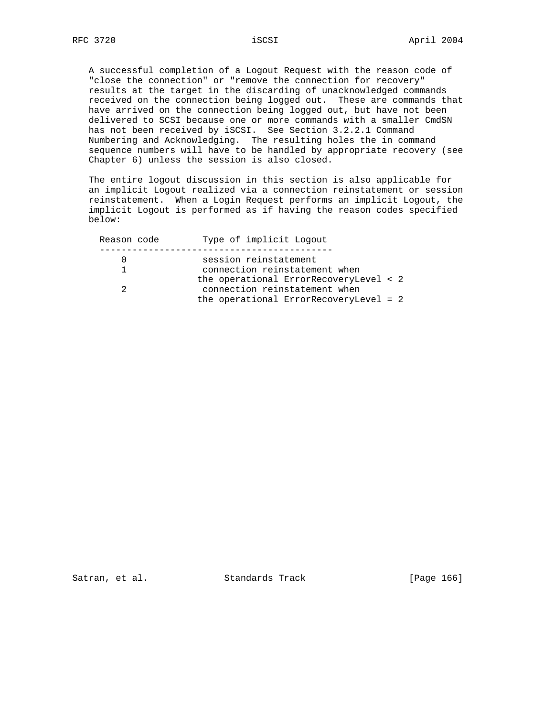A successful completion of a Logout Request with the reason code of "close the connection" or "remove the connection for recovery" results at the target in the discarding of unacknowledged commands received on the connection being logged out. These are commands that have arrived on the connection being logged out, but have not been delivered to SCSI because one or more commands with a smaller CmdSN has not been received by iSCSI. See Section 3.2.2.1 Command Numbering and Acknowledging. The resulting holes the in command sequence numbers will have to be handled by appropriate recovery (see Chapter 6) unless the session is also closed.

 The entire logout discussion in this section is also applicable for an implicit Logout realized via a connection reinstatement or session reinstatement. When a Login Request performs an implicit Logout, the implicit Logout is performed as if having the reason codes specified below:

| Reason code | Type of implicit Logout                                                 |
|-------------|-------------------------------------------------------------------------|
|             | session reinstatement                                                   |
|             | connection reinstatement when                                           |
|             | the operational ErrorRecoveryLevel < 2<br>connection reinstatement when |
|             | the operational ErrorRecoveryLevel = $2$                                |

Satran, et al. Standards Track [Page 166]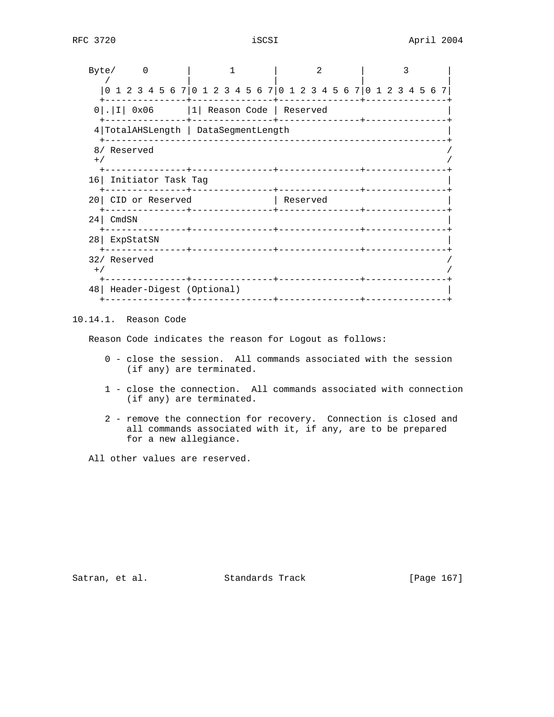| Byte/           |                                                                 |                        |  |  |  |  |  |  | 2        |  |  |  |  |  |  |  |  |  |  |  |  |  |  |  |  |  |
|-----------------|-----------------------------------------------------------------|------------------------|--|--|--|--|--|--|----------|--|--|--|--|--|--|--|--|--|--|--|--|--|--|--|--|--|
|                 | 0 1 2 3 4 5 6 7 0 1 2 3 4 5 6 7 0 1 2 3 4 5 6 7 0 1 2 3 4 5 6 7 |                        |  |  |  |  |  |  |          |  |  |  |  |  |  |  |  |  |  |  |  |  |  |  |  |  |
|                 | $0$ .   I   0x06   1   Reason Code   Reserved                   |                        |  |  |  |  |  |  |          |  |  |  |  |  |  |  |  |  |  |  |  |  |  |  |  |  |
|                 | 4 TotalAHSLength   DataSegmentLength                            |                        |  |  |  |  |  |  |          |  |  |  |  |  |  |  |  |  |  |  |  |  |  |  |  |  |
| $+$ /           | 8/ Reserved                                                     |                        |  |  |  |  |  |  |          |  |  |  |  |  |  |  |  |  |  |  |  |  |  |  |  |  |
|                 | 16 Initiator Task Tag                                           |                        |  |  |  |  |  |  |          |  |  |  |  |  |  |  |  |  |  |  |  |  |  |  |  |  |
|                 | 20 CID or Reserved                                              |                        |  |  |  |  |  |  | Reserved |  |  |  |  |  |  |  |  |  |  |  |  |  |  |  |  |  |
|                 | $24$ CmdSN                                                      |                        |  |  |  |  |  |  |          |  |  |  |  |  |  |  |  |  |  |  |  |  |  |  |  |  |
| 28 <sup>1</sup> | ExpStatSN                                                       | _______+______________ |  |  |  |  |  |  |          |  |  |  |  |  |  |  |  |  |  |  |  |  |  |  |  |  |
| $+$ /           | 32/ Reserved                                                    |                        |  |  |  |  |  |  |          |  |  |  |  |  |  |  |  |  |  |  |  |  |  |  |  |  |
|                 | 48   Header-Digest (Optional)                                   |                        |  |  |  |  |  |  |          |  |  |  |  |  |  |  |  |  |  |  |  |  |  |  |  |  |

# 10.14.1. Reason Code

Reason Code indicates the reason for Logout as follows:

- 0 close the session. All commands associated with the session (if any) are terminated.
- 1 close the connection. All commands associated with connection (if any) are terminated.
- 2 remove the connection for recovery. Connection is closed and all commands associated with it, if any, are to be prepared for a new allegiance.

All other values are reserved.

Satran, et al. Standards Track [Page 167]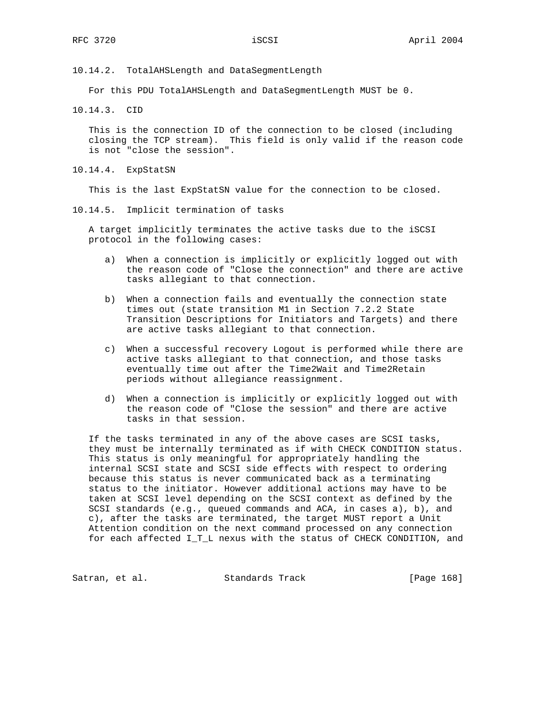10.14.2. TotalAHSLength and DataSegmentLength

For this PDU TotalAHSLength and DataSegmentLength MUST be 0.

10.14.3. CID

 This is the connection ID of the connection to be closed (including closing the TCP stream). This field is only valid if the reason code is not "close the session".

10.14.4. ExpStatSN

This is the last ExpStatSN value for the connection to be closed.

10.14.5. Implicit termination of tasks

 A target implicitly terminates the active tasks due to the iSCSI protocol in the following cases:

- a) When a connection is implicitly or explicitly logged out with the reason code of "Close the connection" and there are active tasks allegiant to that connection.
- b) When a connection fails and eventually the connection state times out (state transition M1 in Section 7.2.2 State Transition Descriptions for Initiators and Targets) and there are active tasks allegiant to that connection.
- c) When a successful recovery Logout is performed while there are active tasks allegiant to that connection, and those tasks eventually time out after the Time2Wait and Time2Retain periods without allegiance reassignment.
- d) When a connection is implicitly or explicitly logged out with the reason code of "Close the session" and there are active tasks in that session.

 If the tasks terminated in any of the above cases are SCSI tasks, they must be internally terminated as if with CHECK CONDITION status. This status is only meaningful for appropriately handling the internal SCSI state and SCSI side effects with respect to ordering because this status is never communicated back as a terminating status to the initiator. However additional actions may have to be taken at SCSI level depending on the SCSI context as defined by the SCSI standards (e.g., queued commands and ACA, in cases a), b), and c), after the tasks are terminated, the target MUST report a Unit Attention condition on the next command processed on any connection for each affected I\_T\_L nexus with the status of CHECK CONDITION, and

Satran, et al. Standards Track [Page 168]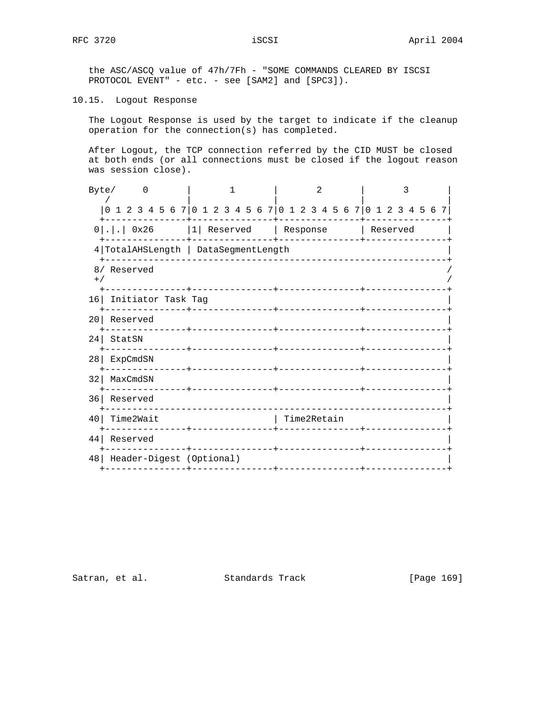the ASC/ASCQ value of 47h/7Fh - "SOME COMMANDS CLEARED BY ISCSI PROTOCOL EVENT" - etc. - see [SAM2] and [SPC3]).

10.15. Logout Response

 The Logout Response is used by the target to indicate if the cleanup operation for the connection(s) has completed.

 After Logout, the TCP connection referred by the CID MUST be closed at both ends (or all connections must be closed if the logout reason was session close).

| Byte/ | $\Omega$                                                  |                                                                 | 2                                    | 3        |
|-------|-----------------------------------------------------------|-----------------------------------------------------------------|--------------------------------------|----------|
|       |                                                           | 0 1 2 3 4 5 6 7 0 1 2 3 4 5 6 7 0 1 2 3 4 5 6 7 0 1 2 3 4 5 6 7 |                                      |          |
|       | $0$ 0x26                                                  | 1  Reserved   Response                                          |                                      | Reserved |
|       |                                                           | 4 TotalAHSLength   DataSegmentLength                            |                                      |          |
| $+$ / | 8/ Reserved                                               | --------+------------                                           |                                      |          |
|       | 16 Initiator Task Tag                                     |                                                                 |                                      |          |
| 20    | Reserved                                                  | _______________                                                 |                                      |          |
| 24    | StatSN                                                    | _____________________________                                   |                                      |          |
| 28    | ExpCmdSN<br>------------                                  | _______________                                                 | ________________ <b>____</b> _______ |          |
| 32    | MaxCmdSN                                                  | -------+------------                                            |                                      |          |
| 36    | Reserved                                                  |                                                                 |                                      |          |
| 40    | Time2Wait                                                 |                                                                 | Time2Retain                          |          |
| 44    | Reserved                                                  |                                                                 |                                      |          |
| 48    | Header-Digest (Optional)<br>-------------- <b>-</b> ----- |                                                                 |                                      |          |

Satran, et al. Standards Track [Page 169]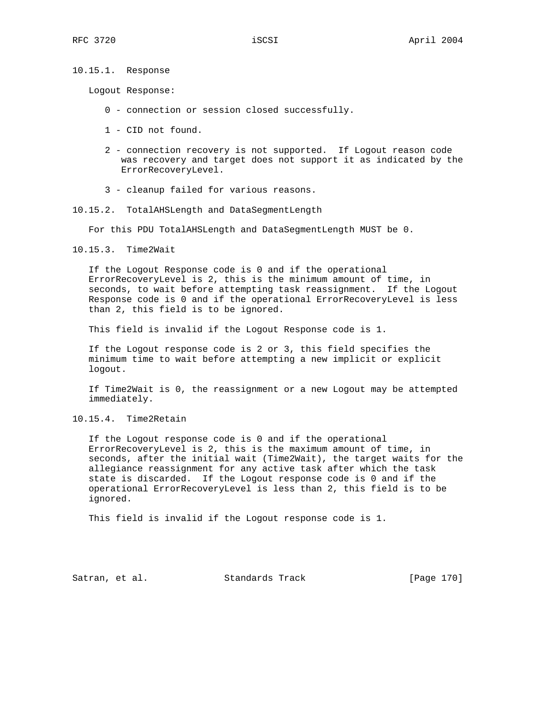10.15.1. Response

Logout Response:

- 0 connection or session closed successfully.
- 1 CID not found.
- 2 connection recovery is not supported. If Logout reason code was recovery and target does not support it as indicated by the ErrorRecoveryLevel.
- 3 cleanup failed for various reasons.
- 10.15.2. TotalAHSLength and DataSegmentLength

For this PDU TotalAHSLength and DataSegmentLength MUST be 0.

10.15.3. Time2Wait

 If the Logout Response code is 0 and if the operational ErrorRecoveryLevel is 2, this is the minimum amount of time, in seconds, to wait before attempting task reassignment. If the Logout Response code is 0 and if the operational ErrorRecoveryLevel is less than 2, this field is to be ignored.

This field is invalid if the Logout Response code is 1.

 If the Logout response code is 2 or 3, this field specifies the minimum time to wait before attempting a new implicit or explicit logout.

 If Time2Wait is 0, the reassignment or a new Logout may be attempted immediately.

## 10.15.4. Time2Retain

 If the Logout response code is 0 and if the operational ErrorRecoveryLevel is 2, this is the maximum amount of time, in seconds, after the initial wait (Time2Wait), the target waits for the allegiance reassignment for any active task after which the task state is discarded. If the Logout response code is 0 and if the operational ErrorRecoveryLevel is less than 2, this field is to be ignored.

This field is invalid if the Logout response code is 1.

Satran, et al. Standards Track [Page 170]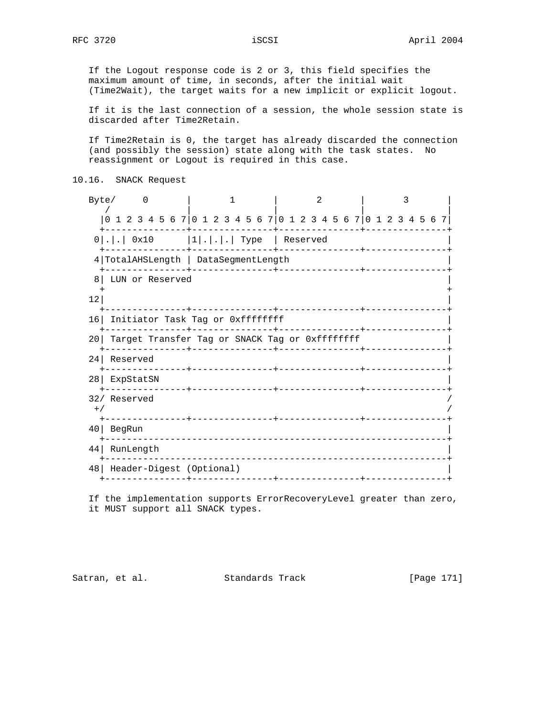If the Logout response code is 2 or 3, this field specifies the maximum amount of time, in seconds, after the initial wait (Time2Wait), the target waits for a new implicit or explicit logout.

 If it is the last connection of a session, the whole session state is discarded after Time2Retain.

 If Time2Retain is 0, the target has already discarded the connection (and possibly the session) state along with the task states. No reassignment or Logout is required in this case.

```
10.16. SNACK Request
```
Byte/ 0 | 1 | 2 | 3 / | | | | |0 1 2 3 4 5 6 7|0 1 2 3 4 5 6 7|0 1 2 3 4 5 6 7|0 1 2 3 4 5 6 7| +---------------+---------------+---------------+---------------+ 0|.|.| 0x10 |1|.|.|.| Type | Reserved +---------------+---------------+---------------+---------------+ 4|TotalAHSLength | DataSegmentLength | +---------------+---------------+---------------+---------------+ 8| LUN or Reserved | + +  $\vert$  12| +---------------+---------------+---------------+---------------+ 16| Initiator Task Tag or 0xffffffff +---------------+---------------+---------------+---------------+ 20 Target Transfer Tag or SNACK Tag or 0xffffffff +---------------+---------------+---------------+---------------+ 24| Reserved | +---------------+---------------+---------------+---------------+ 28| ExpStatSN | +---------------+---------------+---------------+---------------+ 32/ Reserved /  $^{+/-}$  /  $^{+/-}$  /  $^{+/-}$  /  $^{+/-}$  /  $^{+/-}$  /  $^{+/-}$  /  $^{+/-}$  /  $^{+/-}$  /  $^{+/-}$  /  $^{+/-}$  /  $^{+/-}$  /  $^{+/-}$  /  $^{+/-}$  /  $^{+/-}$  /  $^{+/-}$  /  $^{+/-}$  /  $^{+/-}$  /  $^{+/-}$  /  $^{+/-}$  /  $^{+/-}$  /  $^{+/-}$  /  $^{+/-}$  /  $^{+/-}$  /  $^{+/-}$  /  $^{+/-}$  +---------------+---------------+---------------+---------------+ 40| BegRun | +---------------------------------------------------------------+ 44| RunLength | +---------------------------------------------------------------+ 48| Header-Digest (Optional) | +---------------+---------------+---------------+---------------+

 If the implementation supports ErrorRecoveryLevel greater than zero, it MUST support all SNACK types.

Satran, et al. Standards Track [Page 171]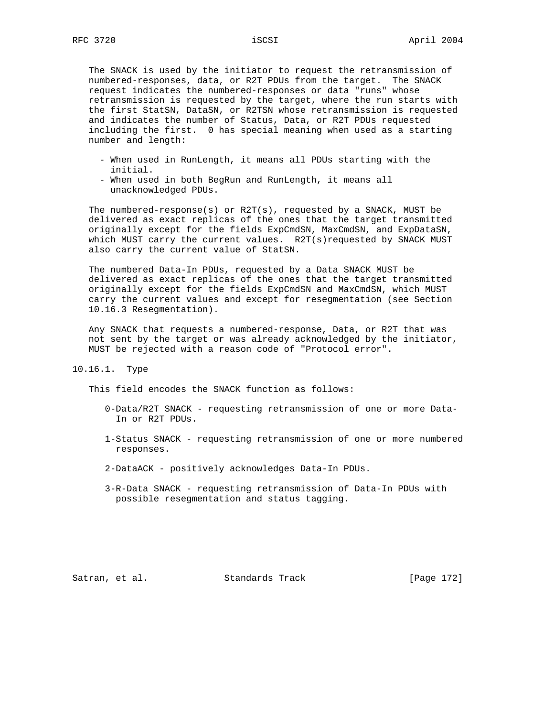The SNACK is used by the initiator to request the retransmission of numbered-responses, data, or R2T PDUs from the target. The SNACK request indicates the numbered-responses or data "runs" whose retransmission is requested by the target, where the run starts with the first StatSN, DataSN, or R2TSN whose retransmission is requested and indicates the number of Status, Data, or R2T PDUs requested including the first. 0 has special meaning when used as a starting number and length:

- When used in RunLength, it means all PDUs starting with the initial.
- When used in both BegRun and RunLength, it means all unacknowledged PDUs.

 The numbered-response(s) or R2T(s), requested by a SNACK, MUST be delivered as exact replicas of the ones that the target transmitted originally except for the fields ExpCmdSN, MaxCmdSN, and ExpDataSN, which MUST carry the current values. R2T(s)requested by SNACK MUST also carry the current value of StatSN.

 The numbered Data-In PDUs, requested by a Data SNACK MUST be delivered as exact replicas of the ones that the target transmitted originally except for the fields ExpCmdSN and MaxCmdSN, which MUST carry the current values and except for resegmentation (see Section 10.16.3 Resegmentation).

 Any SNACK that requests a numbered-response, Data, or R2T that was not sent by the target or was already acknowledged by the initiator, MUST be rejected with a reason code of "Protocol error".

10.16.1. Type

This field encodes the SNACK function as follows:

- 0-Data/R2T SNACK requesting retransmission of one or more Data- In or R2T PDUs.
- 1-Status SNACK requesting retransmission of one or more numbered responses.
- 2-DataACK positively acknowledges Data-In PDUs.
- 3-R-Data SNACK requesting retransmission of Data-In PDUs with possible resegmentation and status tagging.

Satran, et al. Standards Track [Page 172]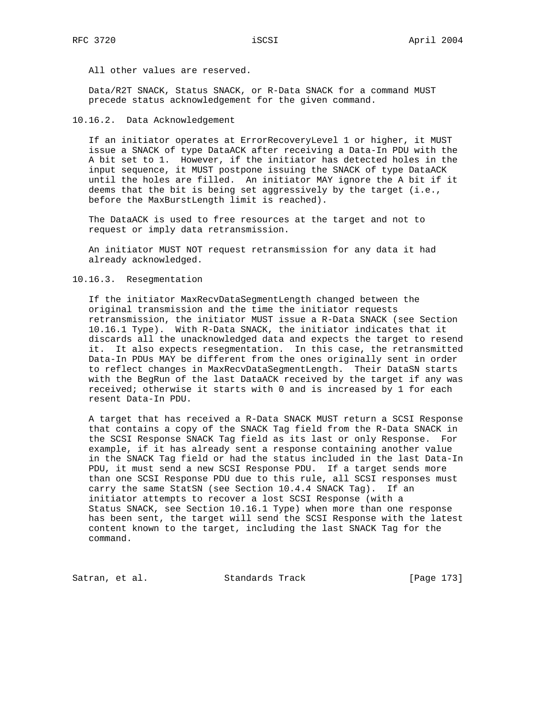All other values are reserved.

 Data/R2T SNACK, Status SNACK, or R-Data SNACK for a command MUST precede status acknowledgement for the given command.

10.16.2. Data Acknowledgement

 If an initiator operates at ErrorRecoveryLevel 1 or higher, it MUST issue a SNACK of type DataACK after receiving a Data-In PDU with the A bit set to 1. However, if the initiator has detected holes in the input sequence, it MUST postpone issuing the SNACK of type DataACK until the holes are filled. An initiator MAY ignore the A bit if it deems that the bit is being set aggressively by the target (i.e., before the MaxBurstLength limit is reached).

 The DataACK is used to free resources at the target and not to request or imply data retransmission.

 An initiator MUST NOT request retransmission for any data it had already acknowledged.

## 10.16.3. Resegmentation

 If the initiator MaxRecvDataSegmentLength changed between the original transmission and the time the initiator requests retransmission, the initiator MUST issue a R-Data SNACK (see Section 10.16.1 Type). With R-Data SNACK, the initiator indicates that it discards all the unacknowledged data and expects the target to resend it. It also expects resegmentation. In this case, the retransmitted Data-In PDUs MAY be different from the ones originally sent in order to reflect changes in MaxRecvDataSegmentLength. Their DataSN starts with the BegRun of the last DataACK received by the target if any was received; otherwise it starts with 0 and is increased by 1 for each resent Data-In PDU.

 A target that has received a R-Data SNACK MUST return a SCSI Response that contains a copy of the SNACK Tag field from the R-Data SNACK in the SCSI Response SNACK Tag field as its last or only Response. For example, if it has already sent a response containing another value in the SNACK Tag field or had the status included in the last Data-In PDU, it must send a new SCSI Response PDU. If a target sends more than one SCSI Response PDU due to this rule, all SCSI responses must carry the same StatSN (see Section 10.4.4 SNACK Tag). If an initiator attempts to recover a lost SCSI Response (with a Status SNACK, see Section 10.16.1 Type) when more than one response has been sent, the target will send the SCSI Response with the latest content known to the target, including the last SNACK Tag for the command.

Satran, et al. Standards Track [Page 173]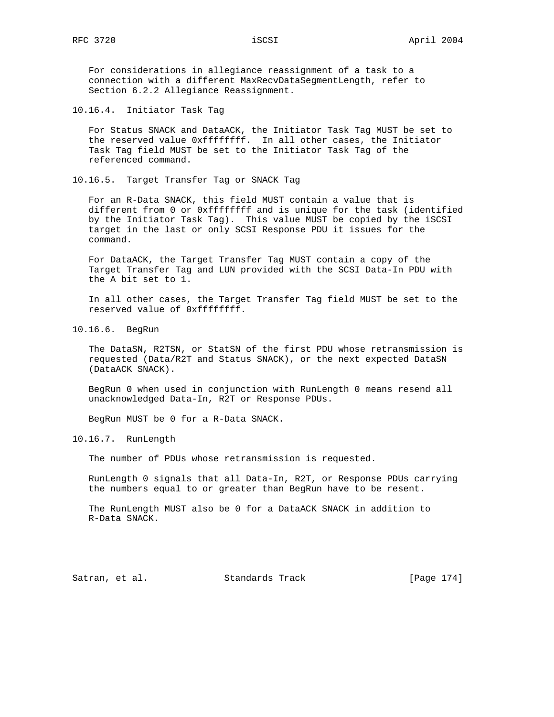For considerations in allegiance reassignment of a task to a connection with a different MaxRecvDataSegmentLength, refer to Section 6.2.2 Allegiance Reassignment.

10.16.4. Initiator Task Tag

 For Status SNACK and DataACK, the Initiator Task Tag MUST be set to the reserved value 0xffffffff. In all other cases, the Initiator Task Tag field MUST be set to the Initiator Task Tag of the referenced command.

10.16.5. Target Transfer Tag or SNACK Tag

 For an R-Data SNACK, this field MUST contain a value that is different from 0 or 0xffffffff and is unique for the task (identified by the Initiator Task Tag). This value MUST be copied by the iSCSI target in the last or only SCSI Response PDU it issues for the command.

 For DataACK, the Target Transfer Tag MUST contain a copy of the Target Transfer Tag and LUN provided with the SCSI Data-In PDU with the A bit set to 1.

 In all other cases, the Target Transfer Tag field MUST be set to the reserved value of 0xffffffff.

10.16.6. BegRun

 The DataSN, R2TSN, or StatSN of the first PDU whose retransmission is requested (Data/R2T and Status SNACK), or the next expected DataSN (DataACK SNACK).

 BegRun 0 when used in conjunction with RunLength 0 means resend all unacknowledged Data-In, R2T or Response PDUs.

BegRun MUST be 0 for a R-Data SNACK.

10.16.7. RunLength

The number of PDUs whose retransmission is requested.

 RunLength 0 signals that all Data-In, R2T, or Response PDUs carrying the numbers equal to or greater than BegRun have to be resent.

 The RunLength MUST also be 0 for a DataACK SNACK in addition to R-Data SNACK.

Satran, et al. Standards Track [Page 174]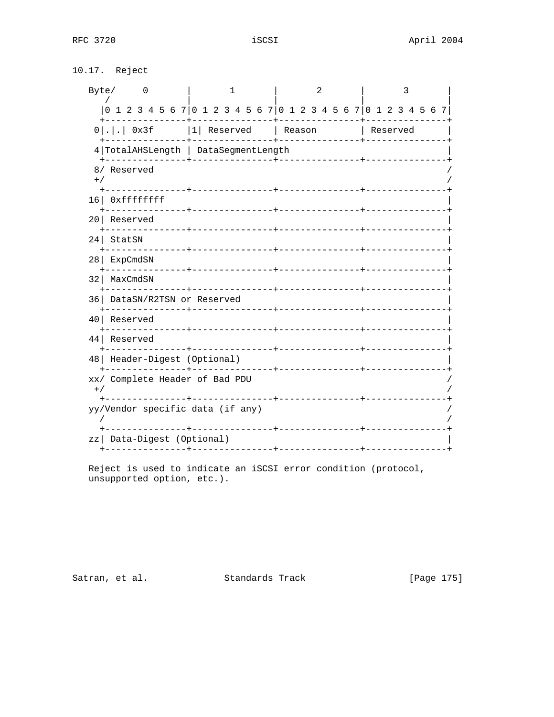| 10.17. | Reject |
|--------|--------|
|--------|--------|

| Byte/<br>$\overline{\phantom{0}}$                                     | 1                                 |                | 2 |  |                   | 3 |  |  |
|-----------------------------------------------------------------------|-----------------------------------|----------------|---|--|-------------------|---|--|--|
| $[0 1 2 3 4 5 6 7] 0 1 2 3 4 5 6 7] 0 1 2 3 4 5 6 7] 0 1 2 3 4 5 6 7$ |                                   |                |   |  |                   |   |  |  |
| $0$ 0x3f  1  Reserved   Reason                                        |                                   |                |   |  | Reserved Reserved |   |  |  |
| 4   TotalAHSLength   DataSegmentLength                                |                                   |                |   |  |                   |   |  |  |
| 8/ Reserved<br>$+ /$                                                  |                                   |                |   |  |                   |   |  |  |
| 16 Oxffffffff                                                         |                                   |                |   |  |                   |   |  |  |
| 20 Reserved                                                           |                                   |                |   |  |                   |   |  |  |
| $24$ StatSN                                                           |                                   |                |   |  |                   |   |  |  |
| 28   ExpCmdSN                                                         |                                   |                |   |  |                   |   |  |  |
| 32   MaxCmdSN                                                         |                                   |                |   |  |                   |   |  |  |
| +--------------+-<br>36 DataSN/R2TSN or Reserved                      |                                   |                |   |  |                   |   |  |  |
| 40 Reserved                                                           |                                   |                |   |  |                   |   |  |  |
| 44 Reserved                                                           |                                   |                |   |  |                   |   |  |  |
| 48   Header-Digest (Optional)                                         |                                   |                |   |  |                   |   |  |  |
| xx/ Complete Header of Bad PDU<br>$+$ /                               |                                   |                |   |  |                   |   |  |  |
| yy/Vendor specific data (if any)                                      | . _ _ _ _ _ _ _ _ _ _ _ _ _ _ _ + | ______________ |   |  |                   |   |  |  |
| zz   Data-Digest (Optional)<br>---------+---                          | ----------+---------------+---    |                |   |  |                   |   |  |  |

Reject is used to indicate an iSCSI error condition (protocol, unsupported option, etc.).

Satran, et al. Standards Track

[Page 175]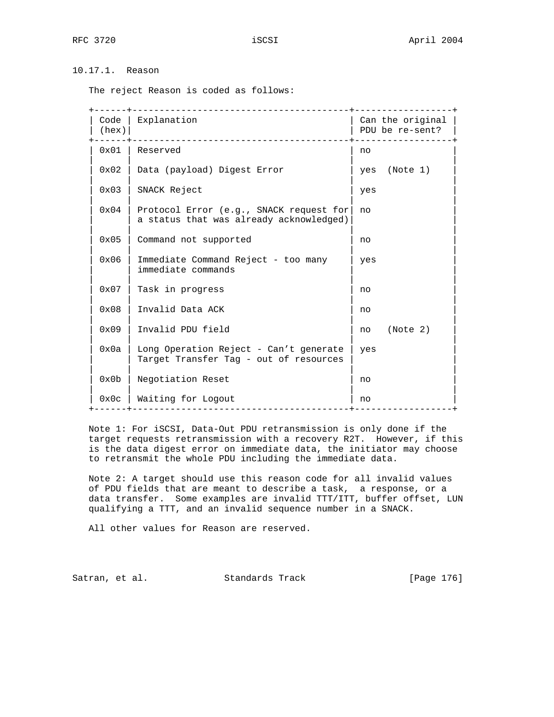# 10.17.1. Reason

The reject Reason is coded as follows:

| Code<br>(hex) | Explanation<br>-------------------------------                                     |     | Can the original<br>PDU be re-sent? |
|---------------|------------------------------------------------------------------------------------|-----|-------------------------------------|
| 0x01          | Reserved                                                                           | no  |                                     |
| 0x02          | Data (payload) Digest Error                                                        |     | yes (Note 1)                        |
| 0x03          | SNACK Reject                                                                       | yes |                                     |
| 0x04          | Protocol Error (e.g., SNACK request for<br>a status that was already acknowledged) | no  |                                     |
| 0x05          | Command not supported                                                              | no  |                                     |
| 0x06          | Immediate Command Reject - too many<br>immediate commands                          | yes |                                     |
| $0 \times 07$ | Task in progress                                                                   | no  |                                     |
| $0 \times 08$ | Invalid Data ACK                                                                   | no  |                                     |
| $0 \times 09$ | Invalid PDU field                                                                  | no  | (Note 2)                            |
| 0x0a          | Long Operation Reject - Can't generate<br>Target Transfer Tag - out of resources   | yes |                                     |
| 0x0b          | Negotiation Reset                                                                  | no  |                                     |
| 0x0c          | Waiting for Logout<br>________________________                                     | no  |                                     |
|               |                                                                                    |     |                                     |

 Note 1: For iSCSI, Data-Out PDU retransmission is only done if the target requests retransmission with a recovery R2T. However, if this is the data digest error on immediate data, the initiator may choose to retransmit the whole PDU including the immediate data.

 Note 2: A target should use this reason code for all invalid values of PDU fields that are meant to describe a task, a response, or a data transfer. Some examples are invalid TTT/ITT, buffer offset, LUN qualifying a TTT, and an invalid sequence number in a SNACK.

All other values for Reason are reserved.

Satran, et al. Standards Track [Page 176]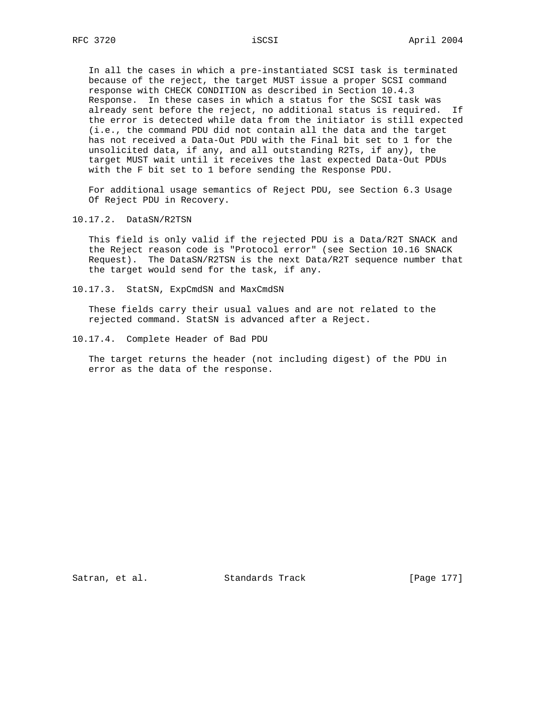In all the cases in which a pre-instantiated SCSI task is terminated because of the reject, the target MUST issue a proper SCSI command response with CHECK CONDITION as described in Section 10.4.3 Response. In these cases in which a status for the SCSI task was already sent before the reject, no additional status is required. If the error is detected while data from the initiator is still expected (i.e., the command PDU did not contain all the data and the target has not received a Data-Out PDU with the Final bit set to 1 for the unsolicited data, if any, and all outstanding R2Ts, if any), the target MUST wait until it receives the last expected Data-Out PDUs with the F bit set to 1 before sending the Response PDU.

 For additional usage semantics of Reject PDU, see Section 6.3 Usage Of Reject PDU in Recovery.

# 10.17.2. DataSN/R2TSN

 This field is only valid if the rejected PDU is a Data/R2T SNACK and the Reject reason code is "Protocol error" (see Section 10.16 SNACK Request). The DataSN/R2TSN is the next Data/R2T sequence number that the target would send for the task, if any.

10.17.3. StatSN, ExpCmdSN and MaxCmdSN

 These fields carry their usual values and are not related to the rejected command. StatSN is advanced after a Reject.

10.17.4. Complete Header of Bad PDU

 The target returns the header (not including digest) of the PDU in error as the data of the response.

Satran, et al. Standards Track [Page 177]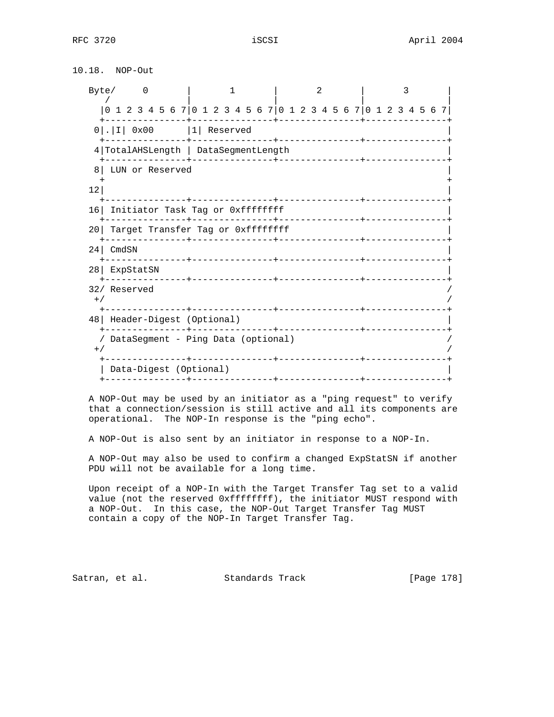10.18. NOP-Out

| Byte/0                                        | 1                                 | $\mathfrak{D}$                |                                                                 |
|-----------------------------------------------|-----------------------------------|-------------------------------|-----------------------------------------------------------------|
|                                               |                                   |                               | 0 1 2 3 4 5 6 7 0 1 2 3 4 5 6 7 0 1 2 3 4 5 6 7 0 1 2 3 4 5 6 7 |
| $0   .   I   0x00$   1 Reserved               |                                   |                               |                                                                 |
| 4 TotalAHSLength   DataSegmentLength          |                                   |                               |                                                                 |
| LUN or Reserved<br>81                         |                                   |                               |                                                                 |
| 12                                            |                                   |                               |                                                                 |
| 16 Initiator Task Tag or 0xffffffff           |                                   |                               |                                                                 |
| 20 L                                          | Target Transfer Tag or Oxffffffff |                               |                                                                 |
| $24$ CmdSN                                    |                                   |                               |                                                                 |
| 28 ExpStatSN                                  |                                   |                               |                                                                 |
| 32/ Reserved<br>$+$ /                         |                                   |                               |                                                                 |
| 48   Header-Digest (Optional)                 |                                   |                               |                                                                 |
| / DataSegment - Ping Data (optional)<br>$+$ / | -----------+-----------------     | _____________________________ |                                                                 |
| Data-Digest (Optional)                        |                                   |                               |                                                                 |

 A NOP-Out may be used by an initiator as a "ping request" to verify that a connection/session is still active and all its components are operational. The NOP-In response is the "ping echo".

A NOP-Out is also sent by an initiator in response to a NOP-In.

 A NOP-Out may also be used to confirm a changed ExpStatSN if another PDU will not be available for a long time.

 Upon receipt of a NOP-In with the Target Transfer Tag set to a valid value (not the reserved 0xffffffff), the initiator MUST respond with a NOP-Out. In this case, the NOP-Out Target Transfer Tag MUST contain a copy of the NOP-In Target Transfer Tag.

Satran, et al. Standards Track [Page 178]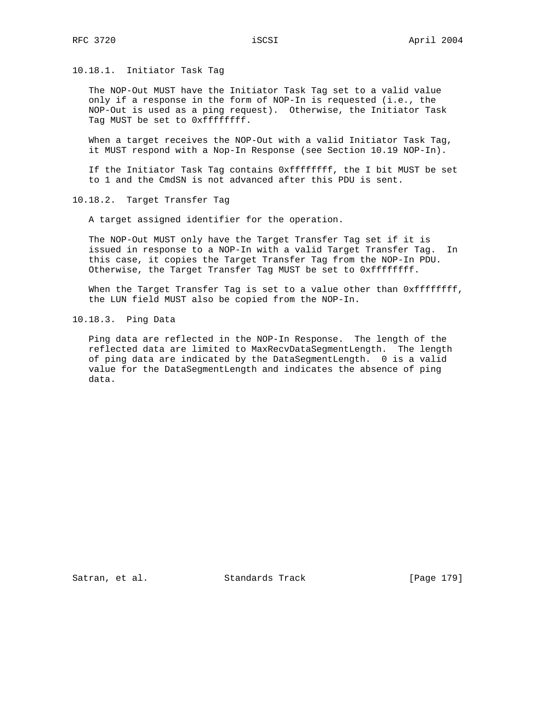10.18.1. Initiator Task Tag

 The NOP-Out MUST have the Initiator Task Tag set to a valid value only if a response in the form of NOP-In is requested (i.e., the NOP-Out is used as a ping request). Otherwise, the Initiator Task Tag MUST be set to 0xffffffff.

 When a target receives the NOP-Out with a valid Initiator Task Tag, it MUST respond with a Nop-In Response (see Section 10.19 NOP-In).

 If the Initiator Task Tag contains 0xffffffff, the I bit MUST be set to 1 and the CmdSN is not advanced after this PDU is sent.

10.18.2. Target Transfer Tag

A target assigned identifier for the operation.

 The NOP-Out MUST only have the Target Transfer Tag set if it is issued in response to a NOP-In with a valid Target Transfer Tag. In this case, it copies the Target Transfer Tag from the NOP-In PDU. Otherwise, the Target Transfer Tag MUST be set to 0xffffffff.

When the Target Transfer Tag is set to a value other than 0xfffffffff, the LUN field MUST also be copied from the NOP-In.

10.18.3. Ping Data

 Ping data are reflected in the NOP-In Response. The length of the reflected data are limited to MaxRecvDataSegmentLength. The length of ping data are indicated by the DataSegmentLength. 0 is a valid value for the DataSegmentLength and indicates the absence of ping data.

Satran, et al. Standards Track [Page 179]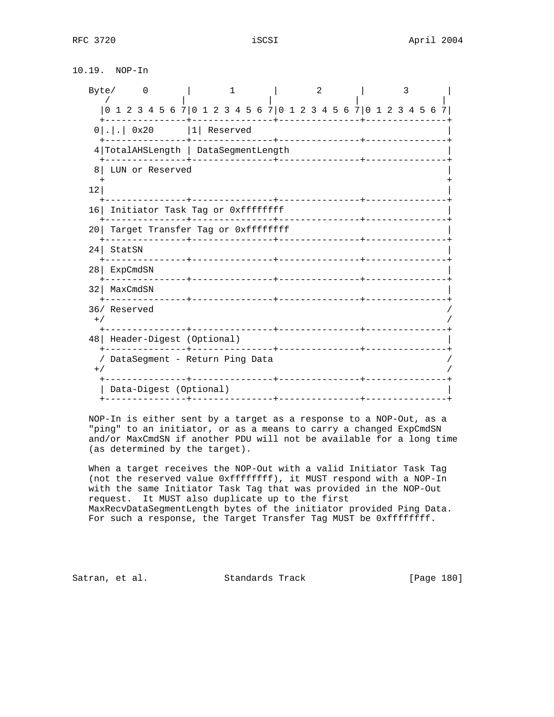10.19. NOP-In

| Byte/ | $\overline{0}$                                                |                 |  | 1                           |  |                    |  | $\mathfrak{D}$ |  |                                       | 3 |  |  |
|-------|---------------------------------------------------------------|-----------------|--|-----------------------------|--|--------------------|--|----------------|--|---------------------------------------|---|--|--|
|       | 1 2 3 4 5 6 7 0 1 2 3 4 5 6 7 0 1 2 3 4 5 6 7 0 1 2 3 4 5 6 7 |                 |  |                             |  |                    |  |                |  |                                       |   |  |  |
|       | $0 $ . $ $ .   0x20                                           |                 |  | $ 1 $ Reserved              |  | -----+------------ |  |                |  |                                       |   |  |  |
|       | 4 TotalAHSLength   DataSegmentLength                          |                 |  |                             |  |                    |  |                |  |                                       |   |  |  |
| 8     | LUN or Reserved                                               |                 |  |                             |  |                    |  |                |  |                                       |   |  |  |
| 12    |                                                               |                 |  |                             |  |                    |  |                |  |                                       |   |  |  |
| 16    | Initiator Task Tag or Oxffffffff                              | ___________     |  |                             |  | _________________  |  |                |  |                                       |   |  |  |
| 201   | Target Transfer Tag or Oxffffffff                             |                 |  |                             |  |                    |  | ----------     |  |                                       |   |  |  |
| 24    | StatSN                                                        |                 |  |                             |  |                    |  |                |  | <u> Le Le Le Le Le Le Le Le Le Le</u> |   |  |  |
| 28    | ExpCmdSN                                                      |                 |  |                             |  |                    |  |                |  |                                       |   |  |  |
| 32    | MaxCmdSN                                                      |                 |  | ____ <b>__</b> ____________ |  |                    |  |                |  |                                       |   |  |  |
|       | 36/ Reserved                                                  |                 |  |                             |  |                    |  |                |  |                                       |   |  |  |
| $+$ / |                                                               |                 |  |                             |  |                    |  |                |  |                                       |   |  |  |
|       | 48   Header-Digest (Optional)                                 |                 |  |                             |  | __________________ |  |                |  |                                       |   |  |  |
| $+$ / | DataSegment - Return Ping Data                                |                 |  |                             |  |                    |  |                |  |                                       |   |  |  |
|       | Data-Digest (Optional)                                        |                 |  |                             |  |                    |  |                |  |                                       |   |  |  |
|       |                                                               | -----------+--- |  |                             |  |                    |  |                |  |                                       |   |  |  |

 NOP-In is either sent by a target as a response to a NOP-Out, as a "ping" to an initiator, or as a means to carry a changed ExpCmdSN and/or MaxCmdSN if another PDU will not be available for a long time (as determined by the target).

 When a target receives the NOP-Out with a valid Initiator Task Tag (not the reserved value 0xffffffff), it MUST respond with a NOP-In with the same Initiator Task Tag that was provided in the NOP-Out request. It MUST also duplicate up to the first MaxRecvDataSegmentLength bytes of the initiator provided Ping Data. For such a response, the Target Transfer Tag MUST be 0xffffffff.

Satran, et al. Standards Track [Page 180]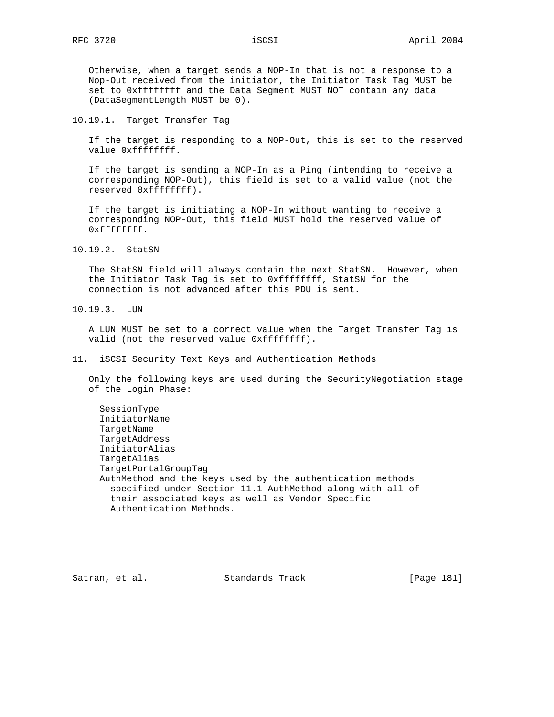Otherwise, when a target sends a NOP-In that is not a response to a Nop-Out received from the initiator, the Initiator Task Tag MUST be set to 0xffffffff and the Data Segment MUST NOT contain any data (DataSegmentLength MUST be 0).

10.19.1. Target Transfer Tag

 If the target is responding to a NOP-Out, this is set to the reserved value 0xffffffff.

 If the target is sending a NOP-In as a Ping (intending to receive a corresponding NOP-Out), this field is set to a valid value (not the reserved 0xffffffff).

 If the target is initiating a NOP-In without wanting to receive a corresponding NOP-Out, this field MUST hold the reserved value of 0xffffffff.

10.19.2. StatSN

 The StatSN field will always contain the next StatSN. However, when the Initiator Task Tag is set to 0xffffffff, StatSN for the connection is not advanced after this PDU is sent.

10.19.3. LUN

 A LUN MUST be set to a correct value when the Target Transfer Tag is valid (not the reserved value 0xffffffff).

11. iSCSI Security Text Keys and Authentication Methods

 Only the following keys are used during the SecurityNegotiation stage of the Login Phase:

 SessionType InitiatorName TargetName TargetAddress InitiatorAlias TargetAlias TargetPortalGroupTag AuthMethod and the keys used by the authentication methods specified under Section 11.1 AuthMethod along with all of their associated keys as well as Vendor Specific Authentication Methods.

Satran, et al. Standards Track [Page 181]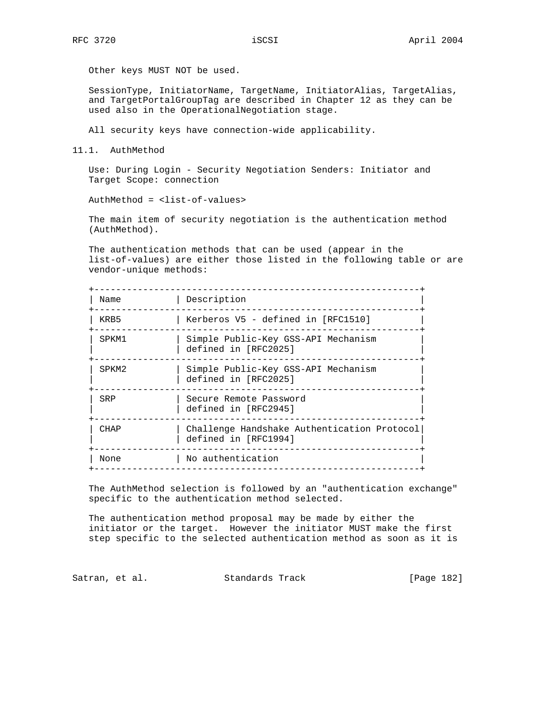Other keys MUST NOT be used.

 SessionType, InitiatorName, TargetName, InitiatorAlias, TargetAlias, and TargetPortalGroupTag are described in Chapter 12 as they can be used also in the OperationalNegotiation stage.

All security keys have connection-wide applicability.

11.1. AuthMethod

 Use: During Login - Security Negotiation Senders: Initiator and Target Scope: connection

AuthMethod = <list-of-values>

 The main item of security negotiation is the authentication method (AuthMethod).

 The authentication methods that can be used (appear in the list-of-values) are either those listed in the following table or are vendor-unique methods:

| Name              | Description                                                         |
|-------------------|---------------------------------------------------------------------|
| KRB5              | Kerberos V5 - defined in [RFC1510]                                  |
| SPKM1             | Simple Public-Key GSS-API Mechanism<br>defined in [RFC2025]         |
| SPKM <sub>2</sub> | Simple Public-Key GSS-API Mechanism<br>defined in [RFC2025]         |
| SRP               | Secure Remote Password<br>defined in [RFC2945]                      |
| CHAP              | Challenge Handshake Authentication Protocol<br>defined in [RFC1994] |
| None              | No authentication                                                   |
|                   |                                                                     |

 The AuthMethod selection is followed by an "authentication exchange" specific to the authentication method selected.

 The authentication method proposal may be made by either the initiator or the target. However the initiator MUST make the first step specific to the selected authentication method as soon as it is

Satran, et al. Standards Track [Page 182]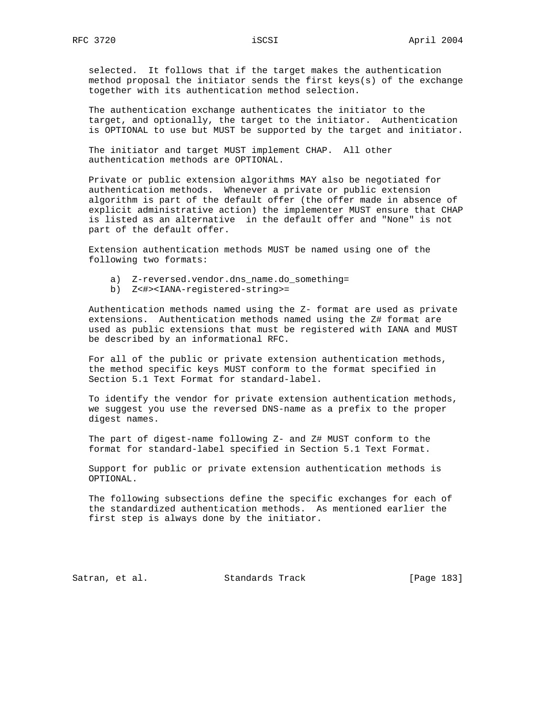selected. It follows that if the target makes the authentication method proposal the initiator sends the first keys(s) of the exchange together with its authentication method selection.

 The authentication exchange authenticates the initiator to the target, and optionally, the target to the initiator. Authentication is OPTIONAL to use but MUST be supported by the target and initiator.

 The initiator and target MUST implement CHAP. All other authentication methods are OPTIONAL.

 Private or public extension algorithms MAY also be negotiated for authentication methods. Whenever a private or public extension algorithm is part of the default offer (the offer made in absence of explicit administrative action) the implementer MUST ensure that CHAP is listed as an alternative in the default offer and "None" is not part of the default offer.

 Extension authentication methods MUST be named using one of the following two formats:

- a) Z-reversed.vendor.dns\_name.do\_something=
- b) Z<#><IANA-registered-string>=

 Authentication methods named using the Z- format are used as private extensions. Authentication methods named using the Z# format are used as public extensions that must be registered with IANA and MUST be described by an informational RFC.

 For all of the public or private extension authentication methods, the method specific keys MUST conform to the format specified in Section 5.1 Text Format for standard-label.

 To identify the vendor for private extension authentication methods, we suggest you use the reversed DNS-name as a prefix to the proper digest names.

 The part of digest-name following Z- and Z# MUST conform to the format for standard-label specified in Section 5.1 Text Format.

 Support for public or private extension authentication methods is OPTIONAL.

 The following subsections define the specific exchanges for each of the standardized authentication methods. As mentioned earlier the first step is always done by the initiator.

Satran, et al. Standards Track [Page 183]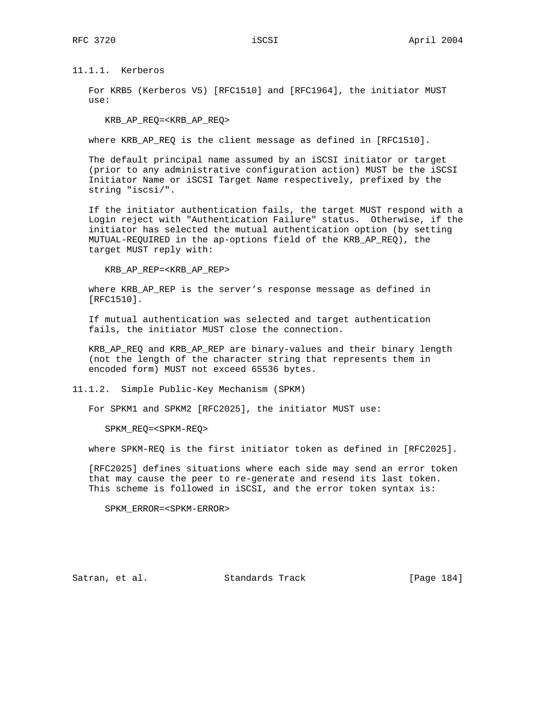11.1.1. Kerberos

 For KRB5 (Kerberos V5) [RFC1510] and [RFC1964], the initiator MUST use:

KRB\_AP\_REQ=<KRB\_AP\_REQ>

where KRB\_AP\_REQ is the client message as defined in [RFC1510].

 The default principal name assumed by an iSCSI initiator or target (prior to any administrative configuration action) MUST be the iSCSI Initiator Name or iSCSI Target Name respectively, prefixed by the string "iscsi/".

 If the initiator authentication fails, the target MUST respond with a Login reject with "Authentication Failure" status. Otherwise, if the initiator has selected the mutual authentication option (by setting MUTUAL-REQUIRED in the ap-options field of the KRB\_AP\_REQ), the target MUST reply with:

KRB\_AP\_REP=<KRB\_AP\_REP>

 where KRB\_AP\_REP is the server's response message as defined in [RFC1510].

 If mutual authentication was selected and target authentication fails, the initiator MUST close the connection.

 KRB\_AP\_REQ and KRB\_AP\_REP are binary-values and their binary length (not the length of the character string that represents them in encoded form) MUST not exceed 65536 bytes.

11.1.2. Simple Public-Key Mechanism (SPKM)

For SPKM1 and SPKM2 [RFC2025], the initiator MUST use:

SPKM\_REQ=<SPKM-REQ>

where SPKM-REQ is the first initiator token as defined in [RFC2025].

 [RFC2025] defines situations where each side may send an error token that may cause the peer to re-generate and resend its last token. This scheme is followed in iSCSI, and the error token syntax is:

SPKM\_ERROR=<SPKM-ERROR>

Satran, et al. Standards Track [Page 184]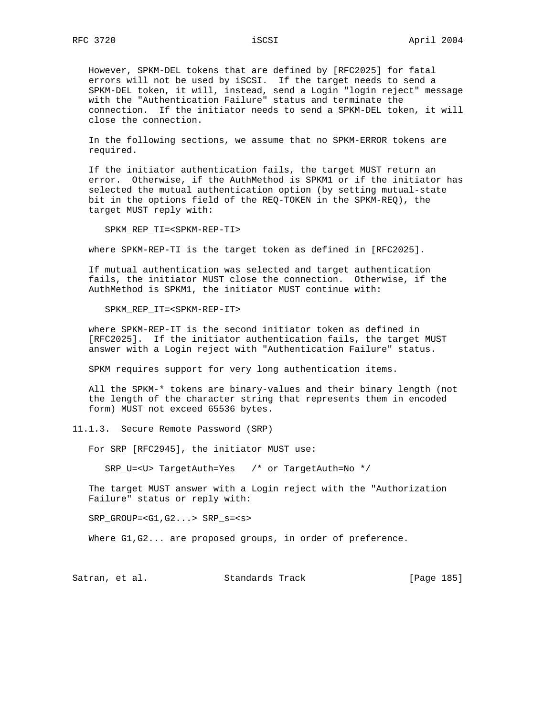However, SPKM-DEL tokens that are defined by [RFC2025] for fatal errors will not be used by iSCSI. If the target needs to send a SPKM-DEL token, it will, instead, send a Login "login reject" message with the "Authentication Failure" status and terminate the connection. If the initiator needs to send a SPKM-DEL token, it will close the connection.

 In the following sections, we assume that no SPKM-ERROR tokens are required.

 If the initiator authentication fails, the target MUST return an error. Otherwise, if the AuthMethod is SPKM1 or if the initiator has selected the mutual authentication option (by setting mutual-state bit in the options field of the REQ-TOKEN in the SPKM-REQ), the target MUST reply with:

SPKM\_REP\_TI=<SPKM-REP-TI>

where SPKM-REP-TI is the target token as defined in [RFC2025].

 If mutual authentication was selected and target authentication fails, the initiator MUST close the connection. Otherwise, if the AuthMethod is SPKM1, the initiator MUST continue with:

SPKM\_REP\_IT=<SPKM-REP-IT>

 where SPKM-REP-IT is the second initiator token as defined in [RFC2025]. If the initiator authentication fails, the target MUST answer with a Login reject with "Authentication Failure" status.

SPKM requires support for very long authentication items.

 All the SPKM-\* tokens are binary-values and their binary length (not the length of the character string that represents them in encoded form) MUST not exceed 65536 bytes.

11.1.3. Secure Remote Password (SRP)

For SRP [RFC2945], the initiator MUST use:

SRP\_U=<U> TargetAuth=Yes /\* or TargetAuth=No \*/

 The target MUST answer with a Login reject with the "Authorization Failure" status or reply with:

SRP\_GROUP=<G1,G2...> SRP\_s=<s>

Where G1, G2... are proposed groups, in order of preference.

Satran, et al. Standards Track [Page 185]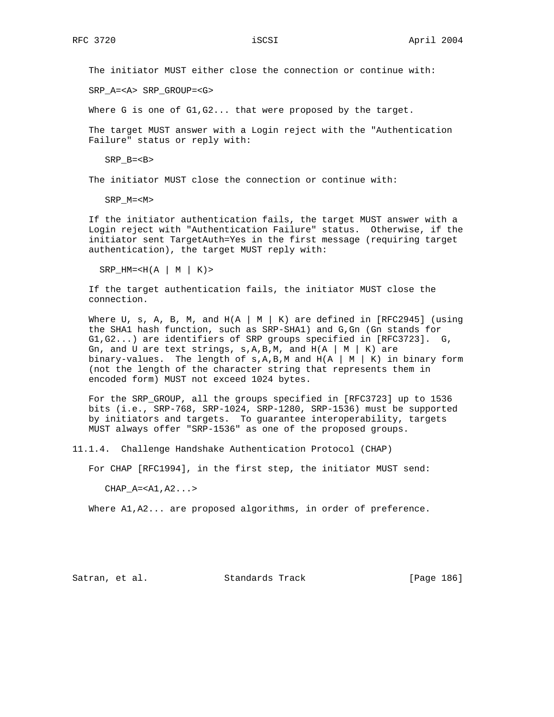The initiator MUST either close the connection or continue with:

SRP\_A=<A> SRP\_GROUP=<G>

Where G is one of G1, G2... that were proposed by the target.

 The target MUST answer with a Login reject with the "Authentication Failure" status or reply with:

SRP\_B=<B>

The initiator MUST close the connection or continue with:

SRP\_M=<M>

 If the initiator authentication fails, the target MUST answer with a Login reject with "Authentication Failure" status. Otherwise, if the initiator sent TargetAuth=Yes in the first message (requiring target authentication), the target MUST reply with:

```
SRP_HM=< H(A | M | K)
```
 If the target authentication fails, the initiator MUST close the connection.

Where U, s, A, B, M, and  $H(A \mid M \mid K)$  are defined in [RFC2945] (using the SHA1 hash function, such as SRP-SHA1) and G,Gn (Gn stands for G1,G2...) are identifiers of SRP groups specified in [RFC3723]. G, Gn, and U are text strings,  $s, A, B, M$ , and  $H(A \mid M \mid K)$  are binary-values. The length of  $s, A, B, M$  and  $H(A \mid M \mid K)$  in binary form (not the length of the character string that represents them in encoded form) MUST not exceed 1024 bytes.

For the SRP GROUP, all the groups specified in [RFC3723] up to 1536 bits (i.e., SRP-768, SRP-1024, SRP-1280, SRP-1536) must be supported by initiators and targets. To guarantee interoperability, targets MUST always offer "SRP-1536" as one of the proposed groups.

11.1.4. Challenge Handshake Authentication Protocol (CHAP)

For CHAP [RFC1994], in the first step, the initiator MUST send:

 $CHAP_A=$ 

Where A1, A2... are proposed algorithms, in order of preference.

Satran, et al. Standards Track [Page 186]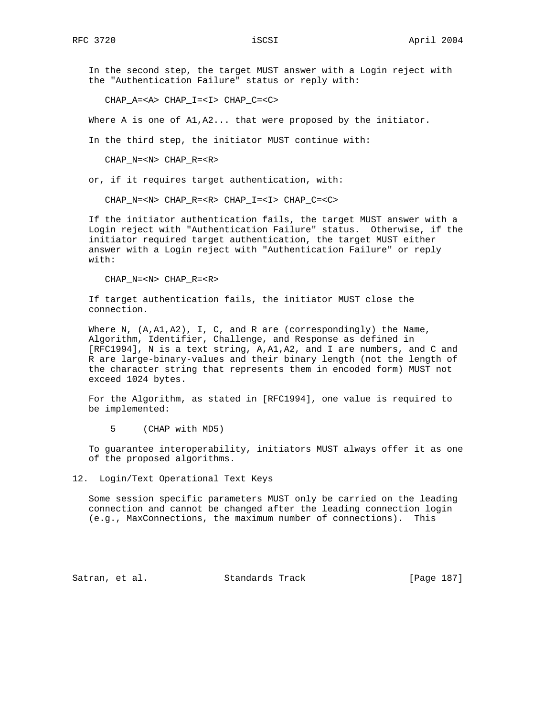In the second step, the target MUST answer with a Login reject with the "Authentication Failure" status or reply with:

CHAP\_A=<A> CHAP\_I=<I> CHAP\_C=<C>

Where A is one of  $A1, A2...$  that were proposed by the initiator.

In the third step, the initiator MUST continue with:

CHAP\_N=<N> CHAP\_R=<R>

or, if it requires target authentication, with:

CHAP\_N=<N> CHAP\_R=<R> CHAP\_I=<I> CHAP\_C=<C>

 If the initiator authentication fails, the target MUST answer with a Login reject with "Authentication Failure" status. Otherwise, if the initiator required target authentication, the target MUST either answer with a Login reject with "Authentication Failure" or reply with:

CHAP\_N=<N> CHAP\_R=<R>

 If target authentication fails, the initiator MUST close the connection.

Where N, (A,A1,A2), I, C, and R are (correspondingly) the Name, Algorithm, Identifier, Challenge, and Response as defined in [RFC1994], N is a text string, A,A1,A2, and I are numbers, and C and R are large-binary-values and their binary length (not the length of the character string that represents them in encoded form) MUST not exceed 1024 bytes.

 For the Algorithm, as stated in [RFC1994], one value is required to be implemented:

5 (CHAP with MD5)

 To guarantee interoperability, initiators MUST always offer it as one of the proposed algorithms.

12. Login/Text Operational Text Keys

 Some session specific parameters MUST only be carried on the leading connection and cannot be changed after the leading connection login (e.g., MaxConnections, the maximum number of connections). This

Satran, et al. Standards Track [Page 187]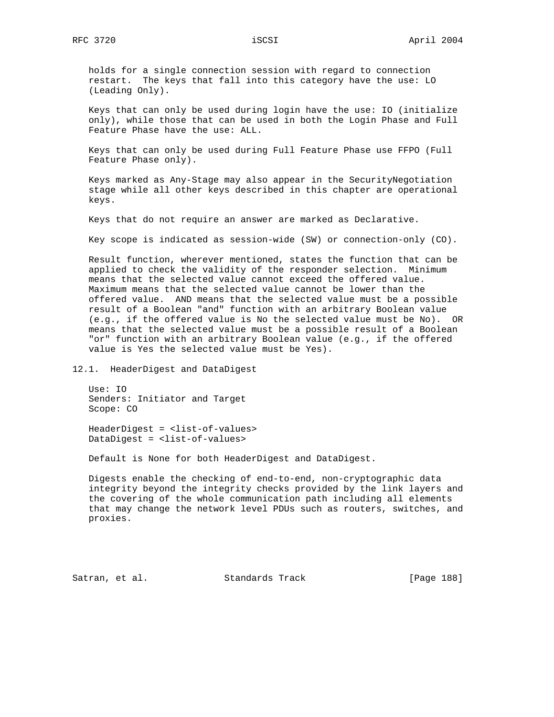holds for a single connection session with regard to connection restart. The keys that fall into this category have the use: LO (Leading Only).

 Keys that can only be used during login have the use: IO (initialize only), while those that can be used in both the Login Phase and Full Feature Phase have the use: ALL.

 Keys that can only be used during Full Feature Phase use FFPO (Full Feature Phase only).

 Keys marked as Any-Stage may also appear in the SecurityNegotiation stage while all other keys described in this chapter are operational keys.

Keys that do not require an answer are marked as Declarative.

Key scope is indicated as session-wide (SW) or connection-only (CO).

 Result function, wherever mentioned, states the function that can be applied to check the validity of the responder selection. Minimum means that the selected value cannot exceed the offered value. Maximum means that the selected value cannot be lower than the offered value. AND means that the selected value must be a possible result of a Boolean "and" function with an arbitrary Boolean value (e.g., if the offered value is No the selected value must be No). OR means that the selected value must be a possible result of a Boolean "or" function with an arbitrary Boolean value (e.g., if the offered value is Yes the selected value must be Yes).

12.1. HeaderDigest and DataDigest

 Use: IO Senders: Initiator and Target Scope: CO

 HeaderDigest = <list-of-values> DataDigest = <list-of-values>

Default is None for both HeaderDigest and DataDigest.

 Digests enable the checking of end-to-end, non-cryptographic data integrity beyond the integrity checks provided by the link layers and the covering of the whole communication path including all elements that may change the network level PDUs such as routers, switches, and proxies.

Satran, et al. Standards Track [Page 188]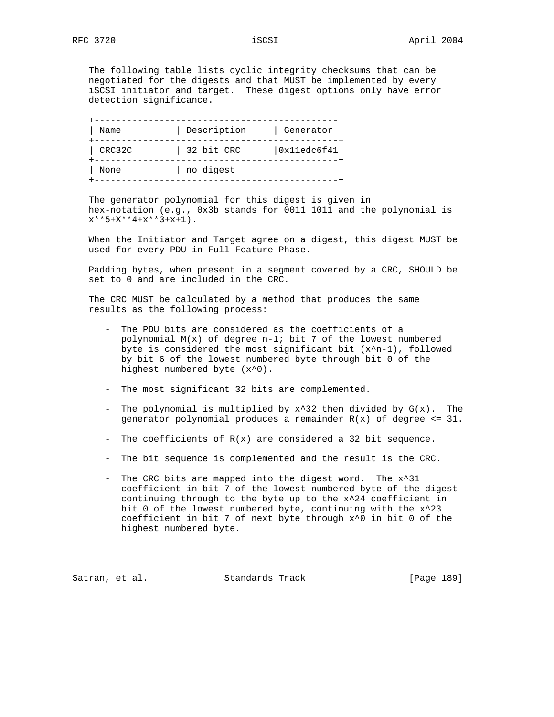The following table lists cyclic integrity checksums that can be negotiated for the digests and that MUST be implemented by every iSCSI initiator and target. These digest options only have error detection significance.

| Name   | Description | Generator   |
|--------|-------------|-------------|
| CRC32C | 32 bit CRC  | 0x11edc6f41 |
| None   | no digest   |             |

 The generator polynomial for this digest is given in hex-notation (e.g., 0x3b stands for 0011 1011 and the polynomial is  $x***5+X***4+x***3+x+1$ ).

 When the Initiator and Target agree on a digest, this digest MUST be used for every PDU in Full Feature Phase.

 Padding bytes, when present in a segment covered by a CRC, SHOULD be set to 0 and are included in the CRC.

 The CRC MUST be calculated by a method that produces the same results as the following process:

- The PDU bits are considered as the coefficients of a polynomial M(x) of degree n-1; bit 7 of the lowest numbered byte is considered the most significant bit  $(x^n-1)$ , followed by bit 6 of the lowest numbered byte through bit 0 of the highest numbered byte (x^0).
- The most significant 32 bits are complemented.
- The polynomial is multiplied by  $x^3$ 2 then divided by  $G(x)$ . The generator polynomial produces a remainder  $R(x)$  of degree <= 31.
- The coefficients of  $R(x)$  are considered a 32 bit sequence.
- The bit sequence is complemented and the result is the CRC.
- The CRC bits are mapped into the digest word. The x^31 coefficient in bit 7 of the lowest numbered byte of the digest continuing through to the byte up to the x^24 coefficient in bit 0 of the lowest numbered byte, continuing with the x^23 coefficient in bit 7 of next byte through x^0 in bit 0 of the highest numbered byte.

Satran, et al. Standards Track [Page 189]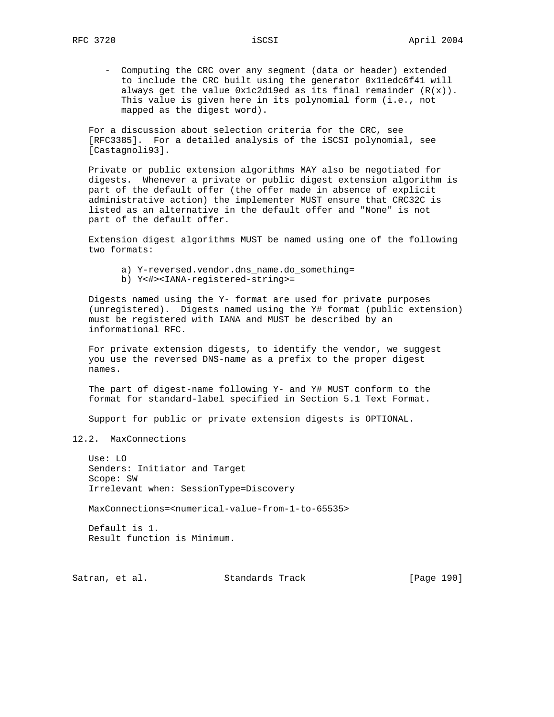- Computing the CRC over any segment (data or header) extended to include the CRC built using the generator 0x11edc6f41 will always get the value  $0x1c2d19ed$  as its final remainder  $(R(x))$ . This value is given here in its polynomial form (i.e., not mapped as the digest word).

 For a discussion about selection criteria for the CRC, see [RFC3385]. For a detailed analysis of the iSCSI polynomial, see [Castagnoli93].

 Private or public extension algorithms MAY also be negotiated for digests. Whenever a private or public digest extension algorithm is part of the default offer (the offer made in absence of explicit administrative action) the implementer MUST ensure that CRC32C is listed as an alternative in the default offer and "None" is not part of the default offer.

 Extension digest algorithms MUST be named using one of the following two formats:

- a) Y-reversed.vendor.dns\_name.do\_something=
- b) Y<#><IANA-registered-string>=

 Digests named using the Y- format are used for private purposes (unregistered). Digests named using the Y# format (public extension) must be registered with IANA and MUST be described by an informational RFC.

 For private extension digests, to identify the vendor, we suggest you use the reversed DNS-name as a prefix to the proper digest names.

 The part of digest-name following Y- and Y# MUST conform to the format for standard-label specified in Section 5.1 Text Format.

Support for public or private extension digests is OPTIONAL.

12.2. MaxConnections

 $Use: LO$  Senders: Initiator and Target Scope: SW Irrelevant when: SessionType=Discovery

MaxConnections=<numerical-value-from-1-to-65535>

 Default is 1. Result function is Minimum.

Satran, et al. Standards Track [Page 190]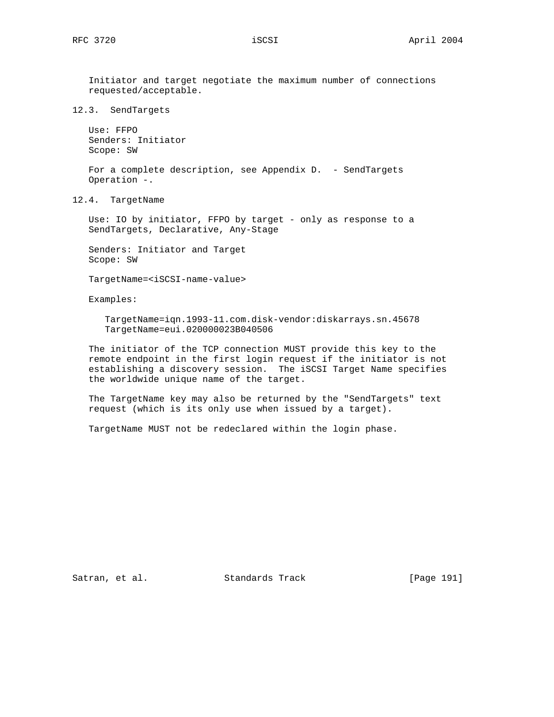Initiator and target negotiate the maximum number of connections requested/acceptable.

12.3. SendTargets

 Use: FFPO Senders: Initiator Scope: SW

For a complete description, see Appendix D. - SendTargets Operation -.

12.4. TargetName

 Use: IO by initiator, FFPO by target - only as response to a SendTargets, Declarative, Any-Stage

 Senders: Initiator and Target Scope: SW

TargetName=<iSCSI-name-value>

Examples:

 TargetName=iqn.1993-11.com.disk-vendor:diskarrays.sn.45678 TargetName=eui.020000023B040506

 The initiator of the TCP connection MUST provide this key to the remote endpoint in the first login request if the initiator is not establishing a discovery session. The iSCSI Target Name specifies the worldwide unique name of the target.

 The TargetName key may also be returned by the "SendTargets" text request (which is its only use when issued by a target).

TargetName MUST not be redeclared within the login phase.

Satran, et al. Standards Track [Page 191]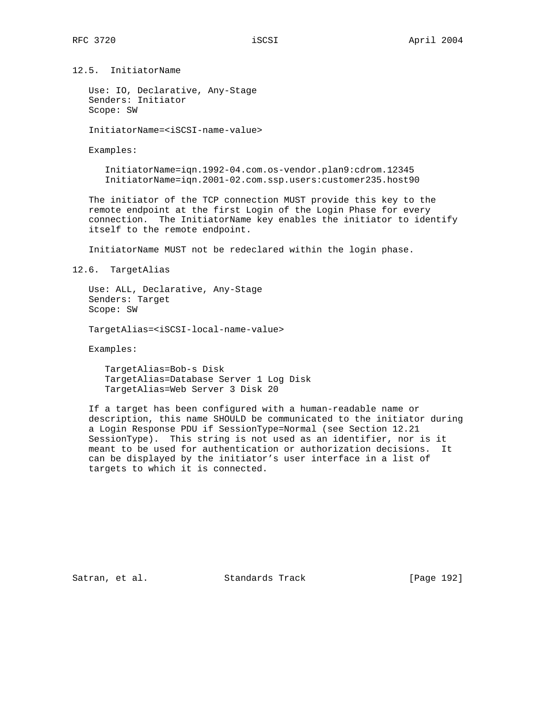12.5. InitiatorName

 Use: IO, Declarative, Any-Stage Senders: Initiator Scope: SW

InitiatorName=<iSCSI-name-value>

Examples:

 InitiatorName=iqn.1992-04.com.os-vendor.plan9:cdrom.12345 InitiatorName=iqn.2001-02.com.ssp.users:customer235.host90

 The initiator of the TCP connection MUST provide this key to the remote endpoint at the first Login of the Login Phase for every connection. The InitiatorName key enables the initiator to identify itself to the remote endpoint.

InitiatorName MUST not be redeclared within the login phase.

12.6. TargetAlias

 Use: ALL, Declarative, Any-Stage Senders: Target Scope: SW

TargetAlias=<iSCSI-local-name-value>

Examples:

 TargetAlias=Bob-s Disk TargetAlias=Database Server 1 Log Disk TargetAlias=Web Server 3 Disk 20

 If a target has been configured with a human-readable name or description, this name SHOULD be communicated to the initiator during a Login Response PDU if SessionType=Normal (see Section 12.21 SessionType). This string is not used as an identifier, nor is it meant to be used for authentication or authorization decisions. It can be displayed by the initiator's user interface in a list of targets to which it is connected.

Satran, et al. Standards Track [Page 192]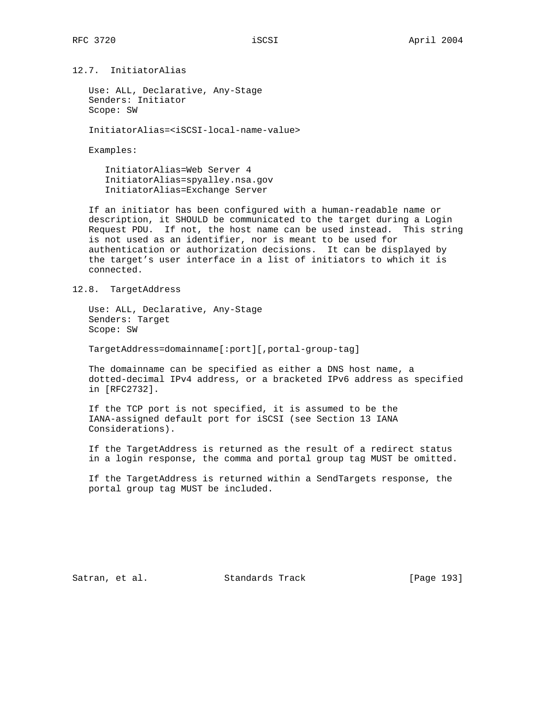12.7. InitiatorAlias

 Use: ALL, Declarative, Any-Stage Senders: Initiator Scope: SW

InitiatorAlias=<iSCSI-local-name-value>

Examples:

 InitiatorAlias=Web Server 4 InitiatorAlias=spyalley.nsa.gov InitiatorAlias=Exchange Server

 If an initiator has been configured with a human-readable name or description, it SHOULD be communicated to the target during a Login Request PDU. If not, the host name can be used instead. This string is not used as an identifier, nor is meant to be used for authentication or authorization decisions. It can be displayed by the target's user interface in a list of initiators to which it is connected.

12.8. TargetAddress

 Use: ALL, Declarative, Any-Stage Senders: Target Scope: SW

TargetAddress=domainname[:port][,portal-group-tag]

 The domainname can be specified as either a DNS host name, a dotted-decimal IPv4 address, or a bracketed IPv6 address as specified in [RFC2732].

 If the TCP port is not specified, it is assumed to be the IANA-assigned default port for iSCSI (see Section 13 IANA Considerations).

 If the TargetAddress is returned as the result of a redirect status in a login response, the comma and portal group tag MUST be omitted.

 If the TargetAddress is returned within a SendTargets response, the portal group tag MUST be included.

Satran, et al. Standards Track [Page 193]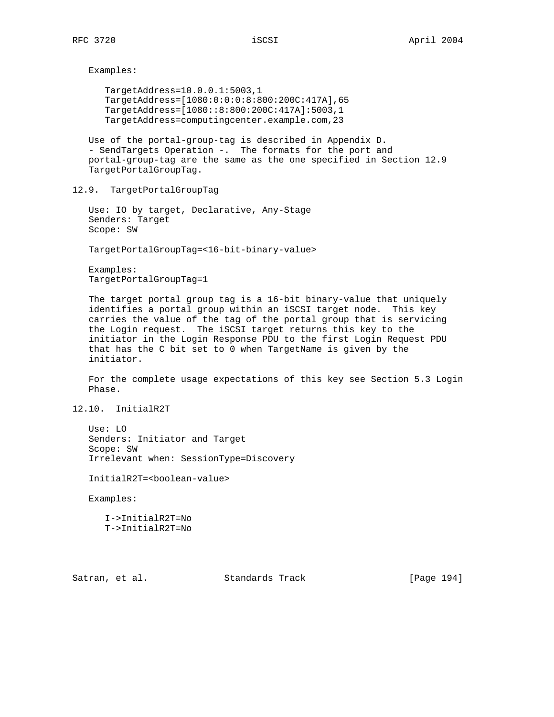Examples:

 TargetAddress=10.0.0.1:5003,1 TargetAddress=[1080:0:0:0:8:800:200C:417A],65 TargetAddress=[1080::8:800:200C:417A]:5003,1 TargetAddress=computingcenter.example.com,23

 Use of the portal-group-tag is described in Appendix D. - SendTargets Operation -. The formats for the port and portal-group-tag are the same as the one specified in Section 12.9 TargetPortalGroupTag.

12.9. TargetPortalGroupTag

 Use: IO by target, Declarative, Any-Stage Senders: Target Scope: SW

TargetPortalGroupTag=<16-bit-binary-value>

 Examples: TargetPortalGroupTag=1

 The target portal group tag is a 16-bit binary-value that uniquely identifies a portal group within an iSCSI target node. This key carries the value of the tag of the portal group that is servicing the Login request. The iSCSI target returns this key to the initiator in the Login Response PDU to the first Login Request PDU that has the C bit set to 0 when TargetName is given by the initiator.

 For the complete usage expectations of this key see Section 5.3 Login Phase.

12.10. InitialR2T

 Use: LO Senders: Initiator and Target Scope: SW Irrelevant when: SessionType=Discovery

InitialR2T=<boolean-value>

Examples:

 I->InitialR2T=No T->InitialR2T=No

Satran, et al. Standards Track [Page 194]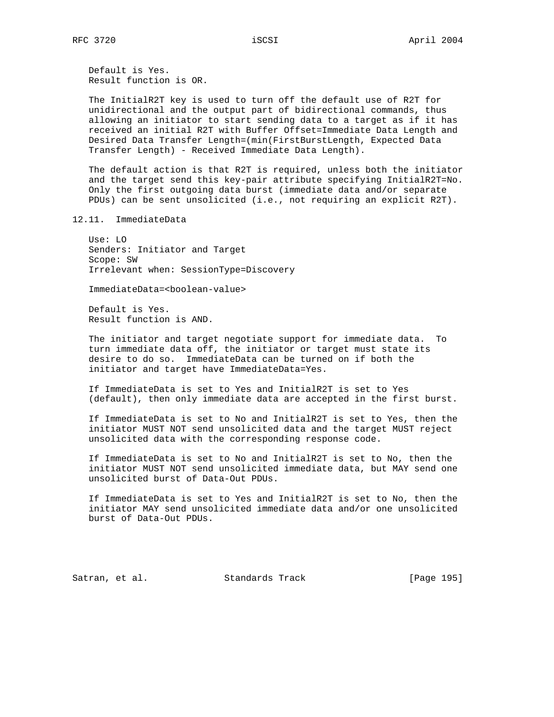Default is Yes. Result function is OR.

 The InitialR2T key is used to turn off the default use of R2T for unidirectional and the output part of bidirectional commands, thus allowing an initiator to start sending data to a target as if it has received an initial R2T with Buffer Offset=Immediate Data Length and Desired Data Transfer Length=(min(FirstBurstLength, Expected Data Transfer Length) - Received Immediate Data Length).

 The default action is that R2T is required, unless both the initiator and the target send this key-pair attribute specifying InitialR2T=No. Only the first outgoing data burst (immediate data and/or separate PDUs) can be sent unsolicited (i.e., not requiring an explicit R2T).

12.11. ImmediateData

 Use: LO Senders: Initiator and Target Scope: SW Irrelevant when: SessionType=Discovery

ImmediateData=<boolean-value>

 Default is Yes. Result function is AND.

 The initiator and target negotiate support for immediate data. To turn immediate data off, the initiator or target must state its desire to do so. ImmediateData can be turned on if both the initiator and target have ImmediateData=Yes.

 If ImmediateData is set to Yes and InitialR2T is set to Yes (default), then only immediate data are accepted in the first burst.

 If ImmediateData is set to No and InitialR2T is set to Yes, then the initiator MUST NOT send unsolicited data and the target MUST reject unsolicited data with the corresponding response code.

 If ImmediateData is set to No and InitialR2T is set to No, then the initiator MUST NOT send unsolicited immediate data, but MAY send one unsolicited burst of Data-Out PDUs.

 If ImmediateData is set to Yes and InitialR2T is set to No, then the initiator MAY send unsolicited immediate data and/or one unsolicited burst of Data-Out PDUs.

Satran, et al. Standards Track [Page 195]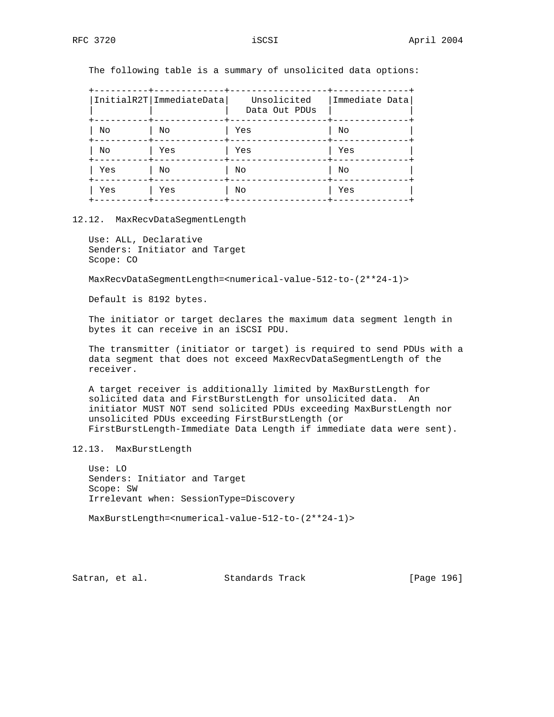The following table is a summary of unsolicited data options:

|     | InitialR2T ImmediateData | Unsolicited<br>Data Out PDUs | Immediate Data |
|-----|--------------------------|------------------------------|----------------|
| Νo  | No                       | Yes                          | No             |
| Νo  | Yes                      | Yes                          | Yes            |
| Yes | No                       | No                           | No             |
| Yes | Yes                      | No                           | Yes            |

#### 12.12. MaxRecvDataSegmentLength

 Use: ALL, Declarative Senders: Initiator and Target Scope: CO

MaxRecvDataSegmentLength=<numerical-value-512-to-(2\*\*24-1)>

Default is 8192 bytes.

 The initiator or target declares the maximum data segment length in bytes it can receive in an iSCSI PDU.

 The transmitter (initiator or target) is required to send PDUs with a data segment that does not exceed MaxRecvDataSegmentLength of the receiver.

 A target receiver is additionally limited by MaxBurstLength for solicited data and FirstBurstLength for unsolicited data. An initiator MUST NOT send solicited PDUs exceeding MaxBurstLength nor unsolicited PDUs exceeding FirstBurstLength (or FirstBurstLength-Immediate Data Length if immediate data were sent).

## 12.13. MaxBurstLength

 Use: LO Senders: Initiator and Target Scope: SW Irrelevant when: SessionType=Discovery

MaxBurstLength=<numerical-value-512-to-(2\*\*24-1)>

Satran, et al. Standards Track [Page 196]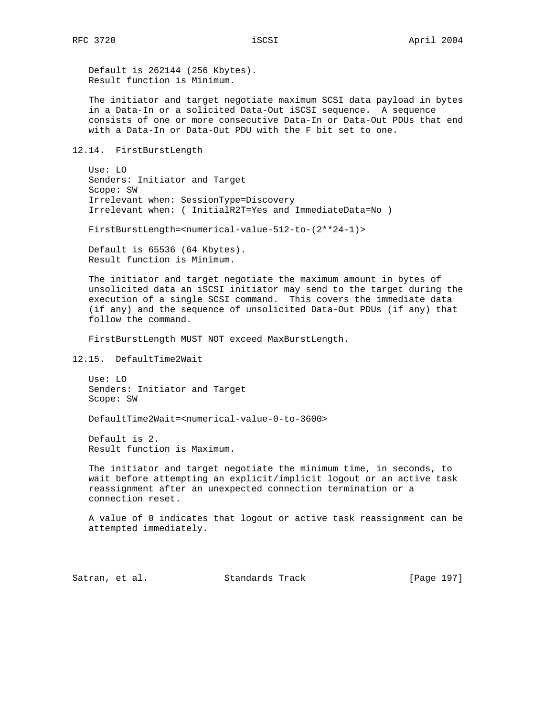Default is 262144 (256 Kbytes). Result function is Minimum.

 The initiator and target negotiate maximum SCSI data payload in bytes in a Data-In or a solicited Data-Out iSCSI sequence. A sequence consists of one or more consecutive Data-In or Data-Out PDUs that end with a Data-In or Data-Out PDU with the F bit set to one.

12.14. FirstBurstLength

 Use: LO Senders: Initiator and Target Scope: SW Irrelevant when: SessionType=Discovery Irrelevant when: ( InitialR2T=Yes and ImmediateData=No )

FirstBurstLength=<numerical-value-512-to-(2\*\*24-1)>

 Default is 65536 (64 Kbytes). Result function is Minimum.

 The initiator and target negotiate the maximum amount in bytes of unsolicited data an iSCSI initiator may send to the target during the execution of a single SCSI command. This covers the immediate data (if any) and the sequence of unsolicited Data-Out PDUs (if any) that follow the command.

FirstBurstLength MUST NOT exceed MaxBurstLength.

12.15. DefaultTime2Wait

 Use: LO Senders: Initiator and Target Scope: SW

DefaultTime2Wait=<numerical-value-0-to-3600>

 Default is 2. Result function is Maximum.

 The initiator and target negotiate the minimum time, in seconds, to wait before attempting an explicit/implicit logout or an active task reassignment after an unexpected connection termination or a connection reset.

 A value of 0 indicates that logout or active task reassignment can be attempted immediately.

Satran, et al. Standards Track [Page 197]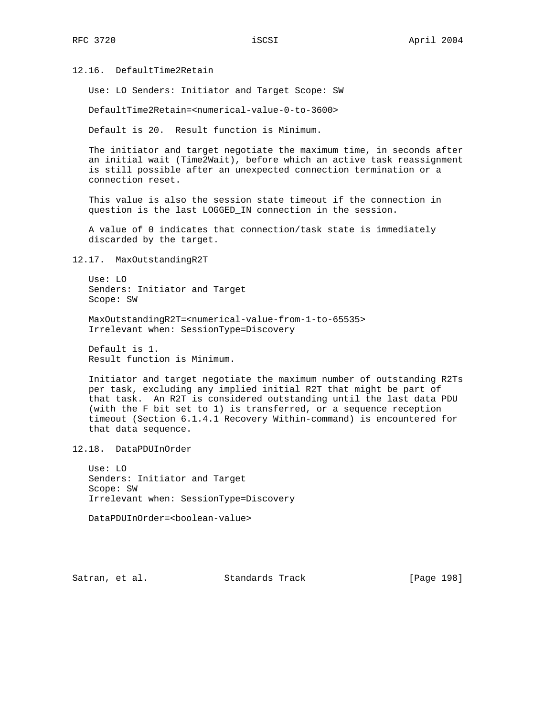12.16. DefaultTime2Retain

Use: LO Senders: Initiator and Target Scope: SW

DefaultTime2Retain=<numerical-value-0-to-3600>

Default is 20. Result function is Minimum.

 The initiator and target negotiate the maximum time, in seconds after an initial wait (Time2Wait), before which an active task reassignment is still possible after an unexpected connection termination or a connection reset.

 This value is also the session state timeout if the connection in question is the last LOGGED\_IN connection in the session.

 A value of 0 indicates that connection/task state is immediately discarded by the target.

12.17. MaxOutstandingR2T

 Use: LO Senders: Initiator and Target Scope: SW

 MaxOutstandingR2T=<numerical-value-from-1-to-65535> Irrelevant when: SessionType=Discovery

 Default is 1. Result function is Minimum.

 Initiator and target negotiate the maximum number of outstanding R2Ts per task, excluding any implied initial R2T that might be part of that task. An R2T is considered outstanding until the last data PDU (with the F bit set to 1) is transferred, or a sequence reception timeout (Section 6.1.4.1 Recovery Within-command) is encountered for that data sequence.

12.18. DataPDUInOrder

 Use: LO Senders: Initiator and Target Scope: SW Irrelevant when: SessionType=Discovery

DataPDUInOrder=<boolean-value>

Satran, et al. Standards Track [Page 198]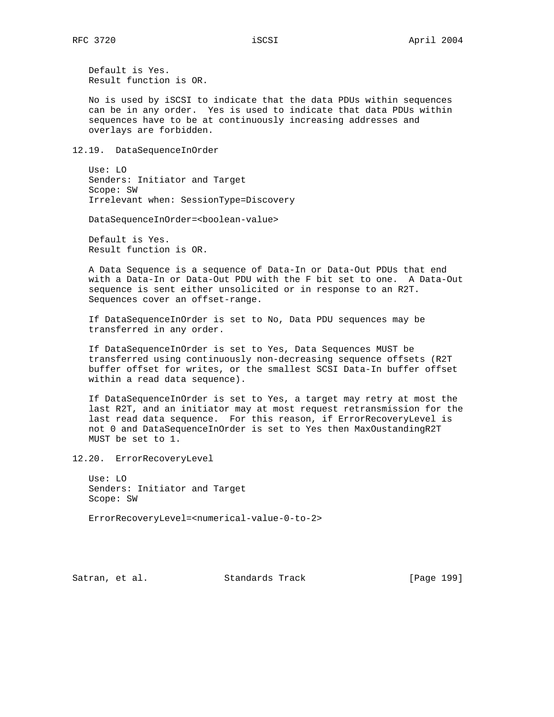Default is Yes. Result function is OR.

 No is used by iSCSI to indicate that the data PDUs within sequences can be in any order. Yes is used to indicate that data PDUs within sequences have to be at continuously increasing addresses and overlays are forbidden.

12.19. DataSequenceInOrder

 Use: LO Senders: Initiator and Target Scope: SW Irrelevant when: SessionType=Discovery

DataSequenceInOrder=<boolean-value>

 Default is Yes. Result function is OR.

 A Data Sequence is a sequence of Data-In or Data-Out PDUs that end with a Data-In or Data-Out PDU with the F bit set to one. A Data-Out sequence is sent either unsolicited or in response to an R2T. Sequences cover an offset-range.

 If DataSequenceInOrder is set to No, Data PDU sequences may be transferred in any order.

 If DataSequenceInOrder is set to Yes, Data Sequences MUST be transferred using continuously non-decreasing sequence offsets (R2T buffer offset for writes, or the smallest SCSI Data-In buffer offset within a read data sequence).

 If DataSequenceInOrder is set to Yes, a target may retry at most the last R2T, and an initiator may at most request retransmission for the last read data sequence. For this reason, if ErrorRecoveryLevel is not 0 and DataSequenceInOrder is set to Yes then MaxOustandingR2T MUST be set to 1.

12.20. ErrorRecoveryLevel

 Use: LO Senders: Initiator and Target Scope: SW

ErrorRecoveryLevel=<numerical-value-0-to-2>

Satran, et al. Standards Track [Page 199]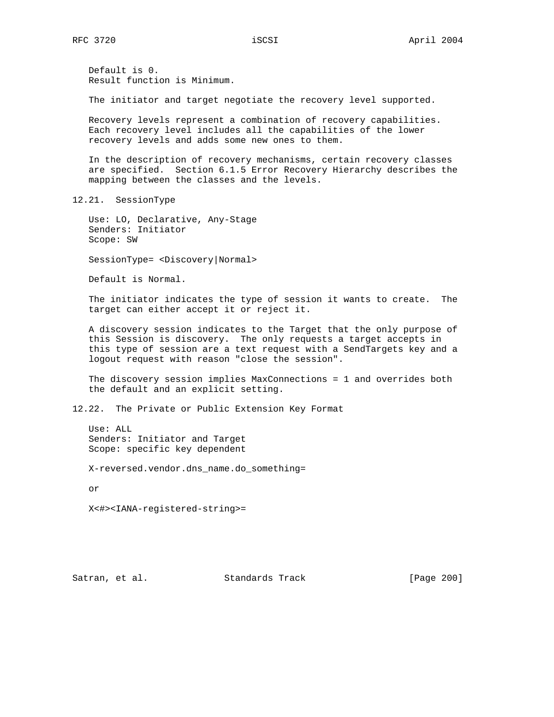Default is 0. Result function is Minimum.

The initiator and target negotiate the recovery level supported.

 Recovery levels represent a combination of recovery capabilities. Each recovery level includes all the capabilities of the lower recovery levels and adds some new ones to them.

 In the description of recovery mechanisms, certain recovery classes are specified. Section 6.1.5 Error Recovery Hierarchy describes the mapping between the classes and the levels.

12.21. SessionType

 Use: LO, Declarative, Any-Stage Senders: Initiator Scope: SW

SessionType= <Discovery|Normal>

Default is Normal.

 The initiator indicates the type of session it wants to create. The target can either accept it or reject it.

 A discovery session indicates to the Target that the only purpose of this Session is discovery. The only requests a target accepts in this type of session are a text request with a SendTargets key and a logout request with reason "close the session".

 The discovery session implies MaxConnections = 1 and overrides both the default and an explicit setting.

12.22. The Private or Public Extension Key Format

 Use: ALL Senders: Initiator and Target Scope: specific key dependent

X-reversed.vendor.dns\_name.do\_something=

or

X<#><IANA-registered-string>=

Satran, et al. Standards Track [Page 200]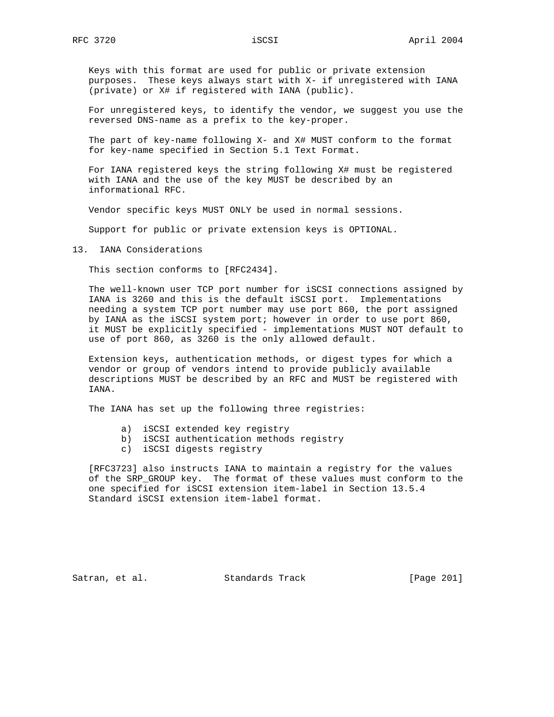Keys with this format are used for public or private extension purposes. These keys always start with X- if unregistered with IANA (private) or X# if registered with IANA (public).

 For unregistered keys, to identify the vendor, we suggest you use the reversed DNS-name as a prefix to the key-proper.

 The part of key-name following X- and X# MUST conform to the format for key-name specified in Section 5.1 Text Format.

 For IANA registered keys the string following X# must be registered with IANA and the use of the key MUST be described by an informational RFC.

Vendor specific keys MUST ONLY be used in normal sessions.

Support for public or private extension keys is OPTIONAL.

13. IANA Considerations

This section conforms to [RFC2434].

 The well-known user TCP port number for iSCSI connections assigned by IANA is 3260 and this is the default iSCSI port. Implementations needing a system TCP port number may use port 860, the port assigned by IANA as the iSCSI system port; however in order to use port 860, it MUST be explicitly specified - implementations MUST NOT default to use of port 860, as 3260 is the only allowed default.

 Extension keys, authentication methods, or digest types for which a vendor or group of vendors intend to provide publicly available descriptions MUST be described by an RFC and MUST be registered with IANA.

The IANA has set up the following three registries:

- a) iSCSI extended key registry
- b) iSCSI authentication methods registry
- c) iSCSI digests registry

 [RFC3723] also instructs IANA to maintain a registry for the values of the SRP\_GROUP key. The format of these values must conform to the one specified for iSCSI extension item-label in Section 13.5.4 Standard iSCSI extension item-label format.

Satran, et al. Standards Track [Page 201]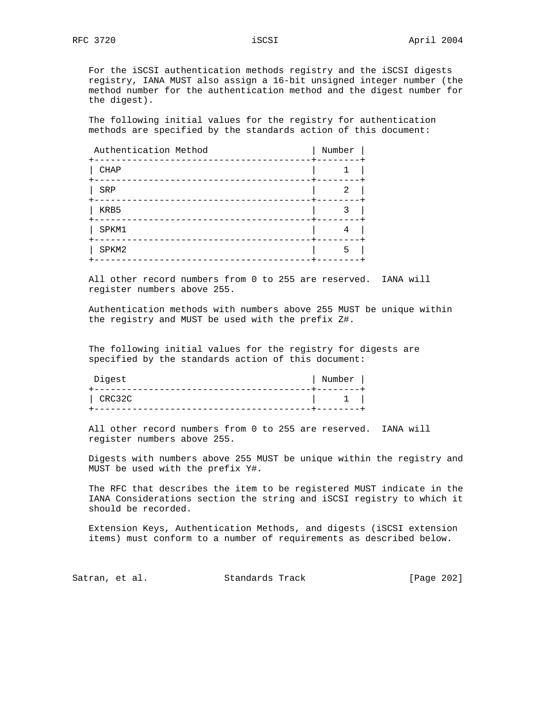For the iSCSI authentication methods registry and the iSCSI digests registry, IANA MUST also assign a 16-bit unsigned integer number (the method number for the authentication method and the digest number for the digest).

 The following initial values for the registry for authentication methods are specified by the standards action of this document:

| Authentication Method<br>------------ | Number    |
|---------------------------------------|-----------|
| --------<br><b>CHAP</b>               | -+------- |
| SRP                                   |           |
| KRB5                                  |           |
| SPKM1                                 |           |
| SPKM2                                 |           |

 All other record numbers from 0 to 255 are reserved. IANA will register numbers above 255.

 Authentication methods with numbers above 255 MUST be unique within the registry and MUST be used with the prefix Z#.

 The following initial values for the registry for digests are specified by the standards action of this document:

| Digest | Number |  |
|--------|--------|--|
|        |        |  |
| CRC32C |        |  |
|        |        |  |

 All other record numbers from 0 to 255 are reserved. IANA will register numbers above 255.

 Digests with numbers above 255 MUST be unique within the registry and MUST be used with the prefix Y#.

 The RFC that describes the item to be registered MUST indicate in the IANA Considerations section the string and iSCSI registry to which it should be recorded.

 Extension Keys, Authentication Methods, and digests (iSCSI extension items) must conform to a number of requirements as described below.

Satran, et al. Standards Track [Page 202]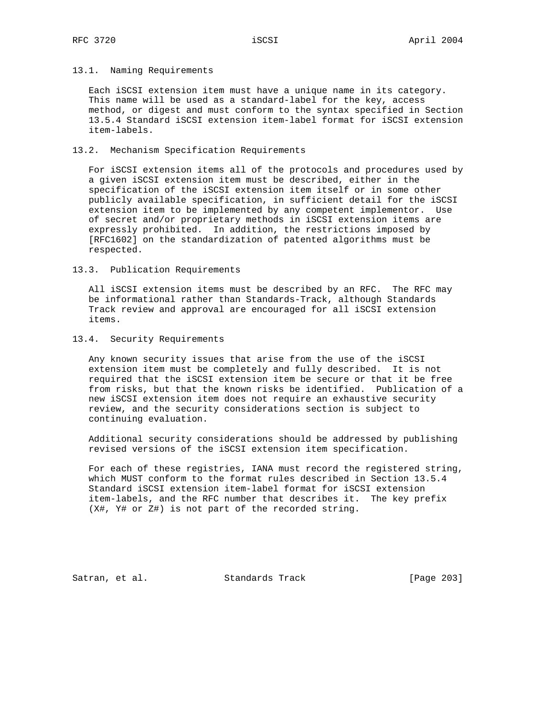### 13.1. Naming Requirements

 Each iSCSI extension item must have a unique name in its category. This name will be used as a standard-label for the key, access method, or digest and must conform to the syntax specified in Section 13.5.4 Standard iSCSI extension item-label format for iSCSI extension item-labels.

### 13.2. Mechanism Specification Requirements

 For iSCSI extension items all of the protocols and procedures used by a given iSCSI extension item must be described, either in the specification of the iSCSI extension item itself or in some other publicly available specification, in sufficient detail for the iSCSI extension item to be implemented by any competent implementor. Use of secret and/or proprietary methods in iSCSI extension items are expressly prohibited. In addition, the restrictions imposed by [RFC1602] on the standardization of patented algorithms must be respected.

13.3. Publication Requirements

 All iSCSI extension items must be described by an RFC. The RFC may be informational rather than Standards-Track, although Standards Track review and approval are encouraged for all iSCSI extension items.

13.4. Security Requirements

 Any known security issues that arise from the use of the iSCSI extension item must be completely and fully described. It is not required that the iSCSI extension item be secure or that it be free from risks, but that the known risks be identified. Publication of a new iSCSI extension item does not require an exhaustive security review, and the security considerations section is subject to continuing evaluation.

 Additional security considerations should be addressed by publishing revised versions of the iSCSI extension item specification.

 For each of these registries, IANA must record the registered string, which MUST conform to the format rules described in Section 13.5.4 Standard iSCSI extension item-label format for iSCSI extension item-labels, and the RFC number that describes it. The key prefix (X#, Y# or Z#) is not part of the recorded string.

Satran, et al. Standards Track [Page 203]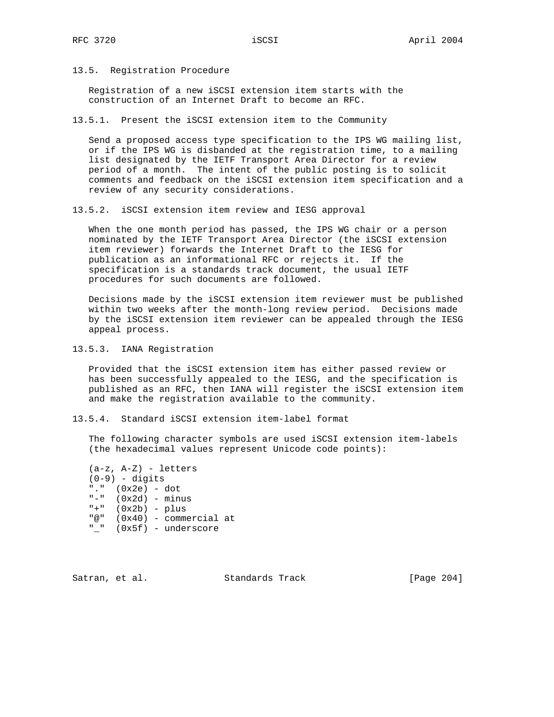13.5. Registration Procedure

 Registration of a new iSCSI extension item starts with the construction of an Internet Draft to become an RFC.

13.5.1. Present the iSCSI extension item to the Community

 Send a proposed access type specification to the IPS WG mailing list, or if the IPS WG is disbanded at the registration time, to a mailing list designated by the IETF Transport Area Director for a review period of a month. The intent of the public posting is to solicit comments and feedback on the iSCSI extension item specification and a review of any security considerations.

13.5.2. iSCSI extension item review and IESG approval

 When the one month period has passed, the IPS WG chair or a person nominated by the IETF Transport Area Director (the iSCSI extension item reviewer) forwards the Internet Draft to the IESG for publication as an informational RFC or rejects it. If the specification is a standards track document, the usual IETF procedures for such documents are followed.

 Decisions made by the iSCSI extension item reviewer must be published within two weeks after the month-long review period. Decisions made by the iSCSI extension item reviewer can be appealed through the IESG appeal process.

13.5.3. IANA Registration

 Provided that the iSCSI extension item has either passed review or has been successfully appealed to the IESG, and the specification is published as an RFC, then IANA will register the iSCSI extension item and make the registration available to the community.

13.5.4. Standard iSCSI extension item-label format

 The following character symbols are used iSCSI extension item-labels (the hexadecimal values represent Unicode code points):

 (a-z, A-Z) - letters  $(0-9)$  - digits "." (0x2e) - dot  $"$ -" (0x2d) - minus  $"$  +" (0x2b) - plus "@" (0x40) - commercial at "\_" (0x5f) - underscore

Satran, et al. Standards Track [Page 204]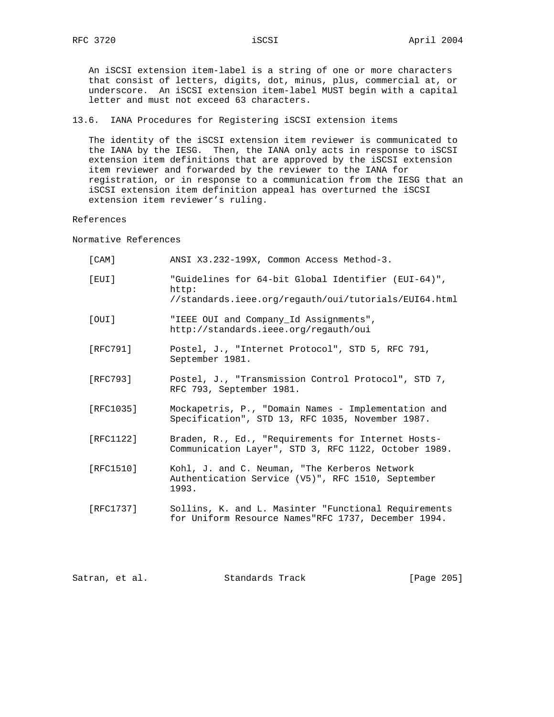An iSCSI extension item-label is a string of one or more characters that consist of letters, digits, dot, minus, plus, commercial at, or underscore. An iSCSI extension item-label MUST begin with a capital letter and must not exceed 63 characters.

13.6. IANA Procedures for Registering iSCSI extension items

 The identity of the iSCSI extension item reviewer is communicated to the IANA by the IESG. Then, the IANA only acts in response to iSCSI extension item definitions that are approved by the iSCSI extension item reviewer and forwarded by the reviewer to the IANA for registration, or in response to a communication from the IESG that an iSCSI extension item definition appeal has overturned the iSCSI extension item reviewer's ruling.

References

Normative References

| $[$ CAM $]$ | ANSI X3.232-199X, Common Access Method-3.                                                                             |
|-------------|-----------------------------------------------------------------------------------------------------------------------|
| [EUI]       | "Guidelines for 64-bit Global Identifier (EUI-64)",<br>http:<br>//standards.ieee.org/regauth/oui/tutorials/EUI64.html |
| [OUI]       | "IEEE OUI and Company Id Assignments",<br>http://standards.ieee.org/regauth/oui                                       |
| [RFC791]    | Postel, J., "Internet Protocol", STD 5, RFC 791,<br>September 1981.                                                   |
| [RFC793]    | Postel, J., "Transmission Control Protocol", STD 7,<br>RFC 793, September 1981.                                       |
| [RFC1035]   | Mockapetris, P., "Domain Names - Implementation and<br>Specification", STD 13, RFC 1035, November 1987.               |
| [RFC1122]   | Braden, R., Ed., "Requirements for Internet Hosts-<br>Communication Layer", STD 3, RFC 1122, October 1989.            |
| [RFC1510]   | Kohl, J. and C. Neuman, "The Kerberos Network<br>Authentication Service (V5)", RFC 1510, September<br>1993.           |
| [RFC1737]   | Sollins, K. and L. Masinter "Functional Requirements<br>for Uniform Resource Names"RFC 1737, December 1994.           |
|             |                                                                                                                       |

Satran, et al. Standards Track [Page 205]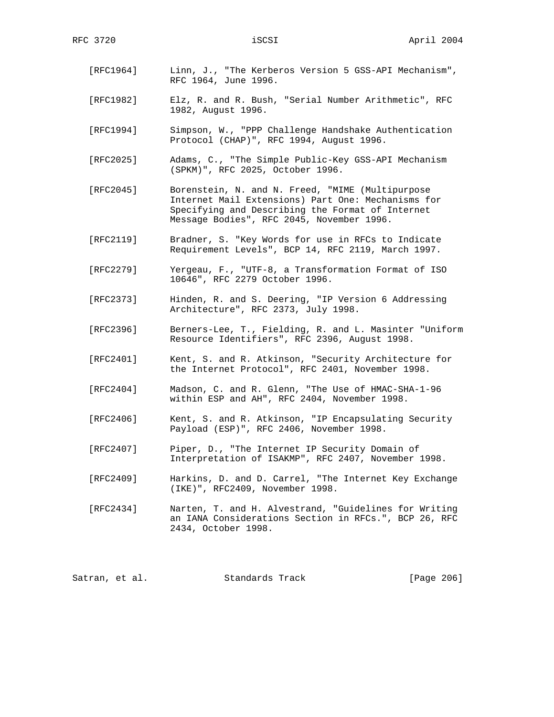- [RFC1964] Linn, J., "The Kerberos Version 5 GSS-API Mechanism", RFC 1964, June 1996.
- [RFC1982] Elz, R. and R. Bush, "Serial Number Arithmetic", RFC 1982, August 1996.
- [RFC1994] Simpson, W., "PPP Challenge Handshake Authentication Protocol (CHAP)", RFC 1994, August 1996.
- [RFC2025] Adams, C., "The Simple Public-Key GSS-API Mechanism (SPKM)", RFC 2025, October 1996.
- [RFC2045] Borenstein, N. and N. Freed, "MIME (Multipurpose Internet Mail Extensions) Part One: Mechanisms for Specifying and Describing the Format of Internet Message Bodies", RFC 2045, November 1996.
- [RFC2119] Bradner, S. "Key Words for use in RFCs to Indicate Requirement Levels", BCP 14, RFC 2119, March 1997.
- [RFC2279] Yergeau, F., "UTF-8, a Transformation Format of ISO 10646", RFC 2279 October 1996.
- [RFC2373] Hinden, R. and S. Deering, "IP Version 6 Addressing Architecture", RFC 2373, July 1998.
- [RFC2396] Berners-Lee, T., Fielding, R. and L. Masinter "Uniform Resource Identifiers", RFC 2396, August 1998.
- [RFC2401] Kent, S. and R. Atkinson, "Security Architecture for the Internet Protocol", RFC 2401, November 1998.
- [RFC2404] Madson, C. and R. Glenn, "The Use of HMAC-SHA-1-96 within ESP and AH", RFC 2404, November 1998.
- [RFC2406] Kent, S. and R. Atkinson, "IP Encapsulating Security Payload (ESP)", RFC 2406, November 1998.
- [RFC2407] Piper, D., "The Internet IP Security Domain of Interpretation of ISAKMP", RFC 2407, November 1998.
- [RFC2409] Harkins, D. and D. Carrel, "The Internet Key Exchange (IKE)", RFC2409, November 1998.
- [RFC2434] Narten, T. and H. Alvestrand, "Guidelines for Writing an IANA Considerations Section in RFCs.", BCP 26, RFC 2434, October 1998.

Satran, et al. Standards Track [Page 206]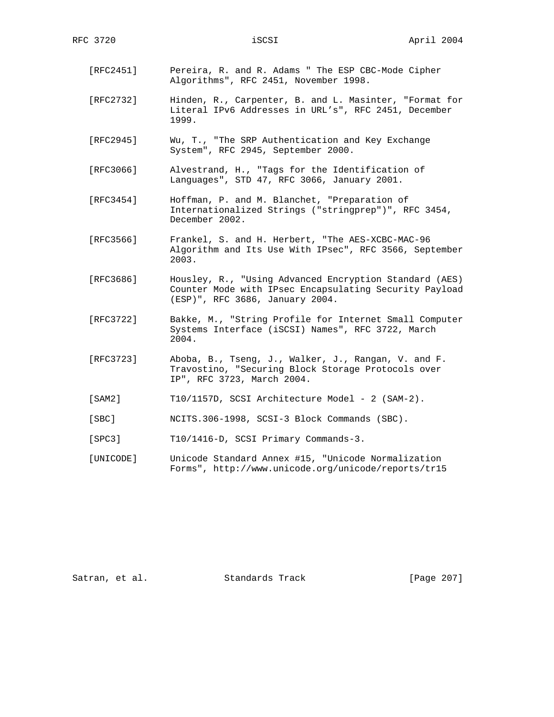- [RFC2451] Pereira, R. and R. Adams " The ESP CBC-Mode Cipher Algorithms", RFC 2451, November 1998.
- [RFC2732] Hinden, R., Carpenter, B. and L. Masinter, "Format for Literal IPv6 Addresses in URL's", RFC 2451, December 1999.
- [RFC2945] Wu, T., "The SRP Authentication and Key Exchange System", RFC 2945, September 2000.
- [RFC3066] Alvestrand, H., "Tags for the Identification of Languages", STD 47, RFC 3066, January 2001.
- [RFC3454] Hoffman, P. and M. Blanchet, "Preparation of Internationalized Strings ("stringprep")", RFC 3454, December 2002.
- [RFC3566] Frankel, S. and H. Herbert, "The AES-XCBC-MAC-96 Algorithm and Its Use With IPsec", RFC 3566, September 2003.
- [RFC3686] Housley, R., "Using Advanced Encryption Standard (AES) Counter Mode with IPsec Encapsulating Security Payload (ESP)", RFC 3686, January 2004.
- [RFC3722] Bakke, M., "String Profile for Internet Small Computer Systems Interface (iSCSI) Names", RFC 3722, March 2004.
- [RFC3723] Aboba, B., Tseng, J., Walker, J., Rangan, V. and F. Travostino, "Securing Block Storage Protocols over IP", RFC 3723, March 2004.
- [SAM2] T10/1157D, SCSI Architecture Model 2 (SAM-2).
- [SBC] NCITS.306-1998, SCSI-3 Block Commands (SBC).
- [SPC3] T10/1416-D, SCSI Primary Commands-3.
- [UNICODE] Unicode Standard Annex #15, "Unicode Normalization Forms", http://www.unicode.org/unicode/reports/tr15

Satran, et al. Standards Track [Page 207]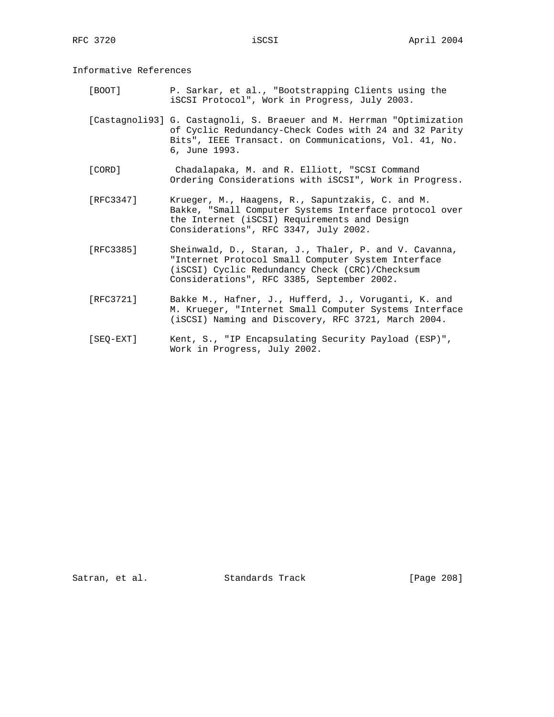Informative References

 [BOOT] P. Sarkar, et al., "Bootstrapping Clients using the iSCSI Protocol", Work in Progress, July 2003.

 [Castagnoli93] G. Castagnoli, S. Braeuer and M. Herrman "Optimization of Cyclic Redundancy-Check Codes with 24 and 32 Parity Bits", IEEE Transact. on Communications, Vol. 41, No. 6, June 1993.

- [CORD] Chadalapaka, M. and R. Elliott, "SCSI Command Ordering Considerations with iSCSI", Work in Progress.
- [RFC3347] Krueger, M., Haagens, R., Sapuntzakis, C. and M. Bakke, "Small Computer Systems Interface protocol over the Internet (iSCSI) Requirements and Design Considerations", RFC 3347, July 2002.
- [RFC3385] Sheinwald, D., Staran, J., Thaler, P. and V. Cavanna, "Internet Protocol Small Computer System Interface (iSCSI) Cyclic Redundancy Check (CRC)/Checksum Considerations", RFC 3385, September 2002.
- [RFC3721] Bakke M., Hafner, J., Hufferd, J., Voruganti, K. and M. Krueger, "Internet Small Computer Systems Interface (iSCSI) Naming and Discovery, RFC 3721, March 2004.
- [SEQ-EXT] Kent, S., "IP Encapsulating Security Payload (ESP)", Work in Progress, July 2002.

Satran, et al. Standards Track [Page 208]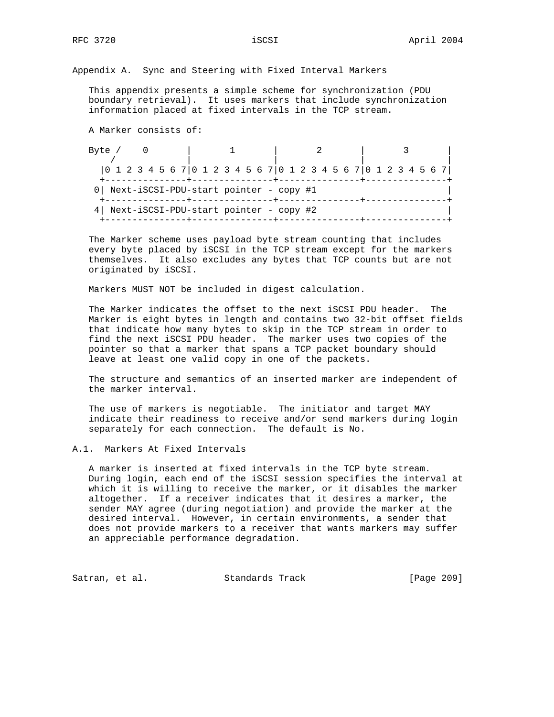Appendix A. Sync and Steering with Fixed Interval Markers

 This appendix presents a simple scheme for synchronization (PDU boundary retrieval). It uses markers that include synchronization information placed at fixed intervals in the TCP stream.

A Marker consists of:

| Byte /                                                                 |  |  |  |  |  |  |  |  |  |  |  |  |  |
|------------------------------------------------------------------------|--|--|--|--|--|--|--|--|--|--|--|--|--|
|                                                                        |  |  |  |  |  |  |  |  |  |  |  |  |  |
| $[0 1 2 3 4 5 6 7] 0 1 2 3 4 5 6 7] 0 1 2 3 4 5 6 7] 0 1 2 3 4 5 6 7]$ |  |  |  |  |  |  |  |  |  |  |  |  |  |
| 0   Next-iSCSI-PDU-start pointer - copy #1                             |  |  |  |  |  |  |  |  |  |  |  |  |  |
| 4 Next-iSCSI-PDU-start pointer - copy #2                               |  |  |  |  |  |  |  |  |  |  |  |  |  |

 The Marker scheme uses payload byte stream counting that includes every byte placed by iSCSI in the TCP stream except for the markers themselves. It also excludes any bytes that TCP counts but are not originated by iSCSI.

Markers MUST NOT be included in digest calculation.

 The Marker indicates the offset to the next iSCSI PDU header. The Marker is eight bytes in length and contains two 32-bit offset fields that indicate how many bytes to skip in the TCP stream in order to find the next iSCSI PDU header. The marker uses two copies of the pointer so that a marker that spans a TCP packet boundary should leave at least one valid copy in one of the packets.

 The structure and semantics of an inserted marker are independent of the marker interval.

 The use of markers is negotiable. The initiator and target MAY indicate their readiness to receive and/or send markers during login separately for each connection. The default is No.

## A.1. Markers At Fixed Intervals

 A marker is inserted at fixed intervals in the TCP byte stream. During login, each end of the iSCSI session specifies the interval at which it is willing to receive the marker, or it disables the marker altogether. If a receiver indicates that it desires a marker, the sender MAY agree (during negotiation) and provide the marker at the desired interval. However, in certain environments, a sender that does not provide markers to a receiver that wants markers may suffer an appreciable performance degradation.

Satran, et al. Standards Track [Page 209]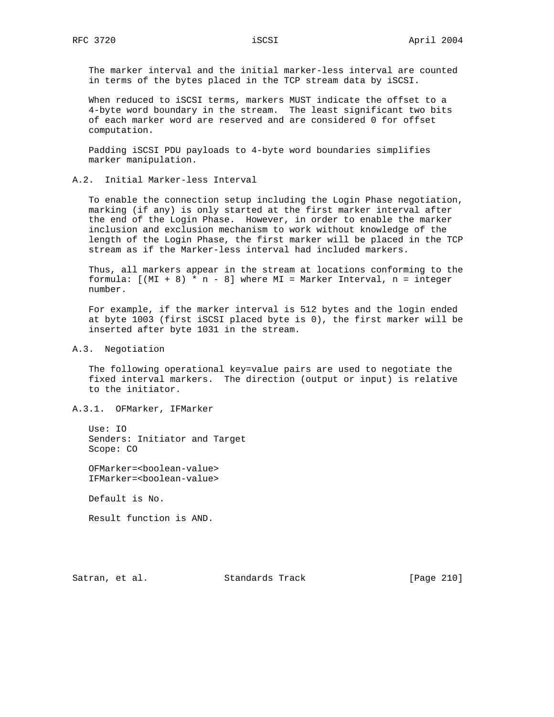The marker interval and the initial marker-less interval are counted in terms of the bytes placed in the TCP stream data by iSCSI.

 When reduced to iSCSI terms, markers MUST indicate the offset to a 4-byte word boundary in the stream. The least significant two bits of each marker word are reserved and are considered 0 for offset computation.

 Padding iSCSI PDU payloads to 4-byte word boundaries simplifies marker manipulation.

#### A.2. Initial Marker-less Interval

 To enable the connection setup including the Login Phase negotiation, marking (if any) is only started at the first marker interval after the end of the Login Phase. However, in order to enable the marker inclusion and exclusion mechanism to work without knowledge of the length of the Login Phase, the first marker will be placed in the TCP stream as if the Marker-less interval had included markers.

 Thus, all markers appear in the stream at locations conforming to the formula:  $[(MI + 8) * n - 8]$  where MI = Marker Interval,  $n = integer$ number.

 For example, if the marker interval is 512 bytes and the login ended at byte 1003 (first iSCSI placed byte is 0), the first marker will be inserted after byte 1031 in the stream.

#### A.3. Negotiation

 The following operational key=value pairs are used to negotiate the fixed interval markers. The direction (output or input) is relative to the initiator.

### A.3.1. OFMarker, IFMarker

 Use: IO Senders: Initiator and Target Scope: CO

 OFMarker=<boolean-value> IFMarker=<boolean-value>

Default is No.

Result function is AND.

Satran, et al. Standards Track [Page 210]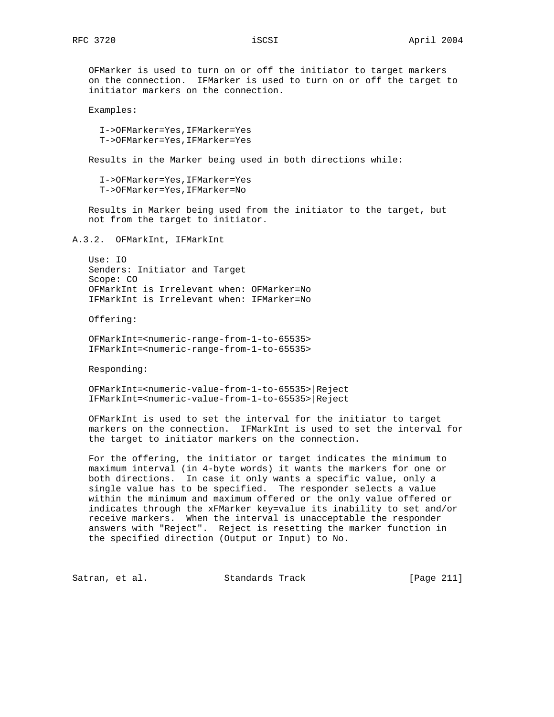OFMarker is used to turn on or off the initiator to target markers on the connection. IFMarker is used to turn on or off the target to initiator markers on the connection.

Examples:

 I->OFMarker=Yes,IFMarker=Yes T->OFMarker=Yes,IFMarker=Yes

Results in the Marker being used in both directions while:

 I->OFMarker=Yes,IFMarker=Yes T->OFMarker=Yes,IFMarker=No

 Results in Marker being used from the initiator to the target, but not from the target to initiator.

A.3.2. OFMarkInt, IFMarkInt

 Use: IO Senders: Initiator and Target Scope: CO OFMarkInt is Irrelevant when: OFMarker=No IFMarkInt is Irrelevant when: IFMarker=No

Offering:

 OFMarkInt=<numeric-range-from-1-to-65535> IFMarkInt=<numeric-range-from-1-to-65535>

Responding:

 OFMarkInt=<numeric-value-from-1-to-65535>|Reject IFMarkInt=<numeric-value-from-1-to-65535>|Reject

 OFMarkInt is used to set the interval for the initiator to target markers on the connection. IFMarkInt is used to set the interval for the target to initiator markers on the connection.

 For the offering, the initiator or target indicates the minimum to maximum interval (in 4-byte words) it wants the markers for one or both directions. In case it only wants a specific value, only a single value has to be specified. The responder selects a value within the minimum and maximum offered or the only value offered or indicates through the xFMarker key=value its inability to set and/or receive markers. When the interval is unacceptable the responder answers with "Reject". Reject is resetting the marker function in the specified direction (Output or Input) to No.

Satran, et al. Standards Track [Page 211]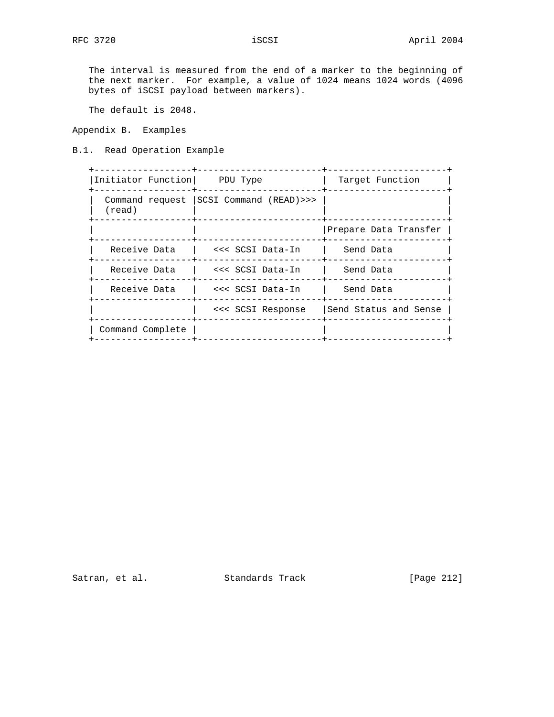The interval is measured from the end of a marker to the beginning of the next marker. For example, a value of 1024 means 1024 words (4096 bytes of iSCSI payload between markers).

The default is 2048.

Appendix B. Examples

B.1. Read Operation Example

| Initiator Function PDU Type |                                           | Target Function       |
|-----------------------------|-------------------------------------------|-----------------------|
| $(\text{read})$             | Command request   SCSI Command (READ) >>> |                       |
|                             |                                           | Prepare Data Transfer |
| Receive Data                | <<< SCSI Data-In                          | Send Data             |
| Receive Data                | <<< SCSI Data-In                          | Send Data             |
| Receive Data                | <<< SCSI Data-In                          | Send Data             |
|                             | <<< SCSI Response                         | Send Status and Sense |
| Command Complete            |                                           |                       |

Satran, et al. Standards Track [Page 212]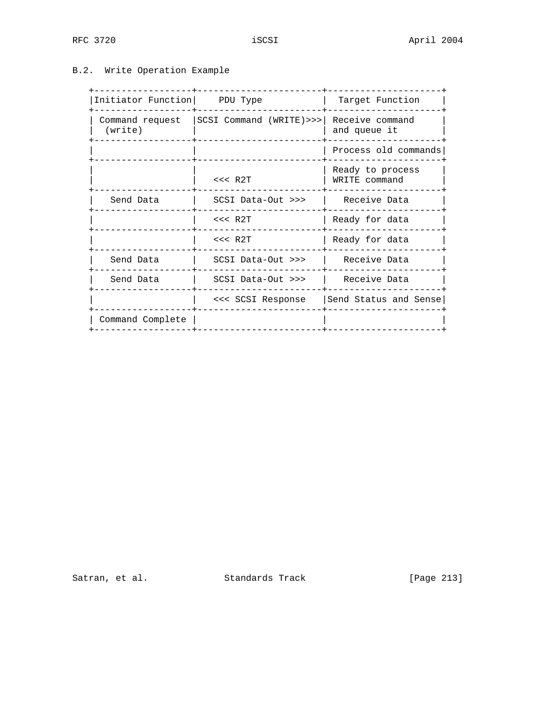# B.2. Write Operation Example

| Initiator Function   PDU Type |                         | Target Function                   |
|-------------------------------|-------------------------|-----------------------------------|
| Command request<br>(write)    | SCSI Command (WRITE)>>> | Receive command<br>and queue it   |
|                               |                         | Process old commands              |
|                               | $<<$ R2T                | Ready to process<br>WRITE command |
| Send Data                     | $SCSI$ Data-Out $>>$    | Receive Data                      |
|                               | $<<$ R2T                | Ready for data                    |
|                               | $<<$ R2T                | Ready for data                    |
| Send Data                     | SCSI Data-Out >>>       | Receive Data                      |
| Send Data                     | SCSI Data-Out >>>       | Receive Data                      |
|                               | <<< SCSI Response       | Send Status and Sense             |
| Command Complete              |                         |                                   |
|                               |                         |                                   |

Satran, et al. Standards Track [Page 213]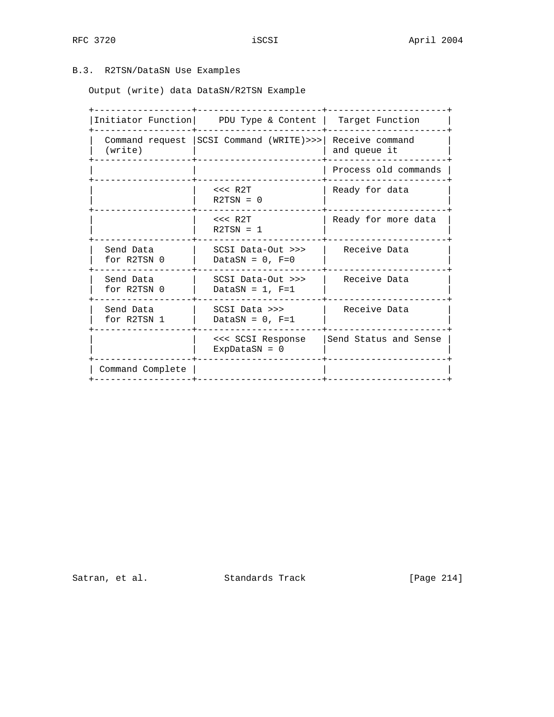# B.3. R2TSN/DataSN Use Examples

Output (write) data DataSN/R2TSN Example

|                          | Initiator Function PDU Type & Content                      | Target Function       |
|--------------------------|------------------------------------------------------------|-----------------------|
| (write)                  | Command request   SCSI Command (WRITE) >>> Receive command | and queue it          |
|                          |                                                            | Process old commands  |
|                          | $<<$ R2T<br>$R2TSN = 0$                                    | Ready for data        |
|                          | $<<$ R $2T$<br>$R2TSN = 1$                                 | Ready for more data   |
| Send Data<br>for R2TSN 0 | SCSI Data-Out >>><br>DataSN = $0$ , F=0                    | Receive Data          |
| Send Data<br>for R2TSN 0 | SCSI Data-Out >>><br>DataSN = $1$ , F=1                    | Receive Data          |
| Send Data<br>for R2TSN 1 | SCSI Data >>><br>DataSN = $0$ , F=1                        | Receive Data          |
|                          | <<< SCSI Response<br>ExpDataSN = $0$                       | Send Status and Sense |
| Command Complete         |                                                            |                       |

Satran, et al. Standards Track [Page 214]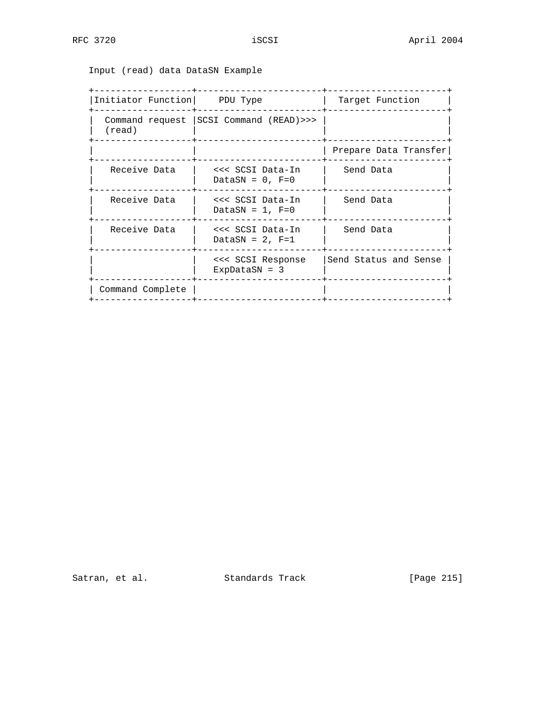Input (read) data DataSN Example

| Initiator Function PDU Type               | Target Function       |
|-------------------------------------------|-----------------------|
| Command request   SCSI Command (READ) >>> |                       |
|                                           | Prepare Data Transfer |
| <<< SCSI Data-In<br>DataSN = $0$ , F=0    | Send Data             |
| <<< SCSI Data-In<br>DataSN = $1$ , F=0    | Send Data             |
| <<< SCSI Data-In<br>DataSN = $2$ , F=1    | Send Data             |
| <<< SCSI Response<br>$ExpDatasN = 3$      | Send Status and Sense |
|                                           |                       |
|                                           |                       |

Satran, et al. Standards Track [Page 215]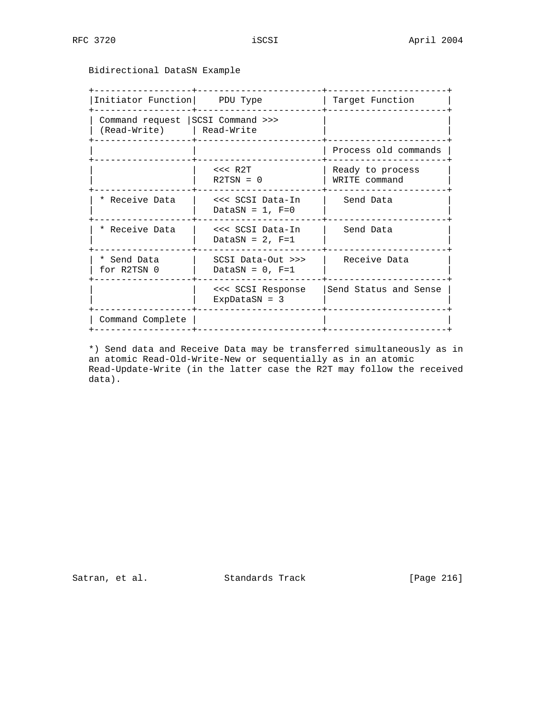Bidirectional DataSN Example

| Initiator Function PDU Type                                     |                                         | Target Function                   |
|-----------------------------------------------------------------|-----------------------------------------|-----------------------------------|
| Command request   SCSI Command >>><br>(Read-Write)   Read-Write |                                         |                                   |
|                                                                 |                                         | Process old commands              |
|                                                                 | $<<$ R2T<br>$R2TSN = 0$                 | Ready to process<br>WRITE command |
| * Receive Data                                                  | <<< SCSI Data-In<br>DataSN = $1$ , F=0  | Send Data                         |
| * Receive Data                                                  | <<< SCSI Data-In<br>DataSN = $2$ , F=1  | Send Data                         |
| * Send Data<br>for R2TSN 0                                      | SCSI Data-Out >>><br>DataSN = $0$ , F=1 | Receive Data                      |
|                                                                 | <<< SCSI Response<br>ExpDataSN = $3$    | Send Status and Sense             |
| Command Complete                                                |                                         |                                   |

 \*) Send data and Receive Data may be transferred simultaneously as in an atomic Read-Old-Write-New or sequentially as in an atomic Read-Update-Write (in the latter case the R2T may follow the received data).

Satran, et al. Standards Track [Page 216]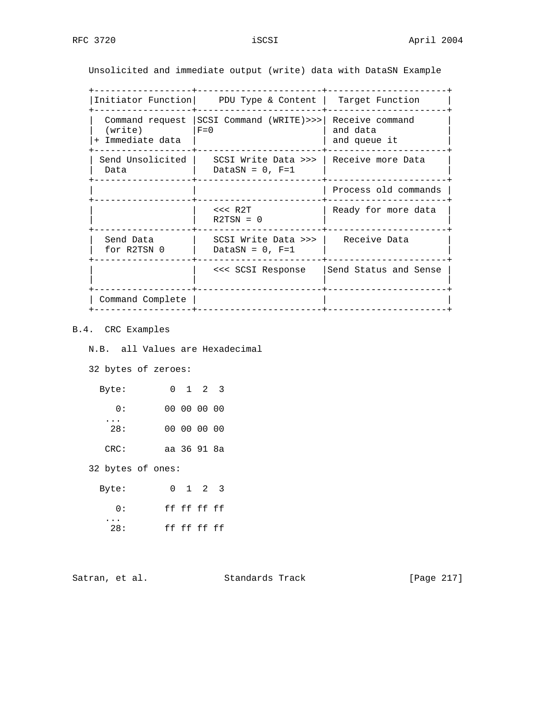Unsolicited and immediate output (write) data with DataSN Example

+------------------+-----------------------+----------------------+

|                                                | Initiator Function PDU Type & Content       | Target Function                             |
|------------------------------------------------|---------------------------------------------|---------------------------------------------|
| Command request<br>(write)<br>+ Immediate data | $SCSI$ Command $(WRITE) >>$<br>$F=0$        | Receive command<br>and data<br>and queue it |
| Send Unsolicited  <br>Data                     | SCSI Write Data >>>  <br>DataSN = $0$ , F=1 | l Receive more Data                         |
|                                                |                                             | Process old commands                        |
|                                                | $<<$ R2T<br>$R2TSN = 0$                     | Ready for more data                         |
| Send Data<br>for R2TSN 0                       | SCSI Write Data >>>  <br>DataSN = $0.$ F=1  | Receive Data                                |
|                                                | <<< SCSI Response                           | Send Status and Sense                       |
| Command Complete                               |                                             |                                             |

# B.4. CRC Examples

N.B. all Values are Hexadecimal

32 bytes of zeroes:

| 0 1 2 3     |  | Byte:      |
|-------------|--|------------|
| 00 00 00 00 |  | $\Omega$ : |
| 00 00 00 00 |  | 28:        |
| aa 36 91 8a |  | CRC:       |

32 bytes of ones:

| Byte:           |  | 0 1 2 3     |  |
|-----------------|--|-------------|--|
| <u>n:</u>       |  | ff ff ff ff |  |
| $\cdots$<br>28: |  | ff ff ff ff |  |

Satran, et al. Standards Track [Page 217]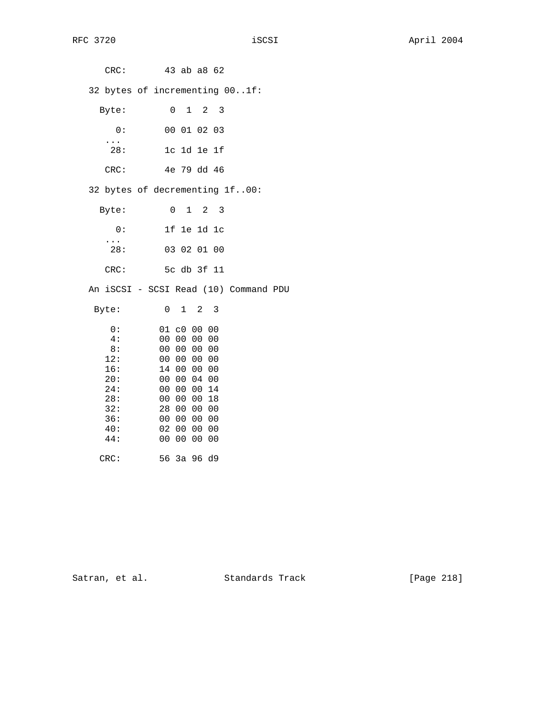CRC: 43 ab a8 62 32 bytes of incrementing 00..1f: Byte: 0 1 2 3 0: 00 01 02 03 ... 28: 1c 1d 1e 1f CRC: 4e 79 dd 46 32 bytes of decrementing 1f..00: Byte: 0 1 2 3 0: 1f 1e 1d 1c  $\frac{1}{28}$ : 28: 03 02 01 00 CRC: 5c db 3f 11 An iSCSI - SCSI Read (10) Command PDU Byte: 0 1 2 3 0: 01 c0 00 00 4: 00 00 00 00  $8: 00 00 00 00$ <br>12: 00 00 00 00 12: 00 00 00 00 16: 14 00 00 00<br>20: 00 00 04 00 20: 00 00 04 00 24: 00 00 00 14 28: 00 00 00 18<br>32: 28 00 00 00 32: 28 00 00 00 36: 00 00 00 00 40: 02 00 00 00 44: 00 00 00 00 CRC: 56 3a 96 d9

Satran, et al. Standards Track [Page 218]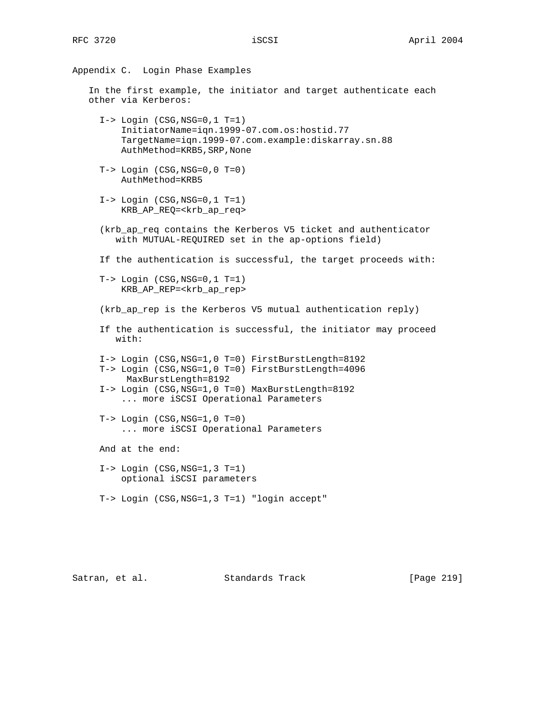Appendix C. Login Phase Examples In the first example, the initiator and target authenticate each other via Kerberos: I-> Login (CSG,NSG=0,1 T=1) InitiatorName=iqn.1999-07.com.os:hostid.77 TargetName=iqn.1999-07.com.example:diskarray.sn.88 AuthMethod=KRB5,SRP,None T-> Login (CSG,NSG=0,0 T=0) AuthMethod=KRB5 I-> Login (CSG,NSG=0,1 T=1) KRB\_AP\_REQ=<krb\_ap\_req> (krb\_ap\_req contains the Kerberos V5 ticket and authenticator with MUTUAL-REQUIRED set in the ap-options field) If the authentication is successful, the target proceeds with: T-> Login (CSG,NSG=0,1 T=1) KRB\_AP\_REP=<krb\_ap\_rep> (krb\_ap\_rep is the Kerberos V5 mutual authentication reply) If the authentication is successful, the initiator may proceed with: I-> Login (CSG,NSG=1,0 T=0) FirstBurstLength=8192 T-> Login (CSG,NSG=1,0 T=0) FirstBurstLength=4096 MaxBurstLength=8192 I-> Login (CSG,NSG=1,0 T=0) MaxBurstLength=8192 ... more iSCSI Operational Parameters  $T->$  Login  $(CSG, NSG=1, 0 T=0)$  ... more iSCSI Operational Parameters And at the end: I-> Login (CSG,NSG=1,3 T=1) optional iSCSI parameters T-> Login (CSG,NSG=1,3 T=1) "login accept"

Satran, et al. Standards Track [Page 219]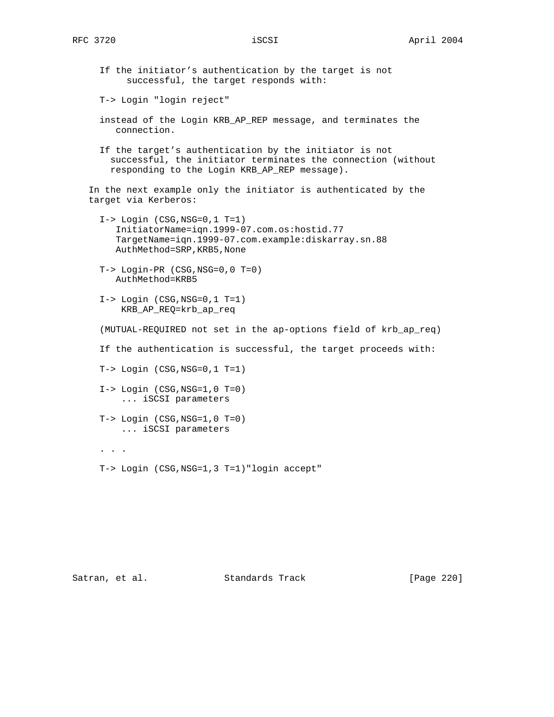If the initiator's authentication by the target is not successful, the target responds with:

T-> Login "login reject"

- instead of the Login KRB\_AP\_REP message, and terminates the connection.
- If the target's authentication by the initiator is not successful, the initiator terminates the connection (without responding to the Login KRB\_AP\_REP message).

 In the next example only the initiator is authenticated by the target via Kerberos:

- I-> Login (CSG,NSG=0,1 T=1) InitiatorName=iqn.1999-07.com.os:hostid.77 TargetName=iqn.1999-07.com.example:diskarray.sn.88 AuthMethod=SRP,KRB5,None
- T-> Login-PR (CSG,NSG=0,0 T=0) AuthMethod=KRB5
- I-> Login (CSG,NSG=0,1 T=1) KRB\_AP\_REQ=krb\_ap\_req

(MUTUAL-REQUIRED not set in the ap-options field of krb\_ap\_req)

If the authentication is successful, the target proceeds with:

T-> Login (CSG,NSG=0,1 T=1)

- $I->$  Login  $(CSG, NSG=1, 0 T=0)$ ... iSCSI parameters
- $T->$  Login  $(CSG, NSG=1, 0 T=0)$ ... iSCSI parameters
- . . .

T-> Login (CSG,NSG=1,3 T=1)"login accept"

Satran, et al. Standards Track [Page 220]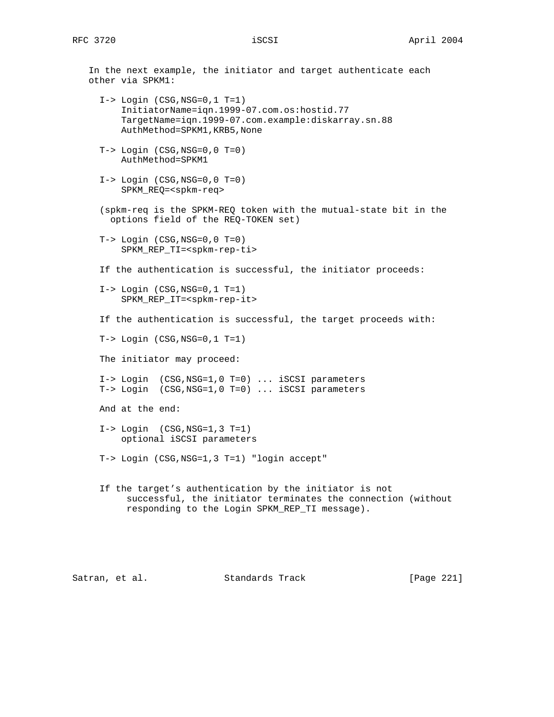In the next example, the initiator and target authenticate each other via SPKM1: I-> Login (CSG,NSG=0,1 T=1) InitiatorName=iqn.1999-07.com.os:hostid.77 TargetName=iqn.1999-07.com.example:diskarray.sn.88 AuthMethod=SPKM1,KRB5,None  $T->$  Login  $(CSG, NSG=0, 0 T=0)$  AuthMethod=SPKM1  $I->$  Login  $(CSG, NSG=0, 0 T=0)$  SPKM\_REQ=<spkm-req> (spkm-req is the SPKM-REQ token with the mutual-state bit in the options field of the REQ-TOKEN set) T-> Login (CSG,NSG=0,0 T=0) SPKM\_REP\_TI=<spkm-rep-ti> If the authentication is successful, the initiator proceeds: I-> Login (CSG,NSG=0,1 T=1) SPKM\_REP\_IT=<spkm-rep-it> If the authentication is successful, the target proceeds with: T-> Login (CSG,NSG=0,1 T=1) The initiator may proceed: I-> Login (CSG,NSG=1,0 T=0) ... iSCSI parameters T-> Login (CSG,NSG=1,0 T=0) ... iSCSI parameters And at the end: I-> Login (CSG,NSG=1,3 T=1) optional iSCSI parameters T-> Login (CSG,NSG=1,3 T=1) "login accept" If the target's authentication by the initiator is not successful, the initiator terminates the connection (without responding to the Login SPKM\_REP\_TI message).

Satran, et al. Standards Track [Page 221]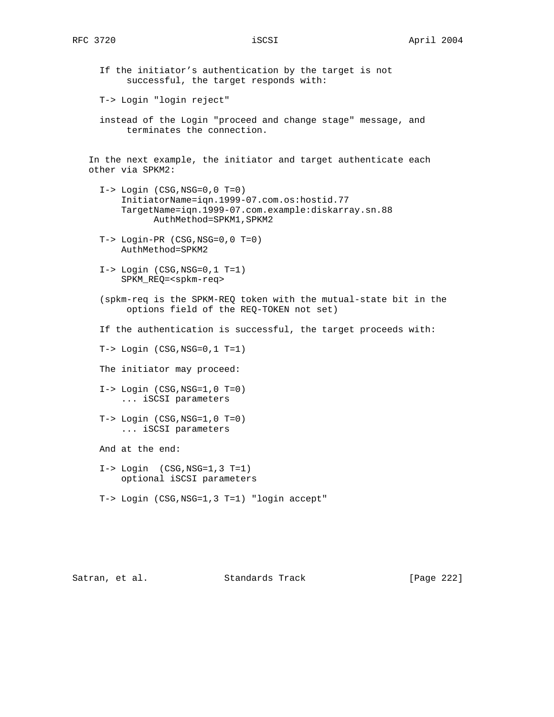If the initiator's authentication by the target is not successful, the target responds with:

T-> Login "login reject"

 instead of the Login "proceed and change stage" message, and terminates the connection.

 In the next example, the initiator and target authenticate each other via SPKM2:

- $I->$  Login  $(CSG, NSG=0, 0 T=0)$  InitiatorName=iqn.1999-07.com.os:hostid.77 TargetName=iqn.1999-07.com.example:diskarray.sn.88 AuthMethod=SPKM1,SPKM2
- T-> Login-PR (CSG,NSG=0,0 T=0) AuthMethod=SPKM2
- I-> Login (CSG,NSG=0,1 T=1) SPKM\_REQ=<spkm-req>
- (spkm-req is the SPKM-REQ token with the mutual-state bit in the options field of the REQ-TOKEN not set)
- If the authentication is successful, the target proceeds with:
- T-> Login (CSG,NSG=0,1 T=1)
- The initiator may proceed:
- $I->$  Login  $(CSG, NSG=1, 0 T=0)$ ... iSCSI parameters
- $T->$  Login  $(CSG, NSG=1, 0 T=0)$ ... iSCSI parameters

And at the end:

- $I->$  Login  $(CSG, NSG=1, 3 T=1)$ optional iSCSI parameters
- T-> Login (CSG,NSG=1,3 T=1) "login accept"

Satran, et al. Standards Track [Page 222]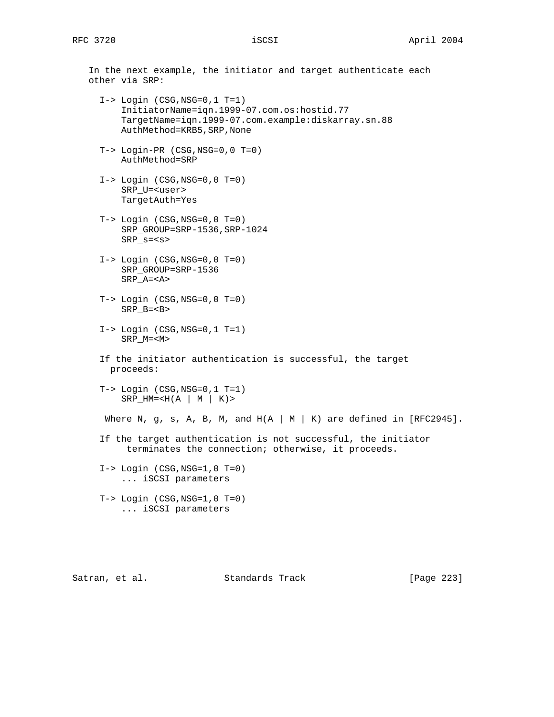In the next example, the initiator and target authenticate each other via SRP:  $I->$  Login (CSG, NSG=0, 1 T=1) InitiatorName=iqn.1999-07.com.os:hostid.77 TargetName=iqn.1999-07.com.example:diskarray.sn.88 AuthMethod=KRB5,SRP,None T-> Login-PR (CSG,NSG=0,0 T=0) AuthMethod=SRP  $I->$  Login  $(CSG, NSG=0, 0 T=0)$  SRP\_U=<user> TargetAuth=Yes T-> Login (CSG,NSG=0,0 T=0) SRP\_GROUP=SRP-1536,SRP-1024 SRP\_s=<s> I-> Login (CSG,NSG=0,0 T=0) SRP\_GROUP=SRP-1536 SRP\_A=<A> T-> Login (CSG,NSG=0,0 T=0) SRP\_B=<B> I-> Login (CSG,NSG=0,1 T=1) SRP\_M=<M> If the initiator authentication is successful, the target proceeds:  $T->$  Login  $(CSG, NSG=0, 1 T=1)$  $SRP_{H}M=$ Where N, g, s, A, B, M, and  $H(A \mid M \mid K)$  are defined in [RFC2945]. If the target authentication is not successful, the initiator terminates the connection; otherwise, it proceeds.  $I->$  Login  $(CSG, NSG=1, 0 T=0)$  ... iSCSI parameters  $T->$  Login  $(CSG, NSG=1, 0 T=0)$ ... iSCSI parameters

Satran, et al. Standards Track [Page 223]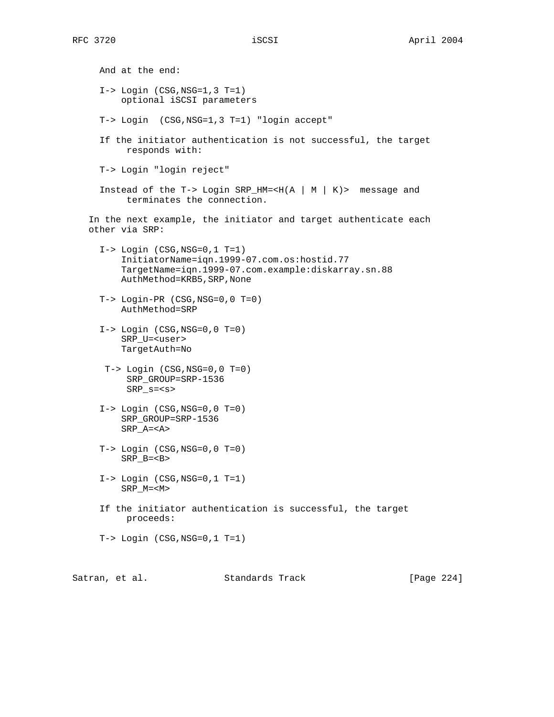And at the end:  $I->$  Login  $(CSG, NSG=1, 3 T=1)$  optional iSCSI parameters T-> Login (CSG,NSG=1,3 T=1) "login accept" If the initiator authentication is not successful, the target responds with: T-> Login "login reject" Instead of the T-> Login SRP\_HM=<H(A | M | K)> message and terminates the connection. In the next example, the initiator and target authenticate each other via SRP: I-> Login (CSG,NSG=0,1 T=1) InitiatorName=iqn.1999-07.com.os:hostid.77 TargetName=iqn.1999-07.com.example:diskarray.sn.88 AuthMethod=KRB5,SRP,None T-> Login-PR (CSG,NSG=0,0 T=0) AuthMethod=SRP  $I->$  Login  $(CSG, NSG=0, 0 T=0)$  SRP\_U=<user> TargetAuth=No T-> Login (CSG,NSG=0,0 T=0) SRP\_GROUP=SRP-1536 SRP\_s=<s>  $I->$  Login  $(CSG, NSG=0, 0 T=0)$  SRP\_GROUP=SRP-1536 SRP\_A=<A> T-> Login (CSG,NSG=0,0 T=0) SRP\_B=<B> I-> Login (CSG,NSG=0,1 T=1) SRP\_M=<M> If the initiator authentication is successful, the target proceeds: T-> Login (CSG,NSG=0,1 T=1)

Satran, et al. Standards Track [Page 224]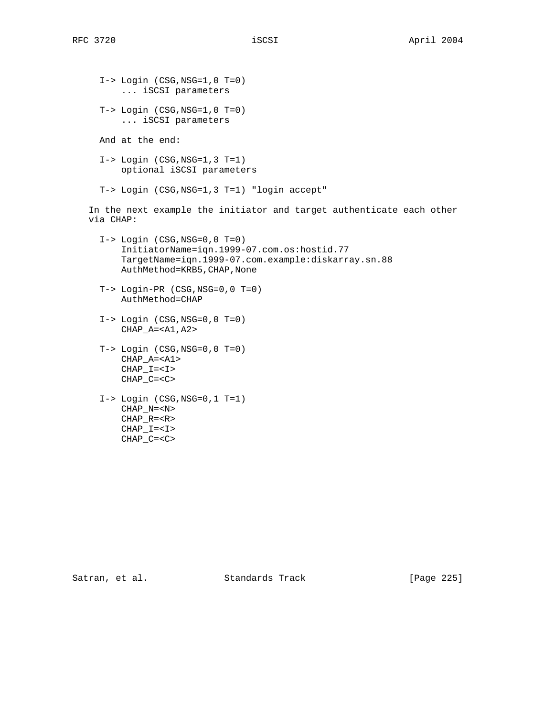$I->$  Login  $(CSG, NSG=1, 0 T=0)$  ... iSCSI parameters  $T->$  Login  $(CSG, NSG=1, 0 T=0)$  ... iSCSI parameters And at the end: I-> Login (CSG,NSG=1,3 T=1) optional iSCSI parameters T-> Login (CSG,NSG=1,3 T=1) "login accept" In the next example the initiator and target authenticate each other via CHAP: I-> Login (CSG,NSG=0,0 T=0) InitiatorName=iqn.1999-07.com.os:hostid.77 TargetName=iqn.1999-07.com.example:diskarray.sn.88 AuthMethod=KRB5,CHAP,None T-> Login-PR (CSG,NSG=0,0 T=0) AuthMethod=CHAP  $I->$  Login  $(CSG, NSG=0, 0 T=0)$  CHAP\_A=<A1,A2> T-> Login (CSG,NSG=0,0 T=0) CHAP\_A=<A1>  $CHAP_I=$  $CHAP_C=$  I-> Login (CSG,NSG=0,1 T=1) CHAP\_N=<N> CHAP\_R=<R> CHAP\_I=<I>

CHAP\_C=<C>

Satran, et al. Standards Track [Page 225]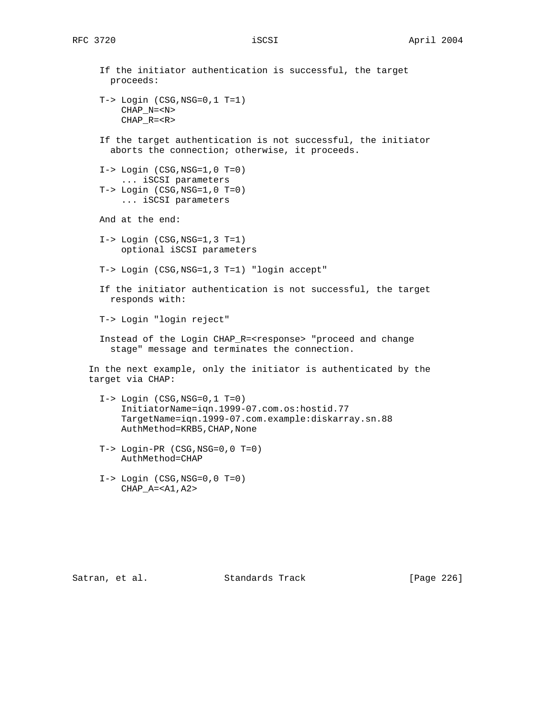If the initiator authentication is successful, the target proceeds: T-> Login (CSG,NSG=0,1 T=1) CHAP\_N=<N> CHAP\_R=<R> If the target authentication is not successful, the initiator aborts the connection; otherwise, it proceeds.  $I->$  Login  $(CSG, NSG=1, 0 T=0)$  ... iSCSI parameters T-> Login (CSG,NSG=1,0 T=0) ... iSCSI parameters And at the end:  $I->$  Login  $(CSG, NSG=1, 3 T=1)$  optional iSCSI parameters T-> Login (CSG,NSG=1,3 T=1) "login accept" If the initiator authentication is not successful, the target responds with: T-> Login "login reject" Instead of the Login CHAP\_R=<response> "proceed and change stage" message and terminates the connection. In the next example, only the initiator is authenticated by the target via CHAP:  $I->$  Login  $(CSG, NSG=0, 1 T=0)$  InitiatorName=iqn.1999-07.com.os:hostid.77 TargetName=iqn.1999-07.com.example:diskarray.sn.88 AuthMethod=KRB5,CHAP,None T-> Login-PR (CSG,NSG=0,0 T=0) AuthMethod=CHAP  $I->$  Login  $(CSG, NSG=0, 0 T=0)$ CHAP\_A=<A1,A2>

Satran, et al. Standards Track [Page 226]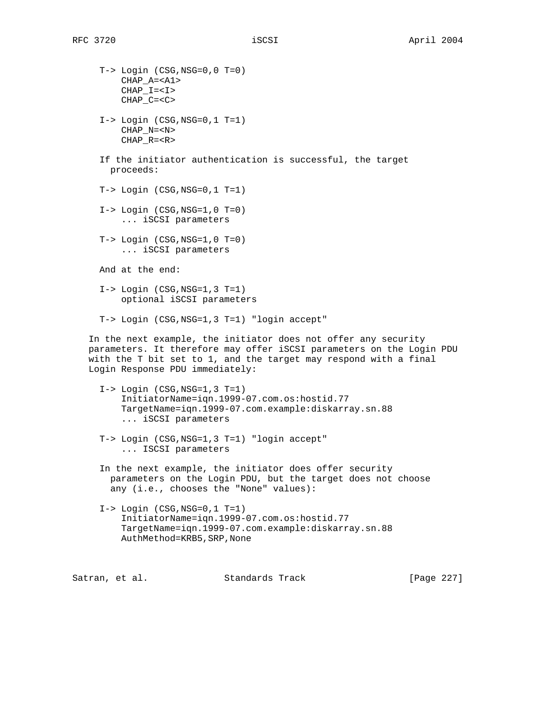T-> Login (CSG,NSG=0,0 T=0) CHAP\_A=<A1>  $CHAP_I=$  CHAP\_C=<C>  $I->$  Login  $(CSG, NSG=0, 1 T=1)$  CHAP\_N=<N> CHAP\_R=<R> If the initiator authentication is successful, the target proceeds: T-> Login (CSG,NSG=0,1 T=1)  $I->$  Login  $(CSG, NSG=1, 0 T=0)$  ... iSCSI parameters  $T->$  Login  $(CSG, NSG=1, 0 T=0)$  ... iSCSI parameters And at the end: I-> Login (CSG,NSG=1,3 T=1) optional iSCSI parameters T-> Login (CSG,NSG=1,3 T=1) "login accept" In the next example, the initiator does not offer any security parameters. It therefore may offer iSCSI parameters on the Login PDU with the T bit set to 1, and the target may respond with a final Login Response PDU immediately: I-> Login (CSG,NSG=1,3 T=1) InitiatorName=iqn.1999-07.com.os:hostid.77 TargetName=iqn.1999-07.com.example:diskarray.sn.88 ... iSCSI parameters T-> Login (CSG,NSG=1,3 T=1) "login accept" ... ISCSI parameters In the next example, the initiator does offer security parameters on the Login PDU, but the target does not choose any (i.e., chooses the "None" values):  $I->$  Login  $(CSG, NSG=0, 1 T=1)$  InitiatorName=iqn.1999-07.com.os:hostid.77 TargetName=iqn.1999-07.com.example:diskarray.sn.88 AuthMethod=KRB5,SRP,None Satran, et al. Standards Track [Page 227]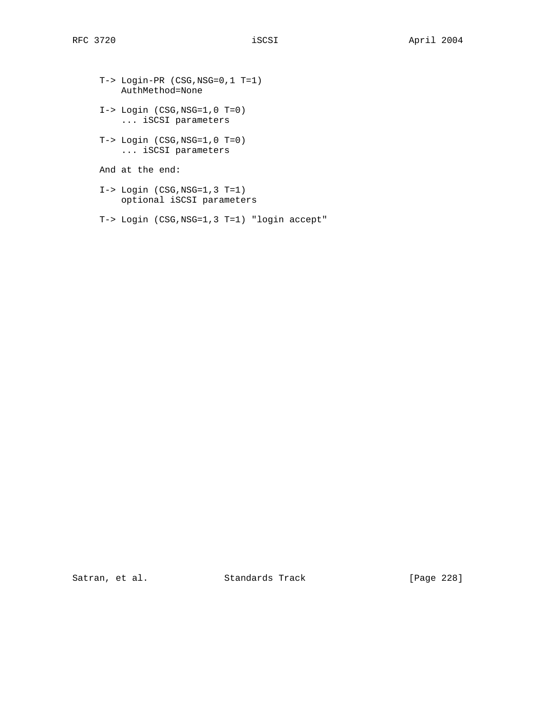T-> Login-PR (CSG,NSG=0,1 T=1) AuthMethod=None I-> Login (CSG,NSG=1,0 T=0) ... iSCSI parameters T-> Login (CSG,NSG=1,0 T=0) ... iSCSI parameters And at the end: I-> Login (CSG,NSG=1,3 T=1) optional iSCSI parameters

T-> Login (CSG,NSG=1,3 T=1) "login accept"

Satran, et al. Standards Track [Page 228]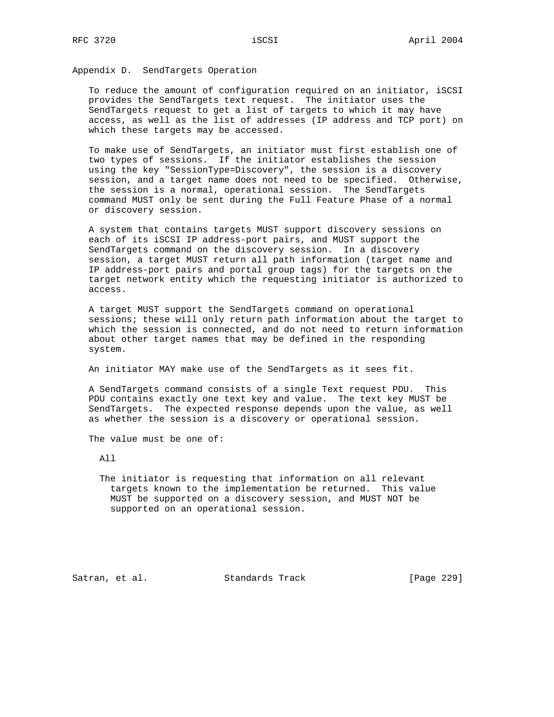Appendix D. SendTargets Operation

 To reduce the amount of configuration required on an initiator, iSCSI provides the SendTargets text request. The initiator uses the SendTargets request to get a list of targets to which it may have access, as well as the list of addresses (IP address and TCP port) on which these targets may be accessed.

 To make use of SendTargets, an initiator must first establish one of two types of sessions. If the initiator establishes the session using the key "SessionType=Discovery", the session is a discovery session, and a target name does not need to be specified. Otherwise, the session is a normal, operational session. The SendTargets command MUST only be sent during the Full Feature Phase of a normal or discovery session.

 A system that contains targets MUST support discovery sessions on each of its iSCSI IP address-port pairs, and MUST support the SendTargets command on the discovery session. In a discovery session, a target MUST return all path information (target name and IP address-port pairs and portal group tags) for the targets on the target network entity which the requesting initiator is authorized to access.

 A target MUST support the SendTargets command on operational sessions; these will only return path information about the target to which the session is connected, and do not need to return information about other target names that may be defined in the responding system.

An initiator MAY make use of the SendTargets as it sees fit.

 A SendTargets command consists of a single Text request PDU. This PDU contains exactly one text key and value. The text key MUST be SendTargets. The expected response depends upon the value, as well as whether the session is a discovery or operational session.

The value must be one of:

All

 The initiator is requesting that information on all relevant targets known to the implementation be returned. This value MUST be supported on a discovery session, and MUST NOT be supported on an operational session.

Satran, et al. Standards Track [Page 229]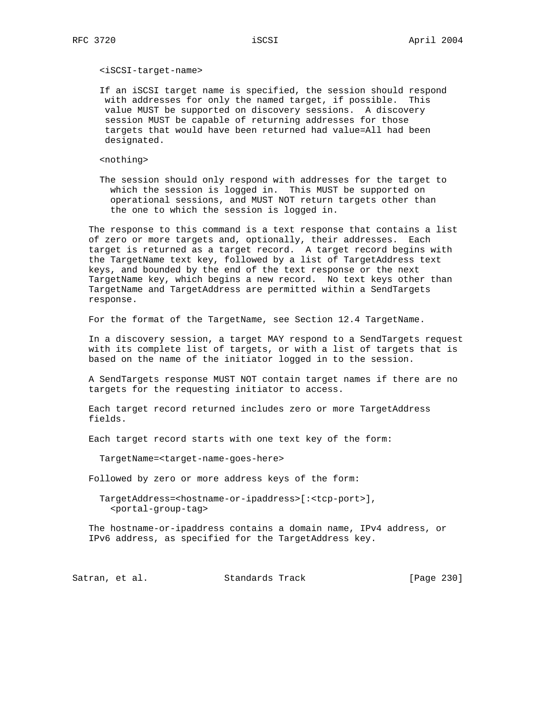### <iSCSI-target-name>

 If an iSCSI target name is specified, the session should respond with addresses for only the named target, if possible. This value MUST be supported on discovery sessions. A discovery session MUST be capable of returning addresses for those targets that would have been returned had value=All had been designated.

<nothing>

 The session should only respond with addresses for the target to which the session is logged in. This MUST be supported on operational sessions, and MUST NOT return targets other than the one to which the session is logged in.

 The response to this command is a text response that contains a list of zero or more targets and, optionally, their addresses. Each target is returned as a target record. A target record begins with the TargetName text key, followed by a list of TargetAddress text keys, and bounded by the end of the text response or the next TargetName key, which begins a new record. No text keys other than TargetName and TargetAddress are permitted within a SendTargets response.

For the format of the TargetName, see Section 12.4 TargetName.

 In a discovery session, a target MAY respond to a SendTargets request with its complete list of targets, or with a list of targets that is based on the name of the initiator logged in to the session.

 A SendTargets response MUST NOT contain target names if there are no targets for the requesting initiator to access.

 Each target record returned includes zero or more TargetAddress fields.

Each target record starts with one text key of the form:

TargetName=<target-name-goes-here>

Followed by zero or more address keys of the form:

 TargetAddress=<hostname-or-ipaddress>[:<tcp-port>], <portal-group-tag>

 The hostname-or-ipaddress contains a domain name, IPv4 address, or IPv6 address, as specified for the TargetAddress key.

Satran, et al. Standards Track [Page 230]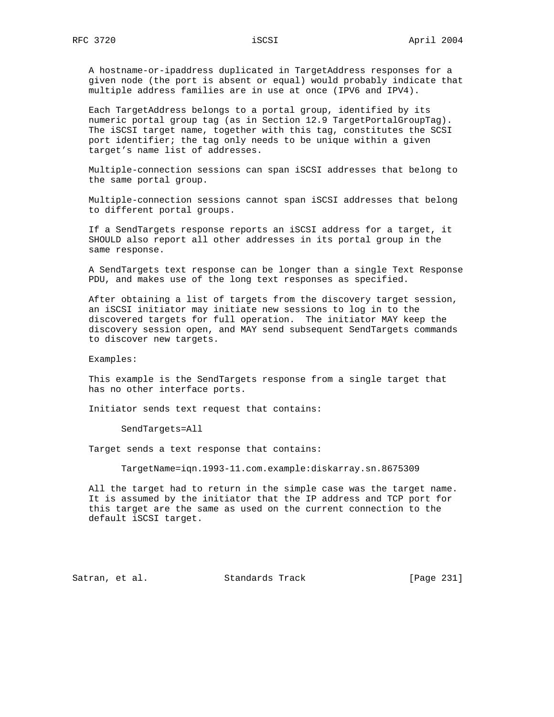A hostname-or-ipaddress duplicated in TargetAddress responses for a given node (the port is absent or equal) would probably indicate that multiple address families are in use at once (IPV6 and IPV4).

 Each TargetAddress belongs to a portal group, identified by its numeric portal group tag (as in Section 12.9 TargetPortalGroupTag). The iSCSI target name, together with this tag, constitutes the SCSI port identifier; the tag only needs to be unique within a given target's name list of addresses.

 Multiple-connection sessions can span iSCSI addresses that belong to the same portal group.

 Multiple-connection sessions cannot span iSCSI addresses that belong to different portal groups.

 If a SendTargets response reports an iSCSI address for a target, it SHOULD also report all other addresses in its portal group in the same response.

 A SendTargets text response can be longer than a single Text Response PDU, and makes use of the long text responses as specified.

 After obtaining a list of targets from the discovery target session, an iSCSI initiator may initiate new sessions to log in to the discovered targets for full operation. The initiator MAY keep the discovery session open, and MAY send subsequent SendTargets commands to discover new targets.

Examples:

 This example is the SendTargets response from a single target that has no other interface ports.

Initiator sends text request that contains:

SendTargets=All

Target sends a text response that contains:

TargetName=iqn.1993-11.com.example:diskarray.sn.8675309

 All the target had to return in the simple case was the target name. It is assumed by the initiator that the IP address and TCP port for this target are the same as used on the current connection to the default iSCSI target.

Satran, et al. Standards Track [Page 231]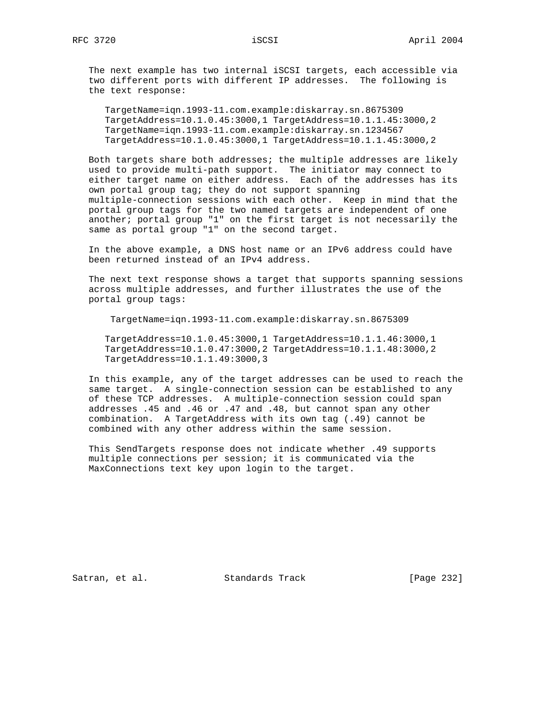The next example has two internal iSCSI targets, each accessible via two different ports with different IP addresses. The following is the text response:

 TargetName=iqn.1993-11.com.example:diskarray.sn.8675309 TargetAddress=10.1.0.45:3000,1 TargetAddress=10.1.1.45:3000,2 TargetName=iqn.1993-11.com.example:diskarray.sn.1234567 TargetAddress=10.1.0.45:3000,1 TargetAddress=10.1.1.45:3000,2

 Both targets share both addresses; the multiple addresses are likely used to provide multi-path support. The initiator may connect to either target name on either address. Each of the addresses has its own portal group tag; they do not support spanning multiple-connection sessions with each other. Keep in mind that the portal group tags for the two named targets are independent of one another; portal group "1" on the first target is not necessarily the same as portal group "1" on the second target.

 In the above example, a DNS host name or an IPv6 address could have been returned instead of an IPv4 address.

 The next text response shows a target that supports spanning sessions across multiple addresses, and further illustrates the use of the portal group tags:

TargetName=iqn.1993-11.com.example:diskarray.sn.8675309

 TargetAddress=10.1.0.45:3000,1 TargetAddress=10.1.1.46:3000,1 TargetAddress=10.1.0.47:3000,2 TargetAddress=10.1.1.48:3000,2 TargetAddress=10.1.1.49:3000,3

 In this example, any of the target addresses can be used to reach the same target. A single-connection session can be established to any of these TCP addresses. A multiple-connection session could span addresses .45 and .46 or .47 and .48, but cannot span any other combination. A TargetAddress with its own tag (.49) cannot be combined with any other address within the same session.

 This SendTargets response does not indicate whether .49 supports multiple connections per session; it is communicated via the MaxConnections text key upon login to the target.

Satran, et al. Standards Track [Page 232]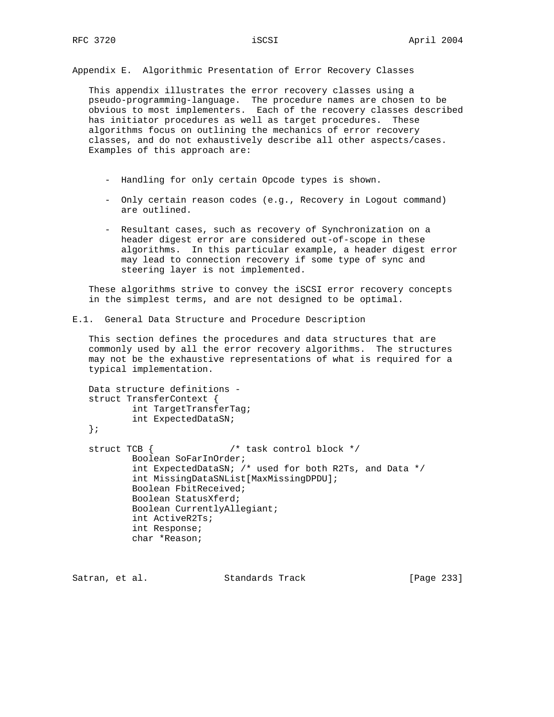Appendix E. Algorithmic Presentation of Error Recovery Classes

 This appendix illustrates the error recovery classes using a pseudo-programming-language. The procedure names are chosen to be obvious to most implementers. Each of the recovery classes described has initiator procedures as well as target procedures. These algorithms focus on outlining the mechanics of error recovery classes, and do not exhaustively describe all other aspects/cases. Examples of this approach are:

- Handling for only certain Opcode types is shown.
- Only certain reason codes (e.g., Recovery in Logout command) are outlined.
- Resultant cases, such as recovery of Synchronization on a header digest error are considered out-of-scope in these algorithms. In this particular example, a header digest error may lead to connection recovery if some type of sync and steering layer is not implemented.

 These algorithms strive to convey the iSCSI error recovery concepts in the simplest terms, and are not designed to be optimal.

E.1. General Data Structure and Procedure Description

 This section defines the procedures and data structures that are commonly used by all the error recovery algorithms. The structures may not be the exhaustive representations of what is required for a typical implementation.

```
 Data structure definitions -
 struct TransferContext {
         int TargetTransferTag;
        int ExpectedDataSN;
 };
struct TCB { / task control block */
         Boolean SoFarInOrder;
         int ExpectedDataSN; /* used for both R2Ts, and Data */
         int MissingDataSNList[MaxMissingDPDU];
         Boolean FbitReceived;
         Boolean StatusXferd;
         Boolean CurrentlyAllegiant;
         int ActiveR2Ts;
         int Response;
         char *Reason;
```
Satran, et al. Standards Track [Page 233]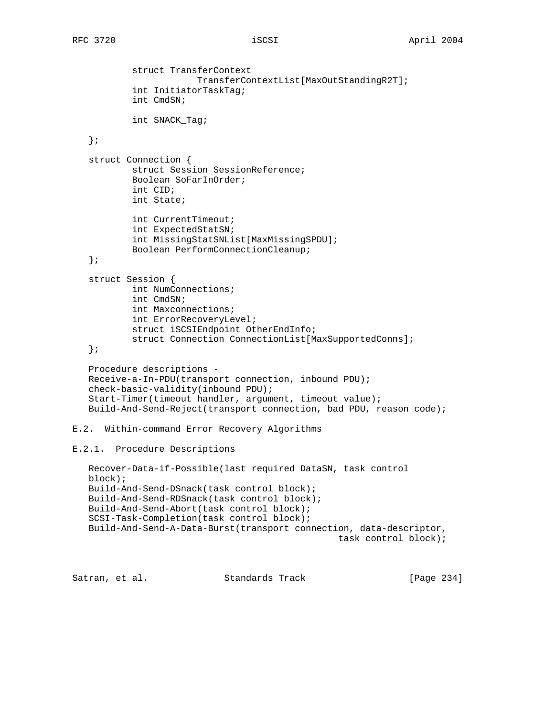```
 struct TransferContext
                        TransferContextList[MaxOutStandingR2T];
            int InitiatorTaskTag;
            int CmdSN;
            int SNACK_Tag;
    };
    struct Connection {
            struct Session SessionReference;
            Boolean SoFarInOrder;
            int CID;
            int State;
            int CurrentTimeout;
            int ExpectedStatSN;
            int MissingStatSNList[MaxMissingSPDU];
            Boolean PerformConnectionCleanup;
    };
    struct Session {
            int NumConnections;
            int CmdSN;
            int Maxconnections;
            int ErrorRecoveryLevel;
            struct iSCSIEndpoint OtherEndInfo;
            struct Connection ConnectionList[MaxSupportedConns];
    };
    Procedure descriptions -
   Receive-a-In-PDU(transport connection, inbound PDU);
    check-basic-validity(inbound PDU);
    Start-Timer(timeout handler, argument, timeout value);
    Build-And-Send-Reject(transport connection, bad PDU, reason code);
E.2. Within-command Error Recovery Algorithms
E.2.1. Procedure Descriptions
   Recover-Data-if-Possible(last required DataSN, task control
   block);
   Build-And-Send-DSnack(task control block);
   Build-And-Send-RDSnack(task control block);
   Build-And-Send-Abort(task control block);
    SCSI-Task-Completion(task control block);
   Build-And-Send-A-Data-Burst(transport connection, data-descriptor,
                                                   task control block);
Satran, et al. Standards Track [Page 234]
```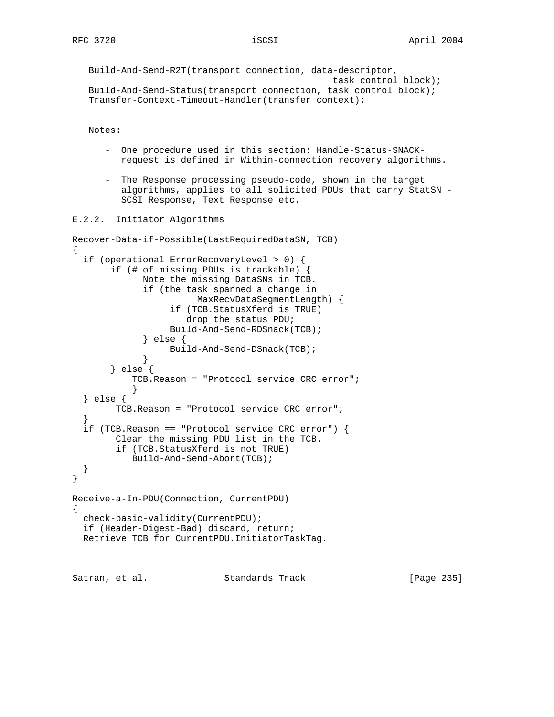```
 Build-And-Send-R2T(transport connection, data-descriptor,
                                               task control block);
 Build-And-Send-Status(transport connection, task control block);
 Transfer-Context-Timeout-Handler(transfer context);
```
Notes:

- One procedure used in this section: Handle-Status-SNACK request is defined in Within-connection recovery algorithms.
- The Response processing pseudo-code, shown in the target algorithms, applies to all solicited PDUs that carry StatSN - SCSI Response, Text Response etc.

E.2.2. Initiator Algorithms

```
Recover-Data-if-Possible(LastRequiredDataSN, TCB)
\left\{ \right. if (operational ErrorRecoveryLevel > 0) {
        if (# of missing PDUs is trackable) {
              Note the missing DataSNs in TCB.
              if (the task spanned a change in
                        MaxRecvDataSegmentLength) {
                   if (TCB.StatusXferd is TRUE)
                      drop the status PDU;
                   Build-And-Send-RDSnack(TCB);
              } else {
             Build-And-Send-DSnack(TCB);
 }
        } else {
            TCB.Reason = "Protocol service CRC error";
 }
   } else {
         TCB.Reason = "Protocol service CRC error";
   }
   if (TCB.Reason == "Protocol service CRC error") {
         Clear the missing PDU list in the TCB.
         if (TCB.StatusXferd is not TRUE)
            Build-And-Send-Abort(TCB);
   }
}
Receive-a-In-PDU(Connection, CurrentPDU)
{
  check-basic-validity(CurrentPDU);
   if (Header-Digest-Bad) discard, return;
  Retrieve TCB for CurrentPDU.InitiatorTaskTag.
```
Satran, et al. Standards Track [Page 235]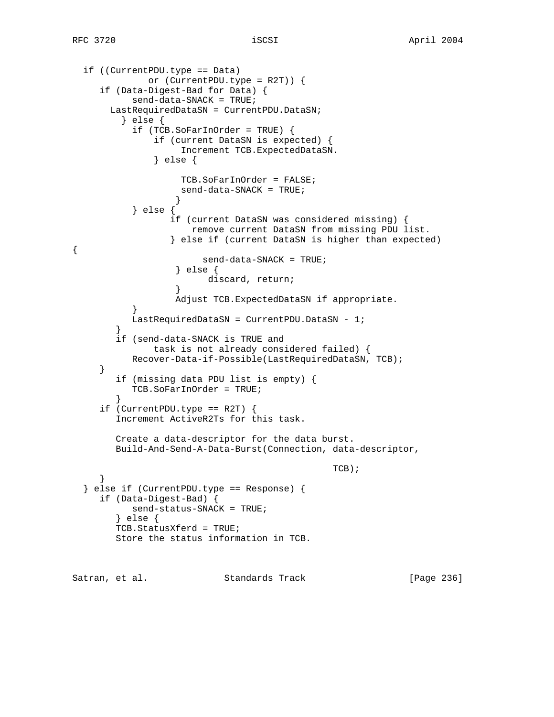```
 if ((CurrentPDU.type == Data)
             or (CurrentPDU.type = R2T)) {
     if (Data-Digest-Bad for Data) {
           send-data-SNACK = TRUE;
       LastRequiredDataSN = CurrentPDU.DataSN;
         } else {
           if (TCB.SoFarInOrder = TRUE) {
               if (current DataSN is expected) {
                   Increment TCB.ExpectedDataSN.
               } else {
                   TCB.SoFarInOrder = FALSE;
                   send-data-SNACK = TRUE;
 }
           } else {
                 if (current DataSN was considered missing) {
                     remove current DataSN from missing PDU list.
                  } else if (current DataSN is higher than expected)
{
                       send-data-SNACK = TRUE;
                  } else {
                        discard, return;
 }
                  Adjust TCB.ExpectedDataSN if appropriate.
 }
           LastRequiredDataSN = CurrentPDU.DataSN - 1;
 }
        if (send-data-SNACK is TRUE and
              task is not already considered failed) {
           Recover-Data-if-Possible(LastRequiredDataSN, TCB);
     }
        if (missing data PDU list is empty) {
           TCB.SoFarInOrder = TRUE;
 }
    if (CurrentPDU.type == R2T) {
        Increment ActiveR2Ts for this task.
        Create a data-descriptor for the data burst.
        Build-And-Send-A-Data-Burst(Connection, data-descriptor,
\mbox{TCB} ) i }
   } else if (CurrentPDU.type == Response) {
     if (Data-Digest-Bad) {
           send-status-SNACK = TRUE;
        } else {
        TCB.StatusXferd = TRUE;
        Store the status information in TCB.
Satran, et al. Standards Track [Page 236]
```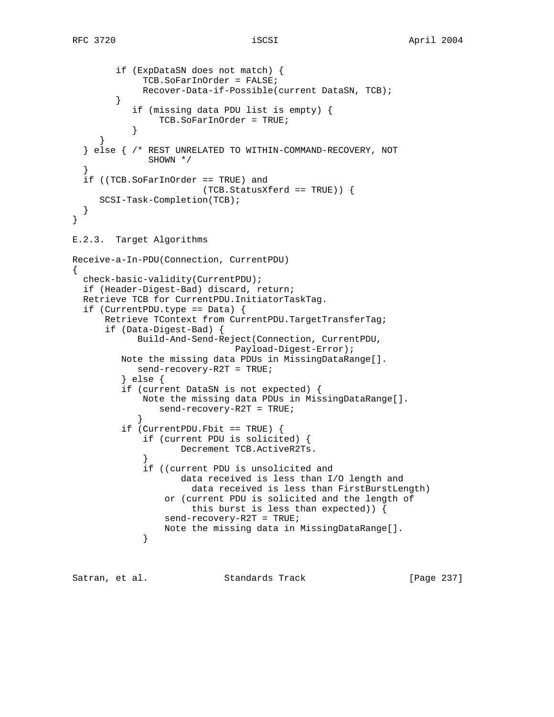}

{

```
 if (ExpDataSN does not match) {
              TCB.SoFarInOrder = FALSE;
              Recover-Data-if-Possible(current DataSN, TCB);
         }
            if (missing data PDU list is empty) {
                 TCB.SoFarInOrder = TRUE;
 }
 }
   } else { /* REST UNRELATED TO WITHIN-COMMAND-RECOVERY, NOT
               SHOWN */
 }
   if ((TCB.SoFarInOrder == TRUE) and
                         (TCB.StatusXferd == TRUE)) {
     SCSI-Task-Completion(TCB);
   }
E.2.3. Target Algorithms
Receive-a-In-PDU(Connection, CurrentPDU)
  check-basic-validity(CurrentPDU);
   if (Header-Digest-Bad) discard, return;
  Retrieve TCB for CurrentPDU.InitiatorTaskTag.
   if (CurrentPDU.type == Data) {
       Retrieve TContext from CurrentPDU.TargetTransferTag;
       if (Data-Digest-Bad) {
             Build-And-Send-Reject(Connection, CurrentPDU,
                               Payload-Digest-Error);
          Note the missing data PDUs in MissingDataRange[].
             send-recovery-R2T = TRUE;
          } else {
          if (current DataSN is not expected) {
              Note the missing data PDUs in MissingDataRange[].
                 send-recovery-R2T = TRUE;
 }
          if (CurrentPDU.Fbit == TRUE) {
              if (current PDU is solicited) {
                    Decrement TCB.ActiveR2Ts.
 }
              if ((current PDU is unsolicited and
                     data received is less than I/O length and
                       data received is less than FirstBurstLength)
                  or (current PDU is solicited and the length of
                       this burst is less than expected)) {
                  send-recovery-R2T = TRUE;
             Note the missing data in MissingDataRange[].<br>}
 }
```
Satran, et al. Standards Track [Page 237]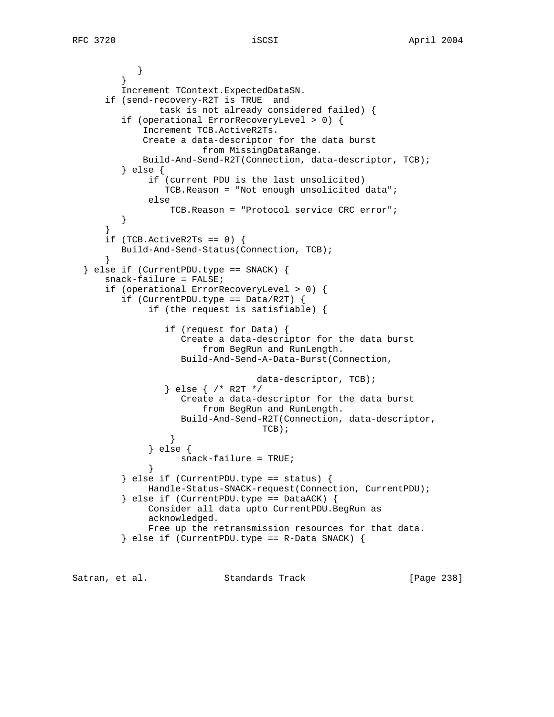} } Increment TContext.ExpectedDataSN. if (send-recovery-R2T is TRUE and task is not already considered failed) { if (operational ErrorRecoveryLevel > 0) { Increment TCB.ActiveR2Ts. Create a data-descriptor for the data burst from MissingDataRange. Build-And-Send-R2T(Connection, data-descriptor, TCB); } else { if (current PDU is the last unsolicited) TCB.Reason = "Not enough unsolicited data"; else TCB.Reason = "Protocol service CRC error";<br>} } } if  $(TCB.ActiveR2Ts == 0)$  { Build-And-Send-Status(Connection, TCB); } } else if (CurrentPDU.type == SNACK) { snack-failure = FALSE; if (operational ErrorRecoveryLevel > 0) { if (CurrentPDU.type ==  $Data/RT$ ) { if (the request is satisfiable) { if (request for Data) { Create a data-descriptor for the data burst from BegRun and RunLength. Build-And-Send-A-Data-Burst(Connection, data-descriptor, TCB); } else { /\* R2T \*/ Create a data-descriptor for the data burst from BegRun and RunLength. Build-And-Send-R2T(Connection, data-descriptor, TCB); } } else { snack-failure = TRUE; }  $\}$  else if (CurrentPDU.type == status) { Handle-Status-SNACK-request(Connection, CurrentPDU); } else if (CurrentPDU.type == DataACK) { Consider all data upto CurrentPDU.BegRun as acknowledged. Free up the retransmission resources for that data. } else if (CurrentPDU.type == R-Data SNACK) {

Satran, et al. Standards Track [Page 238]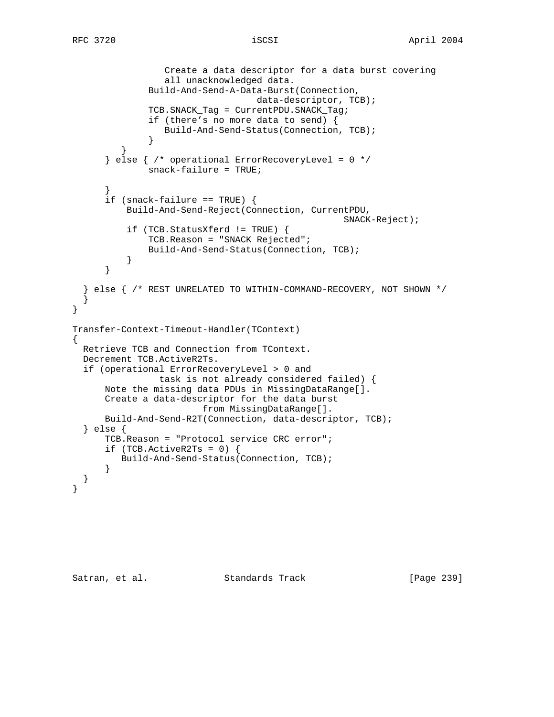```
 Create a data descriptor for a data burst covering
                  all unacknowledged data.
              Build-And-Send-A-Data-Burst(Connection,
                                  data-descriptor, TCB);
              TCB.SNACK_Tag = CurrentPDU.SNACK_Tag;
              if (there's no more data to send) {
              Build-And-Send-Status(Connection, TCB);
 }
 }
      } else { /* operational ErrorRecoveryLevel = 0 */ snack-failure = TRUE;
 }
      if (snack-failure == TRUE) \{ Build-And-Send-Reject(Connection, CurrentPDU,
                                                 SNACK-Reject);
          if (TCB.StatusXferd != TRUE) {
              TCB.Reason = "SNACK Rejected";
              Build-And-Send-Status(Connection, TCB);
 }
       }
   } else { /* REST UNRELATED TO WITHIN-COMMAND-RECOVERY, NOT SHOWN */
 }
}
Transfer-Context-Timeout-Handler(TContext)
{
  Retrieve TCB and Connection from TContext.
  Decrement TCB.ActiveR2Ts.
   if (operational ErrorRecoveryLevel > 0 and
               task is not already considered failed) {
      Note the missing data PDUs in MissingDataRange[].
      Create a data-descriptor for the data burst
                        from MissingDataRange[].
      Build-And-Send-R2T(Connection, data-descriptor, TCB);
   } else {
       TCB.Reason = "Protocol service CRC error";
      if (TCB.ActiveR2Ts = 0) {
         Build-And-Send-Status(Connection, TCB);
       }
   }
}
```
Satran, et al. Standards Track [Page 239]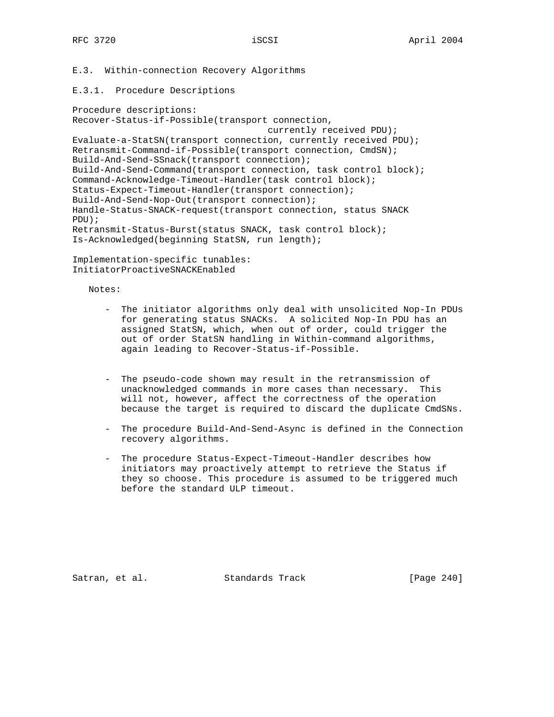E.3. Within-connection Recovery Algorithms

### E.3.1. Procedure Descriptions

Procedure descriptions: Recover-Status-if-Possible(transport connection, currently received PDU); Evaluate-a-StatSN(transport connection, currently received PDU); Retransmit-Command-if-Possible(transport connection, CmdSN); Build-And-Send-SSnack(transport connection); Build-And-Send-Command(transport connection, task control block); Command-Acknowledge-Timeout-Handler(task control block); Status-Expect-Timeout-Handler(transport connection); Build-And-Send-Nop-Out(transport connection); Handle-Status-SNACK-request(transport connection, status SNACK PDU); Retransmit-Status-Burst(status SNACK, task control block); Is-Acknowledged(beginning StatSN, run length);

Implementation-specific tunables: InitiatorProactiveSNACKEnabled

Notes:

- The initiator algorithms only deal with unsolicited Nop-In PDUs for generating status SNACKs. A solicited Nop-In PDU has an assigned StatSN, which, when out of order, could trigger the out of order StatSN handling in Within-command algorithms, again leading to Recover-Status-if-Possible.
- The pseudo-code shown may result in the retransmission of unacknowledged commands in more cases than necessary. This will not, however, affect the correctness of the operation because the target is required to discard the duplicate CmdSNs.
- The procedure Build-And-Send-Async is defined in the Connection recovery algorithms.
- The procedure Status-Expect-Timeout-Handler describes how initiators may proactively attempt to retrieve the Status if they so choose. This procedure is assumed to be triggered much before the standard ULP timeout.

Satran, et al. Standards Track [Page 240]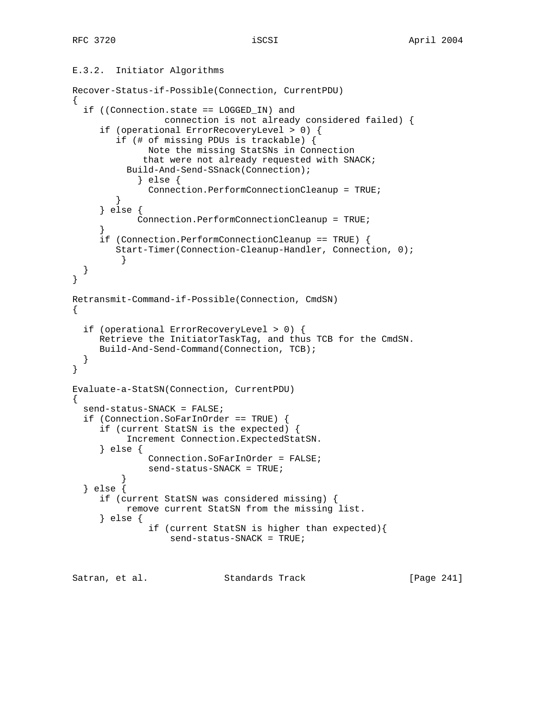# E.3.2. Initiator Algorithms

```
Recover-Status-if-Possible(Connection, CurrentPDU)
\left\{ \right. if ((Connection.state == LOGGED_IN) and
                 connection is not already considered failed) {
      if (operational ErrorRecoveryLevel > 0) {
         if (# of missing PDUs is trackable) {
              Note the missing StatSNs in Connection
              that were not already requested with SNACK;
           Build-And-Send-SSnack(Connection);
            } else {
              Connection.PerformConnectionCleanup = TRUE;
 }
      } else {
            Connection.PerformConnectionCleanup = TRUE;
 }
      if (Connection.PerformConnectionCleanup == TRUE) {
        Start-Timer(Connection-Cleanup-Handler, Connection, 0);
 }
   }
}
Retransmit-Command-if-Possible(Connection, CmdSN)
{
   if (operational ErrorRecoveryLevel > 0) {
      Retrieve the InitiatorTaskTag, and thus TCB for the CmdSN.
     Build-And-Send-Command(Connection, TCB);
   }
}
Evaluate-a-StatSN(Connection, CurrentPDU)
{
   send-status-SNACK = FALSE;
   if (Connection.SoFarInOrder == TRUE) {
      if (current StatSN is the expected) {
           Increment Connection.ExpectedStatSN.
      } else {
               Connection.SoFarInOrder = FALSE;
               send-status-SNACK = TRUE;
 }
   } else {
      if (current StatSN was considered missing) {
          remove current StatSN from the missing list.
      } else {
               if (current StatSN is higher than expected){
                   send-status-SNACK = TRUE;
Satran, et al. Standards Track [Page 241]
```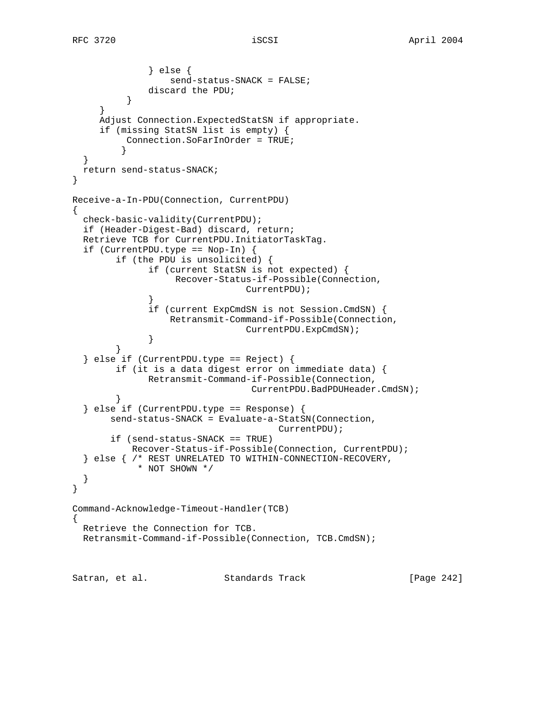```
 } else {
                  send-status-SNACK = FALSE;
              discard the PDU;
 }
 }
     Adjust Connection.ExpectedStatSN if appropriate.
      if (missing StatSN list is empty) {
          Connection.SoFarInOrder = TRUE;
 }
   }
  return send-status-SNACK;
}
Receive-a-In-PDU(Connection, CurrentPDU)
{
  check-basic-validity(CurrentPDU);
   if (Header-Digest-Bad) discard, return;
  Retrieve TCB for CurrentPDU.InitiatorTaskTag.
   if (CurrentPDU.type == Nop-In) {
        if (the PDU is unsolicited) {
              if (current StatSN is not expected) {
                   Recover-Status-if-Possible(Connection,
                                CurrentPDU);
 }
              if (current ExpCmdSN is not Session.CmdSN) {
                  Retransmit-Command-if-Possible(Connection,
                                CurrentPDU.ExpCmdSN);
 }
         }
   } else if (CurrentPDU.type == Reject) {
        if (it is a data digest error on immediate data) {
              Retransmit-Command-if-Possible(Connection,
                                CurrentPDU.BadPDUHeader.CmdSN);
         }
   } else if (CurrentPDU.type == Response) {
        send-status-SNACK = Evaluate-a-StatSN(Connection,
                                      CurrentPDU);
        if (send-status-SNACK == TRUE)
           Recover-Status-if-Possible(Connection, CurrentPDU);
   } else { /* REST UNRELATED TO WITHIN-CONNECTION-RECOVERY,
            * NOT SHOWN */
   }
}
Command-Acknowledge-Timeout-Handler(TCB)
{
  Retrieve the Connection for TCB.
  Retransmit-Command-if-Possible(Connection, TCB.CmdSN);
Satran, et al. Standards Track [Page 242]
```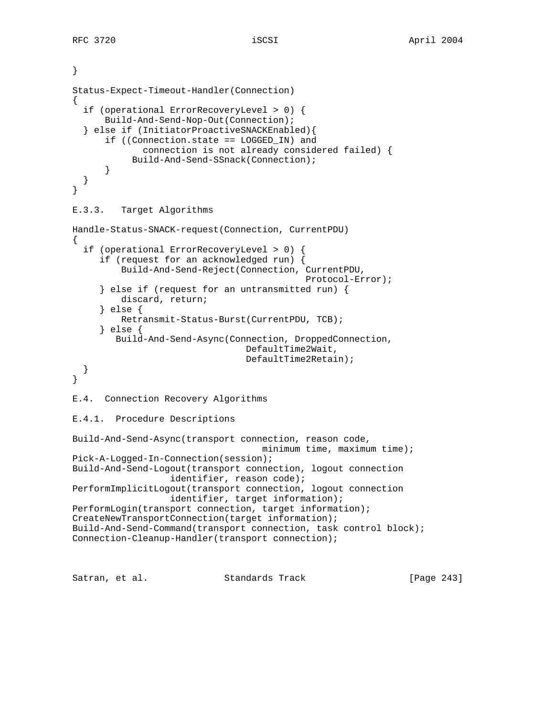```
}
Status-Expect-Timeout-Handler(Connection)
{
   if (operational ErrorRecoveryLevel > 0) {
       Build-And-Send-Nop-Out(Connection);
   } else if (InitiatorProactiveSNACKEnabled){
       if ((Connection.state == LOGGED_IN) and
              connection is not already considered failed) {
            Build-And-Send-SSnack(Connection);
       }
   }
}
E.3.3. Target Algorithms
Handle-Status-SNACK-request(Connection, CurrentPDU)
{
   if (operational ErrorRecoveryLevel > 0) {
      if (request for an acknowledged run) {
          Build-And-Send-Reject(Connection, CurrentPDU,
                                             Protocol-Error);
      } else if (request for an untransmitted run) {
          discard, return;
      } else {
          Retransmit-Status-Burst(CurrentPDU, TCB);
      } else {
         Build-And-Send-Async(Connection, DroppedConnection,
                                  DefaultTime2Wait,
                                  DefaultTime2Retain);
   }
}
E.4. Connection Recovery Algorithms
E.4.1. Procedure Descriptions
Build-And-Send-Async(transport connection, reason code,
                                    minimum time, maximum time);
Pick-A-Logged-In-Connection(session);
Build-And-Send-Logout(transport connection, logout connection
                   identifier, reason code);
PerformImplicitLogout(transport connection, logout connection
                   identifier, target information);
PerformLogin(transport connection, target information);
CreateNewTransportConnection(target information);
Build-And-Send-Command(transport connection, task control block);
Connection-Cleanup-Handler(transport connection);
```
Satran, et al. Standards Track [Page 243]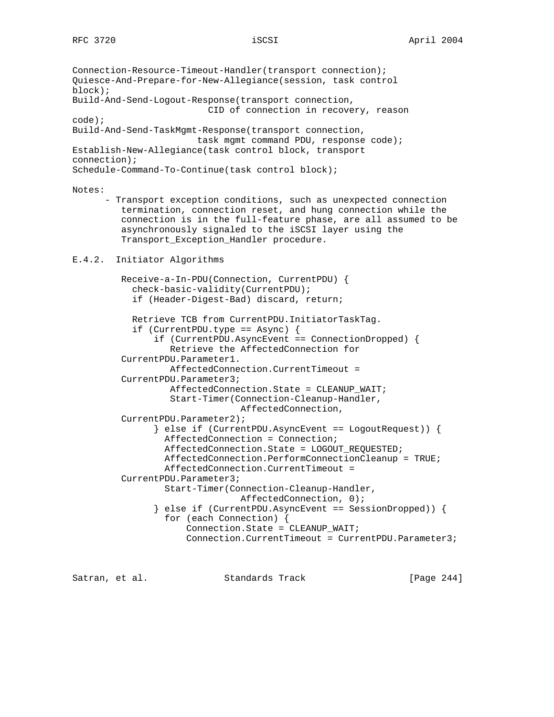Connection-Resource-Timeout-Handler(transport connection); Quiesce-And-Prepare-for-New-Allegiance(session, task control block); Build-And-Send-Logout-Response(transport connection, CID of connection in recovery, reason code); Build-And-Send-TaskMgmt-Response(transport connection, task mgmt command PDU, response code); Establish-New-Allegiance(task control block, transport connection); Schedule-Command-To-Continue(task control block);

### Notes:

 - Transport exception conditions, such as unexpected connection termination, connection reset, and hung connection while the connection is in the full-feature phase, are all assumed to be asynchronously signaled to the iSCSI layer using the Transport\_Exception\_Handler procedure.

## E.4.2. Initiator Algorithms

 Receive-a-In-PDU(Connection, CurrentPDU) { check-basic-validity(CurrentPDU); if (Header-Digest-Bad) discard, return; Retrieve TCB from CurrentPDU.InitiatorTaskTag. if (CurrentPDU.type == Async) { if (CurrentPDU.AsyncEvent == ConnectionDropped) { Retrieve the AffectedConnection for CurrentPDU.Parameter1. AffectedConnection.CurrentTimeout = CurrentPDU.Parameter3; AffectedConnection.State = CLEANUP\_WAIT; Start-Timer(Connection-Cleanup-Handler, AffectedConnection, CurrentPDU.Parameter2); } else if (CurrentPDU.AsyncEvent == LogoutRequest)) { AffectedConnection = Connection; AffectedConnection.State = LOGOUT\_REQUESTED; AffectedConnection.PerformConnectionCleanup = TRUE; AffectedConnection.CurrentTimeout = CurrentPDU.Parameter3; Start-Timer(Connection-Cleanup-Handler, AffectedConnection, 0); } else if (CurrentPDU.AsyncEvent == SessionDropped)) { for (each Connection) { Connection.State = CLEANUP\_WAIT; Connection.CurrentTimeout = CurrentPDU.Parameter3;

Satran, et al. Standards Track [Page 244]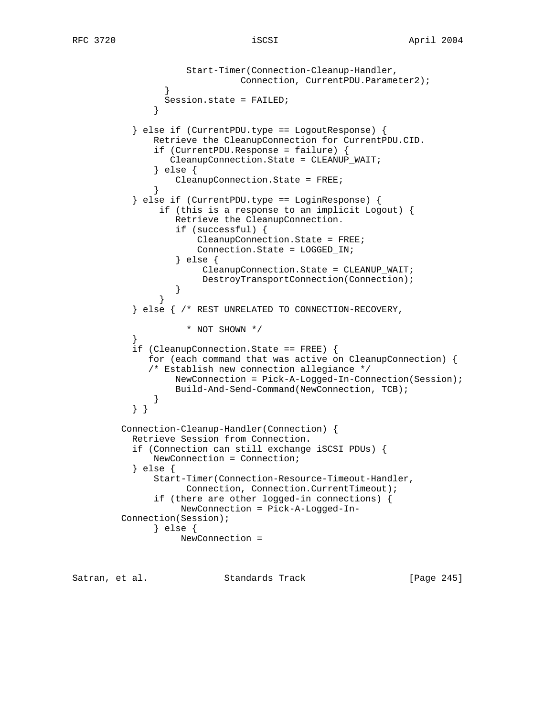```
 Start-Timer(Connection-Cleanup-Handler,
                               Connection, CurrentPDU.Parameter2);
 }
                 Session.state = FAILED;
 }
           } else if (CurrentPDU.type == LogoutResponse) {
               Retrieve the CleanupConnection for CurrentPDU.CID.
               if (CurrentPDU.Response = failure) {
                  CleanupConnection.State = CLEANUP_WAIT;
               } else {
                   CleanupConnection.State = FREE;
 }
           } else if (CurrentPDU.type == LoginResponse) {
                if (this is a response to an implicit Logout) {
                   Retrieve the CleanupConnection.
                   if (successful) {
                       CleanupConnection.State = FREE;
                       Connection.State = LOGGED_IN;
                   } else {
                        CleanupConnection.State = CLEANUP_WAIT;
                        DestroyTransportConnection(Connection);
 }
 }
           } else { /* REST UNRELATED TO CONNECTION-RECOVERY,
                     * NOT SHOWN */
 }
           if (CleanupConnection.State == FREE) {
              for (each command that was active on CleanupConnection) {
              /* Establish new connection allegiance */
                   NewConnection = Pick-A-Logged-In-Connection(Session);
                   Build-And-Send-Command(NewConnection, TCB);
 }
           } }
         Connection-Cleanup-Handler(Connection) {
           Retrieve Session from Connection.
           if (Connection can still exchange iSCSI PDUs) {
               NewConnection = Connection;
           } else {
               Start-Timer(Connection-Resource-Timeout-Handler,
                     Connection, Connection.CurrentTimeout);
               if (there are other logged-in connections) {
                    NewConnection = Pick-A-Logged-In-
         Connection(Session);
               } else {
                    NewConnection =
```
Satran, et al. Standards Track [Page 245]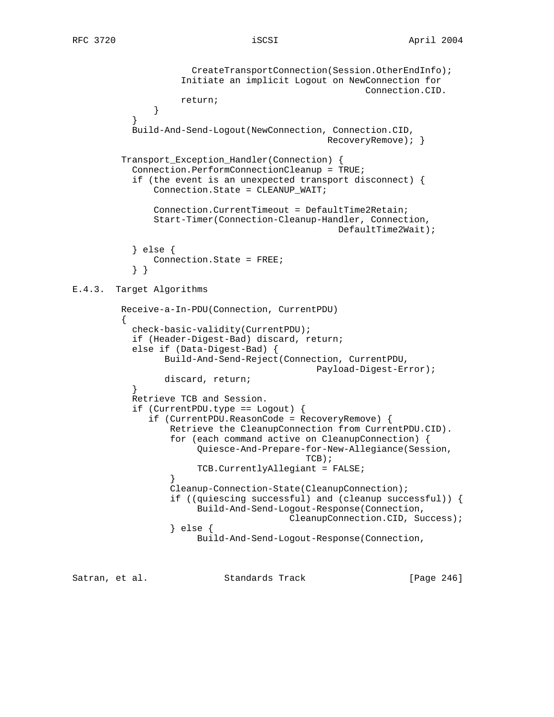```
 CreateTransportConnection(Session.OtherEndInfo);
                    Initiate an implicit Logout on NewConnection for
                                                     Connection.CID.
                    return;
 }
 }
           Build-And-Send-Logout(NewConnection, Connection.CID,
                                              RecoveryRemove); }
        Transport Exception Handler(Connection) {
           Connection.PerformConnectionCleanup = TRUE;
           if (the event is an unexpected transport disconnect) {
               Connection.State = CLEANUP_WAIT;
               Connection.CurrentTimeout = DefaultTime2Retain;
               Start-Timer(Connection-Cleanup-Handler, Connection,
                                                DefaultTime2Wait);
           } else {
               Connection.State = FREE;
           } }
E.4.3. Target Algorithms
         Receive-a-In-PDU(Connection, CurrentPDU)
\{ check-basic-validity(CurrentPDU);
           if (Header-Digest-Bad) discard, return;
           else if (Data-Digest-Bad) {
                 Build-And-Send-Reject(Connection, CurrentPDU,
                                            Payload-Digest-Error);
          discard, return;<br>}
 }
           Retrieve TCB and Session.
           if (CurrentPDU.type == Logout) {
              if (CurrentPDU.ReasonCode = RecoveryRemove) {
                  Retrieve the CleanupConnection from CurrentPDU.CID).
                  for (each command active on CleanupConnection) {
                       Quiesce-And-Prepare-for-New-Allegiance(Session,
\mbox{TCB} ) i TCB.CurrentlyAllegiant = FALSE;
 }
                  Cleanup-Connection-State(CleanupConnection);
                  if ((quiescing successful) and (cleanup successful)) {
                       Build-And-Send-Logout-Response(Connection,
                                       CleanupConnection.CID, Success);
                  } else {
                       Build-And-Send-Logout-Response(Connection,
```
Satran, et al. Standards Track [Page 246]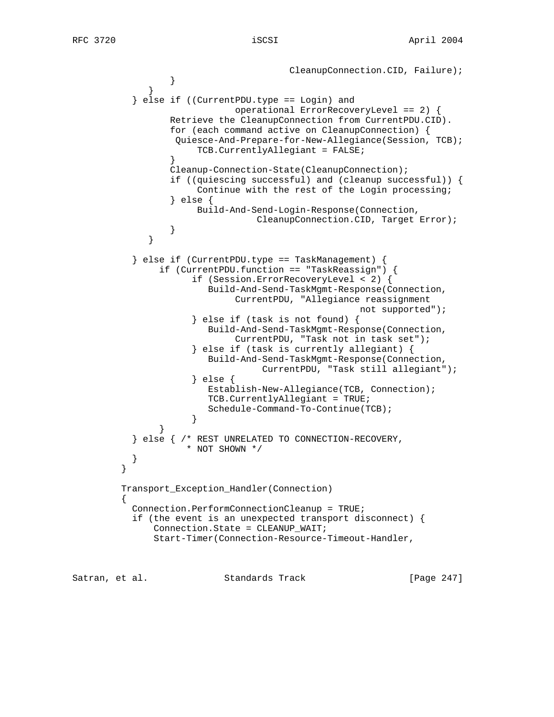```
CleanupConnection.CID, Failure);
 }
 }
           } else if ((CurrentPDU.type == Login) and
                            operational ErrorRecoveryLevel == 2) {
                 Retrieve the CleanupConnection from CurrentPDU.CID).
                 for (each command active on CleanupConnection) {
                  Quiesce-And-Prepare-for-New-Allegiance(Session, TCB);
                      TCB.CurrentlyAllegiant = FALSE;
 }
                 Cleanup-Connection-State(CleanupConnection);
                 if ((quiescing successful) and (cleanup successful)) {
                      Continue with the rest of the Login processing;
                 } else {
                      Build-And-Send-Login-Response(Connection,
                                CleanupConnection.CID, Target Error);
 }
 }
           } else if (CurrentPDU.type == TaskManagement) {
               if (CurrentPDU.function == "TaskReassign") {
                     if (Session.ErrorRecoveryLevel < 2) {
                        Build-And-Send-TaskMgmt-Response(Connection,
                            CurrentPDU, "Allegiance reassignment
                                                  not supported");
                     } else if (task is not found) {
                        Build-And-Send-TaskMgmt-Response(Connection,
                            CurrentPDU, "Task not in task set");
                     } else if (task is currently allegiant) {
                        Build-And-Send-TaskMgmt-Response(Connection,
                                 CurrentPDU, "Task still allegiant");
                     } else {
                        Establish-New-Allegiance(TCB, Connection);
                        TCB.CurrentlyAllegiant = TRUE;
                        Schedule-Command-To-Continue(TCB);
 }
 }
           } else { /* REST UNRELATED TO CONNECTION-RECOVERY,
                    * NOT SHOWN */
 }
 }
         Transport_Exception_Handler(Connection)
\{ Connection.PerformConnectionCleanup = TRUE;
           if (the event is an unexpected transport disconnect) {
              Connection.State = CLEANUP_WAIT;
              Start-Timer(Connection-Resource-Timeout-Handler,
```
Satran, et al. Standards Track [Page 247]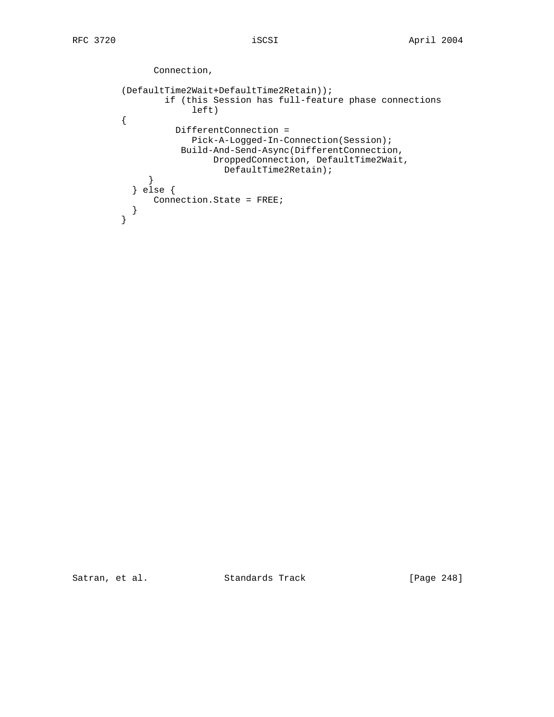```
 Connection,
           (DefaultTime2Wait+DefaultTime2Retain));
                   if (this Session has full-feature phase connections
                         left)
           {
                     DifferentConnection =
                         Pick-A-Logged-In-Connection(Session);
                      Build-And-Send-Async(DifferentConnection,
                             DroppedConnection, DefaultTime2Wait,
                               DefaultTime2Retain);
               }
            } else {
                Connection.State = FREE;
          \begin{matrix} & & \\ & & \end{matrix} }
```
Satran, et al. Standards Track [Page 248]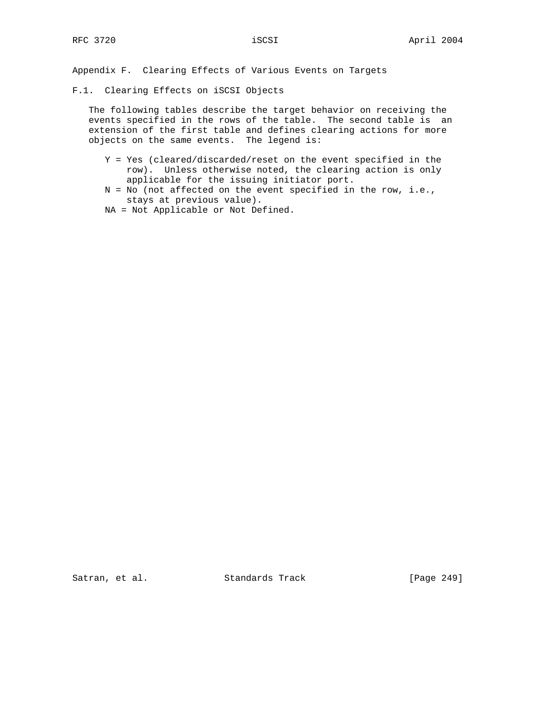Appendix F. Clearing Effects of Various Events on Targets

F.1. Clearing Effects on iSCSI Objects

 The following tables describe the target behavior on receiving the events specified in the rows of the table. The second table is an extension of the first table and defines clearing actions for more objects on the same events. The legend is:

- Y = Yes (cleared/discarded/reset on the event specified in the row). Unless otherwise noted, the clearing action is only applicable for the issuing initiator port.
- N = No (not affected on the event specified in the row, i.e., stays at previous value).
- NA = Not Applicable or Not Defined.

Satran, et al. Standards Track [Page 249]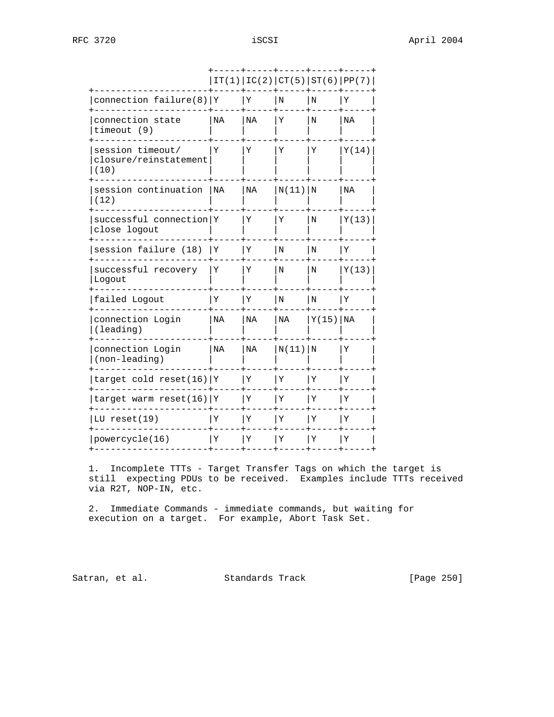|                                                   |    |    | IT(1)   IC(2)   CT(5)   ST(6)   PP(7) |               |       |
|---------------------------------------------------|----|----|---------------------------------------|---------------|-------|
| connection failure(8)   $Y$                       |    | Υ  | N                                     | N             | Υ     |
| connection state<br>timeout (9)                   | NA | ΝA | Υ                                     | N             | ΝA    |
| session timeout/<br>closure/reinstatement<br>(10) | Υ  | Υ  | Υ                                     | Υ             | Y(14) |
| session continuation<br>(12)                      | NA | NA | $N(11)$ N                             |               | ΝA    |
| successful connection Y<br>close logout           |    | Υ  | Υ                                     | Ν             | Y(13) |
| session failure (18)                              | ΙY | Υ  | Ν                                     | Ν             | Υ     |
| successful recovery<br>Logout                     | Υ  | Υ  | Ν                                     | Ν             | Y(13) |
| failed Logout                                     | Υ  | Υ  | N                                     | N             | Υ     |
| connection Login<br>(leading)                     | NA | ΝA | ΝA                                    | $Y(15)$ $N_A$ |       |
| connection Login<br>(non-leading)                 | ΝA | NA | N(11) N                               |               | Υ     |
| target cold reset(16) Y                           |    | Υ  | Υ                                     | Υ             | Υ     |
| target warm reset(16) Y                           |    | Υ  | Υ                                     | Υ             | Υ     |
| LU reset $(19)$                                   | Υ  | Υ  | Υ                                     | Υ             | Υ     |
| powercycle(16)                                    | Y  | Υ  | Υ                                     | Υ             | Υ     |
|                                                   |    |    |                                       |               |       |

 1. Incomplete TTTs - Target Transfer Tags on which the target is still expecting PDUs to be received. Examples include TTTs received via R2T, NOP-IN, etc.

 2. Immediate Commands - immediate commands, but waiting for execution on a target. For example, Abort Task Set.

Satran, et al. Standards Track [Page 250]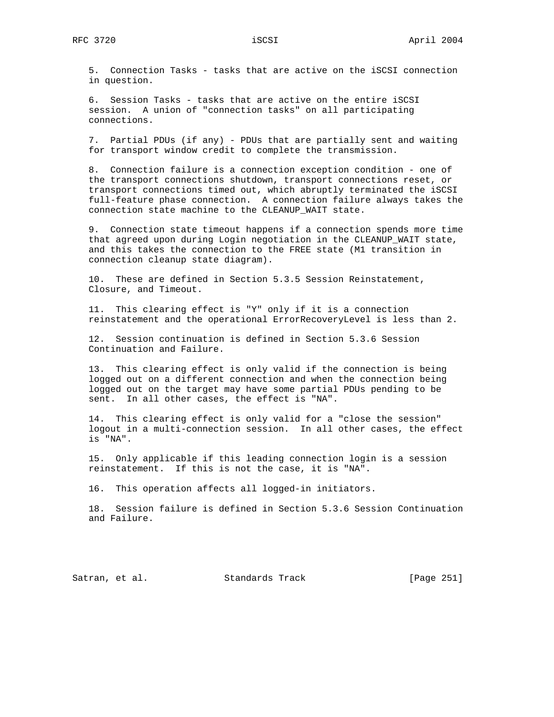5. Connection Tasks - tasks that are active on the iSCSI connection in question.

 6. Session Tasks - tasks that are active on the entire iSCSI session. A union of "connection tasks" on all participating connections.

 7. Partial PDUs (if any) - PDUs that are partially sent and waiting for transport window credit to complete the transmission.

 8. Connection failure is a connection exception condition - one of the transport connections shutdown, transport connections reset, or transport connections timed out, which abruptly terminated the iSCSI full-feature phase connection. A connection failure always takes the connection state machine to the CLEANUP\_WAIT state.

 9. Connection state timeout happens if a connection spends more time that agreed upon during Login negotiation in the CLEANUP\_WAIT state, and this takes the connection to the FREE state (M1 transition in connection cleanup state diagram).

 10. These are defined in Section 5.3.5 Session Reinstatement, Closure, and Timeout.

 11. This clearing effect is "Y" only if it is a connection reinstatement and the operational ErrorRecoveryLevel is less than 2.

 12. Session continuation is defined in Section 5.3.6 Session Continuation and Failure.

 13. This clearing effect is only valid if the connection is being logged out on a different connection and when the connection being logged out on the target may have some partial PDUs pending to be sent. In all other cases, the effect is "NA".

 14. This clearing effect is only valid for a "close the session" logout in a multi-connection session. In all other cases, the effect is "NA".

 15. Only applicable if this leading connection login is a session reinstatement. If this is not the case, it is "NA".

16. This operation affects all logged-in initiators.

 18. Session failure is defined in Section 5.3.6 Session Continuation and Failure.

Satran, et al. Standards Track [Page 251]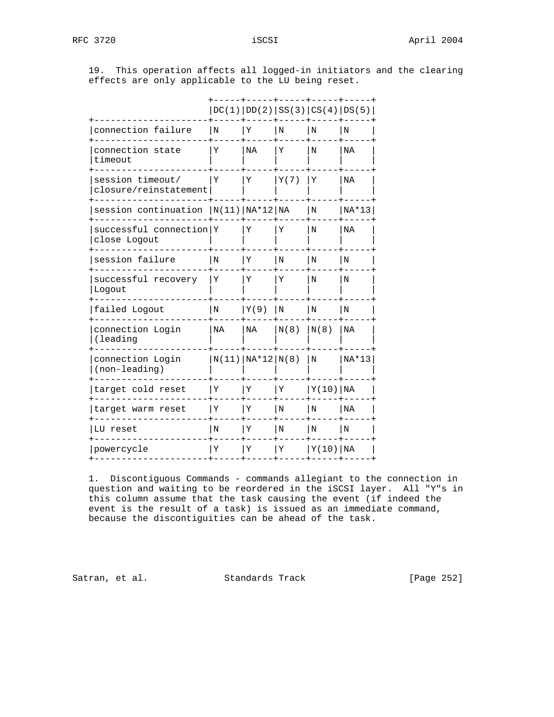19. This operation affects all logged-in initiators and the clearing effects are only applicable to the LU being reset.

|                                           |         |                      |             | DC(1)   DD(2)   SS(3)   CS(4)   DS(5) |         |
|-------------------------------------------|---------|----------------------|-------------|---------------------------------------|---------|
| connection failure                        | N       | Υ                    | N           | N                                     | N       |
| connection state<br>timeout               | Y       | ΝA                   | Y           | N                                     | NA      |
| session timeout/<br>closure/reinstatement | Υ       | Υ                    | Y(7)        | Υ                                     | ΝA      |
| session continuation $ N(11) NA*12 NA$    |         |                      |             | N                                     | $NA*13$ |
| successful connection Y<br>close Logout   |         | Y                    | Y           | N                                     | ΝA      |
| session failure                           | N       | Υ                    | N           | $_{\rm N}$                            | N       |
| successful recovery<br>Logout             | Υ       | Υ                    | Υ           | Ν                                     | Ν       |
| failed Logout                             | $\rm N$ | Y(9)                 | N           | N                                     | $\rm N$ |
| connection Login<br>(leading              | NA      | NA                   | N(8)        | N(8)                                  | ΝA      |
| connection Login<br>(non-leading)         |         | $N(11)   NA*12 N(8)$ |             | N                                     | $NA*13$ |
| target cold reset                         | Υ       | Υ                    | Y           | Y(10) NA                              |         |
| target warm reset                         | Υ       | Υ                    | $\mathbf N$ | l N                                   | NA      |
| LU reset                                  | N       | Υ                    | N           | N                                     | N       |
| powercycle                                | Υ       | Υ                    | Y           | Y(10) NA                              |         |
|                                           |         |                      |             |                                       |         |

 1. Discontiguous Commands - commands allegiant to the connection in question and waiting to be reordered in the iSCSI layer. All "Y"s in this column assume that the task causing the event (if indeed the event is the result of a task) is issued as an immediate command, because the discontiguities can be ahead of the task.

Satran, et al. Standards Track [Page 252]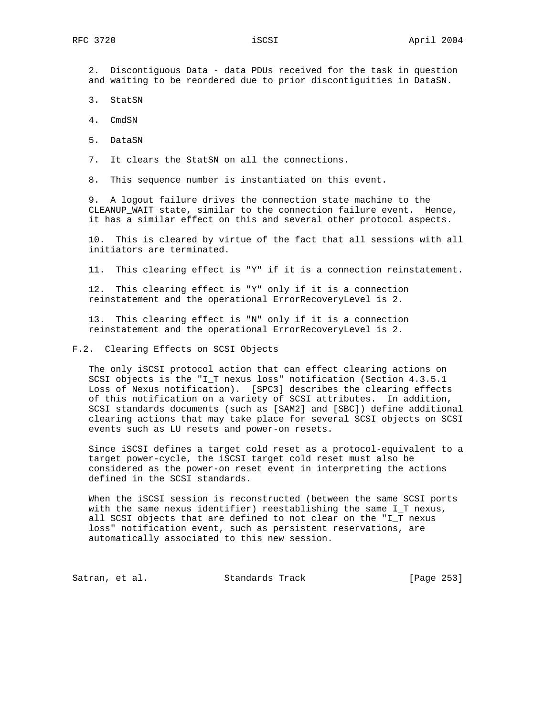2. Discontiguous Data - data PDUs received for the task in question and waiting to be reordered due to prior discontiguities in DataSN.

3. StatSN

4. CmdSN

5. DataSN

7. It clears the StatSN on all the connections.

8. This sequence number is instantiated on this event.

 9. A logout failure drives the connection state machine to the CLEANUP\_WAIT state, similar to the connection failure event. Hence, it has a similar effect on this and several other protocol aspects.

 10. This is cleared by virtue of the fact that all sessions with all initiators are terminated.

11. This clearing effect is "Y" if it is a connection reinstatement.

 12. This clearing effect is "Y" only if it is a connection reinstatement and the operational ErrorRecoveryLevel is 2.

 13. This clearing effect is "N" only if it is a connection reinstatement and the operational ErrorRecoveryLevel is 2.

F.2. Clearing Effects on SCSI Objects

 The only iSCSI protocol action that can effect clearing actions on SCSI objects is the "I\_T nexus loss" notification (Section 4.3.5.1 Loss of Nexus notification). [SPC3] describes the clearing effects of this notification on a variety of SCSI attributes. In addition, SCSI standards documents (such as [SAM2] and [SBC]) define additional clearing actions that may take place for several SCSI objects on SCSI events such as LU resets and power-on resets.

 Since iSCSI defines a target cold reset as a protocol-equivalent to a target power-cycle, the iSCSI target cold reset must also be considered as the power-on reset event in interpreting the actions defined in the SCSI standards.

 When the iSCSI session is reconstructed (between the same SCSI ports with the same nexus identifier) reestablishing the same I\_T nexus, all SCSI objects that are defined to not clear on the "I\_T nexus loss" notification event, such as persistent reservations, are automatically associated to this new session.

Satran, et al. Standards Track [Page 253]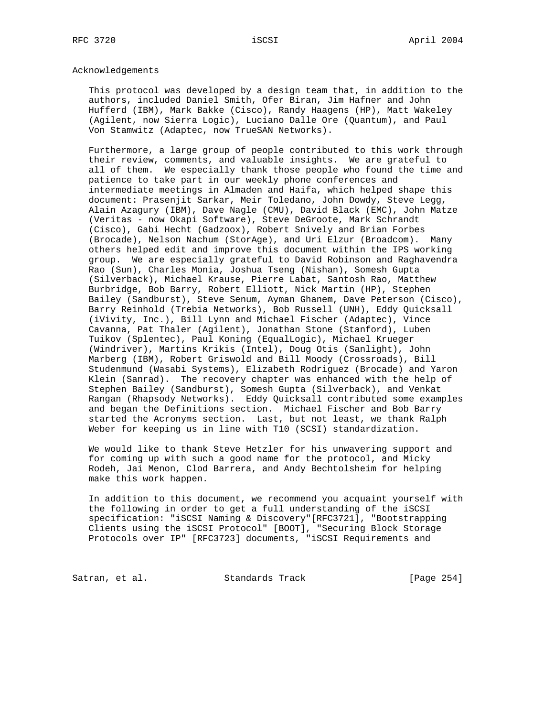## Acknowledgements

 This protocol was developed by a design team that, in addition to the authors, included Daniel Smith, Ofer Biran, Jim Hafner and John Hufferd (IBM), Mark Bakke (Cisco), Randy Haagens (HP), Matt Wakeley (Agilent, now Sierra Logic), Luciano Dalle Ore (Quantum), and Paul Von Stamwitz (Adaptec, now TrueSAN Networks).

 Furthermore, a large group of people contributed to this work through their review, comments, and valuable insights. We are grateful to all of them. We especially thank those people who found the time and patience to take part in our weekly phone conferences and intermediate meetings in Almaden and Haifa, which helped shape this document: Prasenjit Sarkar, Meir Toledano, John Dowdy, Steve Legg, Alain Azagury (IBM), Dave Nagle (CMU), David Black (EMC), John Matze (Veritas - now Okapi Software), Steve DeGroote, Mark Schrandt (Cisco), Gabi Hecht (Gadzoox), Robert Snively and Brian Forbes (Brocade), Nelson Nachum (StorAge), and Uri Elzur (Broadcom). Many others helped edit and improve this document within the IPS working group. We are especially grateful to David Robinson and Raghavendra Rao (Sun), Charles Monia, Joshua Tseng (Nishan), Somesh Gupta (Silverback), Michael Krause, Pierre Labat, Santosh Rao, Matthew Burbridge, Bob Barry, Robert Elliott, Nick Martin (HP), Stephen Bailey (Sandburst), Steve Senum, Ayman Ghanem, Dave Peterson (Cisco), Barry Reinhold (Trebia Networks), Bob Russell (UNH), Eddy Quicksall (iVivity, Inc.), Bill Lynn and Michael Fischer (Adaptec), Vince Cavanna, Pat Thaler (Agilent), Jonathan Stone (Stanford), Luben Tuikov (Splentec), Paul Koning (EqualLogic), Michael Krueger (Windriver), Martins Krikis (Intel), Doug Otis (Sanlight), John Marberg (IBM), Robert Griswold and Bill Moody (Crossroads), Bill Studenmund (Wasabi Systems), Elizabeth Rodriguez (Brocade) and Yaron Klein (Sanrad). The recovery chapter was enhanced with the help of Stephen Bailey (Sandburst), Somesh Gupta (Silverback), and Venkat Rangan (Rhapsody Networks). Eddy Quicksall contributed some examples and began the Definitions section. Michael Fischer and Bob Barry started the Acronyms section. Last, but not least, we thank Ralph Weber for keeping us in line with T10 (SCSI) standardization.

 We would like to thank Steve Hetzler for his unwavering support and for coming up with such a good name for the protocol, and Micky Rodeh, Jai Menon, Clod Barrera, and Andy Bechtolsheim for helping make this work happen.

 In addition to this document, we recommend you acquaint yourself with the following in order to get a full understanding of the iSCSI specification: "iSCSI Naming & Discovery"[RFC3721], "Bootstrapping Clients using the iSCSI Protocol" [BOOT], "Securing Block Storage Protocols over IP" [RFC3723] documents, "iSCSI Requirements and

Satran, et al. Standards Track [Page 254]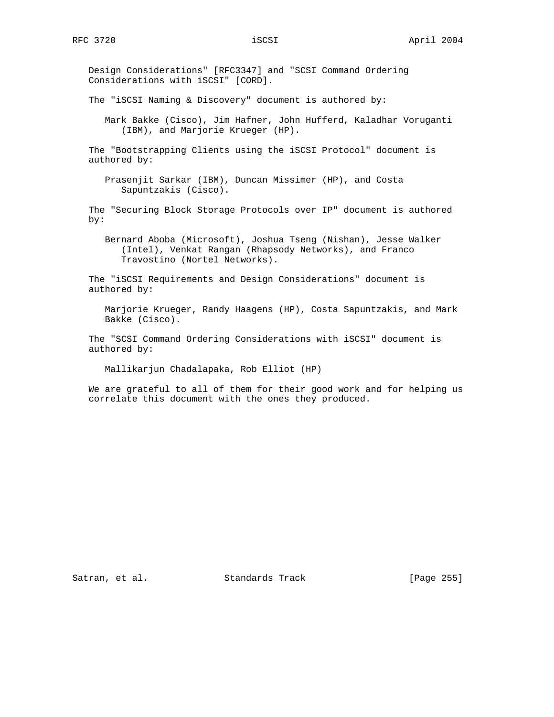Design Considerations" [RFC3347] and "SCSI Command Ordering Considerations with iSCSI" [CORD].

The "iSCSI Naming & Discovery" document is authored by:

 Mark Bakke (Cisco), Jim Hafner, John Hufferd, Kaladhar Voruganti (IBM), and Marjorie Krueger (HP).

 The "Bootstrapping Clients using the iSCSI Protocol" document is authored by:

 Prasenjit Sarkar (IBM), Duncan Missimer (HP), and Costa Sapuntzakis (Cisco).

 The "Securing Block Storage Protocols over IP" document is authored by:

 Bernard Aboba (Microsoft), Joshua Tseng (Nishan), Jesse Walker (Intel), Venkat Rangan (Rhapsody Networks), and Franco Travostino (Nortel Networks).

 The "iSCSI Requirements and Design Considerations" document is authored by:

 Marjorie Krueger, Randy Haagens (HP), Costa Sapuntzakis, and Mark Bakke (Cisco).

 The "SCSI Command Ordering Considerations with iSCSI" document is authored by:

Mallikarjun Chadalapaka, Rob Elliot (HP)

 We are grateful to all of them for their good work and for helping us correlate this document with the ones they produced.

Satran, et al. Standards Track [Page 255]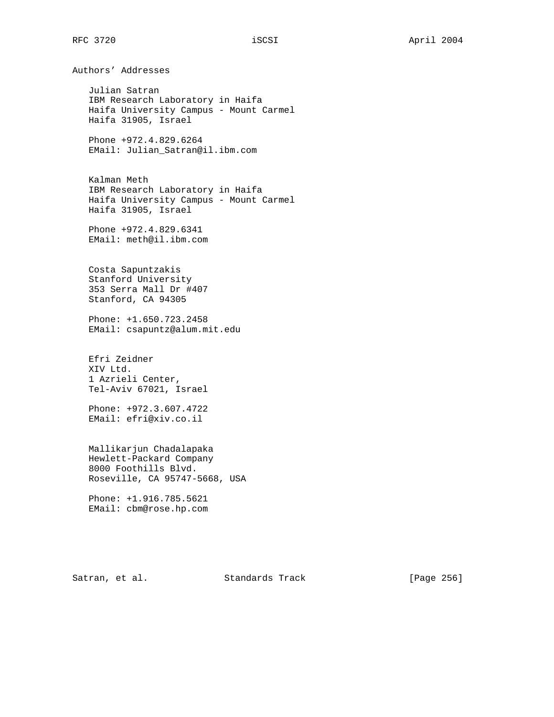Authors' Addresses

 Julian Satran IBM Research Laboratory in Haifa Haifa University Campus - Mount Carmel Haifa 31905, Israel

 Phone +972.4.829.6264 EMail: Julian\_Satran@il.ibm.com

 Kalman Meth IBM Research Laboratory in Haifa Haifa University Campus - Mount Carmel Haifa 31905, Israel

 Phone +972.4.829.6341 EMail: meth@il.ibm.com

 Costa Sapuntzakis Stanford University 353 Serra Mall Dr #407 Stanford, CA 94305

 Phone: +1.650.723.2458 EMail: csapuntz@alum.mit.edu

 Efri Zeidner XIV Ltd. 1 Azrieli Center, Tel-Aviv 67021, Israel

 Phone: +972.3.607.4722 EMail: efri@xiv.co.il

 Mallikarjun Chadalapaka Hewlett-Packard Company 8000 Foothills Blvd. Roseville, CA 95747-5668, USA

 Phone: +1.916.785.5621 EMail: cbm@rose.hp.com

Satran, et al. Standards Track [Page 256]